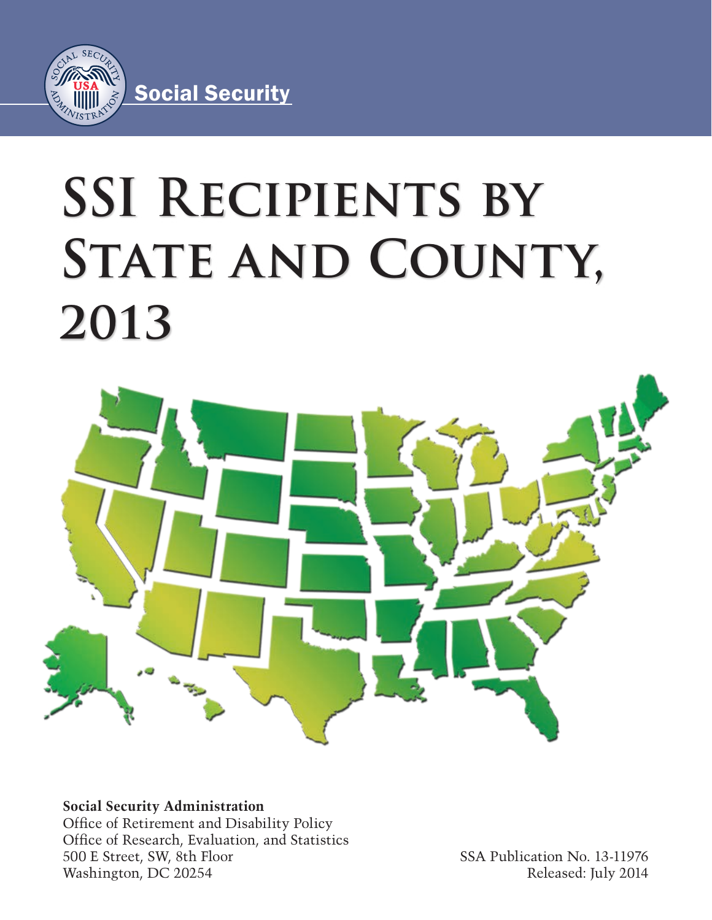

# **SSI Recipients by**  STATE AND COUNTY, **2013**



**Social Security Administration** Office of Retirement and Disability Policy Office of Research, Evaluation, and Statistics 500 E Street, SW, 8th Floor Washington, DC 20254

SSA Publication No. 13-11976 Released: July 2014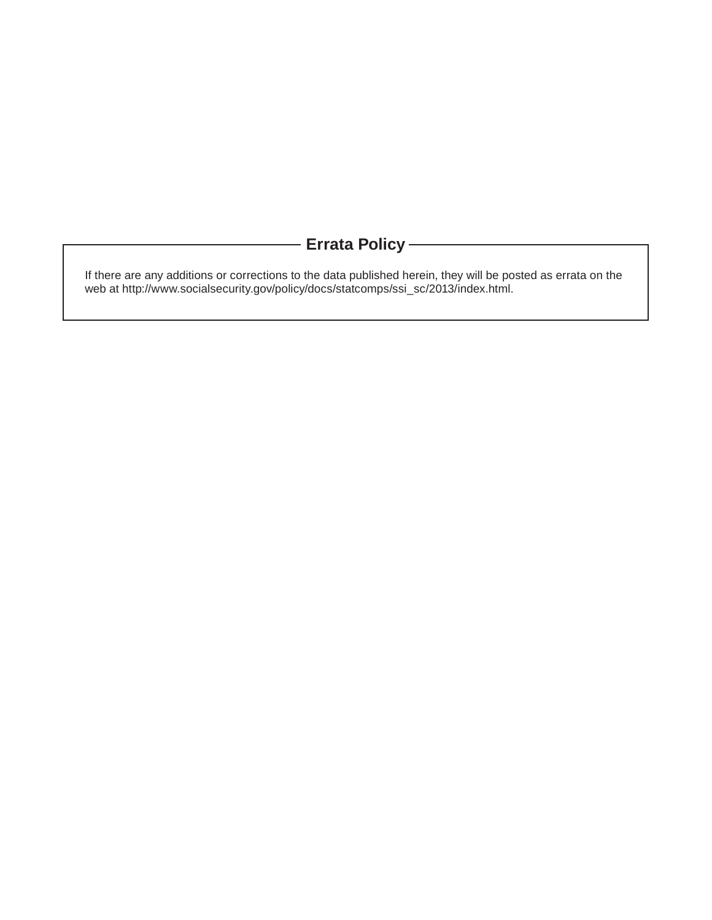# **Errata Policy**

If there are any additions or corrections to the data published herein, they will be posted as errata on the web at http://www.socialsecurity.gov/policy/docs/statcomps/ssi\_sc/2013/index.html.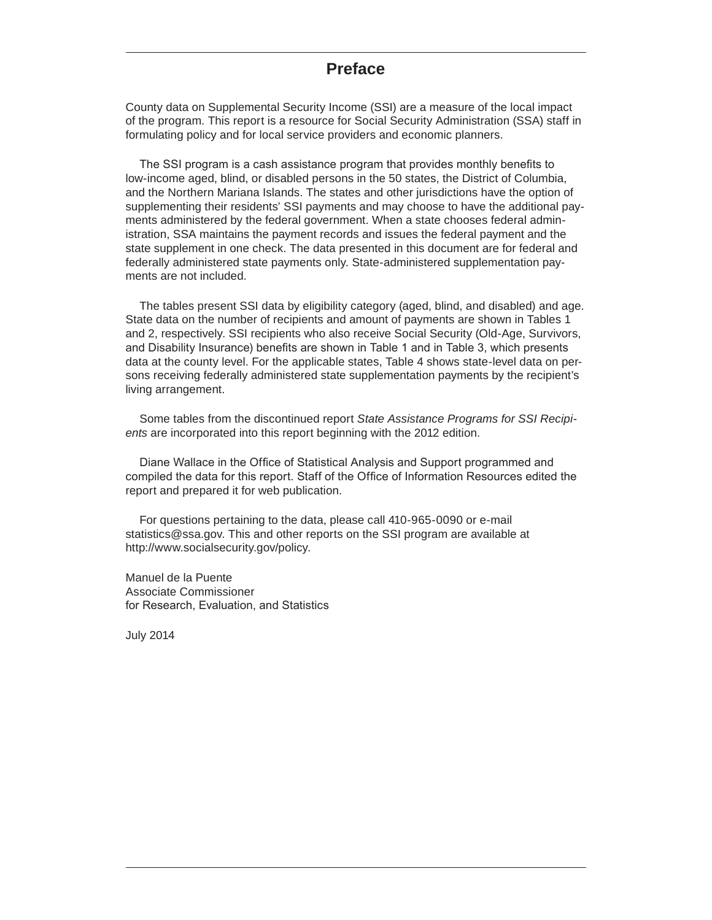# **Preface**

County data on Supplemental Security Income (SSI) are a measure of the local impact of the program. This report is a resource for Social Security Administration (SSA) staff in formulating policy and for local service providers and economic planners.

The SSI program is a cash assistance program that provides monthly benefits to low-income aged, blind, or disabled persons in the 50 states, the District of Columbia, and the Northern Mariana Islands. The states and other jurisdictions have the option of supplementing their residents' SSI payments and may choose to have the additional payments administered by the federal government. When a state chooses federal administration, SSA maintains the payment records and issues the federal payment and the state supplement in one check. The data presented in this document are for federal and federally administered state payments only. State-administered supplementation payments are not included.

The tables present SSI data by eligibility category (aged, blind, and disabled) and age. State data on the number of recipients and amount of payments are shown in Tables 1 and 2, respectively. SSI recipients who also receive Social Security (Old-Age, Survivors, and Disability Insurance) benefits are shown in Table 1 and in Table 3, which presents data at the county level. For the applicable states, Table 4 shows state-level data on persons receiving federally administered state supplementation payments by the recipient's living arrangement.

Some tables from the discontinued report *State Assistance Programs for SSI Recipients* are incorporated into this report beginning with the 2012 edition.

Diane Wallace in the Office of Statistical Analysis and Support programmed and compiled the data for this report. Staff of the Office of Information Resources edited the report and prepared it for web publication.

For questions pertaining to the data, please call 410-965-0090 or e-mail statistics@ssa.gov. This and other reports on the SSI program are available at http://www.socialsecurity.gov/policy.

Manuel de la Puente Associate Commissioner for Research, Evaluation, and Statistics

July 2014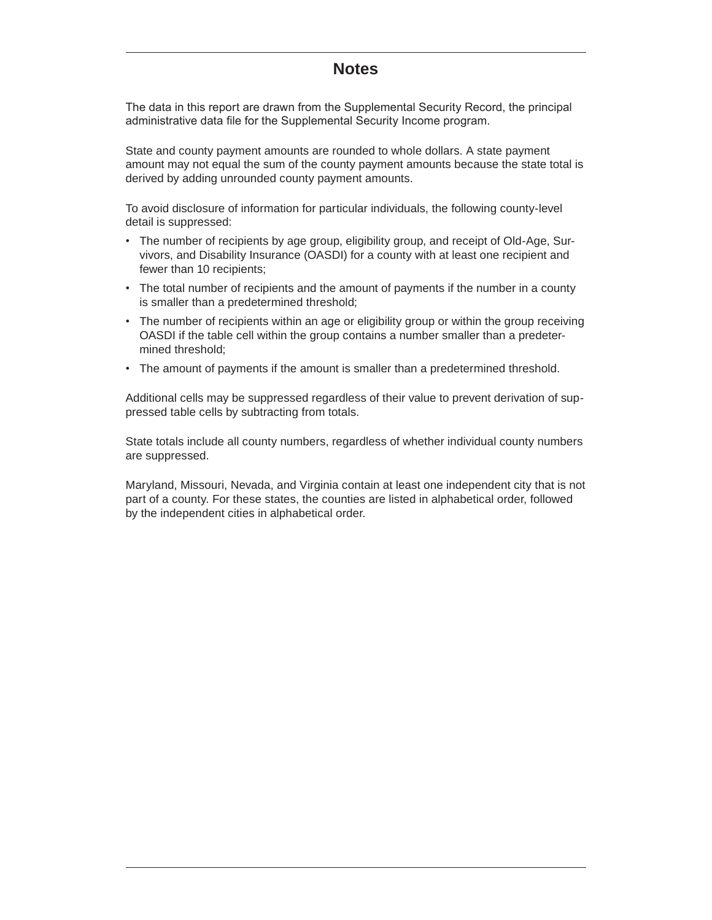# **Notes**

The data in this report are drawn from the Supplemental Security Record, the principal administrative data file for the Supplemental Security Income program.

State and county payment amounts are rounded to whole dollars. A state payment amount may not equal the sum of the county payment amounts because the state total is derived by adding unrounded county payment amounts.

To avoid disclosure of information for particular individuals, the following county-level detail is suppressed:

- The number of recipients by age group, eligibility group, and receipt of Old-Age, Survivors, and Disability Insurance (OASDI) for a county with at least one recipient and fewer than 10 recipients;
- The total number of recipients and the amount of payments if the number in a county is smaller than a predetermined threshold;
- The number of recipients within an age or eligibility group or within the group receiving OASDI if the table cell within the group contains a number smaller than a predetermined threshold;
- The amount of payments if the amount is smaller than a predetermined threshold.

Additional cells may be suppressed regardless of their value to prevent derivation of suppressed table cells by subtracting from totals.

State totals include all county numbers, regardless of whether individual county numbers are suppressed.

Maryland, Missouri, Nevada, and Virginia contain at least one independent city that is not part of a county. For these states, the counties are listed in alphabetical order, followed by the independent cities in alphabetical order.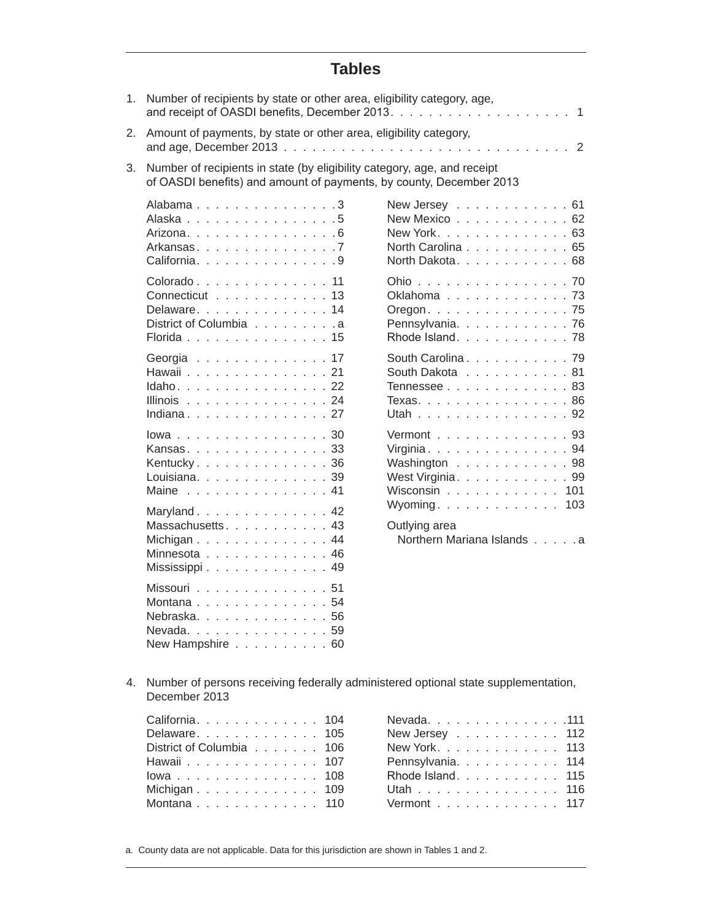# **Tables**

| 1. | Number of recipients by state or other area, eligibility category, age,                                                                         |                                                                                         |
|----|-------------------------------------------------------------------------------------------------------------------------------------------------|-----------------------------------------------------------------------------------------|
| 2. | Amount of payments, by state or other area, eligibility category,                                                                               |                                                                                         |
| 3. | Number of recipients in state (by eligibility category, age, and receipt<br>of OASDI benefits) and amount of payments, by county, December 2013 |                                                                                         |
|    | Alabama 3<br>Alaska 5<br>Arizona. 6<br>Arkansas. 7<br>California. 9                                                                             | New Jersey 61<br>New Mexico 62<br>New York. 63<br>North Carolina 65<br>North Dakota. 68 |
|    | Colorado 11<br>Connecticut 13<br>Delaware. 14<br>District of Columbia a<br>Florida 15                                                           | Ohio 70<br>Oklahoma 73<br>Oregon. 75<br>Pennsylvania. 76<br>Rhode Island. 78            |
|    | Georgia 17<br>Hawaii 21<br>Idaho. 22<br>Illinois 24<br>Indiana. 27                                                                              | South Carolina. 79<br>South Dakota 81<br>Tennessee 83<br>Texas. 86<br>Utah 92           |
|    | lowa30<br>Kansas33<br>Kentucky. 36<br>Louisiana. 39<br>Maine 41                                                                                 | Vermont 93<br>Virginia. 94<br>Washington 98<br>West Virginia. 99<br>Wisconsin 101       |
|    | Maryland. 42<br>Massachusetts. 43<br>Michigan 44<br>Minnesota 46<br>Mississippi 49                                                              | Wyoming. 103<br>Outlying area<br>Northern Mariana Islands a                             |
|    | Missouri 51<br>Montana 54<br>Nebraska. 56<br>Nevada. 59<br>New Hampshire 60                                                                     |                                                                                         |

4. Number of persons receiving federally administered optional state supplementation, December 2013

| California. 104          |  |  |  |  |  |  |  |
|--------------------------|--|--|--|--|--|--|--|
| Delaware. 105            |  |  |  |  |  |  |  |
| District of Columbia 106 |  |  |  |  |  |  |  |
| Hawaii 107               |  |  |  |  |  |  |  |
| lowa 108                 |  |  |  |  |  |  |  |
| Michigan 109             |  |  |  |  |  |  |  |
| Montana 110              |  |  |  |  |  |  |  |
|                          |  |  |  |  |  |  |  |

| Nevada. 111       |  |  |  |  |  |  |
|-------------------|--|--|--|--|--|--|
| New Jersey 112    |  |  |  |  |  |  |
| New York. 113     |  |  |  |  |  |  |
| Pennsylvania. 114 |  |  |  |  |  |  |
| Rhode Island. 115 |  |  |  |  |  |  |
| Utah 116          |  |  |  |  |  |  |
| Vermont 117       |  |  |  |  |  |  |

a. County data are not applicable. Data for this jurisdiction are shown in Tables 1 and 2.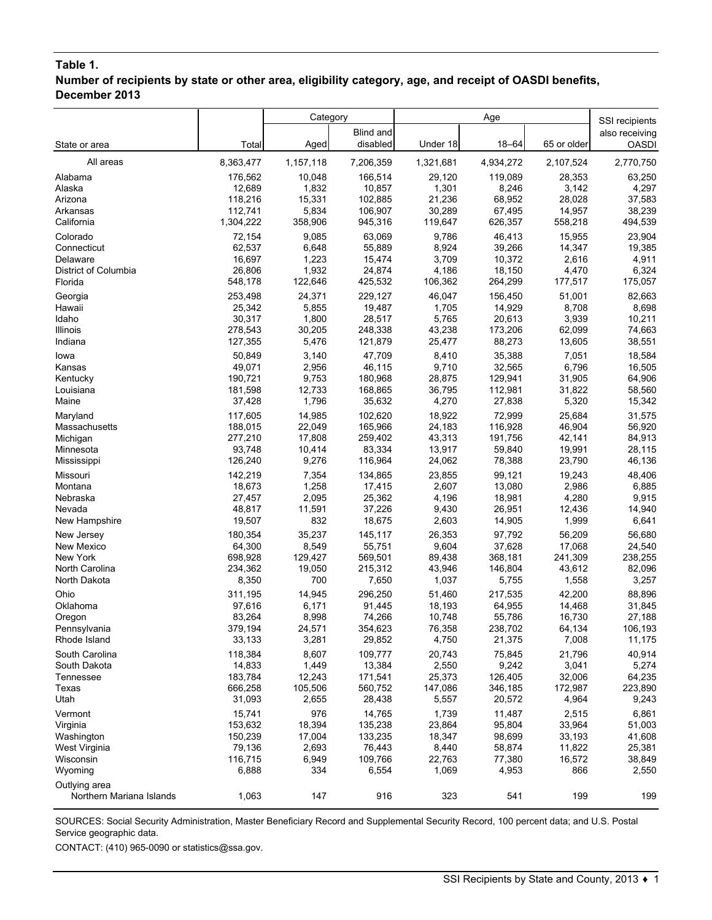# **Table 1.**

**Number of recipients by state or other area, eligibility category, age, and receipt of OASDI benefits, December 2013**

|                                           |                   | Category       |                   | Age             |                   | SSI recipients   |                  |
|-------------------------------------------|-------------------|----------------|-------------------|-----------------|-------------------|------------------|------------------|
|                                           |                   |                | Blind and         |                 |                   |                  | also receiving   |
| State or area                             | Total             | Aged           | disabled          | Under 18        | $18 - 64$         | 65 or older      | <b>OASDI</b>     |
| All areas                                 | 8,363,477         | 1,157,118      | 7,206,359         | 1,321,681       | 4,934,272         | 2,107,524        | 2,770,750        |
| Alabama                                   | 176,562           | 10,048         | 166,514           | 29,120          | 119,089           | 28,353           | 63,250           |
| Alaska                                    | 12,689            | 1,832          | 10,857            | 1,301           | 8,246             | 3,142            | 4,297            |
| Arizona                                   | 118,216           | 15,331         | 102,885           | 21,236          | 68,952            | 28,028           | 37,583           |
| Arkansas                                  | 112,741           | 5,834          | 106,907           | 30,289          | 67,495            | 14,957           | 38,239           |
| California                                | 1,304,222         | 358,906        | 945,316           | 119,647         | 626,357           | 558,218          | 494,539          |
| Colorado                                  | 72,154            | 9,085          | 63,069            | 9,786           | 46,413            | 15,955           | 23,904           |
| Connecticut                               | 62,537            | 6,648          | 55,889            | 8,924           | 39,266            | 14,347           | 19,385           |
| Delaware                                  | 16,697            | 1,223          | 15,474            | 3,709           | 10,372            | 2,616            | 4,911            |
| District of Columbia                      | 26,806            | 1,932          | 24,874            | 4,186           | 18,150            | 4,470            | 6,324            |
| Florida                                   | 548,178           | 122,646        | 425,532           | 106,362         | 264,299           | 177,517          | 175,057          |
| Georgia                                   | 253,498           | 24,371         | 229,127           | 46,047          | 156,450           | 51,001           | 82,663           |
| Hawaii                                    | 25,342            | 5,855          | 19,487            | 1,705           | 14,929            | 8,708            | 8,698            |
| Idaho                                     | 30,317            | 1,800          | 28,517            | 5,765           | 20,613            | 3,939            | 10,211           |
| Illinois                                  | 278,543           | 30,205         | 248,338           | 43,238          | 173,206           | 62,099           | 74,663           |
| Indiana                                   | 127,355           | 5,476          | 121,879           | 25,477          | 88,273            | 13,605           | 38,551           |
| lowa                                      | 50,849            | 3,140          | 47,709            | 8,410           | 35,388            | 7.051            | 18,584           |
| Kansas<br>Kentucky                        | 49,071<br>190,721 | 2,956<br>9,753 | 46,115<br>180,968 | 9,710<br>28,875 | 32,565<br>129,941 | 6,796<br>31,905  | 16,505<br>64,906 |
| Louisiana                                 | 181,598           | 12,733         | 168,865           | 36,795          | 112,981           | 31,822           | 58,560           |
| Maine                                     | 37,428            | 1,796          | 35,632            | 4,270           | 27,838            | 5,320            | 15,342           |
| Maryland                                  | 117,605           | 14,985         | 102,620           | 18,922          | 72,999            | 25,684           | 31,575           |
| Massachusetts                             | 188,015           | 22,049         | 165,966           | 24,183          | 116,928           | 46,904           | 56,920           |
| Michigan                                  | 277,210           | 17,808         | 259,402           | 43,313          | 191,756           | 42,141           | 84,913           |
| Minnesota                                 | 93,748            | 10,414         | 83,334            | 13,917          | 59,840            | 19,991           | 28,115           |
| Mississippi                               | 126,240           | 9,276          | 116,964           | 24,062          | 78,388            | 23,790           | 46,136           |
| Missouri                                  | 142,219           | 7,354          | 134,865           | 23,855          | 99,121            | 19,243           | 48,406           |
| Montana                                   | 18,673            | 1,258          | 17,415            | 2,607           | 13,080            | 2,986            | 6,885            |
| Nebraska                                  | 27,457            | 2,095          | 25,362            | 4,196           | 18,981            | 4,280            | 9,915            |
| Nevada                                    | 48,817            | 11,591         | 37,226            | 9,430           | 26,951            | 12,436           | 14,940           |
| New Hampshire                             | 19,507            | 832            | 18,675            | 2,603           | 14,905            | 1,999            | 6,641            |
| New Jersey                                | 180,354           | 35,237         | 145,117           | 26,353          | 97,792            | 56,209           | 56,680           |
| New Mexico                                | 64,300            | 8,549          | 55,751            | 9,604           | 37,628            | 17,068           | 24,540           |
| New York                                  | 698,928           | 129,427        | 569,501           | 89,438          | 368,181           | 241,309          | 238,255          |
| North Carolina                            | 234,362           | 19,050         | 215,312           | 43,946          | 146,804           | 43,612           | 82,096           |
| North Dakota                              | 8,350             | 700            | 7,650             | 1,037           | 5,755             | 1,558            | 3,257            |
| Ohio                                      | 311,195           | 14,945         | 296.250           | 51,460          | 217,535           | 42,200           | 88,896           |
| Oklahoma                                  | 97,616            | 6,171          | 91,445            | 18,193          | 64,955            | 14,468           | 31,845           |
| Oregon                                    | 83,264            | 8,998          | 74,266            | 10,748          | 55,786            | 16,730           | 27,188           |
| Pennsylvania                              | 379,194           | 24,571         | 354,623           | 76,358          | 238,702           | 64,134           | 106,193          |
| Rhode Island                              | 33,133            | 3,281          | 29,852            | 4,750           | 21,375            | 7,008            | 11,175           |
| South Carolina                            | 118,384           | 8,607          | 109,777           | 20,743          | 75,845            | 21,796           | 40,914           |
| South Dakota                              | 14,833            | 1,449          | 13,384            | 2,550           | 9,242             | 3,041            | 5,274            |
| Tennessee                                 | 183,784           | 12,243         | 171,541           | 25,373          | 126,405           | 32,006           | 64,235           |
| Texas                                     | 666,258           | 105,506        | 560,752           | 147,086         | 346,185           | 172,987          | 223,890          |
| Utah                                      | 31,093            | 2,655          | 28,438            | 5,557           | 20,572            | 4,964            | 9,243            |
| Vermont                                   | 15,741            | 976            | 14,765            | 1,739           | 11,487            | 2,515            | 6,861            |
| Virginia                                  | 153,632           | 18,394         | 135,238           | 23,864          | 95,804            | 33,964           | 51,003           |
| Washington                                | 150,239           | 17,004         | 133,235           | 18,347          | 98,699            | 33,193           | 41,608           |
| West Virginia<br>Wisconsin                | 79,136<br>116,715 | 2,693<br>6,949 | 76,443<br>109,766 | 8,440<br>22,763 | 58,874<br>77,380  | 11,822<br>16,572 | 25,381           |
| Wyoming                                   | 6,888             | 334            | 6,554             | 1,069           | 4,953             | 866              | 38,849<br>2,550  |
|                                           |                   |                |                   |                 |                   |                  |                  |
| Outlying area<br>Northern Mariana Islands | 1,063             | 147            | 916               | 323             | 541               | 199              | 199              |

SOURCES: Social Security Administration, Master Beneficiary Record and Supplemental Security Record, 100 percent data; and U.S. Postal Service geographic data.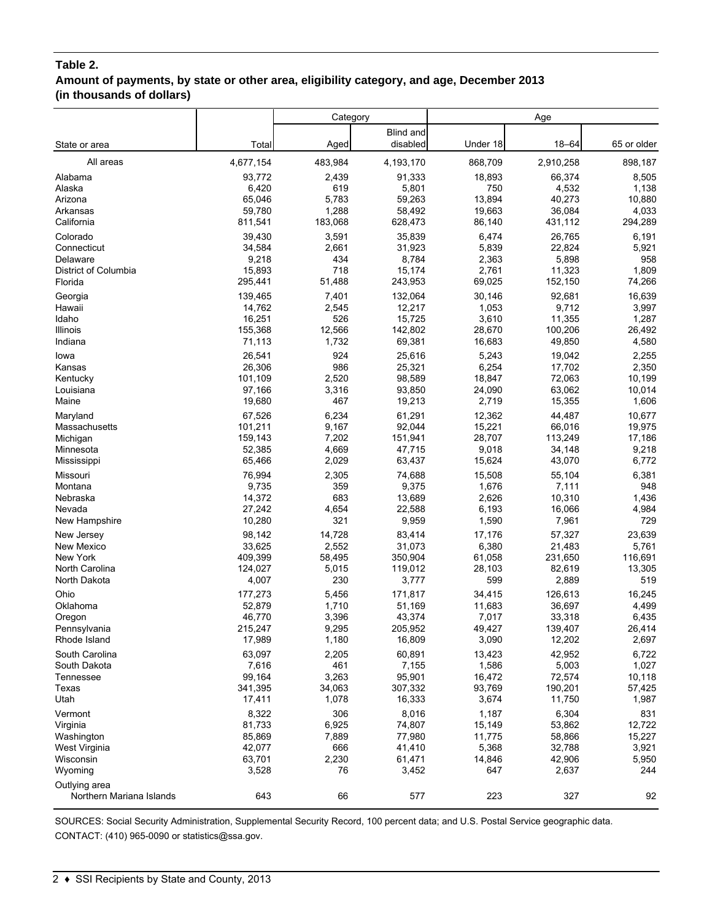#### **Table 2.**

# **Amount of payments, by state or other area, eligibility category, and age, December 2013 (in thousands of dollars)**

|                                           |           | Category |                       |          | Age       |             |
|-------------------------------------------|-----------|----------|-----------------------|----------|-----------|-------------|
| State or area                             | Total     | Aged     | Blind and<br>disabled | Under 18 | $18 - 64$ | 65 or older |
| All areas                                 | 4,677,154 | 483,984  | 4,193,170             | 868,709  | 2,910,258 | 898,187     |
| Alabama                                   | 93,772    | 2,439    | 91,333                | 18,893   | 66,374    | 8,505       |
| Alaska                                    | 6,420     | 619      | 5,801                 | 750      | 4,532     | 1,138       |
| Arizona                                   | 65,046    | 5,783    | 59,263                | 13,894   | 40,273    | 10,880      |
| Arkansas                                  | 59,780    | 1,288    | 58,492                | 19,663   | 36,084    | 4,033       |
| California                                | 811,541   | 183,068  | 628,473               | 86,140   | 431,112   | 294,289     |
| Colorado                                  | 39,430    | 3,591    | 35,839                | 6,474    | 26,765    | 6,191       |
| Connecticut                               | 34,584    | 2,661    | 31,923                | 5,839    | 22,824    | 5,921       |
| Delaware                                  | 9,218     | 434      | 8,784                 | 2,363    | 5,898     | 958         |
| District of Columbia                      | 15,893    | 718      | 15,174                | 2,761    | 11,323    | 1,809       |
| Florida                                   | 295,441   | 51,488   | 243,953               | 69,025   | 152,150   | 74,266      |
| Georgia                                   | 139,465   | 7,401    | 132,064               | 30,146   | 92,681    | 16,639      |
| Hawaii                                    | 14,762    | 2,545    | 12,217                | 1,053    | 9,712     | 3,997       |
| Idaho                                     | 16,251    | 526      | 15,725                | 3,610    | 11,355    | 1,287       |
| Illinois                                  | 155,368   | 12,566   | 142,802               | 28,670   | 100,206   | 26,492      |
| Indiana                                   | 71,113    | 1,732    | 69,381                | 16,683   | 49,850    | 4,580       |
| lowa                                      | 26,541    | 924      | 25,616                | 5,243    | 19,042    | 2,255       |
| Kansas                                    | 26,306    | 986      | 25,321                | 6,254    | 17,702    | 2,350       |
| Kentucky                                  | 101,109   | 2,520    | 98,589                | 18,847   | 72,063    | 10,199      |
| Louisiana                                 | 97,166    | 3,316    | 93,850                | 24,090   | 63,062    | 10,014      |
| Maine                                     | 19,680    | 467      | 19,213                | 2,719    | 15,355    | 1,606       |
| Maryland                                  | 67,526    | 6,234    | 61,291                | 12,362   | 44,487    | 10,677      |
| Massachusetts                             | 101,211   | 9,167    | 92,044                | 15,221   | 66,016    | 19,975      |
| Michigan                                  | 159,143   | 7,202    | 151,941               | 28,707   | 113,249   | 17,186      |
| Minnesota                                 | 52,385    | 4,669    | 47,715                | 9,018    | 34,148    | 9,218       |
| Mississippi                               | 65,466    | 2,029    | 63,437                | 15,624   | 43,070    | 6,772       |
| Missouri                                  | 76,994    | 2,305    | 74,688                | 15,508   | 55,104    | 6,381       |
| Montana                                   | 9,735     | 359      | 9,375                 | 1,676    | 7,111     | 948         |
| Nebraska                                  | 14,372    | 683      | 13,689                | 2,626    | 10,310    | 1,436       |
| Nevada                                    | 27,242    | 4,654    | 22,588                | 6,193    | 16,066    | 4,984       |
| New Hampshire                             | 10,280    | 321      | 9,959                 | 1,590    | 7,961     | 729         |
| New Jersey                                | 98,142    | 14,728   | 83,414                | 17,176   | 57,327    | 23,639      |
| New Mexico                                | 33,625    | 2,552    | 31,073                | 6,380    | 21,483    | 5,761       |
| New York                                  | 409,399   | 58,495   | 350,904               | 61,058   | 231,650   | 116,691     |
| North Carolina                            | 124,027   | 5,015    | 119,012               | 28,103   | 82,619    | 13,305      |
| North Dakota                              | 4,007     | 230      | 3,777                 | 599      | 2,889     | 519         |
| Ohio                                      | 177,273   | 5,456    | 171,817               | 34,415   | 126,613   | 16,245      |
| Oklahoma                                  | 52,879    | 1,710    | 51,169                | 11,683   | 36,697    | 4,499       |
| Oregon                                    | 46,770    | 3,396    | 43,374                | 7,017    | 33,318    | 6,435       |
| Pennsylvania                              | 215,247   | 9,295    | 205,952               | 49,427   | 139,407   | 26,414      |
| Rhode Island                              | 17,989    | 1,180    | 16,809                | 3,090    | 12,202    | 2,697       |
| South Carolina                            | 63,097    | 2,205    | 60,891                | 13,423   | 42,952    | 6,722       |
| South Dakota                              | 7,616     | 461      | 7,155                 | 1,586    | 5,003     | 1,027       |
| Tennessee                                 | 99,164    | 3,263    | 95,901                | 16,472   | 72,574    | 10,118      |
| Texas                                     | 341,395   | 34,063   | 307,332               | 93,769   | 190,201   | 57,425      |
| Utah                                      | 17,411    | 1,078    | 16,333                | 3,674    | 11,750    | 1,987       |
| Vermont                                   | 8,322     | 306      | 8,016                 | 1,187    | 6,304     | 831         |
| Virginia                                  | 81,733    | 6,925    | 74,807                | 15,149   | 53,862    | 12,722      |
| Washington                                | 85,869    | 7,889    | 77,980                | 11,775   | 58,866    | 15,227      |
| West Virginia                             | 42,077    | 666      | 41,410                | 5,368    | 32,788    | 3,921       |
| Wisconsin                                 | 63,701    | 2,230    | 61,471                | 14,846   | 42,906    | 5,950       |
| Wyoming                                   | 3,528     | 76       | 3,452                 | 647      | 2,637     | 244         |
| Outlying area<br>Northern Mariana Islands | 643       | 66       | 577                   | 223      | 327       | 92          |

SOURCES: Social Security Administration, Supplemental Security Record, 100 percent data; and U.S. Postal Service geographic data. CONTACT: (410) 965-0090 or statistics@ssa.gov.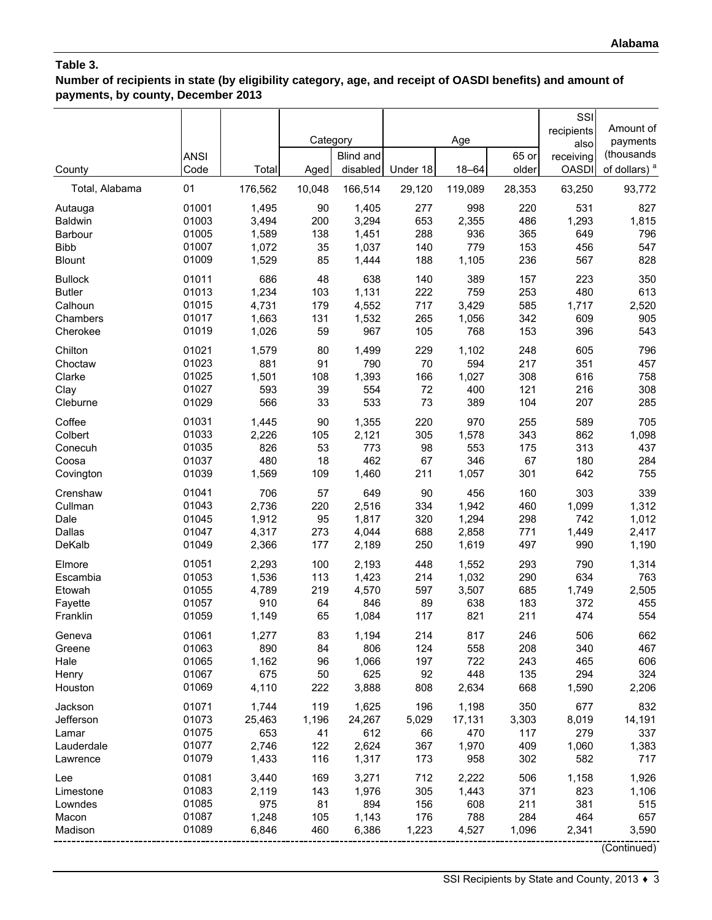**Number of recipients in state (by eligibility category, age, and receipt of OASDI benefits) and amount of payments, by county, December 2013**

|                           | <b>ANSI</b>    |                | Category   | <b>Blind and</b> |            | Age            | 65 or      | SSI<br>recipients<br>also<br>receiving | Amount of<br>payments<br>(thousands |
|---------------------------|----------------|----------------|------------|------------------|------------|----------------|------------|----------------------------------------|-------------------------------------|
| County                    | Code           | Total          | Aged       | disabled         | Under 18   | $18 - 64$      | older      | <b>OASDI</b>                           | of dollars) <sup>a</sup>            |
| Total, Alabama            | 01             | 176,562        | 10,048     | 166,514          | 29,120     | 119,089        | 28,353     | 63,250                                 | 93,772                              |
| Autauga<br><b>Baldwin</b> | 01001<br>01003 | 1,495<br>3,494 | 90<br>200  | 1,405<br>3,294   | 277<br>653 | 998<br>2,355   | 220<br>486 | 531<br>1,293                           | 827<br>1,815                        |
| Barbour                   | 01005          | 1,589          | 138        | 1,451            | 288        | 936            | 365        | 649                                    | 796                                 |
| <b>Bibb</b>               | 01007          | 1,072          | 35         | 1,037            | 140        | 779            | 153        | 456                                    | 547                                 |
| <b>Blount</b>             | 01009          | 1,529          | 85         | 1,444            | 188        | 1,105          | 236        | 567                                    | 828                                 |
| <b>Bullock</b>            | 01011          | 686            | 48         | 638              | 140        | 389            | 157        | 223                                    | 350                                 |
| <b>Butler</b>             | 01013          | 1,234          | 103        | 1,131            | 222        | 759            | 253        | 480                                    | 613                                 |
| Calhoun                   | 01015          | 4,731          | 179        | 4,552            | 717        | 3,429          | 585        | 1,717                                  | 2,520                               |
| Chambers<br>Cherokee      | 01017<br>01019 | 1,663<br>1,026 | 131<br>59  | 1,532<br>967     | 265<br>105 | 1,056<br>768   | 342<br>153 | 609<br>396                             | 905<br>543                          |
|                           | 01021          |                |            |                  |            |                |            |                                        |                                     |
| Chilton<br>Choctaw        | 01023          | 1,579<br>881   | 80<br>91   | 1,499<br>790     | 229<br>70  | 1,102<br>594   | 248<br>217 | 605<br>351                             | 796<br>457                          |
| Clarke                    | 01025          | 1,501          | 108        | 1,393            | 166        | 1,027          | 308        | 616                                    | 758                                 |
| Clay                      | 01027          | 593            | 39         | 554              | 72         | 400            | 121        | 216                                    | 308                                 |
| Cleburne                  | 01029          | 566            | 33         | 533              | 73         | 389            | 104        | 207                                    | 285                                 |
| Coffee                    | 01031          | 1,445          | 90         | 1,355            | 220        | 970            | 255        | 589                                    | 705                                 |
| Colbert                   | 01033          | 2,226          | 105        | 2,121            | 305        | 1,578          | 343        | 862                                    | 1,098                               |
| Conecuh                   | 01035          | 826            | 53         | 773              | 98         | 553            | 175        | 313                                    | 437                                 |
| Coosa                     | 01037          | 480            | 18         | 462              | 67         | 346            | 67         | 180                                    | 284                                 |
| Covington                 | 01039          | 1,569          | 109        | 1,460            | 211        | 1,057          | 301        | 642                                    | 755                                 |
| Crenshaw                  | 01041          | 706            | 57         | 649              | 90         | 456            | 160        | 303                                    | 339                                 |
| Cullman                   | 01043          | 2,736          | 220        | 2,516            | 334        | 1,942          | 460        | 1,099                                  | 1,312                               |
| Dale<br><b>Dallas</b>     | 01045<br>01047 | 1,912<br>4,317 | 95<br>273  | 1,817            | 320        | 1,294          | 298        | 742                                    | 1,012                               |
| DeKalb                    | 01049          | 2,366          | 177        | 4,044<br>2,189   | 688<br>250 | 2,858<br>1,619 | 771<br>497 | 1,449<br>990                           | 2,417<br>1,190                      |
|                           |                |                |            |                  |            |                |            |                                        |                                     |
| Elmore<br>Escambia        | 01051<br>01053 | 2,293<br>1,536 | 100<br>113 | 2,193<br>1,423   | 448<br>214 | 1,552<br>1,032 | 293<br>290 | 790<br>634                             | 1,314<br>763                        |
| Etowah                    | 01055          | 4,789          | 219        | 4,570            | 597        | 3,507          | 685        | 1,749                                  | 2,505                               |
| Fayette                   | 01057          | 910            | 64         | 846              | 89         | 638            | 183        | 372                                    | 455                                 |
| Franklin                  | 01059          | 1,149          | 65         | 1,084            | 117        | 821            | 211        | 474                                    | 554                                 |
| Geneva                    | 01061          | 1,277          | 83         | 1,194            | 214        | 817            | 246        | 506                                    | 662                                 |
| Greene                    | 01063          | 890            | 84         | 806              | 124        | 558            | 208        | 340                                    | 467                                 |
| Hale                      | 01065          | 1,162          | 96         | 1,066            | 197        | 722            | 243        | 465                                    | 606                                 |
| Henry                     | 01067          | 675            | 50         | 625              | 92         | 448            | 135        | 294                                    | 324                                 |
| Houston                   | 01069          | 4,110          | 222        | 3,888            | 808        | 2,634          | 668        | 1,590                                  | 2,206                               |
| Jackson                   | 01071          | 1,744          | 119        | 1,625            | 196        | 1,198          | 350        | 677                                    | 832                                 |
| Jefferson                 | 01073          | 25,463         | 1,196      | 24,267           | 5,029      | 17,131         | 3,303      | 8,019                                  | 14,191                              |
| Lamar                     | 01075          | 653            | 41         | 612              | 66         | 470            | 117        | 279                                    | 337                                 |
| Lauderdale                | 01077<br>01079 | 2,746          | 122        | 2,624            | 367        | 1,970<br>958   | 409        | 1,060                                  | 1,383<br>717                        |
| Lawrence                  |                | 1,433          | 116        | 1,317            | 173        |                | 302        | 582                                    |                                     |
| Lee                       | 01081<br>01083 | 3,440          | 169        | 3,271            | 712        | 2,222          | 506        | 1,158<br>823                           | 1,926                               |
| Limestone<br>Lowndes      | 01085          | 2,119<br>975   | 143<br>81  | 1,976<br>894     | 305<br>156 | 1,443<br>608   | 371<br>211 | 381                                    | 1,106<br>515                        |
| Macon                     | 01087          | 1,248          | 105        | 1,143            | 176        | 788            | 284        | 464                                    | 657                                 |
| Madison                   | 01089          | 6,846          | 460        | 6,386            | 1,223      | 4,527          | 1,096      | 2,341                                  | 3,590                               |
|                           |                |                |            |                  |            |                |            |                                        |                                     |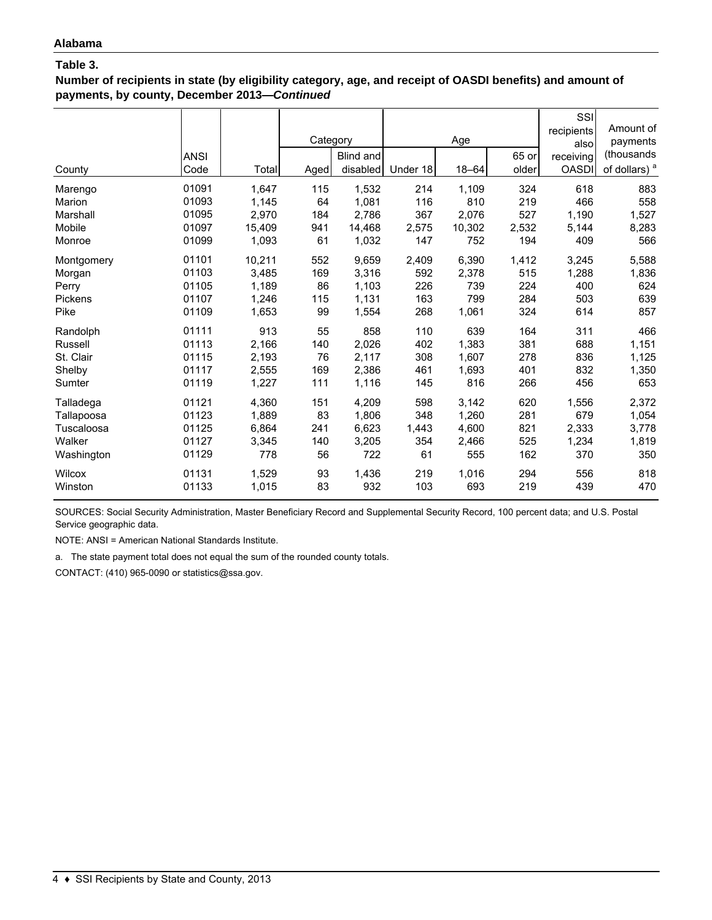**Number of recipients in state (by eligibility category, age, and receipt of OASDI benefits) and amount of payments, by county, December 2013—***Continued*

| County     | <b>ANSI</b><br>Code | Total  | Category<br>Aged | Blind and<br>disabled | Under 18 | Age<br>$18 - 64$ | 65 or<br>older | SSI<br>recipients<br>also<br>receiving<br><b>OASDI</b> | Amount of<br>payments<br>(thousands<br>of dollars) <sup>a</sup> |
|------------|---------------------|--------|------------------|-----------------------|----------|------------------|----------------|--------------------------------------------------------|-----------------------------------------------------------------|
| Marengo    | 01091               | 1,647  | 115              | 1,532                 | 214      | 1,109            | 324            | 618                                                    | 883                                                             |
| Marion     | 01093               | 1,145  | 64               | 1,081                 | 116      | 810              | 219            | 466                                                    | 558                                                             |
| Marshall   | 01095               | 2,970  | 184              | 2,786                 | 367      | 2.076            | 527            | 1,190                                                  | 1,527                                                           |
| Mobile     | 01097               | 15,409 | 941              | 14,468                | 2,575    | 10,302           | 2,532          | 5,144                                                  | 8,283                                                           |
| Monroe     | 01099               | 1,093  | 61               | 1,032                 | 147      | 752              | 194            | 409                                                    | 566                                                             |
| Montgomery | 01101               | 10,211 | 552              | 9,659                 | 2,409    | 6,390            | 1,412          | 3,245                                                  | 5,588                                                           |
| Morgan     | 01103               | 3,485  | 169              | 3,316                 | 592      | 2,378            | 515            | 1,288                                                  | 1,836                                                           |
| Perry      | 01105               | 1,189  | 86               | 1,103                 | 226      | 739              | 224            | 400                                                    | 624                                                             |
| Pickens    | 01107               | 1,246  | 115              | 1,131                 | 163      | 799              | 284            | 503                                                    | 639                                                             |
| Pike       | 01109               | 1,653  | 99               | 1,554                 | 268      | 1,061            | 324            | 614                                                    | 857                                                             |
| Randolph   | 01111               | 913    | 55               | 858                   | 110      | 639              | 164            | 311                                                    | 466                                                             |
| Russell    | 01113               | 2,166  | 140              | 2,026                 | 402      | 1,383            | 381            | 688                                                    | 1,151                                                           |
| St. Clair  | 01115               | 2,193  | 76               | 2,117                 | 308      | 1,607            | 278            | 836                                                    | 1,125                                                           |
| Shelby     | 01117               | 2,555  | 169              | 2,386                 | 461      | 1,693            | 401            | 832                                                    | 1,350                                                           |
| Sumter     | 01119               | 1,227  | 111              | 1,116                 | 145      | 816              | 266            | 456                                                    | 653                                                             |
| Talladega  | 01121               | 4,360  | 151              | 4,209                 | 598      | 3,142            | 620            | 1,556                                                  | 2,372                                                           |
| Tallapoosa | 01123               | 1,889  | 83               | 1,806                 | 348      | 1,260            | 281            | 679                                                    | 1,054                                                           |
| Tuscaloosa | 01125               | 6,864  | 241              | 6,623                 | 1,443    | 4,600            | 821            | 2,333                                                  | 3,778                                                           |
| Walker     | 01127               | 3,345  | 140              | 3,205                 | 354      | 2,466            | 525            | 1,234                                                  | 1,819                                                           |
| Washington | 01129               | 778    | 56               | 722                   | 61       | 555              | 162            | 370                                                    | 350                                                             |
| Wilcox     | 01131               | 1,529  | 93               | 1,436                 | 219      | 1,016            | 294            | 556                                                    | 818                                                             |
| Winston    | 01133               | 1,015  | 83               | 932                   | 103      | 693              | 219            | 439                                                    | 470                                                             |

SOURCES: Social Security Administration, Master Beneficiary Record and Supplemental Security Record, 100 percent data; and U.S. Postal Service geographic data.

NOTE: ANSI = American National Standards Institute.

a. The state payment total does not equal the sum of the rounded county totals.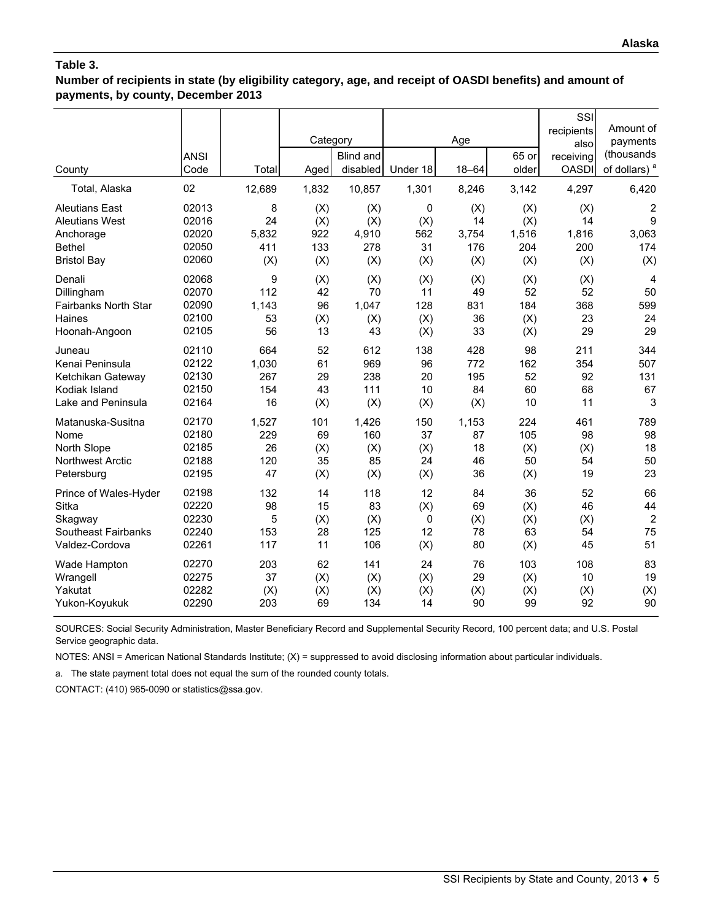**Number of recipients in state (by eligibility category, age, and receipt of OASDI benefits) and amount of payments, by county, December 2013**

| County                                                                                             | <b>ANSI</b><br>Code                       | Total                            | Category<br>Aged                | Blind and<br>disabled             | Under 18                     | Age<br>$18 - 64$                 | 65 or<br>older                    | SSI<br>recipients<br>also<br>receiving<br><b>OASDI</b> | Amount of<br>payments<br>(thousands<br>of dollars) <sup>a</sup> |
|----------------------------------------------------------------------------------------------------|-------------------------------------------|----------------------------------|---------------------------------|-----------------------------------|------------------------------|----------------------------------|-----------------------------------|--------------------------------------------------------|-----------------------------------------------------------------|
| Total, Alaska                                                                                      | 02                                        | 12,689                           | 1,832                           | 10,857                            | 1,301                        | 8,246                            | 3,142                             | 4,297                                                  | 6,420                                                           |
| <b>Aleutians East</b><br><b>Aleutians West</b><br>Anchorage<br><b>Bethel</b><br><b>Bristol Bay</b> | 02013<br>02016<br>02020<br>02050<br>02060 | 8<br>24<br>5,832<br>411<br>(X)   | (X)<br>(X)<br>922<br>133<br>(X) | (X)<br>(X)<br>4,910<br>278<br>(X) | 0<br>(X)<br>562<br>31<br>(X) | (X)<br>14<br>3,754<br>176<br>(X) | (X)<br>(X)<br>1,516<br>204<br>(X) | (X)<br>14<br>1,816<br>200<br>(X)                       | $\overline{\mathbf{c}}$<br>9<br>3,063<br>174<br>(X)             |
| Denali                                                                                             | 02068                                     | 9                                | (X)                             | (X)                               | (X)                          | (X)                              | (X)                               | (X)                                                    | 4                                                               |
| Dillingham                                                                                         | 02070                                     | 112                              | 42                              | 70                                | 11                           | 49                               | 52                                | 52                                                     | 50                                                              |
| Fairbanks North Star                                                                               | 02090                                     | 1,143                            | 96                              | 1,047                             | 128                          | 831                              | 184                               | 368                                                    | 599                                                             |
| Haines                                                                                             | 02100                                     | 53                               | (X)                             | (X)                               | (X)                          | 36                               | (X)                               | 23                                                     | 24                                                              |
| Hoonah-Angoon                                                                                      | 02105                                     | 56                               | 13                              | 43                                | (X)                          | 33                               | (X)                               | 29                                                     | 29                                                              |
| Juneau<br>Kenai Peninsula<br>Ketchikan Gateway<br>Kodiak Island<br>Lake and Peninsula              | 02110<br>02122<br>02130<br>02150<br>02164 | 664<br>1,030<br>267<br>154<br>16 | 52<br>61<br>29<br>43<br>(X)     | 612<br>969<br>238<br>111<br>(X)   | 138<br>96<br>20<br>10<br>(X) | 428<br>772<br>195<br>84<br>(X)   | 98<br>162<br>52<br>60<br>10       | 211<br>354<br>92<br>68<br>11                           | 344<br>507<br>131<br>67<br>3                                    |
| Matanuska-Susitna                                                                                  | 02170                                     | 1,527                            | 101                             | 1,426                             | 150                          | 1,153                            | 224                               | 461                                                    | 789                                                             |
| Nome                                                                                               | 02180                                     | 229                              | 69                              | 160                               | 37                           | 87                               | 105                               | 98                                                     | 98                                                              |
| North Slope                                                                                        | 02185                                     | 26                               | (X)                             | (X)                               | (X)                          | 18                               | (X)                               | (X)                                                    | 18                                                              |
| <b>Northwest Arctic</b>                                                                            | 02188                                     | 120                              | 35                              | 85                                | 24                           | 46                               | 50                                | 54                                                     | 50                                                              |
| Petersburg                                                                                         | 02195                                     | 47                               | (X)                             | (X)                               | (X)                          | 36                               | (X)                               | 19                                                     | 23                                                              |
| Prince of Wales-Hyder<br>Sitka                                                                     | 02198<br>02220                            | 132<br>98                        | 14<br>15                        | 118<br>83                         | 12<br>(X)                    | 84<br>69                         | 36<br>(X)                         | 52<br>46                                               | 66<br>44                                                        |
| Skagway<br><b>Southeast Fairbanks</b>                                                              | 02230<br>02240                            | 5<br>153                         | (X)<br>28                       | (X)<br>125                        | 0<br>12                      | (X)<br>78                        | (X)<br>63                         | (X)<br>54                                              | $\overline{2}$<br>75                                            |
| Valdez-Cordova                                                                                     | 02261                                     | 117                              | 11                              | 106                               | (X)                          | 80                               | (X)                               | 45                                                     | 51                                                              |
| Wade Hampton<br>Wrangell<br>Yakutat<br>Yukon-Koyukuk                                               | 02270<br>02275<br>02282<br>02290          | 203<br>37<br>(X)<br>203          | 62<br>(X)<br>(X)<br>69          | 141<br>(X)<br>(X)<br>134          | 24<br>(X)<br>(X)<br>14       | 76<br>29<br>(X)<br>90            | 103<br>(X)<br>(X)<br>99           | 108<br>10<br>(X)<br>92                                 | 83<br>19<br>(X)<br>90                                           |

SOURCES: Social Security Administration, Master Beneficiary Record and Supplemental Security Record, 100 percent data; and U.S. Postal Service geographic data.

NOTES: ANSI = American National Standards Institute; (X) = suppressed to avoid disclosing information about particular individuals.

a. The state payment total does not equal the sum of the rounded county totals.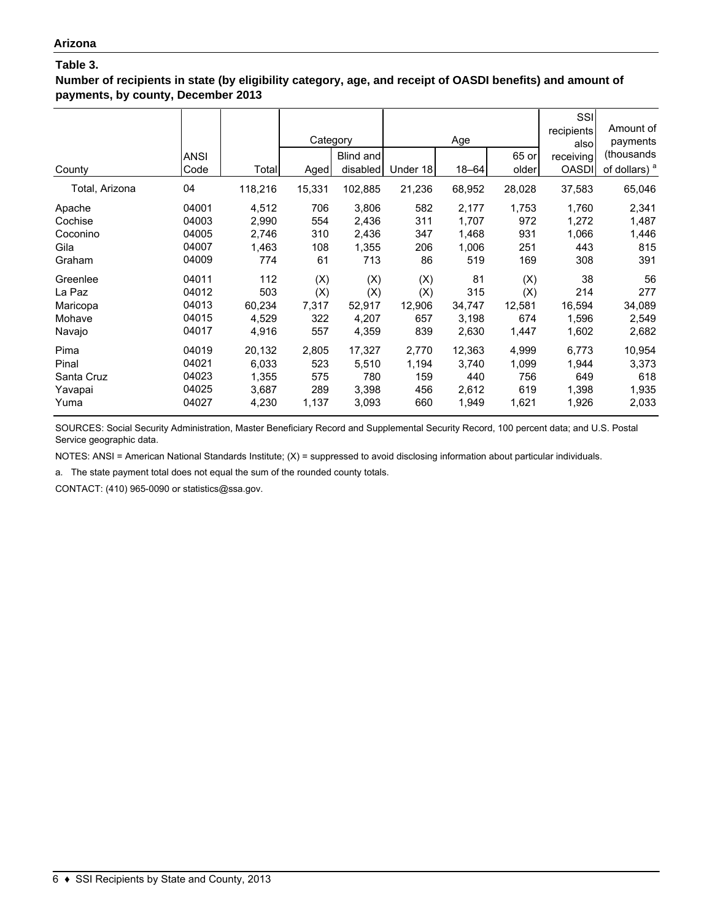**Number of recipients in state (by eligibility category, age, and receipt of OASDI benefits) and amount of payments, by county, December 2013**

| County         | <b>ANSI</b><br>Code | Total   | Category<br>Aged | Blind and<br>disabled | Under 18 | Age<br>$18 - 64$ | 65 or<br>older | SSI<br>recipients<br>alsol<br>receiving<br><b>OASDI</b> | Amount of<br>payments<br>(thousands<br>of dollars) <sup>a</sup> |
|----------------|---------------------|---------|------------------|-----------------------|----------|------------------|----------------|---------------------------------------------------------|-----------------------------------------------------------------|
| Total, Arizona | 04                  | 118,216 | 15,331           | 102,885               | 21,236   | 68,952           | 28,028         | 37,583                                                  | 65,046                                                          |
| Apache         | 04001               | 4,512   | 706              | 3,806                 | 582      | 2,177            | 1,753          | 1,760                                                   | 2,341                                                           |
| Cochise        | 04003               | 2,990   | 554              | 2,436                 | 311      | 1,707            | 972            | 1,272                                                   | 1,487                                                           |
| Coconino       | 04005               | 2,746   | 310              | 2,436                 | 347      | 1,468            | 931            | 1,066                                                   | 1,446                                                           |
| Gila           | 04007               | 1,463   | 108              | 1,355                 | 206      | 1,006            | 251            | 443                                                     | 815                                                             |
| Graham         | 04009               | 774     | 61               | 713                   | 86       | 519              | 169            | 308                                                     | 391                                                             |
| Greenlee       | 04011               | 112     | (X)              | (X)                   | (X)      | 81               | (X)            | 38                                                      | 56                                                              |
| La Paz         | 04012               | 503     | (X)              | (X)                   | (X)      | 315              | (X)            | 214                                                     | 277                                                             |
| Maricopa       | 04013               | 60,234  | 7,317            | 52,917                | 12,906   | 34,747           | 12,581         | 16,594                                                  | 34,089                                                          |
| Mohave         | 04015               | 4,529   | 322              | 4,207                 | 657      | 3,198            | 674            | 1,596                                                   | 2,549                                                           |
| Navajo         | 04017               | 4,916   | 557              | 4,359                 | 839      | 2,630            | 1,447          | 1,602                                                   | 2,682                                                           |
| Pima           | 04019               | 20,132  | 2,805            | 17,327                | 2,770    | 12,363           | 4,999          | 6,773                                                   | 10,954                                                          |
| Pinal          | 04021               | 6,033   | 523              | 5,510                 | 1,194    | 3,740            | 1,099          | 1,944                                                   | 3,373                                                           |
| Santa Cruz     | 04023               | 1,355   | 575              | 780                   | 159      | 440              | 756            | 649                                                     | 618                                                             |
| Yavapai        | 04025               | 3,687   | 289              | 3,398                 | 456      | 2,612            | 619            | 1,398                                                   | 1,935                                                           |
| Yuma           | 04027               | 4,230   | 1,137            | 3,093                 | 660      | 1,949            | 1,621          | 1,926                                                   | 2,033                                                           |

SOURCES: Social Security Administration, Master Beneficiary Record and Supplemental Security Record, 100 percent data; and U.S. Postal Service geographic data.

NOTES: ANSI = American National Standards Institute; (X) = suppressed to avoid disclosing information about particular individuals.

a. The state payment total does not equal the sum of the rounded county totals.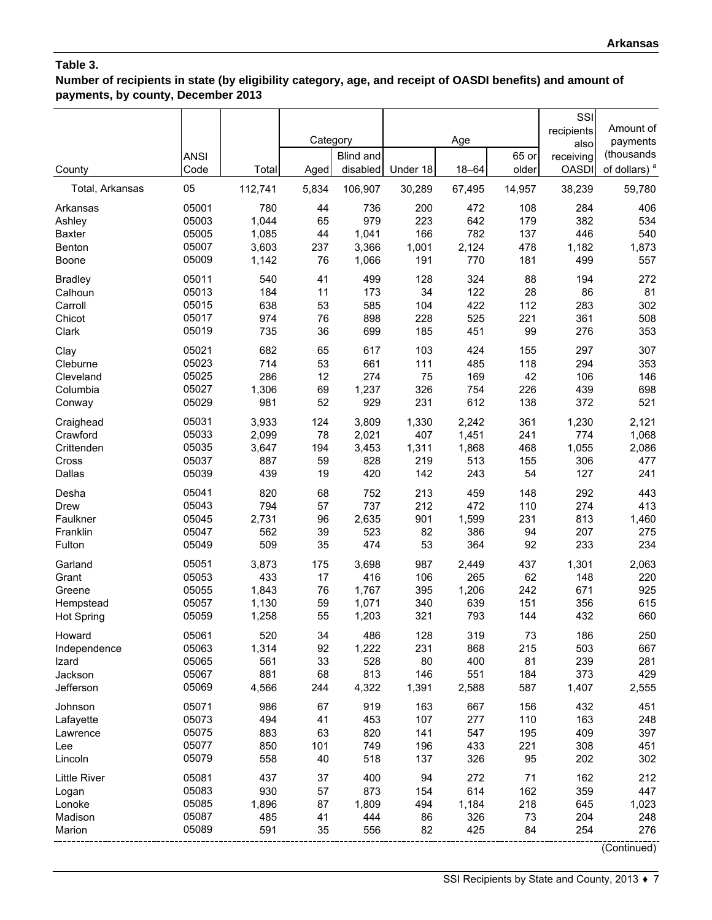**Number of recipients in state (by eligibility category, age, and receipt of OASDI benefits) and amount of payments, by county, December 2013**

| County            | <b>ANSI</b><br>Code | Total   | Category<br>Aged | <b>Blind and</b><br>disabled | Under 18 | Age<br>$18 - 64$ | 65 or<br>older | SSI<br>recipients<br>also<br>receiving<br><b>OASDI</b> | Amount of<br>payments<br>(thousands<br>of dollars) <sup>a</sup> |
|-------------------|---------------------|---------|------------------|------------------------------|----------|------------------|----------------|--------------------------------------------------------|-----------------------------------------------------------------|
| Total, Arkansas   | 05                  | 112,741 | 5,834            | 106,907                      | 30,289   | 67,495           | 14,957         | 38,239                                                 | 59,780                                                          |
| Arkansas          | 05001               | 780     | 44               | 736                          | 200      | 472              | 108            | 284                                                    | 406                                                             |
| Ashley            | 05003               | 1,044   | 65               | 979                          | 223      | 642              | 179            | 382                                                    | 534                                                             |
| <b>Baxter</b>     | 05005               | 1,085   | 44               | 1,041                        | 166      | 782              | 137            | 446                                                    | 540                                                             |
| Benton            | 05007               | 3,603   | 237              | 3,366                        | 1,001    | 2,124            | 478            | 1,182                                                  | 1,873                                                           |
| Boone             | 05009               | 1,142   | 76               | 1,066                        | 191      | 770              | 181            | 499                                                    | 557                                                             |
| <b>Bradley</b>    | 05011               | 540     | 41               | 499                          | 128      | 324              | 88             | 194                                                    | 272                                                             |
| Calhoun           | 05013               | 184     | 11               | 173                          | 34       | 122              | 28             | 86                                                     | 81                                                              |
| Carroll           | 05015               | 638     | 53               | 585                          | 104      | 422              | 112            | 283                                                    | 302                                                             |
| Chicot            | 05017               | 974     | 76               | 898                          | 228      | 525              | 221            | 361                                                    | 508                                                             |
| Clark             | 05019               | 735     | 36               | 699                          | 185      | 451              | 99             | 276                                                    | 353                                                             |
| Clay              | 05021               | 682     | 65               | 617                          | 103      | 424              | 155            | 297                                                    | 307                                                             |
| Cleburne          | 05023               | 714     | 53               | 661                          | 111      | 485              | 118            | 294                                                    | 353                                                             |
| Cleveland         | 05025               | 286     | 12               | 274                          | 75       | 169              | 42             | 106                                                    | 146                                                             |
| Columbia          | 05027               | 1,306   | 69               | 1,237                        | 326      | 754              | 226            | 439                                                    | 698                                                             |
| Conway            | 05029               | 981     | 52               | 929                          | 231      | 612              | 138            | 372                                                    | 521                                                             |
| Craighead         | 05031               | 3,933   | 124              | 3,809                        | 1,330    | 2,242            | 361            | 1,230                                                  | 2,121                                                           |
| Crawford          | 05033               | 2,099   | 78               | 2,021                        | 407      | 1,451            | 241            | 774                                                    | 1,068                                                           |
| Crittenden        | 05035               | 3,647   | 194              | 3,453                        | 1,311    | 1,868            | 468            | 1,055                                                  | 2,086                                                           |
| Cross             | 05037               | 887     | 59               | 828                          | 219      | 513              | 155            | 306                                                    | 477                                                             |
| Dallas            | 05039               | 439     | 19               | 420                          | 142      | 243              | 54             | 127                                                    | 241                                                             |
| Desha             | 05041               | 820     | 68               | 752                          | 213      | 459              | 148            | 292                                                    | 443                                                             |
| <b>Drew</b>       | 05043               | 794     | 57               | 737                          | 212      | 472              | 110            | 274                                                    | 413                                                             |
| Faulkner          | 05045               | 2,731   | 96               | 2,635                        | 901      | 1,599            | 231            | 813                                                    | 1,460                                                           |
| Franklin          | 05047               | 562     | 39               | 523                          | 82       | 386              | 94             | 207                                                    | 275                                                             |
| Fulton            | 05049               | 509     | 35               | 474                          | 53       | 364              | 92             | 233                                                    | 234                                                             |
| Garland           | 05051               | 3,873   | 175              | 3,698                        | 987      | 2,449            | 437            | 1,301                                                  | 2,063                                                           |
| Grant             | 05053               | 433     | 17               | 416                          | 106      | 265              | 62             | 148                                                    | 220                                                             |
| Greene            | 05055               | 1,843   | 76               | 1,767                        | 395      | 1,206            | 242            | 671                                                    | 925                                                             |
| Hempstead         | 05057               | 1,130   | 59               | 1,071                        | 340      | 639              | 151            | 356                                                    | 615                                                             |
| <b>Hot Spring</b> | 05059               | 1,258   | 55               | 1,203                        | 321      | 793              | 144            | 432                                                    | 660                                                             |
| Howard            | 05061               | 520     | 34               | 486                          | 128      | 319              | 73             | 186                                                    | 250                                                             |
| Independence      | 05063               | 1,314   | 92               | 1,222                        | 231      | 868              | 215            | 503                                                    | 667                                                             |
| Izard             | 05065               | 561     | 33               | 528                          | 80       | 400              | 81             | 239                                                    | 281                                                             |
| Jackson           | 05067               | 881     | 68               | 813                          | 146      | 551              | 184            | 373                                                    | 429                                                             |
| Jefferson         | 05069               | 4,566   | 244              | 4,322                        | 1,391    | 2,588            | 587            | 1,407                                                  | 2,555                                                           |
| Johnson           | 05071               | 986     | 67               | 919                          | 163      | 667              | 156            | 432                                                    | 451                                                             |
| Lafayette         | 05073               | 494     | 41               | 453                          | 107      | 277              | 110            | 163                                                    | 248                                                             |
| Lawrence          | 05075               | 883     | 63               | 820                          | 141      | 547              | 195            | 409                                                    | 397                                                             |
| Lee               | 05077               | 850     | 101              | 749                          | 196      | 433              | 221            | 308                                                    | 451                                                             |
| Lincoln           | 05079               | 558     | 40               | 518                          | 137      | 326              | 95             | 202                                                    | 302                                                             |
| Little River      | 05081               | 437     | 37               | 400                          | 94       | 272              | 71             | 162                                                    | 212                                                             |
| Logan             | 05083               | 930     | 57               | 873                          | 154      | 614              | 162            | 359                                                    | 447                                                             |
| Lonoke            | 05085               | 1,896   | 87               | 1,809                        | 494      | 1,184            | 218            | 645                                                    | 1,023                                                           |
| Madison           | 05087               | 485     | 41               | 444                          | 86       | 326              | 73             | 204                                                    | 248                                                             |
| Marion            | 05089               | 591     | 35               | 556                          | 82       | 425              | 84             | 254                                                    | 276                                                             |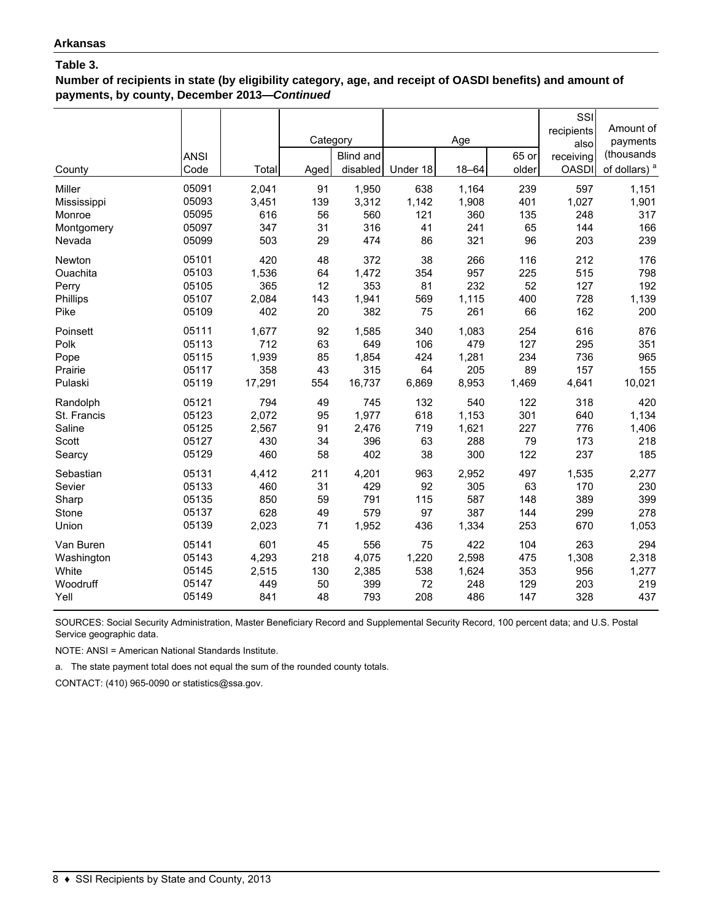**Number of recipients in state (by eligibility category, age, and receipt of OASDI benefits) and amount of payments, by county, December 2013—***Continued*

| County<br>Miller<br>Mississippi | <b>ANSI</b><br>Code<br>05091<br>05093 | Total<br>2,041<br>3,451 | Category<br>Aged<br>91<br>139 | Blind and<br>disabled<br>1,950<br>3,312 | Under 18<br>638<br>1,142 | Age<br>$18 - 64$<br>1,164<br>1,908 | 65 or<br>older<br>239<br>401 | SSI<br>recipients<br>also<br>receiving<br><b>OASDI</b><br>597<br>1,027 | Amount of<br>payments<br>(thousands<br>of dollars) <sup>a</sup><br>1,151<br>1,901 |
|---------------------------------|---------------------------------------|-------------------------|-------------------------------|-----------------------------------------|--------------------------|------------------------------------|------------------------------|------------------------------------------------------------------------|-----------------------------------------------------------------------------------|
| Monroe                          | 05095                                 | 616                     | 56                            | 560                                     | 121                      | 360                                | 135                          | 248                                                                    | 317                                                                               |
| Montgomery                      | 05097                                 | 347                     | 31                            | 316                                     | 41                       | 241                                | 65                           | 144                                                                    | 166                                                                               |
| Nevada                          | 05099                                 | 503                     | 29                            | 474                                     | 86                       | 321                                | 96                           | 203                                                                    | 239                                                                               |
| Newton                          | 05101                                 | 420                     | 48                            | 372                                     | 38                       | 266                                | 116                          | 212                                                                    | 176                                                                               |
| Ouachita                        | 05103                                 | 1,536                   | 64                            | 1,472                                   | 354                      | 957                                | 225                          | 515                                                                    | 798                                                                               |
| Perry                           | 05105                                 | 365                     | 12                            | 353                                     | 81                       | 232                                | 52                           | 127                                                                    | 192                                                                               |
| Phillips                        | 05107                                 | 2,084                   | 143                           | 1,941                                   | 569                      | 1,115                              | 400                          | 728                                                                    | 1,139                                                                             |
| Pike                            | 05109                                 | 402                     | 20                            | 382                                     | 75                       | 261                                | 66                           | 162                                                                    | 200                                                                               |
| Poinsett                        | 05111                                 | 1,677                   | 92                            | 1,585                                   | 340                      | 1,083                              | 254                          | 616                                                                    | 876                                                                               |
| Polk                            | 05113                                 | 712                     | 63                            | 649                                     | 106                      | 479                                | 127                          | 295                                                                    | 351                                                                               |
| Pope                            | 05115                                 | 1,939                   | 85                            | 1,854                                   | 424                      | 1,281                              | 234                          | 736                                                                    | 965                                                                               |
| Prairie                         | 05117                                 | 358                     | 43                            | 315                                     | 64                       | 205                                | 89                           | 157                                                                    | 155                                                                               |
| Pulaski                         | 05119                                 | 17,291                  | 554                           | 16,737                                  | 6,869                    | 8,953                              | 1,469                        | 4,641                                                                  | 10,021                                                                            |
| Randolph                        | 05121                                 | 794                     | 49                            | 745                                     | 132                      | 540                                | 122                          | 318                                                                    | 420                                                                               |
| St. Francis                     | 05123                                 | 2,072                   | 95                            | 1,977                                   | 618                      | 1,153                              | 301                          | 640                                                                    | 1,134                                                                             |
| Saline                          | 05125                                 | 2,567                   | 91                            | 2,476                                   | 719                      | 1,621                              | 227                          | 776                                                                    | 1,406                                                                             |
| Scott                           | 05127                                 | 430                     | 34                            | 396                                     | 63                       | 288                                | 79                           | 173                                                                    | 218                                                                               |
| Searcy                          | 05129                                 | 460                     | 58                            | 402                                     | 38                       | 300                                | 122                          | 237                                                                    | 185                                                                               |
| Sebastian                       | 05131                                 | 4,412                   | 211                           | 4,201                                   | 963                      | 2,952                              | 497                          | 1,535                                                                  | 2,277                                                                             |
| Sevier                          | 05133                                 | 460                     | 31                            | 429                                     | 92                       | 305                                | 63                           | 170                                                                    | 230                                                                               |
| Sharp                           | 05135                                 | 850                     | 59                            | 791                                     | 115                      | 587                                | 148                          | 389                                                                    | 399                                                                               |
| Stone                           | 05137                                 | 628                     | 49                            | 579                                     | 97                       | 387                                | 144                          | 299                                                                    | 278                                                                               |
| Union                           | 05139                                 | 2,023                   | 71                            | 1,952                                   | 436                      | 1,334                              | 253                          | 670                                                                    | 1,053                                                                             |
| Van Buren                       | 05141                                 | 601                     | 45                            | 556                                     | 75                       | 422                                | 104                          | 263                                                                    | 294                                                                               |
| Washington                      | 05143                                 | 4,293                   | 218                           | 4,075                                   | 1,220                    | 2,598                              | 475                          | 1,308                                                                  | 2,318                                                                             |
| White                           | 05145                                 | 2,515                   | 130                           | 2,385                                   | 538                      | 1,624                              | 353                          | 956                                                                    | 1,277                                                                             |
| Woodruff                        | 05147                                 | 449                     | 50                            | 399                                     | 72                       | 248                                | 129                          | 203                                                                    | 219                                                                               |
| Yell                            | 05149                                 | 841                     | 48                            | 793                                     | 208                      | 486                                | 147                          | 328                                                                    | 437                                                                               |

SOURCES: Social Security Administration, Master Beneficiary Record and Supplemental Security Record, 100 percent data; and U.S. Postal Service geographic data.

NOTE: ANSI = American National Standards Institute.

a. The state payment total does not equal the sum of the rounded county totals.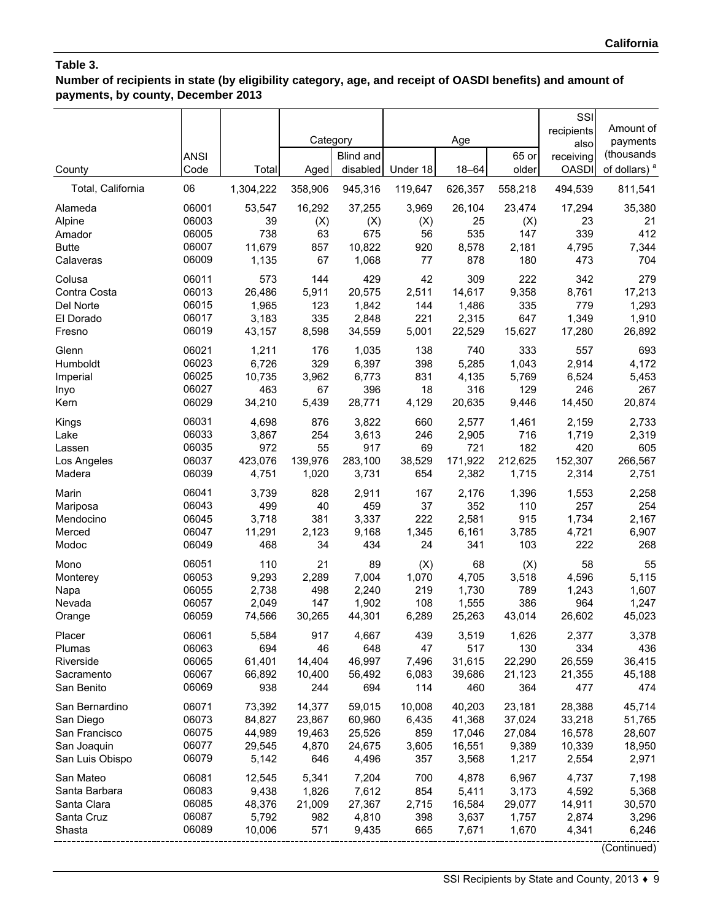# **Number of recipients in state (by eligibility category, age, and receipt of OASDI benefits) and amount of payments, by county, December 2013**

|                          | <b>ANSI</b>    |                 | Category      | <b>Blind and</b> |              | Age            | 65 or          | SSI<br>recipients<br>also<br>receiving | Amount of<br>payments<br>(thousands |
|--------------------------|----------------|-----------------|---------------|------------------|--------------|----------------|----------------|----------------------------------------|-------------------------------------|
| County                   | Code           | Total           | Aged          | disabled         | Under 18     | $18 - 64$      | older          | <b>OASDI</b>                           | of dollars) <sup>a</sup>            |
| Total, California        | 06             | 1,304,222       | 358,906       | 945,316          | 119,647      | 626,357        | 558,218        | 494,539                                | 811,541                             |
| Alameda                  | 06001          | 53,547          | 16,292        | 37,255           | 3,969        | 26,104         | 23,474         | 17,294                                 | 35,380                              |
| Alpine                   | 06003          | 39              | (X)           | (X)              | (X)          | 25             | (X)            | 23                                     | 21                                  |
| Amador                   | 06005          | 738             | 63            | 675              | 56           | 535            | 147            | 339                                    | 412                                 |
| <b>Butte</b>             | 06007          | 11,679          | 857           | 10,822           | 920          | 8,578          | 2,181          | 4,795                                  | 7,344                               |
| Calaveras                | 06009          | 1,135           | 67            | 1,068            | 77           | 878            | 180            | 473                                    | 704                                 |
| Colusa<br>Contra Costa   | 06011<br>06013 | 573<br>26,486   | 144<br>5,911  | 429<br>20,575    | 42<br>2,511  | 309<br>14,617  | 222<br>9,358   | 342<br>8,761                           | 279<br>17,213                       |
| Del Norte                | 06015          | 1,965           | 123           | 1,842            | 144          | 1,486          | 335            | 779                                    | 1,293                               |
| El Dorado                | 06017          | 3,183           | 335           | 2,848            | 221          | 2,315          | 647            | 1,349                                  | 1,910                               |
| Fresno                   | 06019          | 43,157          | 8,598         | 34,559           | 5,001        | 22,529         | 15,627         | 17,280                                 | 26,892                              |
| Glenn                    | 06021          | 1,211           | 176           | 1,035            | 138          | 740            | 333            | 557                                    | 693                                 |
| Humboldt                 | 06023          | 6,726           | 329           | 6,397            | 398          | 5,285          | 1,043          | 2,914                                  | 4,172                               |
| Imperial                 | 06025          | 10,735          | 3,962         | 6,773            | 831          | 4,135          | 5,769          | 6,524                                  | 5,453                               |
| Inyo                     | 06027          | 463             | 67            | 396              | 18           | 316            | 129            | 246                                    | 267                                 |
| Kern                     | 06029          | 34,210          | 5,439         | 28,771           | 4,129        | 20,635         | 9,446          | 14,450                                 | 20,874                              |
| Kings                    | 06031          | 4,698           | 876           | 3,822            | 660          | 2,577          | 1,461          | 2,159                                  | 2,733                               |
| Lake                     | 06033          | 3,867           | 254           | 3,613            | 246          | 2,905          | 716            | 1,719                                  | 2,319                               |
| Lassen                   | 06035          | 972             | 55            | 917              | 69           | 721            | 182            | 420                                    | 605                                 |
| Los Angeles              | 06037          | 423,076         | 139,976       | 283,100          | 38,529       | 171,922        | 212,625        | 152,307                                | 266,567                             |
| Madera                   | 06039          | 4,751           | 1,020         | 3,731            | 654          | 2,382          | 1,715          | 2,314                                  | 2,751                               |
| Marin                    | 06041          | 3,739           | 828           | 2,911            | 167          | 2,176          | 1,396          | 1,553                                  | 2,258                               |
| Mariposa                 | 06043          | 499             | 40            | 459              | 37           | 352            | 110            | 257                                    | 254                                 |
| Mendocino                | 06045          | 3,718           | 381           | 3,337            | 222          | 2,581          | 915            | 1,734                                  | 2,167                               |
| Merced                   | 06047          | 11,291          | 2,123         | 9,168            | 1,345        | 6,161          | 3,785          | 4,721                                  | 6,907                               |
| Modoc                    | 06049          | 468             | 34            | 434              | 24           | 341            | 103            | 222                                    | 268                                 |
| Mono                     | 06051          | 110             | 21            | 89               | (X)          | 68             | (X)            | 58                                     | 55                                  |
| Monterey                 | 06053          | 9,293           | 2,289         | 7,004            | 1,070        | 4,705          | 3,518          | 4,596                                  | 5,115                               |
| Napa                     | 06055          | 2,738           | 498           | 2,240            | 219          | 1,730          | 789            | 1,243                                  | 1,607                               |
| Nevada                   | 06057          | 2,049           | 147           | 1,902            | 108          | 1,555          | 386            | 964                                    | 1,247                               |
| Orange                   | 06059          | 74,566          | 30,265        | 44,301           | 6,289        | 25,263         | 43,014         | 26,602                                 | 45,023                              |
| Placer                   | 06061          | 5,584           | 917           | 4,667            | 439          | 3,519          | 1,626          | 2,377                                  | 3,378                               |
| Plumas                   | 06063          | 694             | 46            | 648              | 47           | 517            | 130            | 334                                    | 436                                 |
| Riverside                | 06065          | 61,401          | 14,404        | 46,997           | 7,496        | 31,615         | 22,290         | 26,559                                 | 36,415                              |
| Sacramento<br>San Benito | 06067<br>06069 | 66,892<br>938   | 10,400<br>244 | 56,492<br>694    | 6,083<br>114 | 39,686<br>460  | 21,123<br>364  | 21,355<br>477                          | 45,188<br>474                       |
|                          |                |                 |               |                  |              |                |                |                                        |                                     |
| San Bernardino           | 06071          | 73,392          | 14,377        | 59,015           | 10,008       | 40,203         | 23,181         | 28,388                                 | 45,714                              |
| San Diego                | 06073          | 84,827          | 23,867        | 60,960           | 6,435        | 41,368         | 37,024         | 33,218                                 | 51,765                              |
| San Francisco            | 06075          | 44,989          | 19,463        | 25,526           | 859          | 17,046         | 27,084         | 16,578                                 | 28,607                              |
| San Joaquin              | 06077          | 29,545          | 4,870         | 24,675           | 3,605        | 16,551         | 9,389          | 10,339                                 | 18,950                              |
| San Luis Obispo          | 06079          | 5,142           | 646           | 4,496            | 357          | 3,568          | 1,217          | 2,554                                  | 2,971                               |
| San Mateo                | 06081          | 12,545          | 5,341         | 7,204            | 700          | 4,878          | 6,967          | 4,737                                  | 7,198                               |
| Santa Barbara            | 06083          | 9,438           | 1,826         | 7,612            | 854          | 5,411          | 3,173          | 4,592                                  | 5,368                               |
| Santa Clara              | 06085          | 48,376          | 21,009        | 27,367           | 2,715        | 16,584         | 29,077         | 14,911                                 | 30,570                              |
| Santa Cruz               | 06087<br>06089 | 5,792<br>10,006 | 982           | 4,810            | 398<br>665   | 3,637<br>7,671 | 1,757<br>1,670 | 2,874                                  | 3,296<br>6,246                      |
| Shasta                   |                |                 | 571           | 9,435            |              |                |                | 4,341                                  |                                     |
|                          |                |                 |               |                  |              |                |                |                                        | (Continued)                         |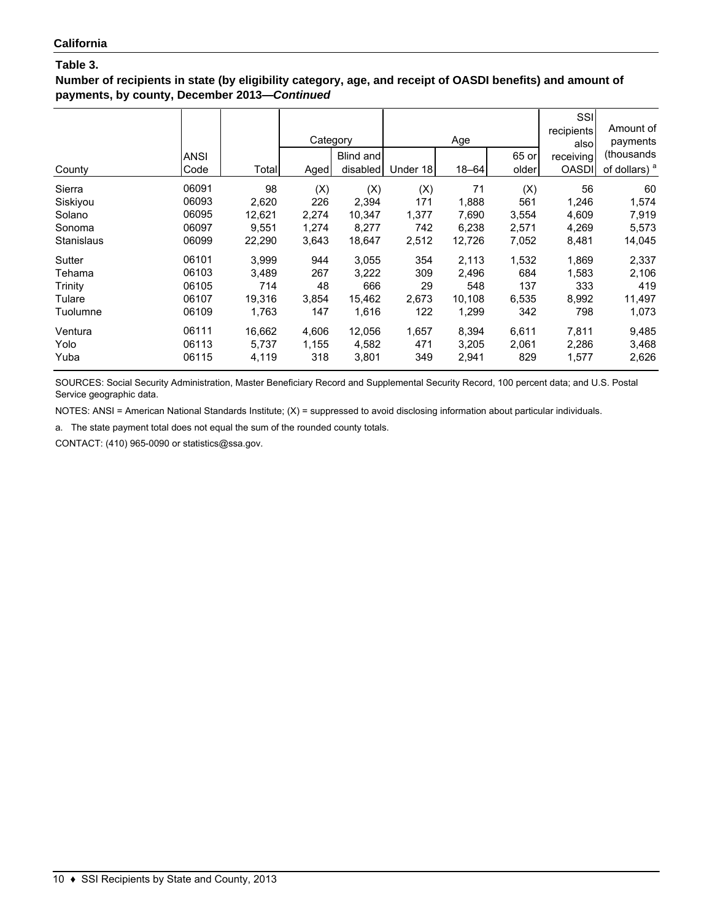**Number of recipients in state (by eligibility category, age, and receipt of OASDI benefits) and amount of payments, by county, December 2013—***Continued*

| County            | ANSI<br>Code | Total  | Category<br>Aged | Blind and<br>disabled | Under 18 | Age<br>$18 - 64$ | 65 or<br>older | SSI<br>recipients<br>also<br>receiving<br><b>OASDI</b> | Amount of<br>payments<br>(thousands<br>of dollars) <sup>a</sup> |
|-------------------|--------------|--------|------------------|-----------------------|----------|------------------|----------------|--------------------------------------------------------|-----------------------------------------------------------------|
| Sierra            | 06091        | 98     | (X)              | (X)                   | (X)      | 71               | (X)            | 56                                                     | 60                                                              |
| Siskiyou          | 06093        | 2,620  | 226              | 2,394                 | 171      | 1,888            | 561            | 1,246                                                  | 1,574                                                           |
| Solano            | 06095        | 12,621 | 2,274            | 10,347                | 1,377    | 7,690            | 3,554          | 4,609                                                  | 7,919                                                           |
| Sonoma            | 06097        | 9.551  | 1,274            | 8,277                 | 742      | 6,238            | 2,571          | 4,269                                                  | 5,573                                                           |
| <b>Stanislaus</b> | 06099        | 22,290 | 3,643            | 18,647                | 2,512    | 12,726           | 7,052          | 8,481                                                  | 14,045                                                          |
| Sutter            | 06101        | 3,999  | 944              | 3,055                 | 354      | 2,113            | 1,532          | 1,869                                                  | 2,337                                                           |
| Tehama            | 06103        | 3.489  | 267              | 3,222                 | 309      | 2,496            | 684            | 1,583                                                  | 2,106                                                           |
| Trinity           | 06105        | 714    | 48               | 666                   | 29       | 548              | 137            | 333                                                    | 419                                                             |
| Tulare            | 06107        | 19,316 | 3,854            | 15,462                | 2,673    | 10,108           | 6,535          | 8,992                                                  | 11,497                                                          |
| Tuolumne          | 06109        | 1,763  | 147              | 1,616                 | 122      | 1,299            | 342            | 798                                                    | 1,073                                                           |
| Ventura           | 06111        | 16,662 | 4,606            | 12,056                | 1,657    | 8,394            | 6,611          | 7,811                                                  | 9,485                                                           |
| Yolo              | 06113        | 5,737  | 1,155            | 4,582                 | 471      | 3,205            | 2,061          | 2,286                                                  | 3,468                                                           |
| Yuba              | 06115        | 4,119  | 318              | 3,801                 | 349      | 2,941            | 829            | 1,577                                                  | 2,626                                                           |

SOURCES: Social Security Administration, Master Beneficiary Record and Supplemental Security Record, 100 percent data; and U.S. Postal Service geographic data.

NOTES: ANSI = American National Standards Institute; (X) = suppressed to avoid disclosing information about particular individuals.

a. The state payment total does not equal the sum of the rounded county totals.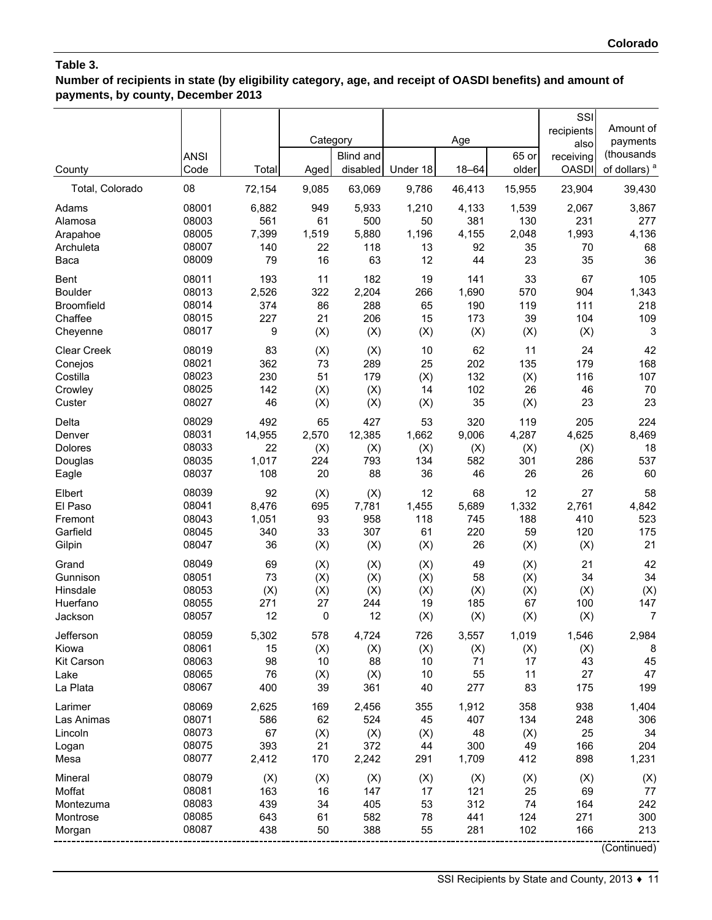**Number of recipients in state (by eligibility category, age, and receipt of OASDI benefits) and amount of payments, by county, December 2013**

| County            | <b>ANSI</b><br>Code | Total  | Category<br>Aged | <b>Blind and</b><br>disabled | Under 18 | Age<br>$18 - 64$ | 65 or<br>older | SSI<br>recipients<br>also<br>receiving<br><b>OASDI</b> | Amount of<br>payments<br>(thousands<br>of dollars) <sup>a</sup> |
|-------------------|---------------------|--------|------------------|------------------------------|----------|------------------|----------------|--------------------------------------------------------|-----------------------------------------------------------------|
| Total, Colorado   | 08                  | 72,154 | 9,085            | 63,069                       | 9,786    | 46,413           | 15,955         | 23,904                                                 | 39,430                                                          |
| Adams             | 08001               | 6,882  | 949              | 5,933                        | 1,210    | 4,133            | 1,539          | 2,067                                                  | 3,867                                                           |
| Alamosa           | 08003               | 561    | 61               | 500                          | 50       | 381              | 130            | 231                                                    | 277                                                             |
| Arapahoe          | 08005               | 7,399  | 1,519            | 5,880                        | 1,196    | 4,155            | 2,048          | 1,993                                                  | 4,136                                                           |
| Archuleta         | 08007               | 140    | 22               | 118                          | 13       | 92               | 35             | 70                                                     | 68                                                              |
| Baca              | 08009               | 79     | 16               | 63                           | 12       | 44               | 23             | 35                                                     | 36                                                              |
| <b>Bent</b>       | 08011               | 193    | 11               | 182                          | 19       | 141              | 33             | 67                                                     | 105                                                             |
| <b>Boulder</b>    | 08013               | 2,526  | 322              | 2,204                        | 266      | 1,690            | 570            | 904                                                    | 1,343                                                           |
| <b>Broomfield</b> | 08014               | 374    | 86               | 288                          | 65       | 190              | 119            | 111                                                    | 218                                                             |
| Chaffee           | 08015               | 227    | 21               | 206                          | 15       | 173              | 39             | 104                                                    | 109                                                             |
| Cheyenne          | 08017               | 9      | (X)              | (X)                          | (X)      | (X)              | (X)            | (X)                                                    | 3                                                               |
| Clear Creek       | 08019               | 83     | (X)              | (X)                          | 10       | 62               | 11             | 24                                                     | 42                                                              |
| Conejos           | 08021               | 362    | 73               | 289                          | 25       | 202              | 135            | 179                                                    | 168                                                             |
| Costilla          | 08023               | 230    | 51               | 179                          | (X)      | 132              | (X)            | 116                                                    | 107                                                             |
| Crowley           | 08025               | 142    | (X)              | (X)                          | 14       | 102              | 26             | 46                                                     | 70                                                              |
| Custer            | 08027               | 46     | (X)              | (X)                          | (X)      | 35               | (X)            | 23                                                     | 23                                                              |
| Delta             | 08029               | 492    | 65               | 427                          | 53       | 320              | 119            | 205                                                    | 224                                                             |
| Denver            | 08031               | 14,955 | 2,570            | 12,385                       | 1,662    | 9,006            | 4,287          | 4,625                                                  | 8,469                                                           |
| Dolores           | 08033               | 22     | (X)              | (X)                          | (X)      | (X)              | (X)            | (X)                                                    | 18                                                              |
| Douglas           | 08035               | 1,017  | 224              | 793                          | 134      | 582              | 301            | 286                                                    | 537                                                             |
| Eagle             | 08037               | 108    | 20               | 88                           | 36       | 46               | 26             | 26                                                     | 60                                                              |
| Elbert            | 08039               | 92     | (X)              | (X)                          | 12       | 68               | 12             | 27                                                     | 58                                                              |
| El Paso           | 08041               | 8,476  | 695              | 7,781                        | 1,455    | 5,689            | 1,332          | 2,761                                                  | 4,842                                                           |
| Fremont           | 08043               | 1,051  | 93               | 958                          | 118      | 745              | 188            | 410                                                    | 523                                                             |
| Garfield          | 08045               | 340    | 33               | 307                          | 61       | 220              | 59             | 120                                                    | 175                                                             |
| Gilpin            | 08047               | 36     | (X)              | (X)                          | (X)      | 26               | (X)            | (X)                                                    | 21                                                              |
| Grand             | 08049               | 69     | (X)              | (X)                          | (X)      | 49               | (X)            | 21                                                     | 42                                                              |
| Gunnison          | 08051               | 73     | (X)              | (X)                          | (X)      | 58               | (X)            | 34                                                     | 34                                                              |
| Hinsdale          | 08053               | (X)    | (X)              | (X)                          | (X)      | (X)              | (X)            | (X)                                                    | (X)                                                             |
| Huerfano          | 08055               | 271    | 27               | 244                          | 19       | 185              | 67             | 100                                                    | 147                                                             |
| Jackson           | 08057               | 12     | 0                | 12                           | (X)      | (X)              | (X)            | (X)                                                    | $\overline{7}$                                                  |
| Jefferson         | 08059               | 5,302  | 578              | 4,724                        | 726      | 3,557            | 1,019          | 1,546                                                  | 2,984                                                           |
| Kiowa             | 08061               | 15     | (X)              | (X)                          | (X)      | (X)              | (X)            | (X)                                                    | 8                                                               |
| Kit Carson        | 08063               | 98     | $10$             | 88                           | 10       | 71               | 17             | 43                                                     | 45                                                              |
| Lake              | 08065               | 76     | (X)              | (X)                          | 10       | 55               | 11             | 27                                                     | 47                                                              |
| La Plata          | 08067               | 400    | 39               | 361                          | 40       | 277              | 83             | 175                                                    | 199                                                             |
| Larimer           | 08069               | 2,625  | 169              | 2,456                        | 355      | 1,912            | 358            | 938                                                    | 1,404                                                           |
| Las Animas        | 08071               | 586    | 62               | 524                          | 45       | 407              | 134            | 248                                                    | 306                                                             |
| Lincoln           | 08073               | 67     | (X)              | (X)                          | (X)      | 48               | (X)            | 25                                                     | 34                                                              |
| Logan             | 08075               | 393    | 21               | 372                          | 44       | 300              | 49             | 166                                                    | 204                                                             |
| Mesa              | 08077               | 2,412  | 170              | 2,242                        | 291      | 1,709            | 412            | 898                                                    | 1,231                                                           |
| Mineral           | 08079               | (X)    | (X)              | (X)                          | (X)      | (X)              | (X)            | (X)                                                    | (X)                                                             |
| Moffat            | 08081               | 163    | 16               | 147                          | 17       | 121              | 25             | 69                                                     | 77                                                              |
| Montezuma         | 08083               | 439    | 34               | 405                          | 53       | 312              | 74             | 164                                                    | 242                                                             |
| Montrose          | 08085               | 643    | 61               | 582                          | 78       | 441              | 124            | 271                                                    | 300                                                             |
| Morgan            | 08087               | 438    | 50               | 388                          | 55       | 281              | 102            | 166                                                    | 213                                                             |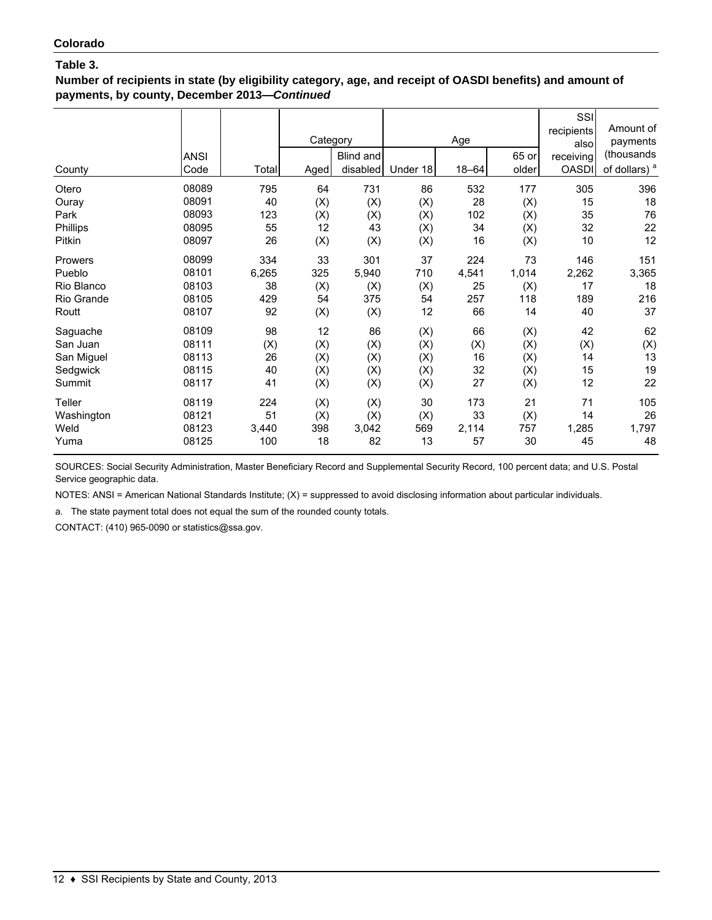**Number of recipients in state (by eligibility category, age, and receipt of OASDI benefits) and amount of payments, by county, December 2013—***Continued*

| County     | <b>ANSI</b><br>Code | Total | Category<br>Aged | Blind and<br>disabled | Under 18 | Age<br>$18 - 64$ | 65 or<br>older | SSI<br>recipients<br>alsol<br>receiving<br><b>OASDI</b> | Amount of<br>payments<br>(thousands<br>of dollars) <sup>a</sup> |
|------------|---------------------|-------|------------------|-----------------------|----------|------------------|----------------|---------------------------------------------------------|-----------------------------------------------------------------|
| Otero      | 08089               | 795   | 64               | 731                   | 86       | 532              | 177            | 305                                                     | 396                                                             |
| Ouray      | 08091               | 40    | (X)              | (X)                   | (X)      | 28               | (X)            | 15                                                      | 18                                                              |
| Park       | 08093               | 123   | (X)              | (X)                   | (X)      | 102              | (X)            | 35                                                      | 76                                                              |
| Phillips   | 08095               | 55    | 12               | 43                    | (X)      | 34               | (X)            | 32                                                      | 22                                                              |
| Pitkin     | 08097               | 26    | (X)              | (X)                   | (X)      | 16               | (X)            | 10                                                      | 12                                                              |
| Prowers    | 08099               | 334   | 33               | 301                   | 37       | 224              | 73             | 146                                                     | 151                                                             |
| Pueblo     | 08101               | 6,265 | 325              | 5,940                 | 710      | 4,541            | 1,014          | 2,262                                                   | 3,365                                                           |
| Rio Blanco | 08103               | 38    | (X)              | (X)                   | (X)      | 25               | (X)            | 17                                                      | 18                                                              |
| Rio Grande | 08105               | 429   | 54               | 375                   | 54       | 257              | 118            | 189                                                     | 216                                                             |
| Routt      | 08107               | 92    | (X)              | (X)                   | 12       | 66               | 14             | 40                                                      | 37                                                              |
| Saguache   | 08109               | 98    | 12               | 86                    | (X)      | 66               | (X)            | 42                                                      | 62                                                              |
| San Juan   | 08111               | (X)   | (X)              | (X)                   | (X)      | (X)              | (X)            | (X)                                                     | (X)                                                             |
| San Miguel | 08113               | 26    | (X)              | (X)                   | (X)      | 16               | (X)            | 14                                                      | 13                                                              |
| Sedgwick   | 08115               | 40    | (X)              | (X)                   | (X)      | 32               | (X)            | 15                                                      | 19                                                              |
| Summit     | 08117               | 41    | (X)              | (X)                   | (X)      | 27               | (X)            | 12                                                      | 22                                                              |
| Teller     | 08119               | 224   | (X)              | (X)                   | 30       | 173              | 21             | 71                                                      | 105                                                             |
| Washington | 08121               | 51    | (X)              | (X)                   | (X)      | 33               | (X)            | 14                                                      | 26                                                              |
| Weld       | 08123               | 3,440 | 398              | 3,042                 | 569      | 2,114            | 757            | 1,285                                                   | 1,797                                                           |
| Yuma       | 08125               | 100   | 18               | 82                    | 13       | 57               | 30             | 45                                                      | 48                                                              |

SOURCES: Social Security Administration, Master Beneficiary Record and Supplemental Security Record, 100 percent data; and U.S. Postal Service geographic data.

NOTES: ANSI = American National Standards Institute; (X) = suppressed to avoid disclosing information about particular individuals.

a. The state payment total does not equal the sum of the rounded county totals.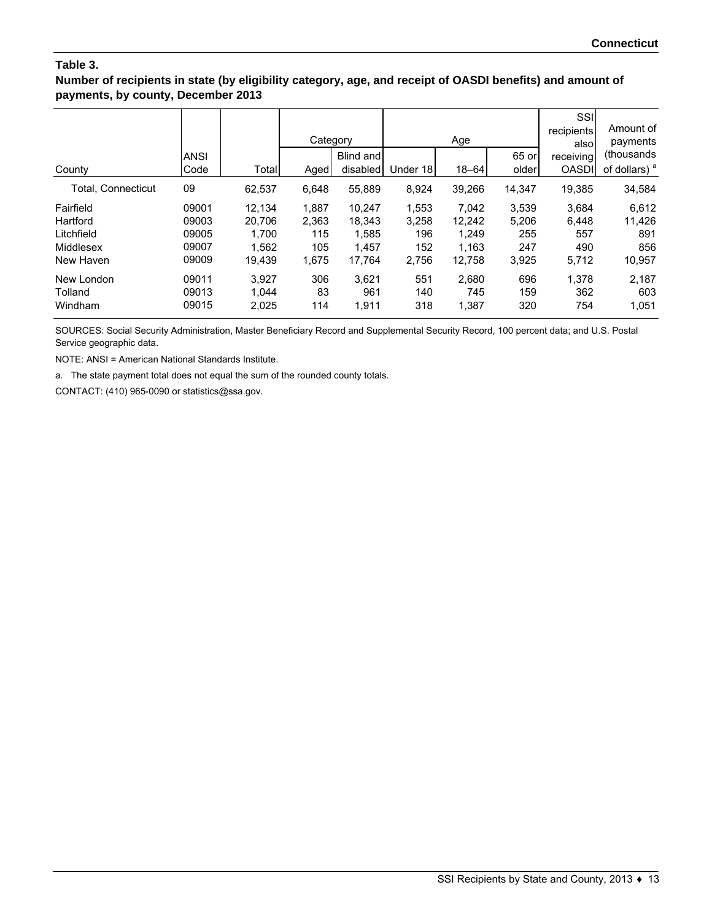#### **Number of recipients in state (by eligibility category, age, and receipt of OASDI benefits) and amount of payments, by county, December 2013**

|                    |       |        | Category |           |          | Age       |        | SSI<br>recipients<br>alsol | Amount of<br>payments    |
|--------------------|-------|--------|----------|-----------|----------|-----------|--------|----------------------------|--------------------------|
|                    | ANSI  |        |          | Blind and |          |           | 65 or  | receiving                  | (thousands)              |
| County             | Code  | Total  | Aged     | disabled  | Under 18 | $18 - 64$ | older  | <b>OASDI</b>               | of dollars) <sup>a</sup> |
| Total, Connecticut | 09    | 62,537 | 6,648    | 55,889    | 8,924    | 39,266    | 14,347 | 19,385                     | 34,584                   |
| Fairfield          | 09001 | 12.134 | 1,887    | 10.247    | 1,553    | 7,042     | 3,539  | 3,684                      | 6,612                    |
| Hartford           | 09003 | 20,706 | 2,363    | 18,343    | 3,258    | 12,242    | 5,206  | 6,448                      | 11,426                   |
| Litchfield         | 09005 | 1,700  | 115      | 1,585     | 196      | 1,249     | 255    | 557                        | 891                      |
| Middlesex          | 09007 | 1,562  | 105      | 1,457     | 152      | 1.163     | 247    | 490                        | 856                      |
| New Haven          | 09009 | 19.439 | 1.675    | 17,764    | 2,756    | 12,758    | 3,925  | 5,712                      | 10,957                   |
| New London         | 09011 | 3,927  | 306      | 3,621     | 551      | 2.680     | 696    | 1,378                      | 2,187                    |
| Tolland            | 09013 | 1,044  | 83       | 961       | 140      | 745       | 159    | 362                        | 603                      |
| Windham            | 09015 | 2,025  | 114      | 1,911     | 318      | 1,387     | 320    | 754                        | 1,051                    |

SOURCES: Social Security Administration, Master Beneficiary Record and Supplemental Security Record, 100 percent data; and U.S. Postal Service geographic data.

NOTE: ANSI = American National Standards Institute.

a. The state payment total does not equal the sum of the rounded county totals.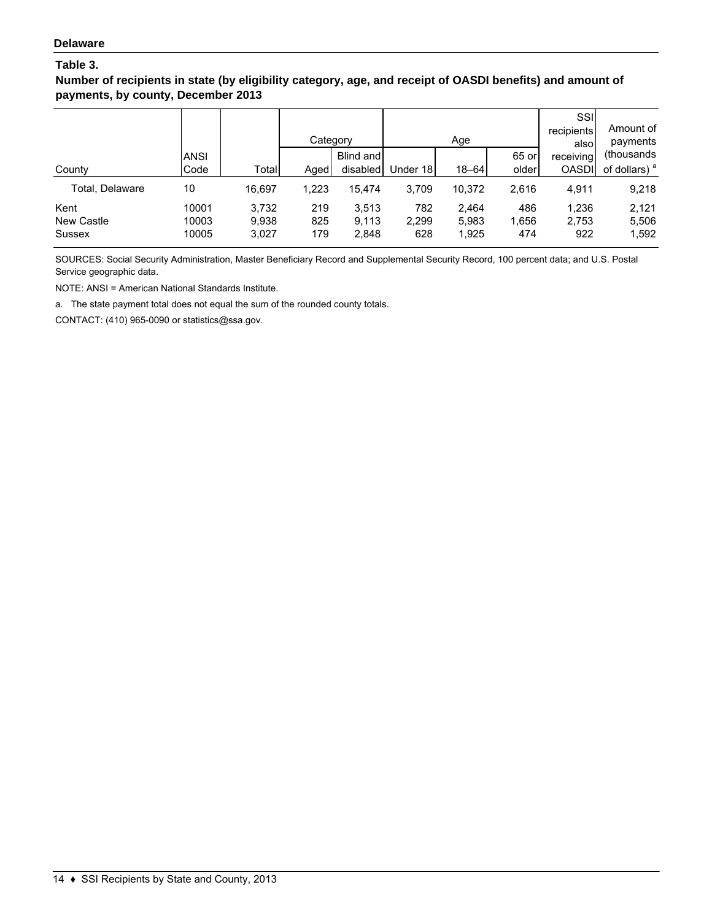**Number of recipients in state (by eligibility category, age, and receipt of OASDI benefits) and amount of payments, by county, December 2013**

|                   |             |        |       | Category  |          | Age       |       | SSI<br>recipients<br>alsol | Amount of<br>payments    |
|-------------------|-------------|--------|-------|-----------|----------|-----------|-------|----------------------------|--------------------------|
|                   | <b>ANSI</b> |        |       | Blind and |          |           | 65 or | receiving                  | (thousands)              |
| County            | Code        | Total  | Aged  | disabled  | Under 18 | $18 - 64$ | older | <b>OASDI</b>               | of dollars) <sup>a</sup> |
| Total. Delaware   | 10          | 16.697 | 1,223 | 15.474    | 3.709    | 10.372    | 2,616 | 4,911                      | 9,218                    |
| Kent              | 10001       | 3,732  | 219   | 3,513     | 782      | 2.464     | 486   | 1,236                      | 2.121                    |
| <b>New Castle</b> | 10003       | 9,938  | 825   | 9,113     | 2,299    | 5,983     | 1,656 | 2,753                      | 5,506                    |
| Sussex            | 10005       | 3,027  | 179   | 2,848     | 628      | 1,925     | 474   | 922                        | 1,592                    |

SOURCES: Social Security Administration, Master Beneficiary Record and Supplemental Security Record, 100 percent data; and U.S. Postal Service geographic data.

NOTE: ANSI = American National Standards Institute.

a. The state payment total does not equal the sum of the rounded county totals.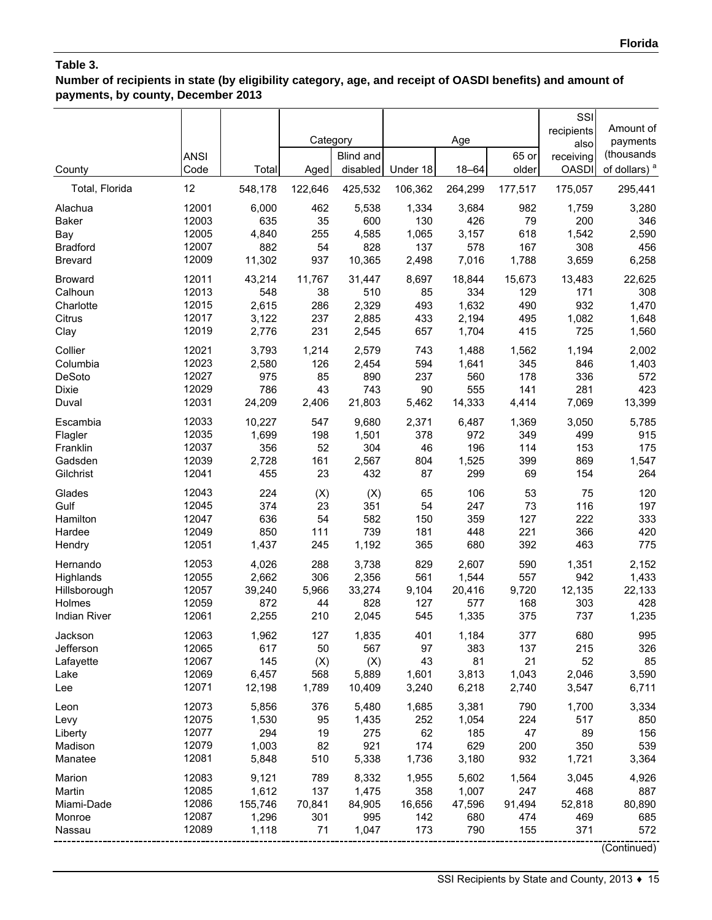**Number of recipients in state (by eligibility category, age, and receipt of OASDI benefits) and amount of payments, by county, December 2013**

| County              | <b>ANSI</b><br>Code | Total   | Category<br>Aged | <b>Blind and</b><br>disabled | Under 18 | Age<br>18-64 | 65 or<br>older | SSI<br>recipients<br>also<br>receiving<br><b>OASDI</b> | Amount of<br>payments<br>(thousands<br>of dollars) <sup>a</sup> |
|---------------------|---------------------|---------|------------------|------------------------------|----------|--------------|----------------|--------------------------------------------------------|-----------------------------------------------------------------|
| Total, Florida      | 12                  | 548,178 | 122,646          | 425,532                      | 106,362  | 264,299      | 177,517        | 175,057                                                | 295,441                                                         |
| Alachua             | 12001               | 6,000   | 462              | 5,538                        | 1,334    | 3,684        | 982            | 1,759                                                  | 3,280                                                           |
| <b>Baker</b>        | 12003               | 635     | 35               | 600                          | 130      | 426          | 79             | 200                                                    | 346                                                             |
| Bay                 | 12005               | 4,840   | 255              | 4,585                        | 1,065    | 3,157        | 618            | 1,542                                                  | 2,590                                                           |
| <b>Bradford</b>     | 12007               | 882     | 54               | 828                          | 137      | 578          | 167            | 308                                                    | 456                                                             |
| <b>Brevard</b>      | 12009               | 11,302  | 937              | 10,365                       | 2,498    | 7,016        | 1,788          | 3,659                                                  | 6,258                                                           |
| <b>Broward</b>      | 12011               | 43,214  | 11,767           | 31,447                       | 8,697    | 18,844       | 15,673         | 13,483                                                 | 22,625                                                          |
| Calhoun             | 12013               | 548     | 38               | 510                          | 85       | 334          | 129            | 171                                                    | 308                                                             |
| Charlotte           | 12015               | 2,615   | 286              | 2,329                        | 493      | 1,632        | 490            | 932                                                    | 1,470                                                           |
| Citrus              | 12017               | 3,122   | 237              | 2,885                        | 433      | 2,194        | 495            | 1,082                                                  | 1,648                                                           |
| Clay                | 12019               | 2,776   | 231              | 2,545                        | 657      | 1,704        | 415            | 725                                                    | 1,560                                                           |
| Collier             | 12021               | 3,793   | 1,214            | 2,579                        | 743      | 1.488        | 1,562          | 1,194                                                  | 2,002                                                           |
| Columbia            | 12023               | 2,580   | 126              | 2,454                        | 594      | 1,641        | 345            | 846                                                    | 1,403                                                           |
| DeSoto              | 12027               | 975     | 85               | 890                          | 237      | 560          | 178            | 336                                                    | 572                                                             |
| Dixie               | 12029               | 786     | 43               | 743                          | 90       | 555          | 141            | 281                                                    | 423                                                             |
| Duval               | 12031               | 24,209  | 2,406            | 21,803                       | 5,462    | 14,333       | 4,414          | 7,069                                                  | 13,399                                                          |
| Escambia            | 12033               | 10,227  | 547              | 9,680                        | 2,371    | 6,487        | 1,369          | 3,050                                                  | 5,785                                                           |
| Flagler             | 12035               | 1,699   | 198              | 1,501                        | 378      | 972          | 349            | 499                                                    | 915                                                             |
| Franklin            | 12037               | 356     | 52               | 304                          | 46       | 196          | 114            | 153                                                    | 175                                                             |
| Gadsden             | 12039               | 2,728   | 161              | 2,567                        | 804      | 1,525        | 399            | 869                                                    | 1,547                                                           |
| Gilchrist           | 12041               | 455     | 23               | 432                          | 87       | 299          | 69             | 154                                                    | 264                                                             |
| Glades              | 12043               | 224     | (X)              | (X)                          | 65       | 106          | 53             | 75                                                     | 120                                                             |
| Gulf                | 12045               | 374     | 23               | 351                          | 54       | 247          | 73             | 116                                                    | 197                                                             |
| Hamilton            | 12047               | 636     | 54               | 582                          | 150      | 359          | 127            | 222                                                    | 333                                                             |
| Hardee              | 12049               | 850     | 111              | 739                          | 181      | 448          | 221            | 366                                                    | 420                                                             |
| Hendry              | 12051               | 1,437   | 245              | 1,192                        | 365      | 680          | 392            | 463                                                    | 775                                                             |
| Hernando            | 12053               | 4,026   | 288              | 3,738                        | 829      | 2,607        | 590            | 1,351                                                  | 2,152                                                           |
| Highlands           | 12055               | 2,662   | 306              | 2,356                        | 561      | 1,544        | 557            | 942                                                    | 1,433                                                           |
| Hillsborough        | 12057               | 39,240  | 5,966            | 33,274                       | 9,104    | 20,416       | 9,720          | 12,135                                                 | 22,133                                                          |
| Holmes              | 12059               | 872     | 44               | 828                          | 127      | 577          | 168            | 303                                                    | 428                                                             |
| <b>Indian River</b> | 12061               | 2,255   | 210              | 2,045                        | 545      | 1,335        | 375            | 737                                                    | 1,235                                                           |
| Jackson             | 12063               | 1,962   | 127              | 1,835                        | 401      | 1,184        | 377            | 680                                                    | 995                                                             |
| Jefferson           | 12065               | 617     | 50               | 567                          | 97       | 383          | 137            | 215                                                    | 326                                                             |
| Lafayette           | 12067               | 145     | (X)              | (X)                          | 43       | 81           | 21             | 52                                                     | 85                                                              |
| Lake                | 12069               | 6,457   | 568              | 5,889                        | 1,601    | 3,813        | 1,043          | 2,046                                                  | 3,590                                                           |
| Lee                 | 12071               | 12,198  | 1,789            | 10,409                       | 3,240    | 6,218        | 2,740          | 3,547                                                  | 6,711                                                           |
| Leon                | 12073               | 5,856   | 376              | 5,480                        | 1,685    | 3,381        | 790            | 1,700                                                  | 3,334                                                           |
| Levy                | 12075               | 1,530   | 95               | 1,435                        | 252      | 1,054        | 224            | 517                                                    | 850                                                             |
| Liberty             | 12077               | 294     | 19               | 275                          | 62       | 185          | 47             | 89                                                     | 156                                                             |
| Madison             | 12079               | 1,003   | 82               | 921                          | 174      | 629          | 200            | 350                                                    | 539                                                             |
| Manatee             | 12081               | 5,848   | 510              | 5,338                        | 1,736    | 3,180        | 932            | 1,721                                                  | 3,364                                                           |
| Marion              | 12083               | 9,121   | 789              | 8,332                        | 1,955    | 5,602        | 1,564          | 3,045                                                  | 4,926                                                           |
| Martin              | 12085               | 1,612   | 137              | 1,475                        | 358      | 1,007        | 247            | 468                                                    | 887                                                             |
| Miami-Dade          | 12086               | 155,746 | 70,841           | 84,905                       | 16,656   | 47,596       | 91,494         | 52,818                                                 | 80,890                                                          |
| Monroe              | 12087               | 1,296   | 301              | 995                          | 142      | 680          | 474            | 469                                                    | 685                                                             |
| Nassau              | 12089               | 1,118   | 71               | 1,047                        | 173      | 790          | 155            | 371                                                    | 572                                                             |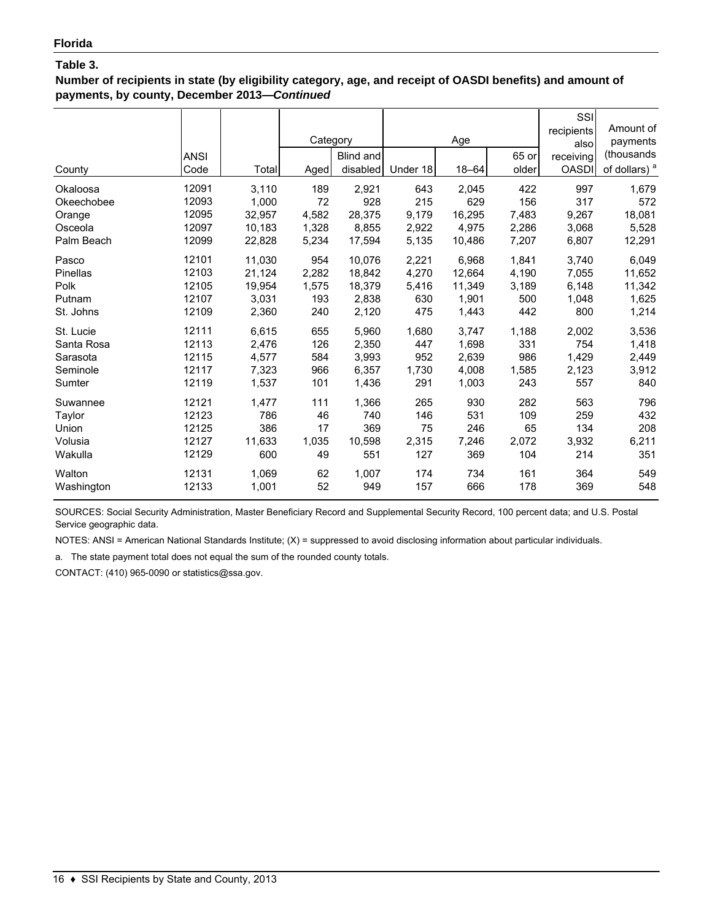**Number of recipients in state (by eligibility category, age, and receipt of OASDI benefits) and amount of payments, by county, December 2013—***Continued*

| County     | <b>ANSI</b><br>Code | Total  | Category<br>Aged | Blind and<br>disabled | Under 18 | Age<br>$18 - 64$ | 65 or<br>older | SSI<br>recipients<br>also<br>receiving<br><b>OASDI</b> | Amount of<br>payments<br>(thousands<br>of dollars) <sup>a</sup> |
|------------|---------------------|--------|------------------|-----------------------|----------|------------------|----------------|--------------------------------------------------------|-----------------------------------------------------------------|
| Okaloosa   | 12091               | 3,110  | 189              | 2,921                 | 643      | 2,045            | 422            | 997                                                    | 1,679                                                           |
| Okeechobee | 12093               | 1,000  | 72               | 928                   | 215      | 629              | 156            | 317                                                    | 572                                                             |
| Orange     | 12095               | 32,957 | 4,582            | 28,375                | 9,179    | 16,295           | 7,483          | 9,267                                                  | 18,081                                                          |
| Osceola    | 12097               | 10,183 | 1.328            | 8,855                 | 2,922    | 4.975            | 2,286          | 3,068                                                  | 5,528                                                           |
| Palm Beach | 12099               | 22,828 | 5,234            | 17,594                | 5,135    | 10,486           | 7,207          | 6,807                                                  | 12,291                                                          |
| Pasco      | 12101               | 11,030 | 954              | 10.076                | 2,221    | 6.968            | 1,841          | 3,740                                                  | 6,049                                                           |
| Pinellas   | 12103               | 21,124 | 2,282            | 18.842                | 4,270    | 12.664           | 4,190          | 7,055                                                  | 11,652                                                          |
| Polk       | 12105               | 19,954 | 1,575            | 18,379                | 5,416    | 11,349           | 3,189          | 6,148                                                  | 11,342                                                          |
| Putnam     | 12107               | 3,031  | 193              | 2,838                 | 630      | 1,901            | 500            | 1,048                                                  | 1,625                                                           |
| St. Johns  | 12109               | 2,360  | 240              | 2,120                 | 475      | 1,443            | 442            | 800                                                    | 1,214                                                           |
| St. Lucie  | 12111               | 6,615  | 655              | 5,960                 | 1,680    | 3,747            | 1,188          | 2,002                                                  | 3,536                                                           |
| Santa Rosa | 12113               | 2,476  | 126              | 2,350                 | 447      | 1,698            | 331            | 754                                                    | 1,418                                                           |
| Sarasota   | 12115               | 4,577  | 584              | 3,993                 | 952      | 2.639            | 986            | 1,429                                                  | 2,449                                                           |
| Seminole   | 12117               | 7,323  | 966              | 6,357                 | 1,730    | 4,008            | 1,585          | 2,123                                                  | 3,912                                                           |
| Sumter     | 12119               | 1,537  | 101              | 1,436                 | 291      | 1,003            | 243            | 557                                                    | 840                                                             |
| Suwannee   | 12121               | 1,477  | 111              | 1,366                 | 265      | 930              | 282            | 563                                                    | 796                                                             |
| Taylor     | 12123               | 786    | 46               | 740                   | 146      | 531              | 109            | 259                                                    | 432                                                             |
| Union      | 12125               | 386    | 17               | 369                   | 75       | 246              | 65             | 134                                                    | 208                                                             |
| Volusia    | 12127               | 11,633 | 1,035            | 10,598                | 2,315    | 7,246            | 2,072          | 3,932                                                  | 6,211                                                           |
| Wakulla    | 12129               | 600    | 49               | 551                   | 127      | 369              | 104            | 214                                                    | 351                                                             |
| Walton     | 12131               | 1,069  | 62               | 1,007                 | 174      | 734              | 161            | 364                                                    | 549                                                             |
| Washington | 12133               | 1,001  | 52               | 949                   | 157      | 666              | 178            | 369                                                    | 548                                                             |

SOURCES: Social Security Administration, Master Beneficiary Record and Supplemental Security Record, 100 percent data; and U.S. Postal Service geographic data.

NOTES: ANSI = American National Standards Institute; (X) = suppressed to avoid disclosing information about particular individuals.

a. The state payment total does not equal the sum of the rounded county totals.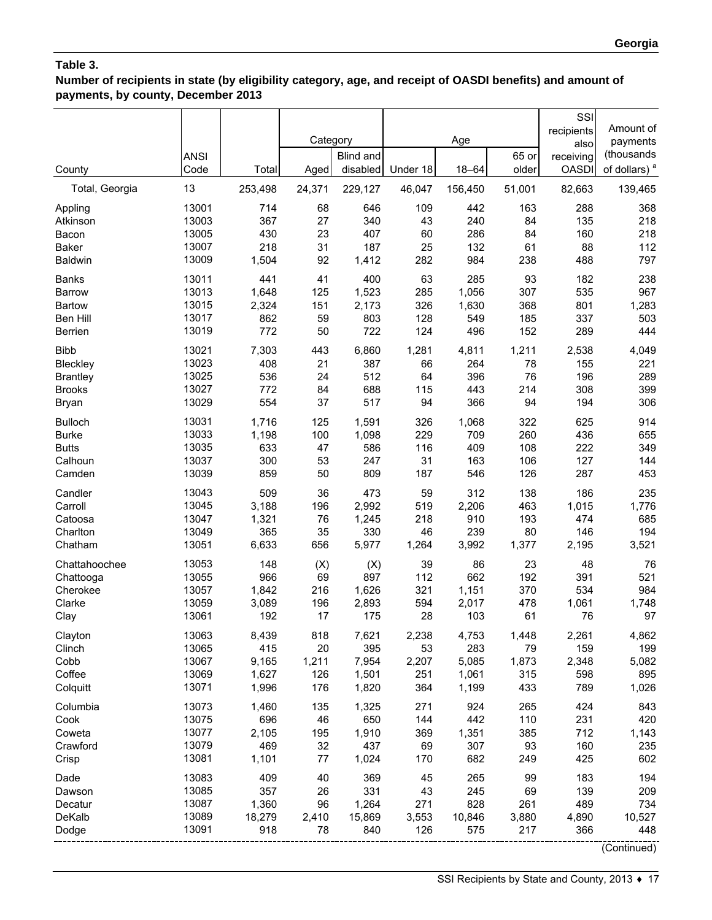**Number of recipients in state (by eligibility category, age, and receipt of OASDI benefits) and amount of payments, by county, December 2013**

|                          | <b>ANSI</b>    |                | Category     | Blind and<br>disabled | Under 18     | Age<br>18-64   | 65 or<br>older | SSI<br>recipients<br>also<br>receiving | Amount of<br>payments<br>(thousands<br>of dollars) <sup>a</sup> |
|--------------------------|----------------|----------------|--------------|-----------------------|--------------|----------------|----------------|----------------------------------------|-----------------------------------------------------------------|
| County<br>Total, Georgia | Code<br>13     | Total          | Aged         |                       |              |                |                | <b>OASDI</b><br>82,663                 |                                                                 |
|                          |                | 253,498        | 24,371       | 229,127               | 46,047       | 156,450        | 51,001         |                                        | 139,465                                                         |
| Appling<br>Atkinson      | 13001<br>13003 | 714<br>367     | 68<br>27     | 646<br>340            | 109<br>43    | 442<br>240     | 163<br>84      | 288<br>135                             | 368<br>218                                                      |
| Bacon                    | 13005          | 430            | 23           | 407                   | 60           | 286            | 84             | 160                                    | 218                                                             |
| <b>Baker</b>             | 13007          | 218            | 31           | 187                   | 25           | 132            | 61             | 88                                     | 112                                                             |
| <b>Baldwin</b>           | 13009          | 1,504          | 92           | 1,412                 | 282          | 984            | 238            | 488                                    | 797                                                             |
| <b>Banks</b>             | 13011          | 441            | 41           | 400                   | 63           | 285            | 93             | 182                                    | 238                                                             |
| <b>Barrow</b>            | 13013          | 1,648          | 125          | 1,523                 | 285          | 1,056          | 307            | 535                                    | 967                                                             |
| <b>Bartow</b>            | 13015          | 2,324          | 151          | 2,173                 | 326          | 1,630          | 368            | 801                                    | 1,283                                                           |
| Ben Hill                 | 13017          | 862            | 59           | 803                   | 128          | 549            | 185            | 337                                    | 503                                                             |
| <b>Berrien</b>           | 13019          | 772            | 50           | 722                   | 124          | 496            | 152            | 289                                    | 444                                                             |
| <b>Bibb</b>              | 13021          | 7,303          | 443          | 6,860                 | 1,281        | 4,811          | 1,211          | 2,538                                  | 4,049                                                           |
| Bleckley                 | 13023          | 408            | 21           | 387                   | 66           | 264            | 78             | 155                                    | 221                                                             |
| <b>Brantley</b>          | 13025<br>13027 | 536            | 24           | 512                   | 64           | 396            | 76             | 196                                    | 289                                                             |
| <b>Brooks</b><br>Bryan   | 13029          | 772<br>554     | 84<br>37     | 688<br>517            | 115<br>94    | 443<br>366     | 214<br>94      | 308<br>194                             | 399<br>306                                                      |
| <b>Bulloch</b>           | 13031          | 1,716          | 125          | 1,591                 | 326          | 1,068          | 322            | 625                                    | 914                                                             |
| <b>Burke</b>             | 13033          | 1,198          | 100          | 1,098                 | 229          | 709            | 260            | 436                                    | 655                                                             |
| <b>Butts</b>             | 13035          | 633            | 47           | 586                   | 116          | 409            | 108            | 222                                    | 349                                                             |
| Calhoun                  | 13037          | 300            | 53           | 247                   | 31           | 163            | 106            | 127                                    | 144                                                             |
| Camden                   | 13039          | 859            | 50           | 809                   | 187          | 546            | 126            | 287                                    | 453                                                             |
| Candler                  | 13043          | 509            | 36           | 473                   | 59           | 312            | 138            | 186                                    | 235                                                             |
| Carroll                  | 13045          | 3,188          | 196          | 2,992                 | 519          | 2,206          | 463            | 1,015                                  | 1,776                                                           |
| Catoosa                  | 13047          | 1,321          | 76           | 1,245                 | 218          | 910            | 193            | 474                                    | 685                                                             |
| Charlton                 | 13049          | 365            | 35           | 330                   | 46           | 239            | 80             | 146                                    | 194                                                             |
| Chatham                  | 13051          | 6,633          | 656          | 5,977                 | 1,264        | 3,992          | 1,377          | 2,195                                  | 3,521                                                           |
| Chattahoochee            | 13053          | 148            | (X)          | (X)                   | 39           | 86             | 23             | 48                                     | 76                                                              |
| Chattooga                | 13055          | 966            | 69           | 897                   | 112          | 662            | 192            | 391                                    | 521                                                             |
| Cherokee                 | 13057          | 1,842          | 216          | 1,626                 | 321          | 1,151          | 370            | 534                                    | 984                                                             |
| Clarke                   | 13059          | 3,089          | 196          | 2,893                 | 594          | 2,017          | 478            | 1,061                                  | 1,748                                                           |
| Clay                     | 13061          | 192            | 17           | 175                   | 28           | 103            | 61             | 76                                     | 97                                                              |
| Clayton                  | 13063          | 8,439          | 818          | 7,621                 | 2,238        | 4,753          | 1,448          | 2,261                                  | 4,862                                                           |
| Clinch                   | 13065          | 415            | 20           | 395                   | 53           | 283            | 79             | 159                                    | 199                                                             |
| Cobb<br>Coffee           | 13067<br>13069 | 9,165<br>1,627 | 1,211<br>126 | 7,954<br>1,501        | 2,207<br>251 | 5,085<br>1,061 | 1,873<br>315   | 2,348<br>598                           | 5,082<br>895                                                    |
| Colquitt                 | 13071          | 1,996          | 176          | 1,820                 | 364          | 1,199          | 433            | 789                                    | 1,026                                                           |
| Columbia                 | 13073          | 1,460          | 135          | 1,325                 | 271          | 924            | 265            | 424                                    | 843                                                             |
| Cook                     | 13075          | 696            | 46           | 650                   | 144          | 442            | 110            | 231                                    | 420                                                             |
| Coweta                   | 13077          | 2,105          | 195          | 1,910                 | 369          | 1,351          | 385            | 712                                    | 1,143                                                           |
| Crawford                 | 13079          | 469            | 32           | 437                   | 69           | 307            | 93             | 160                                    | 235                                                             |
| Crisp                    | 13081          | 1,101          | 77           | 1,024                 | 170          | 682            | 249            | 425                                    | 602                                                             |
| Dade                     | 13083          | 409            | 40           | 369                   | 45           | 265            | 99             | 183                                    | 194                                                             |
| Dawson                   | 13085          | 357            | 26           | 331                   | 43           | 245            | 69             | 139                                    | 209                                                             |
| Decatur                  | 13087          | 1,360          | 96           | 1,264                 | 271          | 828            | 261            | 489                                    | 734                                                             |
| DeKalb                   | 13089          | 18,279         | 2,410        | 15,869                | 3,553        | 10,846         | 3,880          | 4,890                                  | 10,527                                                          |
| Dodge                    | 13091          | 918            | 78           | 840                   | 126          | 575            | 217            | 366                                    | 448                                                             |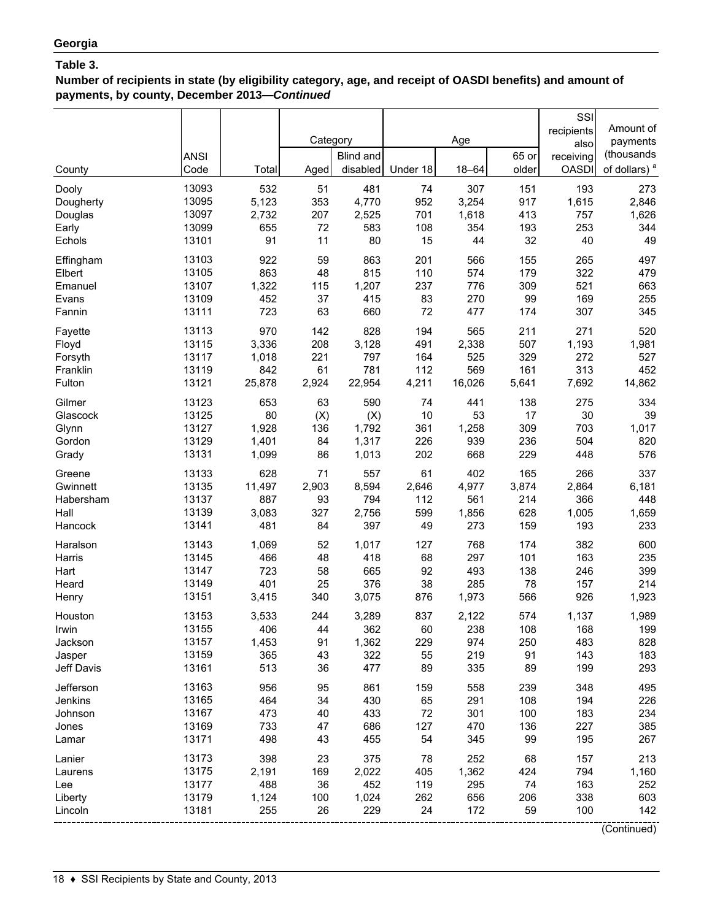**Number of recipients in state (by eligibility category, age, and receipt of OASDI benefits) and amount of payments, by county, December 2013—***Continued*

|            | <b>ANSI</b> |        | Category | Blind and |          | Age       | 65 or | SSI<br>recipients<br>also<br>receiving | Amount of<br>payments<br>(thousands |
|------------|-------------|--------|----------|-----------|----------|-----------|-------|----------------------------------------|-------------------------------------|
| County     | Code        | Total  | Aged     | disabled  | Under 18 | $18 - 64$ | older | <b>OASDI</b>                           | of dollars) <sup>a</sup>            |
| Dooly      | 13093       | 532    | 51       | 481       | 74       | 307       | 151   | 193                                    | 273                                 |
| Dougherty  | 13095       | 5,123  | 353      | 4,770     | 952      | 3,254     | 917   | 1,615                                  | 2,846                               |
| Douglas    | 13097       | 2,732  | 207      | 2,525     | 701      | 1,618     | 413   | 757                                    | 1,626                               |
| Early      | 13099       | 655    | 72       | 583       | 108      | 354       | 193   | 253                                    | 344                                 |
| Echols     | 13101       | 91     | 11       | 80        | 15       | 44        | 32    | 40                                     | 49                                  |
| Effingham  | 13103       | 922    | 59       | 863       | 201      | 566       | 155   | 265                                    | 497                                 |
| Elbert     | 13105       | 863    | 48       | 815       | 110      | 574       | 179   | 322                                    | 479                                 |
| Emanuel    | 13107       | 1,322  | 115      | 1,207     | 237      | 776       | 309   | 521                                    | 663                                 |
| Evans      | 13109       | 452    | 37       | 415       | 83       | 270       | 99    | 169                                    | 255                                 |
| Fannin     | 13111       | 723    | 63       | 660       | 72       | 477       | 174   | 307                                    | 345                                 |
| Fayette    | 13113       | 970    | 142      | 828       | 194      | 565       | 211   | 271                                    | 520                                 |
| Floyd      | 13115       | 3,336  | 208      | 3,128     | 491      | 2,338     | 507   | 1,193                                  | 1,981                               |
| Forsyth    | 13117       | 1,018  | 221      | 797       | 164      | 525       | 329   | 272                                    | 527                                 |
| Franklin   | 13119       | 842    | 61       | 781       | 112      | 569       | 161   | 313                                    | 452                                 |
| Fulton     | 13121       | 25,878 | 2,924    | 22,954    | 4,211    | 16,026    | 5,641 | 7,692                                  | 14,862                              |
| Gilmer     | 13123       | 653    | 63       | 590       | 74       | 441       | 138   | 275                                    | 334                                 |
| Glascock   | 13125       | 80     | (X)      | (X)       | 10       | 53        | 17    | 30                                     | 39                                  |
| Glynn      | 13127       | 1,928  | 136      | 1,792     | 361      | 1,258     | 309   | 703                                    | 1,017                               |
| Gordon     | 13129       | 1,401  | 84       | 1,317     | 226      | 939       | 236   | 504                                    | 820                                 |
| Grady      | 13131       | 1,099  | 86       | 1,013     | 202      | 668       | 229   | 448                                    | 576                                 |
| Greene     | 13133       | 628    | 71       | 557       | 61       | 402       | 165   | 266                                    | 337                                 |
| Gwinnett   | 13135       | 11,497 | 2,903    | 8,594     | 2,646    | 4,977     | 3,874 | 2,864                                  | 6,181                               |
| Habersham  | 13137       | 887    | 93       | 794       | 112      | 561       | 214   | 366                                    | 448                                 |
| Hall       | 13139       | 3,083  | 327      | 2,756     | 599      | 1,856     | 628   | 1,005                                  | 1,659                               |
| Hancock    | 13141       | 481    | 84       | 397       | 49       | 273       | 159   | 193                                    | 233                                 |
| Haralson   | 13143       | 1,069  | 52       | 1,017     | 127      | 768       | 174   | 382                                    | 600                                 |
| Harris     | 13145       | 466    | 48       | 418       | 68       | 297       | 101   | 163                                    | 235                                 |
| Hart       | 13147       | 723    | 58       | 665       | 92       | 493       | 138   | 246                                    | 399                                 |
| Heard      | 13149       | 401    | 25       | 376       | 38       | 285       | 78    | 157                                    | 214                                 |
| Henry      | 13151       | 3,415  | 340      | 3,075     | 876      | 1,973     | 566   | 926                                    | 1,923                               |
| Houston    | 13153       | 3,533  | 244      | 3,289     | 837      | 2,122     | 574   | 1,137                                  | 1,989                               |
| Irwin      | 13155       | 406    | 44       | 362       | 60       | 238       | 108   | 168                                    | 199                                 |
| Jackson    | 13157       | 1,453  | 91       | 1,362     | 229      | 974       | 250   | 483                                    | 828                                 |
| Jasper     | 13159       | 365    | 43       | 322       | 55       | 219       | 91    | 143                                    | 183                                 |
| Jeff Davis | 13161       | 513    | 36       | 477       | 89       | 335       | 89    | 199                                    | 293                                 |
| Jefferson  | 13163       | 956    | 95       | 861       | 159      | 558       | 239   | 348                                    | 495                                 |
| Jenkins    | 13165       | 464    | 34       | 430       | 65       | 291       | 108   | 194                                    | 226                                 |
| Johnson    | 13167       | 473    | 40       | 433       | 72       | 301       | 100   | 183                                    | 234                                 |
| Jones      | 13169       | 733    | 47       | 686       | 127      | 470       | 136   | 227                                    | 385                                 |
| Lamar      | 13171       | 498    | 43       | 455       | 54       | 345       | 99    | 195                                    | 267                                 |
| Lanier     | 13173       | 398    | 23       | 375       | 78       | 252       | 68    | 157                                    | 213                                 |
| Laurens    | 13175       | 2,191  | 169      | 2,022     | 405      | 1,362     | 424   | 794                                    | 1,160                               |
| Lee        | 13177       | 488    | 36       | 452       | 119      | 295       | 74    | 163                                    | 252                                 |
| Liberty    | 13179       | 1,124  | 100      | 1,024     | 262      | 656       | 206   | 338                                    | 603                                 |
| Lincoln    | 13181       | 255    | 26       | 229       | 24       | 172       | 59    | 100                                    | 142                                 |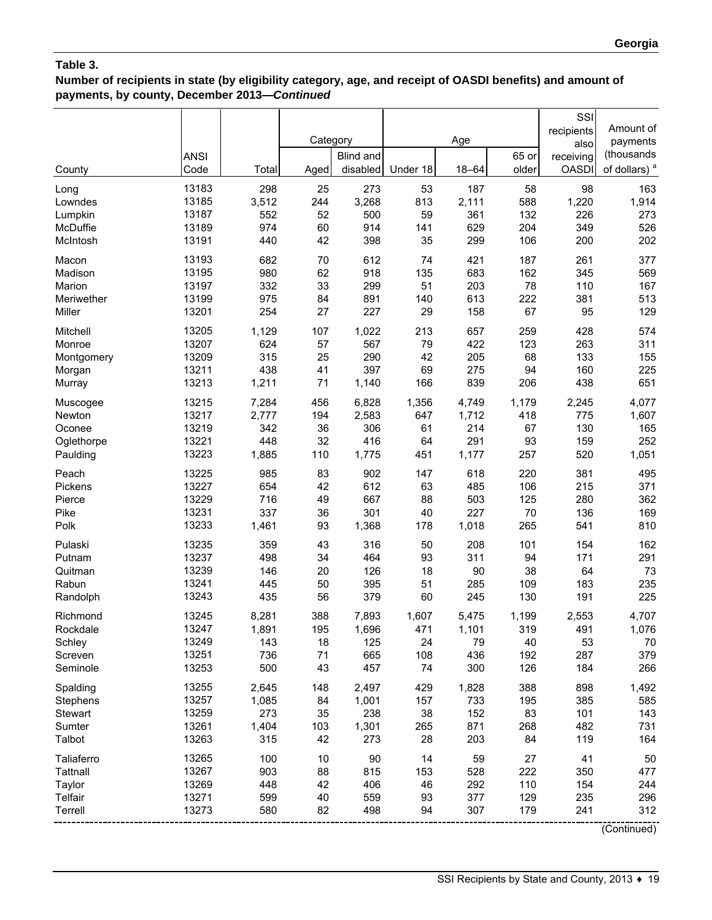# **Number of recipients in state (by eligibility category, age, and receipt of OASDI benefits) and amount of payments, by county, December 2013—***Continued*

| County     | <b>ANSI</b><br>Code | Total | Category<br>Aged | <b>Blind and</b><br>disabled | Under 18 | Age<br>$18 - 64$ | 65 or<br>older | SSI<br>recipients<br>also<br>receiving<br><b>OASDI</b> | Amount of<br>payments<br>(thousands<br>of dollars) <sup>a</sup> |
|------------|---------------------|-------|------------------|------------------------------|----------|------------------|----------------|--------------------------------------------------------|-----------------------------------------------------------------|
| Long       | 13183               | 298   | 25               | 273                          | 53       | 187              | 58             | 98                                                     | 163                                                             |
| Lowndes    | 13185               | 3,512 | 244              | 3,268                        | 813      | 2,111            | 588            | 1,220                                                  | 1,914                                                           |
| Lumpkin    | 13187               | 552   | 52               | 500                          | 59       | 361              | 132            | 226                                                    | 273                                                             |
| McDuffie   | 13189               | 974   | 60               | 914                          | 141      | 629              | 204            | 349                                                    | 526                                                             |
| McIntosh   | 13191               | 440   | 42               | 398                          | 35       | 299              | 106            | 200                                                    | 202                                                             |
| Macon      | 13193               | 682   | 70               | 612                          | 74       | 421              | 187            | 261                                                    | 377                                                             |
| Madison    | 13195               | 980   | 62               | 918                          | 135      | 683              | 162            | 345                                                    | 569                                                             |
| Marion     | 13197               | 332   | 33               | 299                          | 51       | 203              | 78             | 110                                                    | 167                                                             |
| Meriwether | 13199               | 975   | 84               | 891                          | 140      | 613              | 222            | 381                                                    | 513                                                             |
| Miller     | 13201               | 254   | 27               | 227                          | 29       | 158              | 67             | 95                                                     | 129                                                             |
| Mitchell   | 13205               | 1,129 | 107              | 1,022                        | 213      | 657              | 259            | 428                                                    | 574                                                             |
| Monroe     | 13207               | 624   | 57               | 567                          | 79       | 422              | 123            | 263                                                    | 311                                                             |
| Montgomery | 13209               | 315   | 25               | 290                          | 42       | 205              | 68             | 133                                                    | 155                                                             |
| Morgan     | 13211               | 438   | 41               | 397                          | 69       | 275              | 94             | 160                                                    | 225                                                             |
| Murray     | 13213               | 1,211 | 71               | 1,140                        | 166      | 839              | 206            | 438                                                    | 651                                                             |
| Muscogee   | 13215               | 7,284 | 456              | 6,828                        | 1,356    | 4,749            | 1,179          | 2,245                                                  | 4,077                                                           |
| Newton     | 13217               | 2,777 | 194              | 2,583                        | 647      | 1,712            | 418            | 775                                                    | 1,607                                                           |
| Oconee     | 13219               | 342   | 36               | 306                          | 61       | 214              | 67             | 130                                                    | 165                                                             |
| Oglethorpe | 13221               | 448   | 32               | 416                          | 64       | 291              | 93             | 159                                                    | 252                                                             |
| Paulding   | 13223               | 1,885 | 110              | 1,775                        | 451      | 1,177            | 257            | 520                                                    | 1,051                                                           |
| Peach      | 13225               | 985   | 83               | 902                          | 147      | 618              | 220            | 381                                                    | 495                                                             |
| Pickens    | 13227               | 654   | 42               | 612                          | 63       | 485              | 106            | 215                                                    | 371                                                             |
| Pierce     | 13229               | 716   | 49               | 667                          | 88       | 503              | 125            | 280                                                    | 362                                                             |
| Pike       | 13231               | 337   | 36               | 301                          | 40       | 227              | 70             | 136                                                    | 169                                                             |
| Polk       | 13233               | 1,461 | 93               | 1,368                        | 178      | 1,018            | 265            | 541                                                    | 810                                                             |
| Pulaski    | 13235               | 359   | 43               | 316                          | 50       | 208              | 101            | 154                                                    | 162                                                             |
| Putnam     | 13237               | 498   | 34               | 464                          | 93       | 311              | 94             | 171                                                    | 291                                                             |
| Quitman    | 13239               | 146   | 20               | 126                          | 18       | 90               | 38             | 64                                                     | 73                                                              |
| Rabun      | 13241               | 445   | 50               | 395                          | 51       | 285              | 109            | 183                                                    | 235                                                             |
| Randolph   | 13243               | 435   | 56               | 379                          | 60       | 245              | 130            | 191                                                    | 225                                                             |
| Richmond   | 13245               | 8,281 | 388              | 7,893                        | 1,607    | 5,475            | 1,199          | 2,553                                                  | 4,707                                                           |
| Rockdale   | 13247               | 1,891 | 195              | 1,696                        | 471      | 1,101            | 319            | 491                                                    | 1,076                                                           |
| Schley     | 13249               | 143   | 18               | 125                          | 24       | 79               | 40             | 53                                                     | 70                                                              |
| Screven    | 13251               | 736   | 71               | 665                          | 108      | 436              | 192            | 287                                                    | 379                                                             |
| Seminole   | 13253               | 500   | 43               | 457                          | 74       | 300              | 126            | 184                                                    | 266                                                             |
| Spalding   | 13255               | 2,645 | 148              | 2,497                        | 429      | 1,828            | 388            | 898                                                    | 1,492                                                           |
| Stephens   | 13257               | 1,085 | 84               | 1,001                        | 157      | 733              | 195            | 385                                                    | 585                                                             |
| Stewart    | 13259               | 273   | 35               | 238                          | 38       | 152              | 83             | 101                                                    | 143                                                             |
| Sumter     | 13261               | 1,404 | 103              | 1,301                        | 265      | 871              | 268            | 482                                                    | 731                                                             |
| Talbot     | 13263               | 315   | 42               | 273                          | 28       | 203              | 84             | 119                                                    | 164                                                             |
| Taliaferro | 13265               | 100   | 10               | 90                           | 14       | 59               | 27             | 41                                                     | 50                                                              |
| Tattnall   | 13267               | 903   | 88               | 815                          | 153      | 528              | 222            | 350                                                    | 477                                                             |
| Taylor     | 13269               | 448   | 42               | 406                          | 46       | 292              | 110            | 154                                                    | 244                                                             |
| Telfair    | 13271               | 599   | 40               | 559                          | 93       | 377              | 129            | 235                                                    | 296                                                             |
| Terrell    | 13273               | 580   | 82               | 498                          | 94       | 307              | 179            | 241                                                    | 312                                                             |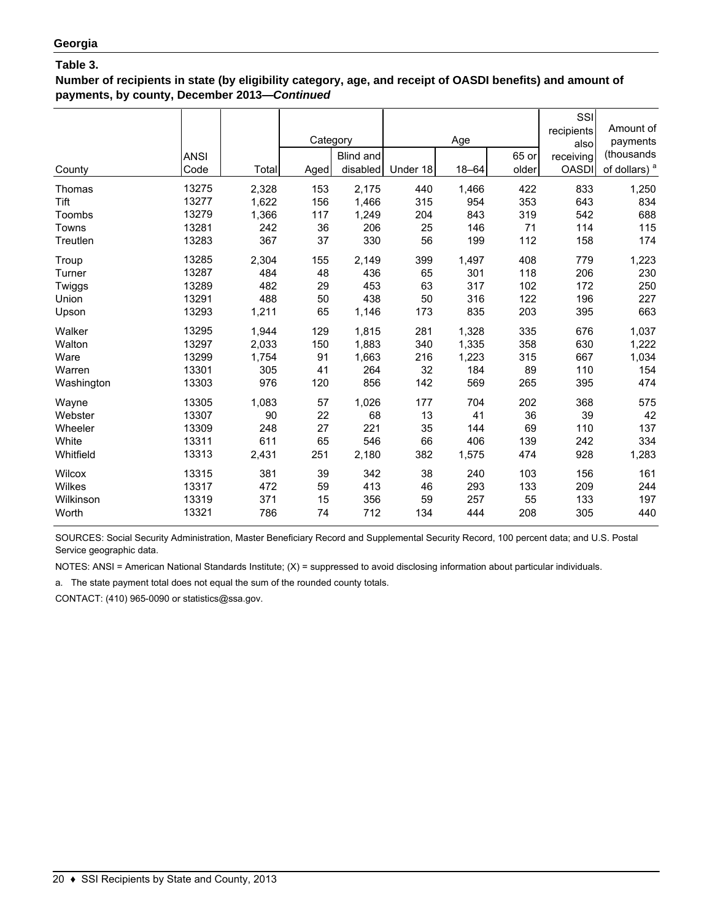**Number of recipients in state (by eligibility category, age, and receipt of OASDI benefits) and amount of payments, by county, December 2013—***Continued*

| County     | <b>ANSI</b><br>Code | Total | Category<br>Aged | Blind and<br>disabled | Under 18 | Age<br>$18 - 64$ | 65 or<br>older | SSI<br>recipients<br>also<br>receiving<br><b>OASDI</b> | Amount of<br>payments<br>(thousands<br>of dollars) <sup>a</sup> |
|------------|---------------------|-------|------------------|-----------------------|----------|------------------|----------------|--------------------------------------------------------|-----------------------------------------------------------------|
| Thomas     | 13275               | 2,328 | 153              | 2,175                 | 440      | 1,466            | 422            | 833                                                    | 1,250                                                           |
| Tift       | 13277               | 1,622 | 156              | 1,466                 | 315      | 954              | 353            | 643                                                    | 834                                                             |
| Toombs     | 13279               | 1,366 | 117              | 1,249                 | 204      | 843              | 319            | 542                                                    | 688                                                             |
| Towns      | 13281               | 242   | 36               | 206                   | 25       | 146              | 71             | 114                                                    | 115                                                             |
| Treutlen   | 13283               | 367   | 37               | 330                   | 56       | 199              | 112            | 158                                                    | 174                                                             |
| Troup      | 13285               | 2,304 | 155              | 2,149                 | 399      | 1,497            | 408            | 779                                                    | 1,223                                                           |
| Turner     | 13287               | 484   | 48               | 436                   | 65       | 301              | 118            | 206                                                    | 230                                                             |
| Twiggs     | 13289               | 482   | 29               | 453                   | 63       | 317              | 102            | 172                                                    | 250                                                             |
| Union      | 13291               | 488   | 50               | 438                   | 50       | 316              | 122            | 196                                                    | 227                                                             |
| Upson      | 13293               | 1,211 | 65               | 1,146                 | 173      | 835              | 203            | 395                                                    | 663                                                             |
| Walker     | 13295               | 1,944 | 129              | 1,815                 | 281      | 1,328            | 335            | 676                                                    | 1,037                                                           |
| Walton     | 13297               | 2,033 | 150              | 1,883                 | 340      | 1,335            | 358            | 630                                                    | 1,222                                                           |
| Ware       | 13299               | 1,754 | 91               | 1,663                 | 216      | 1,223            | 315            | 667                                                    | 1,034                                                           |
| Warren     | 13301               | 305   | 41               | 264                   | 32       | 184              | 89             | 110                                                    | 154                                                             |
| Washington | 13303               | 976   | 120              | 856                   | 142      | 569              | 265            | 395                                                    | 474                                                             |
| Wayne      | 13305               | 1,083 | 57               | 1,026                 | 177      | 704              | 202            | 368                                                    | 575                                                             |
| Webster    | 13307               | 90    | 22               | 68                    | 13       | 41               | 36             | 39                                                     | 42                                                              |
| Wheeler    | 13309               | 248   | 27               | 221                   | 35       | 144              | 69             | 110                                                    | 137                                                             |
| White      | 13311               | 611   | 65               | 546                   | 66       | 406              | 139            | 242                                                    | 334                                                             |
| Whitfield  | 13313               | 2,431 | 251              | 2,180                 | 382      | 1,575            | 474            | 928                                                    | 1,283                                                           |
| Wilcox     | 13315               | 381   | 39               | 342                   | 38       | 240              | 103            | 156                                                    | 161                                                             |
| Wilkes     | 13317               | 472   | 59               | 413                   | 46       | 293              | 133            | 209                                                    | 244                                                             |
| Wilkinson  | 13319               | 371   | 15               | 356                   | 59       | 257              | 55             | 133                                                    | 197                                                             |
| Worth      | 13321               | 786   | 74               | 712                   | 134      | 444              | 208            | 305                                                    | 440                                                             |

SOURCES: Social Security Administration, Master Beneficiary Record and Supplemental Security Record, 100 percent data; and U.S. Postal Service geographic data.

NOTES: ANSI = American National Standards Institute; (X) = suppressed to avoid disclosing information about particular individuals.

a. The state payment total does not equal the sum of the rounded county totals.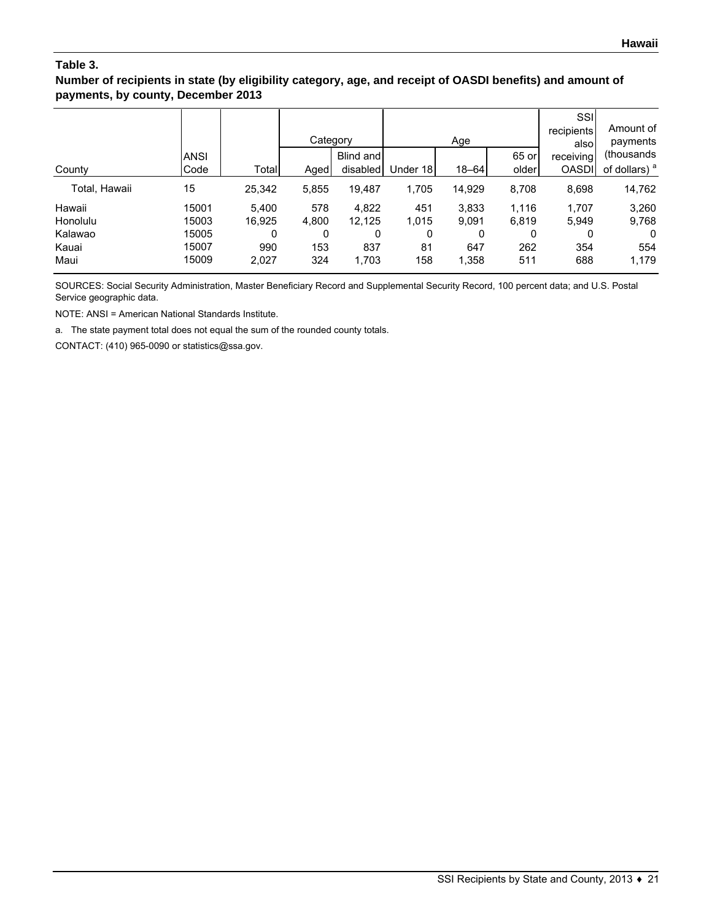#### **Number of recipients in state (by eligibility category, age, and receipt of OASDI benefits) and amount of payments, by county, December 2013**

|                    | <b>ANSI</b>    |                 | Category     | Blind and       |              | Age            | 65 or          | SSI<br>recipients<br>alsol<br>receiving | Amount of<br>payments<br>(thousands) |
|--------------------|----------------|-----------------|--------------|-----------------|--------------|----------------|----------------|-----------------------------------------|--------------------------------------|
| County             | Code           | Total           | Aged         | disabled        | Under 18     | $18 - 64$      | older          | <b>OASDI</b>                            | of dollars) <sup>a</sup>             |
| Total, Hawaii      | 15             | 25,342          | 5,855        | 19,487          | 1,705        | 14,929         | 8,708          | 8,698                                   | 14,762                               |
| Hawaii<br>Honolulu | 15001<br>15003 | 5,400<br>16,925 | 578<br>4,800 | 4,822<br>12,125 | 451<br>1,015 | 3,833<br>9,091 | 1,116<br>6,819 | 1,707<br>5,949                          | 3,260<br>9,768                       |
| Kalawao            | 15005          | 0               | 0            | 0               | 0            | 0              | 0              | 0                                       | 0                                    |
| Kauai<br>Maui      | 15007<br>15009 | 990<br>2,027    | 153<br>324   | 837<br>1,703    | 81<br>158    | 647<br>1,358   | 262<br>511     | 354<br>688                              | 554<br>1,179                         |

SOURCES: Social Security Administration, Master Beneficiary Record and Supplemental Security Record, 100 percent data; and U.S. Postal Service geographic data.

NOTE: ANSI = American National Standards Institute.

a. The state payment total does not equal the sum of the rounded county totals.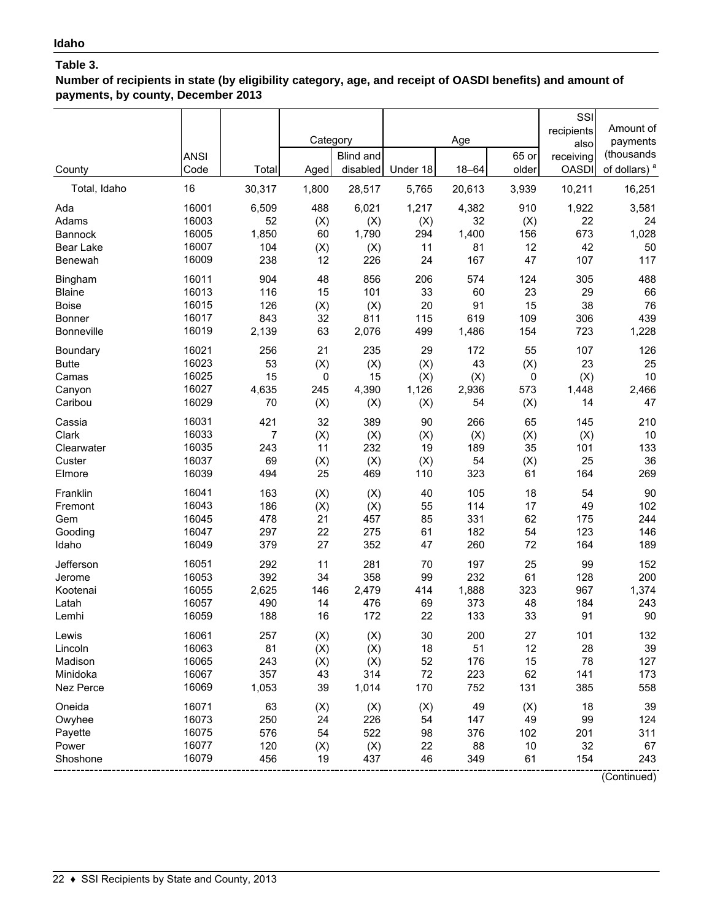**Number of recipients in state (by eligibility category, age, and receipt of OASDI benefits) and amount of payments, by county, December 2013**

|                                                  | <b>ANSI</b>                               |                                | Category                     | Blind and<br>disabled           | Under 18                    | Age<br>$18 - 64$              | 65 or<br>older               | SSI<br>recipients<br>also<br>receiving | Amount of<br>payments<br>(thousands          |
|--------------------------------------------------|-------------------------------------------|--------------------------------|------------------------------|---------------------------------|-----------------------------|-------------------------------|------------------------------|----------------------------------------|----------------------------------------------|
| County<br>Total, Idaho                           | Code<br>16                                | Total<br>30,317                | Aged<br>1,800                | 28,517                          | 5,765                       | 20,613                        | 3,939                        | <b>OASDI</b><br>10,211                 | of dollars) <sup>a</sup><br>16,251           |
| Ada                                              | 16001                                     | 6,509                          | 488                          | 6,021                           | 1,217                       | 4,382                         | 910                          | 1,922                                  | 3,581                                        |
| Adams                                            | 16003                                     | 52                             | (X)                          | (X)                             | (X)                         | 32                            | (X)                          | 22                                     | 24                                           |
| <b>Bannock</b>                                   | 16005                                     | 1,850                          | 60                           | 1,790                           | 294                         | 1,400                         | 156                          | 673                                    | 1,028                                        |
| Bear Lake                                        | 16007                                     | 104                            | (X)                          | (X)                             | 11                          | 81                            | 12                           | 42                                     | 50                                           |
| <b>Benewah</b>                                   | 16009                                     | 238                            | 12                           | 226                             | 24                          | 167                           | 47                           | 107                                    | 117                                          |
| Bingham                                          | 16011                                     | 904                            | 48                           | 856                             | 206                         | 574                           | 124                          | 305                                    | 488                                          |
| <b>Blaine</b>                                    | 16013                                     | 116                            | 15                           | 101                             | 33                          | 60                            | 23                           | 29                                     | 66                                           |
| <b>Boise</b>                                     | 16015                                     | 126                            | (X)                          | (X)                             | 20                          | 91                            | 15                           | 38                                     | 76                                           |
| Bonner                                           | 16017                                     | 843                            | 32                           | 811                             | 115                         | 619                           | 109                          | 306                                    | 439                                          |
| <b>Bonneville</b>                                | 16019                                     | 2,139                          | 63                           | 2,076                           | 499                         | 1,486                         | 154                          | 723                                    | 1,228                                        |
| Boundary                                         | 16021                                     | 256                            | 21                           | 235                             | 29                          | 172                           | 55                           | 107                                    | 126                                          |
| <b>Butte</b>                                     | 16023                                     | 53                             | (X)                          | (X)                             | (X)                         | 43                            | (X)                          | 23                                     | 25                                           |
| Camas                                            | 16025                                     | 15                             | 0                            | 15                              | (X)                         | (X)                           | 0                            | (X)                                    | 10                                           |
| Canyon                                           | 16027                                     | 4,635                          | 245                          | 4,390                           | 1,126                       | 2,936                         | 573                          | 1,448                                  | 2,466                                        |
| Caribou                                          | 16029                                     | 70                             | (X)                          | (X)                             | (X)                         | 54                            | (X)                          | 14                                     | 47                                           |
| Cassia                                           | 16031                                     | 421                            | 32                           | 389                             | 90                          | 266                           | 65                           | 145                                    | 210                                          |
| Clark                                            | 16033                                     | 7                              | (X)                          | (X)                             | (X)                         | (X)                           | (X)                          | (X)                                    | 10                                           |
| Clearwater                                       | 16035                                     | 243                            | 11                           | 232                             | 19                          | 189                           | 35                           | 101                                    | 133                                          |
| Custer                                           | 16037                                     | 69                             | (X)                          | (X)                             | (X)                         | 54                            | (X)                          | 25                                     | 36                                           |
| Elmore                                           | 16039                                     | 494                            | 25                           | 469                             | 110                         | 323                           | 61                           | 164                                    | 269                                          |
| Franklin                                         | 16041                                     | 163                            | (X)                          | (X)                             | 40                          | 105                           | 18                           | 54                                     | 90                                           |
| Fremont                                          | 16043                                     | 186                            | (X)                          | (X)                             | 55                          | 114                           | 17                           | 49                                     | 102                                          |
| Gem                                              | 16045                                     | 478                            | 21                           | 457                             | 85                          | 331                           | 62                           | 175                                    | 244                                          |
| Gooding                                          | 16047                                     | 297                            | 22                           | 275                             | 61                          | 182                           | 54                           | 123                                    | 146                                          |
| Idaho                                            | 16049                                     | 379                            | 27                           | 352                             | 47                          | 260                           | 72                           | 164                                    | 189                                          |
| Jefferson                                        | 16051                                     | 292                            | 11                           | 281                             | 70                          | 197                           | 25                           | 99                                     | 152                                          |
| Jerome                                           | 16053                                     | 392                            | 34                           | 358                             | 99                          | 232                           | 61                           | 128                                    | 200                                          |
| Kootenai                                         | 16055                                     | 2,625                          | 146                          | 2,479                           | 414                         | 1,888                         | 323                          | 967                                    | 1,374                                        |
| Latah                                            | 16057                                     | 490                            | 14                           | 476                             | 69                          | 373                           | 48                           | 184                                    | 243                                          |
| Lemhi                                            | 16059                                     | 188                            | 16                           | 172                             | 22                          | 133                           | 33                           | 91                                     | 90                                           |
| Lewis                                            | 16061                                     | 257                            | (X)                          | (X)                             | 30                          | 200                           | 27                           | 101                                    | 132                                          |
| Lincoln                                          | 16063                                     | 81                             | (X)                          | (X)                             | 18                          | 51                            | 12                           | 28                                     | 39                                           |
| Madison                                          | 16065                                     | 243                            | (X)                          | (X)                             | 52                          | 176                           | 15                           | 78                                     | 127                                          |
| Minidoka                                         | 16067                                     | 357                            | 43                           | 314                             | 72                          | 223                           | 62                           | 141                                    | 173                                          |
| Nez Perce                                        | 16069                                     | 1,053                          | 39                           | 1,014                           | 170                         | 752                           | 131                          | 385                                    | 558                                          |
| Oneida<br>Owyhee<br>Payette<br>Power<br>Shoshone | 16071<br>16073<br>16075<br>16077<br>16079 | 63<br>250<br>576<br>120<br>456 | (X)<br>24<br>54<br>(X)<br>19 | (X)<br>226<br>522<br>(X)<br>437 | (X)<br>54<br>98<br>22<br>46 | 49<br>147<br>376<br>88<br>349 | (X)<br>49<br>102<br>10<br>61 | 18<br>99<br>201<br>32<br>154           | 39<br>124<br>311<br>67<br>243<br>(0.5, 0.00) |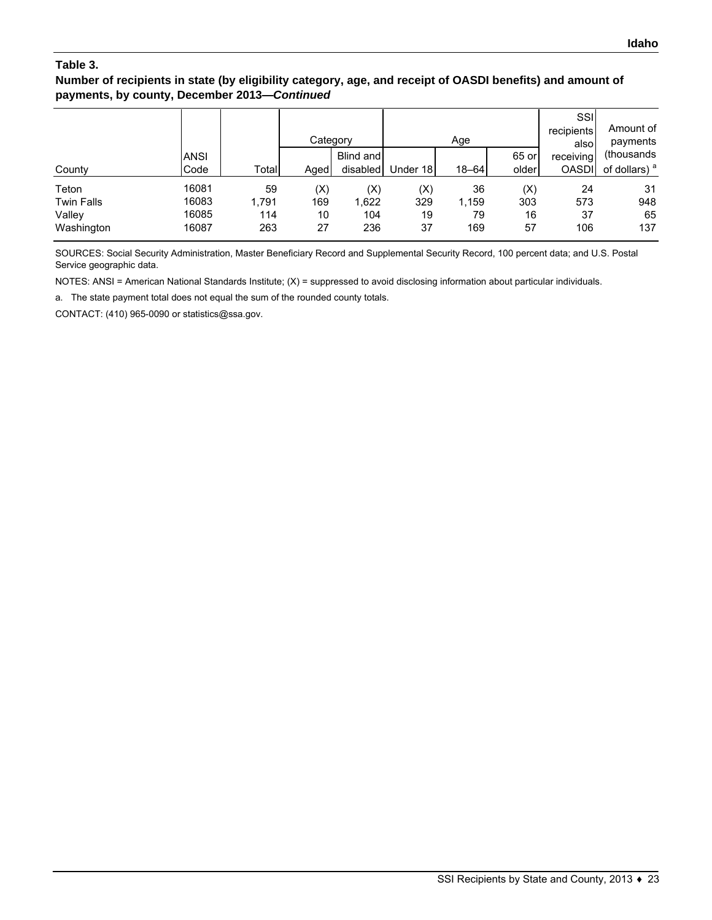#### **Number of recipients in state (by eligibility category, age, and receipt of OASDI benefits) and amount of payments, by county, December 2013—***Continued*

|                   |             |       | Category |           |          | Age       |       | SSI<br>recipients<br>alsol | Amount of<br>payments    |
|-------------------|-------------|-------|----------|-----------|----------|-----------|-------|----------------------------|--------------------------|
|                   | <b>ANSI</b> |       |          | Blind and |          |           | 65 or | receiving                  | (thousands)              |
| County            | Code        | Total | Aged     | disabled  | Under 18 | $18 - 64$ | older | <b>OASDI</b>               | of dollars) <sup>a</sup> |
| Teton             | 16081       | 59    | (X)      | (X)       | (X)      | 36        | (X)   | 24                         | 31                       |
| <b>Twin Falls</b> | 16083       | 1,791 | 169      | 1,622     | 329      | 1,159     | 303   | 573                        | 948                      |
| Vallev            | 16085       | 114   | 10       | 104       | 19       | 79        | 16    | 37                         | 65                       |
| Washington        | 16087       | 263   | 27       | 236       | 37       | 169       | 57    | 106                        | 137                      |

SOURCES: Social Security Administration, Master Beneficiary Record and Supplemental Security Record, 100 percent data; and U.S. Postal Service geographic data.

NOTES: ANSI = American National Standards Institute; (X) = suppressed to avoid disclosing information about particular individuals.

a. The state payment total does not equal the sum of the rounded county totals.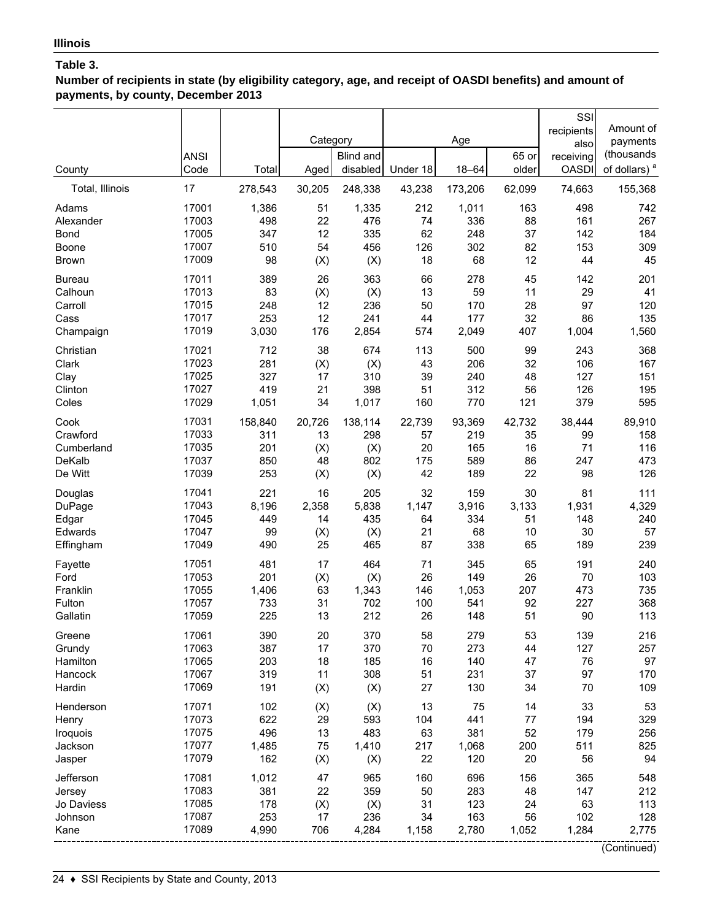**Number of recipients in state (by eligibility category, age, and receipt of OASDI benefits) and amount of payments, by county, December 2013**

| County                                               | <b>ANSI</b><br>Code                       | Total                               | Category<br>Aged             | <b>Blind and</b><br>disabled      | Under 18                       | Age<br>$18 - 64$                  | 65 or<br>older                 | SSI<br>recipients<br>also<br>receiving<br><b>OASDI</b> | Amount of<br>payments<br>(thousands<br>of dollars) <sup>a</sup> |
|------------------------------------------------------|-------------------------------------------|-------------------------------------|------------------------------|-----------------------------------|--------------------------------|-----------------------------------|--------------------------------|--------------------------------------------------------|-----------------------------------------------------------------|
| Total, Illinois                                      | 17                                        | 278,543                             | 30,205                       | 248,338                           | 43,238                         | 173,206                           | 62,099                         | 74,663                                                 | 155,368                                                         |
| Adams                                                | 17001                                     | 1,386                               | 51                           | 1,335                             | 212                            | 1,011                             | 163                            | 498                                                    | 742                                                             |
| Alexander                                            | 17003                                     | 498                                 | 22                           | 476                               | 74                             | 336                               | 88                             | 161                                                    | 267                                                             |
| Bond                                                 | 17005                                     | 347                                 | 12                           | 335                               | 62                             | 248                               | 37                             | 142                                                    | 184                                                             |
| Boone                                                | 17007                                     | 510                                 | 54                           | 456                               | 126                            | 302                               | 82                             | 153                                                    | 309                                                             |
| <b>Brown</b>                                         | 17009                                     | 98                                  | (X)                          | (X)                               | 18                             | 68                                | 12                             | 44                                                     | 45                                                              |
| <b>Bureau</b>                                        | 17011                                     | 389                                 | 26                           | 363                               | 66                             | 278                               | 45                             | 142                                                    | 201                                                             |
| Calhoun                                              | 17013                                     | 83                                  | (X)                          | (X)                               | 13                             | 59                                | 11                             | 29                                                     | 41                                                              |
| Carroll                                              | 17015                                     | 248                                 | 12                           | 236                               | 50                             | 170                               | 28                             | 97                                                     | 120                                                             |
| Cass                                                 | 17017                                     | 253                                 | 12                           | 241                               | 44                             | 177                               | 32                             | 86                                                     | 135                                                             |
| Champaign                                            | 17019                                     | 3,030                               | 176                          | 2,854                             | 574                            | 2,049                             | 407                            | 1,004                                                  | 1,560                                                           |
| Christian                                            | 17021                                     | 712                                 | 38                           | 674                               | 113                            | 500                               | 99                             | 243                                                    | 368                                                             |
| Clark                                                | 17023                                     | 281                                 | (X)                          | (X)                               | 43                             | 206                               | 32                             | 106                                                    | 167                                                             |
| Clay                                                 | 17025                                     | 327                                 | 17                           | 310                               | 39                             | 240                               | 48                             | 127                                                    | 151                                                             |
| Clinton                                              | 17027                                     | 419                                 | 21                           | 398                               | 51                             | 312                               | 56                             | 126                                                    | 195                                                             |
| Coles                                                | 17029                                     | 1,051                               | 34                           | 1,017                             | 160                            | 770                               | 121                            | 379                                                    | 595                                                             |
| Cook                                                 | 17031                                     | 158,840                             | 20,726                       | 138,114                           | 22,739                         | 93,369                            | 42,732                         | 38,444                                                 | 89,910                                                          |
| Crawford                                             | 17033                                     | 311                                 | 13                           | 298                               | 57                             | 219                               | 35                             | 99                                                     | 158                                                             |
| Cumberland                                           | 17035                                     | 201                                 | (X)                          | (X)                               | 20                             | 165                               | 16                             | 71                                                     | 116                                                             |
| DeKalb                                               | 17037                                     | 850                                 | 48                           | 802                               | 175                            | 589                               | 86                             | 247                                                    | 473                                                             |
| De Witt                                              | 17039                                     | 253                                 | (X)                          | (X)                               | 42                             | 189                               | 22                             | 98                                                     | 126                                                             |
| Douglas                                              | 17041                                     | 221                                 | 16                           | 205                               | 32                             | 159                               | 30                             | 81                                                     | 111                                                             |
| DuPage                                               | 17043                                     | 8,196                               | 2,358                        | 5,838                             | 1,147                          | 3,916                             | 3,133                          | 1,931                                                  | 4,329                                                           |
| Edgar                                                | 17045                                     | 449                                 | 14                           | 435                               | 64                             | 334                               | 51                             | 148                                                    | 240                                                             |
| Edwards                                              | 17047                                     | 99                                  | (X)                          | (X)                               | 21                             | 68                                | 10                             | 30                                                     | 57                                                              |
| Effingham                                            | 17049                                     | 490                                 | 25                           | 465                               | 87                             | 338                               | 65                             | 189                                                    | 239                                                             |
| Fayette                                              | 17051                                     | 481                                 | 17                           | 464                               | 71                             | 345                               | 65                             | 191                                                    | 240                                                             |
| Ford                                                 | 17053                                     | 201                                 | (X)                          | (X)                               | 26                             | 149                               | 26                             | 70                                                     | 103                                                             |
| Franklin                                             | 17055                                     | 1,406                               | 63                           | 1,343                             | 146                            | 1,053                             | 207                            | 473                                                    | 735                                                             |
| Fulton                                               | 17057                                     | 733                                 | 31                           | 702                               | 100                            | 541                               | 92                             | 227                                                    | 368                                                             |
| Gallatin                                             | 17059                                     | 225                                 | 13                           | 212                               | 26                             | 148                               | 51                             | 90                                                     | 113                                                             |
| Greene                                               | 17061                                     | 390                                 | 20                           | 370                               | 58                             | 279                               | 53                             | 139                                                    | 216                                                             |
| Grundy                                               | 17063                                     | 387                                 | 17                           | 370                               | 70                             | 273                               | 44                             | 127                                                    | 257                                                             |
| Hamilton                                             | 17065                                     | 203                                 | 18                           | 185                               | 16                             | 140                               | 47                             | 76                                                     | 97                                                              |
| Hancock                                              | 17067                                     | 319                                 | 11                           | 308                               | 51                             | 231                               | 37                             | 97                                                     | 170                                                             |
| Hardin                                               | 17069                                     | 191                                 | (X)                          | (X)                               | 27                             | 130                               | 34                             | $70\,$                                                 | 109                                                             |
| Henderson                                            | 17071                                     | 102                                 | (X)                          | (X)                               | 13                             | 75                                | 14                             | 33                                                     | 53                                                              |
| Henry                                                | 17073                                     | 622                                 | 29                           | 593                               | 104                            | 441                               | 77                             | 194                                                    | 329                                                             |
| Iroquois                                             | 17075                                     | 496                                 | 13                           | 483                               | 63                             | 381                               | 52                             | 179                                                    | 256                                                             |
| Jackson                                              | 17077                                     | 1,485                               | 75                           | 1,410                             | 217                            | 1,068                             | 200                            | 511                                                    | 825                                                             |
| Jasper                                               | 17079                                     | 162                                 | (X)                          | (X)                               | 22                             | 120                               | 20                             | 56                                                     | 94                                                              |
| Jefferson<br>Jersey<br>Jo Daviess<br>Johnson<br>Kane | 17081<br>17083<br>17085<br>17087<br>17089 | 1,012<br>381<br>178<br>253<br>4,990 | 47<br>22<br>(X)<br>17<br>706 | 965<br>359<br>(X)<br>236<br>4,284 | 160<br>50<br>31<br>34<br>1,158 | 696<br>283<br>123<br>163<br>2,780 | 156<br>48<br>24<br>56<br>1,052 | 365<br>147<br>63<br>102<br>1,284                       | 548<br>212<br>113<br>128<br>2,775<br>(Continued)                |

24 ♦ SSI Recipients by State and County, 2013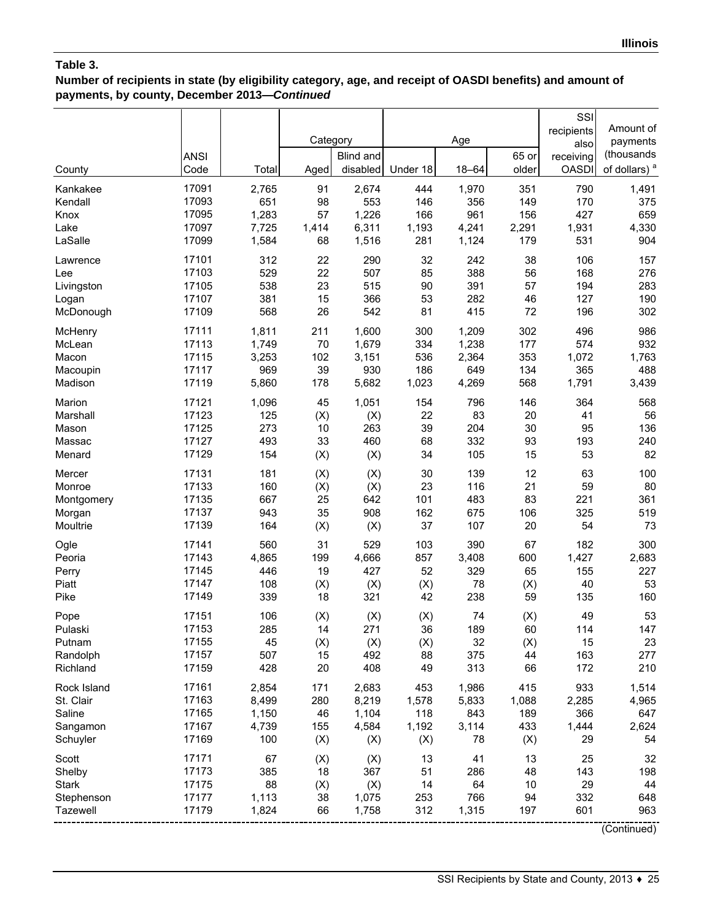## **Number of recipients in state (by eligibility category, age, and receipt of OASDI benefits) and amount of payments, by county, December 2013—***Continued*

| County          | <b>ANSI</b><br>Code | Total | Category<br>Aged | <b>Blind and</b><br>disabled | Under 18  | Age<br>$18 - 64$ | 65 or<br>older | SSI<br>recipients<br>also<br>receiving<br><b>OASDI</b> | Amount of<br>payments<br>(thousands<br>of dollars) <sup>a</sup> |
|-----------------|---------------------|-------|------------------|------------------------------|-----------|------------------|----------------|--------------------------------------------------------|-----------------------------------------------------------------|
|                 |                     |       |                  |                              |           |                  |                |                                                        |                                                                 |
| Kankakee        | 17091               | 2,765 | 91               | 2,674                        | 444       | 1,970            | 351            | 790                                                    | 1,491                                                           |
| Kendall         | 17093               | 651   | 98               | 553                          | 146       | 356              | 149            | 170                                                    | 375                                                             |
| Knox            | 17095               | 1,283 | 57               | 1,226                        | 166       | 961              | 156            | 427                                                    | 659                                                             |
| Lake            | 17097               | 7,725 | 1,414            | 6,311                        | 1,193     | 4,241            | 2,291          | 1,931                                                  | 4,330                                                           |
| LaSalle         | 17099               | 1,584 | 68               | 1,516                        | 281       | 1,124            | 179            | 531                                                    | 904                                                             |
| Lawrence        | 17101               | 312   | 22               | 290                          | 32        | 242              | 38             | 106                                                    | 157                                                             |
| Lee             | 17103               | 529   | 22               | 507                          | 85        | 388              | 56             | 168                                                    | 276                                                             |
| Livingston      | 17105               | 538   | 23               | 515                          | 90        | 391              | 57             | 194                                                    | 283                                                             |
| Logan           | 17107               | 381   | 15               | 366                          | 53        | 282              | 46             | 127                                                    | 190                                                             |
| McDonough       | 17109               | 568   | 26               | 542                          | 81        | 415              | 72             | 196                                                    | 302                                                             |
| McHenry         | 17111               | 1,811 | 211              | 1,600                        | 300       | 1,209            | 302            | 496                                                    | 986                                                             |
| McLean          | 17113               | 1,749 | 70               | 1,679                        | 334       | 1,238            | 177            | 574                                                    | 932                                                             |
| Macon           | 17115               | 3,253 | 102              | 3,151                        | 536       | 2,364            | 353            | 1,072                                                  | 1,763                                                           |
| Macoupin        | 17117               | 969   | 39               | 930                          | 186       | 649              | 134            | 365                                                    | 488                                                             |
| Madison         | 17119               | 5,860 | 178              | 5,682                        | 1,023     | 4,269            | 568            | 1,791                                                  | 3,439                                                           |
|                 |                     |       |                  |                              |           |                  |                |                                                        |                                                                 |
| Marion          | 17121               | 1,096 | 45               | 1,051                        | 154       | 796              | 146            | 364                                                    | 568                                                             |
| Marshall        | 17123               | 125   | (X)              | (X)                          | 22        | 83               | 20             | 41                                                     | 56                                                              |
| Mason           | 17125               | 273   | 10               | 263                          | 39        | 204              | 30             | 95                                                     | 136                                                             |
| Massac          | 17127               | 493   | 33               | 460                          | 68        | 332              | 93             | 193                                                    | 240                                                             |
| Menard          | 17129               | 154   | (X)              | (X)                          | 34        | 105              | 15             | 53                                                     | 82                                                              |
| Mercer          | 17131               | 181   | (X)              | (X)                          | 30        | 139              | 12             | 63                                                     | 100                                                             |
| Monroe          | 17133               | 160   | (X)              | (X)                          | 23        | 116              | 21             | 59                                                     | 80                                                              |
| Montgomery      | 17135               | 667   | 25               | 642                          | 101       | 483              | 83             | 221                                                    | 361                                                             |
| Morgan          | 17137               | 943   | 35               | 908                          | 162       | 675              | 106            | 325                                                    | 519                                                             |
| Moultrie        | 17139               | 164   | (X)              | (X)                          | 37        | 107              | 20             | 54                                                     | 73                                                              |
| Ogle            | 17141               | 560   | 31               | 529                          | 103       | 390              | 67             | 182                                                    | 300                                                             |
| Peoria          | 17143               | 4,865 | 199              | 4,666                        | 857       | 3,408            | 600            | 1,427                                                  | 2,683                                                           |
| Perry           | 17145               | 446   | 19               | 427                          | 52        | 329              | 65             | 155                                                    | 227                                                             |
| Piatt           | 17147               | 108   | (X)              | (X)                          | (X)       | 78               | (X)            | 40                                                     | 53                                                              |
| Pike            | 17149               | 339   | 18               | 321                          | 42        | 238              | 59             | 135                                                    | 160                                                             |
|                 | 17151               | 106   |                  |                              |           | 74               |                | 49                                                     | 53                                                              |
| Pope<br>Pulaski | 17153               | 285   | (X)<br>14        | (X)<br>271                   | (X)<br>36 | 189              | (X)<br>60      | 114                                                    | 147                                                             |
| Putnam          | 17155               | 45    |                  | (X)                          |           | 32               |                | 15                                                     | 23                                                              |
| Randolph        | 17157               | 507   | (X)<br>15        | 492                          | (X)<br>88 | 375              | (X)<br>44      | 163                                                    | 277                                                             |
| Richland        | 17159               | 428   | 20               | 408                          | 49        | 313              | 66             | 172                                                    | 210                                                             |
|                 |                     |       |                  |                              |           |                  |                |                                                        |                                                                 |
| Rock Island     | 17161               | 2,854 | 171              | 2,683                        | 453       | 1,986            | 415            | 933                                                    | 1,514                                                           |
| St. Clair       | 17163               | 8,499 | 280              | 8,219                        | 1,578     | 5,833            | 1,088          | 2,285                                                  | 4,965                                                           |
| Saline          | 17165               | 1,150 | 46               | 1,104                        | 118       | 843              | 189            | 366                                                    | 647                                                             |
| Sangamon        | 17167               | 4,739 | 155              | 4,584                        | 1,192     | 3,114            | 433            | 1,444                                                  | 2,624                                                           |
| Schuyler        | 17169               | 100   | (X)              | (X)                          | (X)       | 78               | (X)            | 29                                                     | 54                                                              |
| Scott           | 17171               | 67    | (X)              | (X)                          | 13        | 41               | 13             | 25                                                     | 32                                                              |
| Shelby          | 17173               | 385   | 18               | 367                          | 51        | 286              | 48             | 143                                                    | 198                                                             |
| <b>Stark</b>    | 17175               | 88    | (X)              | (X)                          | 14        | 64               | 10             | 29                                                     | 44                                                              |
| Stephenson      | 17177               | 1,113 | 38               | 1,075                        | 253       | 766              | 94             | 332                                                    | 648                                                             |
| Tazewell        | 17179               | 1,824 | 66               | 1,758                        | 312       | 1,315            | 197            | 601                                                    | 963                                                             |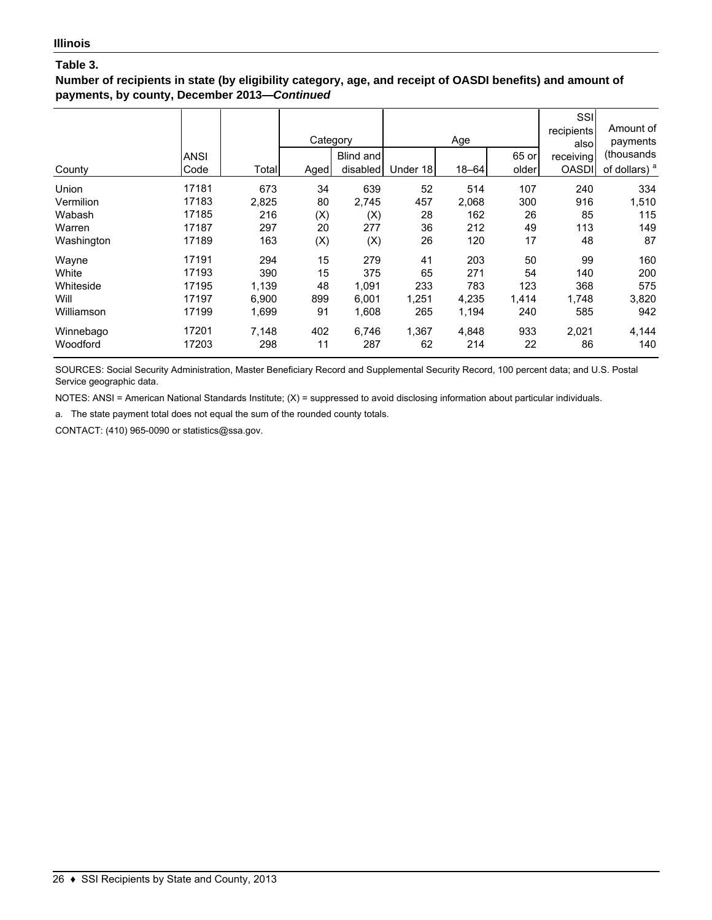#### **Number of recipients in state (by eligibility category, age, and receipt of OASDI benefits) and amount of payments, by county, December 2013—***Continued*

| County       | ANSI<br>Code | Total | Category<br>Aged | Blind and<br>disabled | Under 18 | Age<br>$18 - 64$ | 65 or<br>older | SSI<br>recipients<br>also<br>receiving<br><b>OASDI</b> | Amount of<br>payments<br>(thousands<br>of dollars) <sup>a</sup> |
|--------------|--------------|-------|------------------|-----------------------|----------|------------------|----------------|--------------------------------------------------------|-----------------------------------------------------------------|
| <b>Union</b> | 17181        | 673   | 34               | 639                   | 52       | 514              | 107            | 240                                                    | 334                                                             |
| Vermilion    | 17183        | 2,825 | 80               | 2,745                 | 457      | 2,068            | 300            | 916                                                    | 1,510                                                           |
| Wabash       | 17185        | 216   | (X)              | (X)                   | 28       | 162              | 26             | 85                                                     | 115                                                             |
| Warren       | 17187        | 297   | 20               | 277                   | 36       | 212              | 49             | 113                                                    | 149                                                             |
| Washington   | 17189        | 163   | (X)              | (X)                   | 26       | 120              | 17             | 48                                                     | 87                                                              |
| Wayne        | 17191        | 294   | 15               | 279                   | 41       | 203              | 50             | 99                                                     | 160                                                             |
| White        | 17193        | 390   | 15               | 375                   | 65       | 271              | 54             | 140                                                    | 200                                                             |
| Whiteside    | 17195        | 1,139 | 48               | 1,091                 | 233      | 783              | 123            | 368                                                    | 575                                                             |
| Will         | 17197        | 6,900 | 899              | 6,001                 | 1,251    | 4,235            | 1,414          | 1,748                                                  | 3,820                                                           |
| Williamson   | 17199        | 1,699 | 91               | 1,608                 | 265      | 1,194            | 240            | 585                                                    | 942                                                             |
| Winnebago    | 17201        | 7,148 | 402              | 6,746                 | 1,367    | 4,848            | 933            | 2,021                                                  | 4,144                                                           |
| Woodford     | 17203        | 298   | 11               | 287                   | 62       | 214              | 22             | 86                                                     | 140                                                             |

SOURCES: Social Security Administration, Master Beneficiary Record and Supplemental Security Record, 100 percent data; and U.S. Postal Service geographic data.

NOTES: ANSI = American National Standards Institute; (X) = suppressed to avoid disclosing information about particular individuals.

a. The state payment total does not equal the sum of the rounded county totals.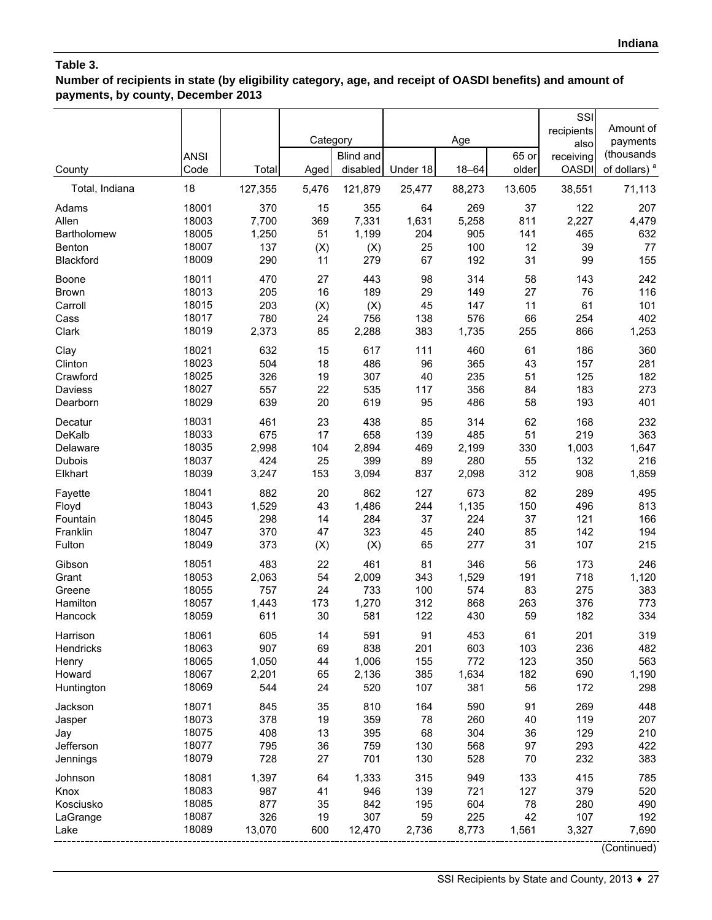**Number of recipients in state (by eligibility category, age, and receipt of OASDI benefits) and amount of payments, by county, December 2013**

| County         | <b>ANSI</b><br>Code | Total   | Category<br>Aged | <b>Blind and</b><br>disabled | Under 18 | Age<br>$18 - 64$ | 65 or<br>older | SSI<br>recipients<br>also<br>receiving<br><b>OASDI</b> | Amount of<br>payments<br>(thousands<br>of dollars) <sup>a</sup> |
|----------------|---------------------|---------|------------------|------------------------------|----------|------------------|----------------|--------------------------------------------------------|-----------------------------------------------------------------|
| Total, Indiana | 18                  | 127,355 | 5,476            | 121,879                      | 25,477   | 88,273           | 13,605         | 38,551                                                 | 71,113                                                          |
| Adams          | 18001               | 370     | 15               | 355                          | 64       | 269              | 37             | 122                                                    | 207                                                             |
| Allen          | 18003               | 7,700   | 369              | 7,331                        | 1,631    | 5,258            | 811            | 2,227                                                  | 4,479                                                           |
| Bartholomew    | 18005               | 1,250   | 51               | 1,199                        | 204      | 905              | 141            | 465                                                    | 632                                                             |
| Benton         | 18007               | 137     | (X)              | (X)                          | 25       | 100              | 12             | 39                                                     | 77                                                              |
| Blackford      | 18009               | 290     | 11               | 279                          | 67       | 192              | 31             | 99                                                     | 155                                                             |
| Boone          | 18011               | 470     | 27               | 443                          | 98       | 314              | 58             | 143                                                    | 242                                                             |
| <b>Brown</b>   | 18013               | 205     | 16               | 189                          | 29       | 149              | 27             | 76                                                     | 116                                                             |
| Carroll        | 18015               | 203     | (X)              | (X)                          | 45       | 147              | 11             | 61                                                     | 101                                                             |
| Cass           | 18017               | 780     | 24               | 756                          | 138      | 576              | 66             | 254                                                    | 402                                                             |
| Clark          | 18019               | 2,373   | 85               | 2,288                        | 383      | 1,735            | 255            | 866                                                    | 1,253                                                           |
| Clay           | 18021               | 632     | 15               | 617                          | 111      | 460              | 61             | 186                                                    | 360                                                             |
| Clinton        | 18023               | 504     | 18               | 486                          | 96       | 365              | 43             | 157                                                    | 281                                                             |
| Crawford       | 18025               | 326     | 19               | 307                          | 40       | 235              | 51             | 125                                                    | 182                                                             |
| Daviess        | 18027               | 557     | 22               | 535                          | 117      | 356              | 84             | 183                                                    | 273                                                             |
| Dearborn       | 18029               | 639     | 20               | 619                          | 95       | 486              | 58             | 193                                                    | 401                                                             |
| Decatur        | 18031               | 461     | 23               | 438                          | 85       | 314              | 62             | 168                                                    | 232                                                             |
| DeKalb         | 18033               | 675     | 17               | 658                          | 139      | 485              | 51             | 219                                                    | 363                                                             |
| Delaware       | 18035               | 2,998   | 104              | 2,894                        | 469      | 2,199            | 330            | 1,003                                                  | 1,647                                                           |
| Dubois         | 18037               | 424     | 25               | 399                          | 89       | 280              | 55             | 132                                                    | 216                                                             |
| Elkhart        | 18039               | 3,247   | 153              | 3,094                        | 837      | 2,098            | 312            | 908                                                    | 1,859                                                           |
| Fayette        | 18041               | 882     | 20               | 862                          | 127      | 673              | 82             | 289                                                    | 495                                                             |
| Floyd          | 18043               | 1,529   | 43               | 1,486                        | 244      | 1,135            | 150            | 496                                                    | 813                                                             |
| Fountain       | 18045               | 298     | 14               | 284                          | 37       | 224              | 37             | 121                                                    | 166                                                             |
| Franklin       | 18047               | 370     | 47               | 323                          | 45       | 240              | 85             | 142                                                    | 194                                                             |
| Fulton         | 18049               | 373     | (X)              | (X)                          | 65       | 277              | 31             | 107                                                    | 215                                                             |
| Gibson         | 18051               | 483     | 22               | 461                          | 81       | 346              | 56             | 173                                                    | 246                                                             |
| Grant          | 18053               | 2,063   | 54               | 2,009                        | 343      | 1,529            | 191            | 718                                                    | 1,120                                                           |
| Greene         | 18055               | 757     | 24               | 733                          | 100      | 574              | 83             | 275                                                    | 383                                                             |
| Hamilton       | 18057               | 1,443   | 173              | 1,270                        | 312      | 868              | 263            | 376                                                    | 773                                                             |
| Hancock        | 18059               | 611     | 30               | 581                          | 122      | 430              | 59             | 182                                                    | 334                                                             |
| Harrison       | 18061               | 605     | 14               | 591                          | 91       | 453              | 61             | 201                                                    | 319                                                             |
| Hendricks      | 18063               | 907     | 69               | 838                          | 201      | 603              | 103            | 236                                                    | 482                                                             |
| Henry          | 18065               | 1,050   | 44               | 1,006                        | 155      | 772              | 123            | 350                                                    | 563                                                             |
| Howard         | 18067               | 2,201   | 65               | 2,136                        | 385      | 1,634            | 182            | 690                                                    | 1,190                                                           |
| Huntington     | 18069               | 544     | 24               | 520                          | 107      | 381              | 56             | 172                                                    | 298                                                             |
| Jackson        | 18071               | 845     | 35               | 810                          | 164      | 590              | 91             | 269                                                    | 448                                                             |
| Jasper         | 18073               | 378     | 19               | 359                          | 78       | 260              | 40             | 119                                                    | 207                                                             |
| Jay            | 18075               | 408     | 13               | 395                          | 68       | 304              | 36             | 129                                                    | 210                                                             |
| Jefferson      | 18077               | 795     | 36               | 759                          | 130      | 568              | 97             | 293                                                    | 422                                                             |
| Jennings       | 18079               | 728     | 27               | 701                          | 130      | 528              | 70             | 232                                                    | 383                                                             |
| Johnson        | 18081               | 1,397   | 64               | 1,333                        | 315      | 949              | 133            | 415                                                    | 785                                                             |
| Knox           | 18083               | 987     | 41               | 946                          | 139      | 721              | 127            | 379                                                    | 520                                                             |
| Kosciusko      | 18085               | 877     | 35               | 842                          | 195      | 604              | 78             | 280                                                    | 490                                                             |
| LaGrange       | 18087               | 326     | 19               | 307                          | 59       | 225              | 42             | 107                                                    | 192                                                             |
| Lake           | 18089               | 13,070  | 600              | 12,470                       | 2,736    | 8,773            | 1,561          | 3,327                                                  | 7,690                                                           |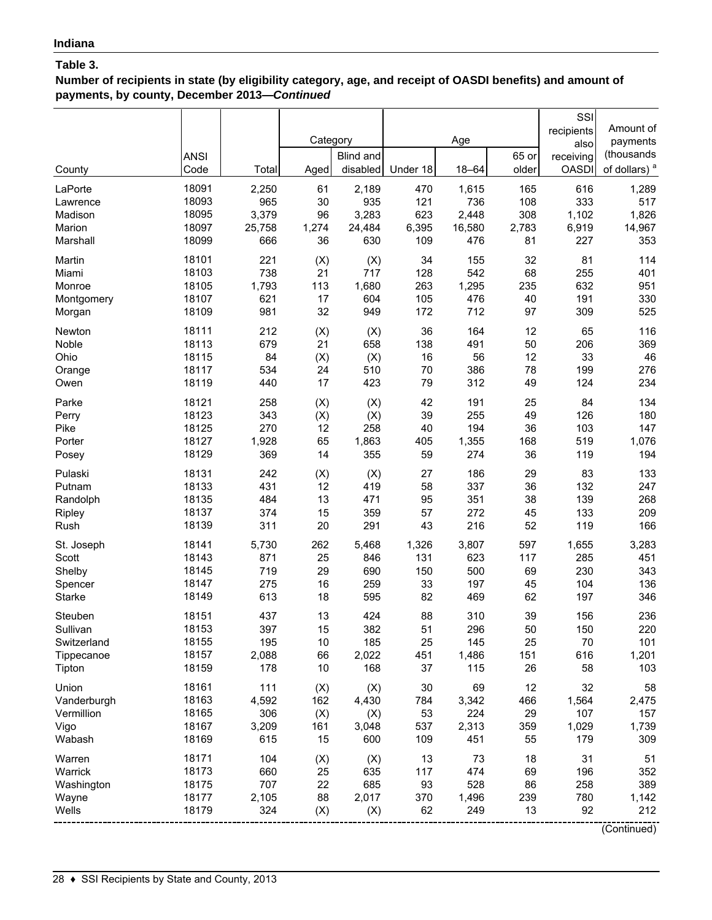**Number of recipients in state (by eligibility category, age, and receipt of OASDI benefits) and amount of payments, by county, December 2013—***Continued*

| County        | <b>ANSI</b><br>Code | Total  | Category<br>Aged | <b>Blind and</b><br>disabled | Under 18 | Age<br>$18 - 64$ | 65 or<br>older | SSI<br>recipients<br>also<br>receiving<br><b>OASDI</b> | Amount of<br>payments<br>(thousands<br>of dollars) <sup>a</sup> |
|---------------|---------------------|--------|------------------|------------------------------|----------|------------------|----------------|--------------------------------------------------------|-----------------------------------------------------------------|
| LaPorte       | 18091               | 2,250  | 61               | 2,189                        | 470      | 1,615            | 165            | 616                                                    | 1,289                                                           |
| Lawrence      | 18093               | 965    | $30\,$           | 935                          | 121      | 736              | 108            | 333                                                    | 517                                                             |
| Madison       | 18095               | 3,379  | 96               | 3,283                        | 623      | 2,448            | 308            | 1,102                                                  | 1,826                                                           |
| Marion        | 18097               | 25,758 | 1,274            | 24,484                       | 6,395    | 16,580           | 2,783          | 6,919                                                  | 14,967                                                          |
| Marshall      | 18099               | 666    | 36               | 630                          | 109      | 476              | 81             | 227                                                    | 353                                                             |
| Martin        | 18101               | 221    | (X)              | (X)                          | 34       | 155              | 32             | 81                                                     | 114                                                             |
| Miami         | 18103               | 738    | 21               | 717                          | 128      | 542              | 68             | 255                                                    | 401                                                             |
| Monroe        | 18105               | 1,793  | 113              | 1,680                        | 263      | 1,295            | 235            | 632                                                    | 951                                                             |
| Montgomery    | 18107               | 621    | 17               | 604                          | 105      | 476              | 40             | 191                                                    | 330                                                             |
| Morgan        | 18109               | 981    | 32               | 949                          | 172      | 712              | 97             | 309                                                    | 525                                                             |
| Newton        | 18111               | 212    | (X)              | (X)                          | 36       | 164              | 12             | 65                                                     | 116                                                             |
| Noble         | 18113               | 679    | 21               | 658                          | 138      | 491              | 50             | 206                                                    | 369                                                             |
| Ohio          | 18115               | 84     | (X)              | (X)                          | 16       | 56               | 12             | 33                                                     | 46                                                              |
| Orange        | 18117               | 534    | 24               | 510                          | 70       | 386              | 78             | 199                                                    | 276                                                             |
| Owen          | 18119               | 440    | 17               | 423                          | 79       | 312              | 49             | 124                                                    | 234                                                             |
| Parke         | 18121               | 258    | (X)              | (X)                          | 42       | 191              | 25             | 84                                                     | 134                                                             |
| Perry         | 18123               | 343    | (X)              | (X)                          | 39       | 255              | 49             | 126                                                    | 180                                                             |
| Pike          | 18125               | 270    | 12               | 258                          | 40       | 194              | 36             | 103                                                    | 147                                                             |
| Porter        | 18127               | 1,928  | 65               | 1,863                        | 405      | 1,355            | 168            | 519                                                    | 1,076                                                           |
| Posey         | 18129               | 369    | 14               | 355                          | 59       | 274              | 36             | 119                                                    | 194                                                             |
| Pulaski       | 18131               | 242    | (X)              | (X)                          | 27       | 186              | 29             | 83                                                     | 133                                                             |
| Putnam        | 18133               | 431    | 12               | 419                          | 58       | 337              | 36             | 132                                                    | 247                                                             |
| Randolph      | 18135               | 484    | 13               | 471                          | 95       | 351              | 38             | 139                                                    | 268                                                             |
| Ripley        | 18137               | 374    | 15               | 359                          | 57       | 272              | 45             | 133                                                    | 209                                                             |
| Rush          | 18139               | 311    | 20               | 291                          | 43       | 216              | 52             | 119                                                    | 166                                                             |
| St. Joseph    | 18141               | 5,730  | 262              | 5,468                        | 1,326    | 3,807            | 597            | 1,655                                                  | 3,283                                                           |
| Scott         | 18143               | 871    | 25               | 846                          | 131      | 623              | 117            | 285                                                    | 451                                                             |
| Shelby        | 18145               | 719    | 29               | 690                          | 150      | 500              | 69             | 230                                                    | 343                                                             |
| Spencer       | 18147               | 275    | 16               | 259                          | 33       | 197              | 45             | 104                                                    | 136                                                             |
| <b>Starke</b> | 18149               | 613    | 18               | 595                          | 82       | 469              | 62             | 197                                                    | 346                                                             |
| Steuben       | 18151               | 437    | 13               | 424                          | 88       | 310              | 39             | 156                                                    | 236                                                             |
| Sullivan      | 18153               | 397    | 15               | 382                          | 51       | 296              | 50             | 150                                                    | 220                                                             |
| Switzerland   | 18155               | 195    | 10               | 185                          | 25       | 145              | 25             | 70                                                     | 101                                                             |
| Tippecanoe    | 18157               | 2,088  | 66               | 2,022                        | 451      | 1,486            | 151            | 616                                                    | 1,201                                                           |
| Tipton        | 18159               | 178    | 10               | 168                          | 37       | 115              | 26             | 58                                                     | 103                                                             |
| Union         | 18161               | 111    | (X)              | (X)                          | 30       | 69               | 12             | 32                                                     | 58                                                              |
| Vanderburgh   | 18163               | 4,592  | 162              | 4,430                        | 784      | 3,342            | 466            | 1,564                                                  | 2,475                                                           |
| Vermillion    | 18165               | 306    | (X)              | (X)                          | 53       | 224              | 29             | 107                                                    | 157                                                             |
| Vigo          | 18167               | 3,209  | 161              | 3,048                        | 537      | 2,313            | 359            | 1,029                                                  | 1,739                                                           |
| Wabash        | 18169               | 615    | 15               | 600                          | 109      | 451              | 55             | 179                                                    | 309                                                             |
| Warren        | 18171               | 104    | (X)              | (X)                          | 13       | 73               | 18             | 31                                                     | 51                                                              |
| Warrick       | 18173               | 660    | 25               | 635                          | 117      | 474              | 69             | 196                                                    | 352                                                             |
| Washington    | 18175               | 707    | 22               | 685                          | 93       | 528              | 86             | 258                                                    | 389                                                             |
| Wayne         | 18177               | 2,105  | 88               | 2,017                        | 370      | 1,496            | 239            | 780                                                    | 1,142                                                           |
| Wells         | 18179               | 324    | (X)              | (X)                          | 62       | 249              | 13             | 92                                                     | 212                                                             |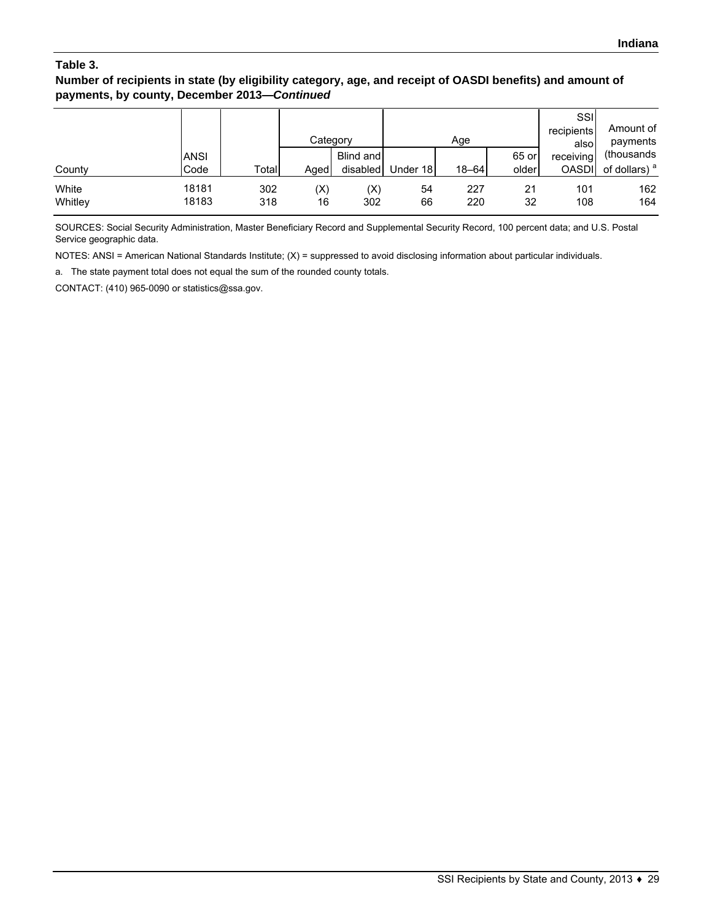**Number of recipients in state (by eligibility category, age, and receipt of OASDI benefits) and amount of payments, by county, December 2013—***Continued*

|                  |                     |            | Category             |                       |          | Age        |                | SSI<br>recipients<br>alsol | Amount of<br>payments                   |
|------------------|---------------------|------------|----------------------|-----------------------|----------|------------|----------------|----------------------------|-----------------------------------------|
| County           | <b>ANSI</b><br>Code | Total      | Aged                 | Blind and<br>disabled | Under 18 | $18 - 64$  | 65 or<br>older | receiving<br><b>OASDI</b>  | (thousands)<br>of dollars) <sup>a</sup> |
| White<br>Whitley | 18181<br>18183      | 302<br>318 | $(\mathsf{X})$<br>16 | (X)<br>302            | 54<br>66 | 227<br>220 | 21<br>32       | 101<br>108                 | 162<br>164                              |

SOURCES: Social Security Administration, Master Beneficiary Record and Supplemental Security Record, 100 percent data; and U.S. Postal Service geographic data.

NOTES: ANSI = American National Standards Institute; (X) = suppressed to avoid disclosing information about particular individuals.

a. The state payment total does not equal the sum of the rounded county totals.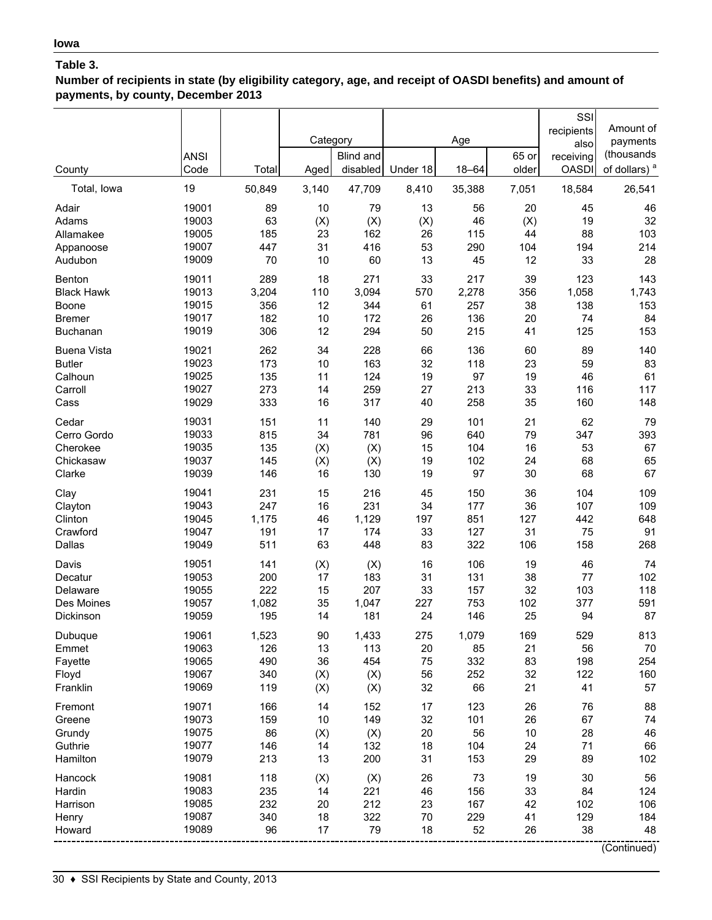**Number of recipients in state (by eligibility category, age, and receipt of OASDI benefits) and amount of payments, by county, December 2013**

| of dollars) <sup>a</sup><br>Code<br>disabled<br>Under 18<br>$18 - 64$<br>older<br><b>OASDI</b><br>County<br>Total<br>Aged<br>19<br>50,849<br>47,709<br>7,051<br>18,584<br>26,541<br>Total, Iowa<br>3,140<br>8,410<br>35,388<br>19001<br>46<br>89<br>10<br>79<br>13<br>56<br>20<br>45<br>Adair<br>32<br>19003<br>63<br>19<br>(X)<br>(X)<br>(X)<br>46<br>(X)<br>Adams<br>19005<br>23<br>162<br>115<br>88<br>103<br>185<br>26<br>44<br>Allamakee<br>19007<br>31<br>416<br>53<br>290<br>194<br>214<br>447<br>104<br>Appanoose<br>19009<br>28<br>70<br>10<br>60<br>13<br>45<br>33<br>Audubon<br>12<br>289<br>18<br>271<br>217<br>123<br>143<br>Benton<br>19011<br>33<br>39<br>19013<br>3,204<br>110<br>3,094<br>570<br>2,278<br>356<br>1,058<br>1,743<br><b>Black Hawk</b><br>19015<br>356<br>12<br>344<br>257<br>138<br>153<br>Boone<br>61<br>38<br>19017<br>182<br>10<br>172<br>136<br>20<br>74<br>84<br>26<br><b>Bremer</b><br>19019<br>306<br>12<br>294<br>50<br>215<br>125<br>153<br>41<br>Buchanan<br>19021<br>262<br>34<br>228<br>136<br>89<br>140<br><b>Buena Vista</b><br>66<br>60<br>19023<br><b>Butler</b><br>173<br>10<br>163<br>32<br>118<br>23<br>59<br>83<br>19025<br>135<br>11<br>124<br>19<br>97<br>19<br>46<br>61<br>Calhoun<br>19027<br>273<br>14<br>259<br>27<br>213<br>33<br>116<br>117<br>Carroll<br>19029<br>333<br>16<br>317<br>40<br>258<br>35<br>160<br>148<br>Cass<br>79<br>19031<br>151<br>11<br>140<br>29<br>101<br>21<br>62<br>Cedar<br>19033<br>79<br>393<br>Cerro Gordo<br>815<br>34<br>781<br>96<br>640<br>347<br>19035<br>135<br>(X)<br>15<br>104<br>16<br>53<br>67<br>Cherokee<br>(X)<br>19037<br>65<br>102<br>68<br>Chickasaw<br>145<br>(X)<br>(X)<br>19<br>24<br>67<br>19039<br>130<br>19<br>97<br>30<br>68<br>Clarke<br>146<br>16<br>19041<br>231<br>15<br>216<br>45<br>150<br>36<br>104<br>109<br>Clay<br>19043<br>16<br>247<br>231<br>34<br>177<br>36<br>107<br>109<br>Clayton<br>1,129<br>19045<br>1,175<br>46<br>197<br>851<br>127<br>442<br>648<br>Clinton<br>174<br>Crawford<br>19047<br>191<br>17<br>33<br>127<br>31<br>75<br>91<br>19049<br>511<br>63<br>448<br>83<br>322<br>158<br>268<br>Dallas<br>106<br>106<br>19<br>46<br>74<br>Davis<br>19051<br>141<br>(X)<br>(X)<br>16<br>19053<br>200<br>17<br>183<br>31<br>131<br>38<br>77<br>102<br>Decatur<br>19055<br>207<br>222<br>15<br>33<br>157<br>32<br>103<br>118<br>Delaware<br>19057<br>1,082<br>35<br>1,047<br>227<br>753<br>102<br>377<br>591<br>Des Moines<br>87<br>19059<br>195<br>181<br>24<br>25<br>94<br>Dickinson<br>14<br>146<br>Dubuque<br>19061<br>1,523<br>90<br>1,433<br>275<br>1,079<br>169<br>529<br>813<br>19063<br>56<br>126<br>13<br>113<br>20<br>85<br>21<br>70<br>Emmet<br>19065<br>490<br>36<br>454<br>75<br>332<br>83<br>198<br>254<br>Fayette<br>19067<br>340<br>56<br>252<br>32<br>122<br>160<br>(X)<br>(X)<br>Floyd<br>19069<br>119<br>32<br>66<br>21<br>41<br>57<br>Franklin<br>(X)<br>(X)<br>19071<br>14<br>152<br>123<br>88<br>166<br>17<br>26<br>76<br>Fremont<br>32<br>19073<br>10<br>149<br>101<br>67<br>74<br>159<br>26<br>Greene<br>19075<br>46<br>86<br>(X)<br>20<br>56<br>10<br>28<br>Grundy<br>(X)<br>19077<br>18<br>104<br>24<br>66<br>Guthrie<br>146<br>14<br>132<br>71<br>19079<br>213<br>13<br>200<br>31<br>153<br>29<br>89<br>102<br>Hamilton<br>19081<br>73<br>19<br>30<br>56<br>118<br>(X)<br>(X)<br>26<br>Hancock<br>19083<br>235<br>221<br>46<br>156<br>33<br>84<br>124<br>Hardin<br>14<br>19085<br>232<br>212<br>167<br>106<br>20<br>23<br>42<br>102<br>Harrison<br>19087<br>340<br>322<br>229<br>18<br>70<br>41<br>129<br>184<br>Henry<br>19089<br>96<br>17<br>79<br>52<br>26<br>38<br>48<br>18<br>Howard<br>(Continued) | <b>ANSI</b> | Category | <b>Blind and</b> | Age | 65 or | SSI<br>recipients<br>also<br>receiving | Amount of<br>payments<br>(thousands |
|-----------------------------------------------------------------------------------------------------------------------------------------------------------------------------------------------------------------------------------------------------------------------------------------------------------------------------------------------------------------------------------------------------------------------------------------------------------------------------------------------------------------------------------------------------------------------------------------------------------------------------------------------------------------------------------------------------------------------------------------------------------------------------------------------------------------------------------------------------------------------------------------------------------------------------------------------------------------------------------------------------------------------------------------------------------------------------------------------------------------------------------------------------------------------------------------------------------------------------------------------------------------------------------------------------------------------------------------------------------------------------------------------------------------------------------------------------------------------------------------------------------------------------------------------------------------------------------------------------------------------------------------------------------------------------------------------------------------------------------------------------------------------------------------------------------------------------------------------------------------------------------------------------------------------------------------------------------------------------------------------------------------------------------------------------------------------------------------------------------------------------------------------------------------------------------------------------------------------------------------------------------------------------------------------------------------------------------------------------------------------------------------------------------------------------------------------------------------------------------------------------------------------------------------------------------------------------------------------------------------------------------------------------------------------------------------------------------------------------------------------------------------------------------------------------------------------------------------------------------------------------------------------------------------------------------------------------------------------------------------------------------------------------------------------------------------------------------------------------------------------------------------------------------------------------------------------------------------------------------------------------------------------------------------------------------------------------------------------------------------------------------------------------------------------------------------------------------------------------------------------------------------------------------------------------------------------------------------------------------------------------------------------------------------------|-------------|----------|------------------|-----|-------|----------------------------------------|-------------------------------------|
|                                                                                                                                                                                                                                                                                                                                                                                                                                                                                                                                                                                                                                                                                                                                                                                                                                                                                                                                                                                                                                                                                                                                                                                                                                                                                                                                                                                                                                                                                                                                                                                                                                                                                                                                                                                                                                                                                                                                                                                                                                                                                                                                                                                                                                                                                                                                                                                                                                                                                                                                                                                                                                                                                                                                                                                                                                                                                                                                                                                                                                                                                                                                                                                                                                                                                                                                                                                                                                                                                                                                                                                                                                                                       |             |          |                  |     |       |                                        |                                     |
|                                                                                                                                                                                                                                                                                                                                                                                                                                                                                                                                                                                                                                                                                                                                                                                                                                                                                                                                                                                                                                                                                                                                                                                                                                                                                                                                                                                                                                                                                                                                                                                                                                                                                                                                                                                                                                                                                                                                                                                                                                                                                                                                                                                                                                                                                                                                                                                                                                                                                                                                                                                                                                                                                                                                                                                                                                                                                                                                                                                                                                                                                                                                                                                                                                                                                                                                                                                                                                                                                                                                                                                                                                                                       |             |          |                  |     |       |                                        |                                     |
|                                                                                                                                                                                                                                                                                                                                                                                                                                                                                                                                                                                                                                                                                                                                                                                                                                                                                                                                                                                                                                                                                                                                                                                                                                                                                                                                                                                                                                                                                                                                                                                                                                                                                                                                                                                                                                                                                                                                                                                                                                                                                                                                                                                                                                                                                                                                                                                                                                                                                                                                                                                                                                                                                                                                                                                                                                                                                                                                                                                                                                                                                                                                                                                                                                                                                                                                                                                                                                                                                                                                                                                                                                                                       |             |          |                  |     |       |                                        |                                     |
|                                                                                                                                                                                                                                                                                                                                                                                                                                                                                                                                                                                                                                                                                                                                                                                                                                                                                                                                                                                                                                                                                                                                                                                                                                                                                                                                                                                                                                                                                                                                                                                                                                                                                                                                                                                                                                                                                                                                                                                                                                                                                                                                                                                                                                                                                                                                                                                                                                                                                                                                                                                                                                                                                                                                                                                                                                                                                                                                                                                                                                                                                                                                                                                                                                                                                                                                                                                                                                                                                                                                                                                                                                                                       |             |          |                  |     |       |                                        |                                     |
|                                                                                                                                                                                                                                                                                                                                                                                                                                                                                                                                                                                                                                                                                                                                                                                                                                                                                                                                                                                                                                                                                                                                                                                                                                                                                                                                                                                                                                                                                                                                                                                                                                                                                                                                                                                                                                                                                                                                                                                                                                                                                                                                                                                                                                                                                                                                                                                                                                                                                                                                                                                                                                                                                                                                                                                                                                                                                                                                                                                                                                                                                                                                                                                                                                                                                                                                                                                                                                                                                                                                                                                                                                                                       |             |          |                  |     |       |                                        |                                     |
|                                                                                                                                                                                                                                                                                                                                                                                                                                                                                                                                                                                                                                                                                                                                                                                                                                                                                                                                                                                                                                                                                                                                                                                                                                                                                                                                                                                                                                                                                                                                                                                                                                                                                                                                                                                                                                                                                                                                                                                                                                                                                                                                                                                                                                                                                                                                                                                                                                                                                                                                                                                                                                                                                                                                                                                                                                                                                                                                                                                                                                                                                                                                                                                                                                                                                                                                                                                                                                                                                                                                                                                                                                                                       |             |          |                  |     |       |                                        |                                     |
|                                                                                                                                                                                                                                                                                                                                                                                                                                                                                                                                                                                                                                                                                                                                                                                                                                                                                                                                                                                                                                                                                                                                                                                                                                                                                                                                                                                                                                                                                                                                                                                                                                                                                                                                                                                                                                                                                                                                                                                                                                                                                                                                                                                                                                                                                                                                                                                                                                                                                                                                                                                                                                                                                                                                                                                                                                                                                                                                                                                                                                                                                                                                                                                                                                                                                                                                                                                                                                                                                                                                                                                                                                                                       |             |          |                  |     |       |                                        |                                     |
|                                                                                                                                                                                                                                                                                                                                                                                                                                                                                                                                                                                                                                                                                                                                                                                                                                                                                                                                                                                                                                                                                                                                                                                                                                                                                                                                                                                                                                                                                                                                                                                                                                                                                                                                                                                                                                                                                                                                                                                                                                                                                                                                                                                                                                                                                                                                                                                                                                                                                                                                                                                                                                                                                                                                                                                                                                                                                                                                                                                                                                                                                                                                                                                                                                                                                                                                                                                                                                                                                                                                                                                                                                                                       |             |          |                  |     |       |                                        |                                     |
|                                                                                                                                                                                                                                                                                                                                                                                                                                                                                                                                                                                                                                                                                                                                                                                                                                                                                                                                                                                                                                                                                                                                                                                                                                                                                                                                                                                                                                                                                                                                                                                                                                                                                                                                                                                                                                                                                                                                                                                                                                                                                                                                                                                                                                                                                                                                                                                                                                                                                                                                                                                                                                                                                                                                                                                                                                                                                                                                                                                                                                                                                                                                                                                                                                                                                                                                                                                                                                                                                                                                                                                                                                                                       |             |          |                  |     |       |                                        |                                     |
|                                                                                                                                                                                                                                                                                                                                                                                                                                                                                                                                                                                                                                                                                                                                                                                                                                                                                                                                                                                                                                                                                                                                                                                                                                                                                                                                                                                                                                                                                                                                                                                                                                                                                                                                                                                                                                                                                                                                                                                                                                                                                                                                                                                                                                                                                                                                                                                                                                                                                                                                                                                                                                                                                                                                                                                                                                                                                                                                                                                                                                                                                                                                                                                                                                                                                                                                                                                                                                                                                                                                                                                                                                                                       |             |          |                  |     |       |                                        |                                     |
|                                                                                                                                                                                                                                                                                                                                                                                                                                                                                                                                                                                                                                                                                                                                                                                                                                                                                                                                                                                                                                                                                                                                                                                                                                                                                                                                                                                                                                                                                                                                                                                                                                                                                                                                                                                                                                                                                                                                                                                                                                                                                                                                                                                                                                                                                                                                                                                                                                                                                                                                                                                                                                                                                                                                                                                                                                                                                                                                                                                                                                                                                                                                                                                                                                                                                                                                                                                                                                                                                                                                                                                                                                                                       |             |          |                  |     |       |                                        |                                     |
|                                                                                                                                                                                                                                                                                                                                                                                                                                                                                                                                                                                                                                                                                                                                                                                                                                                                                                                                                                                                                                                                                                                                                                                                                                                                                                                                                                                                                                                                                                                                                                                                                                                                                                                                                                                                                                                                                                                                                                                                                                                                                                                                                                                                                                                                                                                                                                                                                                                                                                                                                                                                                                                                                                                                                                                                                                                                                                                                                                                                                                                                                                                                                                                                                                                                                                                                                                                                                                                                                                                                                                                                                                                                       |             |          |                  |     |       |                                        |                                     |
|                                                                                                                                                                                                                                                                                                                                                                                                                                                                                                                                                                                                                                                                                                                                                                                                                                                                                                                                                                                                                                                                                                                                                                                                                                                                                                                                                                                                                                                                                                                                                                                                                                                                                                                                                                                                                                                                                                                                                                                                                                                                                                                                                                                                                                                                                                                                                                                                                                                                                                                                                                                                                                                                                                                                                                                                                                                                                                                                                                                                                                                                                                                                                                                                                                                                                                                                                                                                                                                                                                                                                                                                                                                                       |             |          |                  |     |       |                                        |                                     |
|                                                                                                                                                                                                                                                                                                                                                                                                                                                                                                                                                                                                                                                                                                                                                                                                                                                                                                                                                                                                                                                                                                                                                                                                                                                                                                                                                                                                                                                                                                                                                                                                                                                                                                                                                                                                                                                                                                                                                                                                                                                                                                                                                                                                                                                                                                                                                                                                                                                                                                                                                                                                                                                                                                                                                                                                                                                                                                                                                                                                                                                                                                                                                                                                                                                                                                                                                                                                                                                                                                                                                                                                                                                                       |             |          |                  |     |       |                                        |                                     |
|                                                                                                                                                                                                                                                                                                                                                                                                                                                                                                                                                                                                                                                                                                                                                                                                                                                                                                                                                                                                                                                                                                                                                                                                                                                                                                                                                                                                                                                                                                                                                                                                                                                                                                                                                                                                                                                                                                                                                                                                                                                                                                                                                                                                                                                                                                                                                                                                                                                                                                                                                                                                                                                                                                                                                                                                                                                                                                                                                                                                                                                                                                                                                                                                                                                                                                                                                                                                                                                                                                                                                                                                                                                                       |             |          |                  |     |       |                                        |                                     |
|                                                                                                                                                                                                                                                                                                                                                                                                                                                                                                                                                                                                                                                                                                                                                                                                                                                                                                                                                                                                                                                                                                                                                                                                                                                                                                                                                                                                                                                                                                                                                                                                                                                                                                                                                                                                                                                                                                                                                                                                                                                                                                                                                                                                                                                                                                                                                                                                                                                                                                                                                                                                                                                                                                                                                                                                                                                                                                                                                                                                                                                                                                                                                                                                                                                                                                                                                                                                                                                                                                                                                                                                                                                                       |             |          |                  |     |       |                                        |                                     |
|                                                                                                                                                                                                                                                                                                                                                                                                                                                                                                                                                                                                                                                                                                                                                                                                                                                                                                                                                                                                                                                                                                                                                                                                                                                                                                                                                                                                                                                                                                                                                                                                                                                                                                                                                                                                                                                                                                                                                                                                                                                                                                                                                                                                                                                                                                                                                                                                                                                                                                                                                                                                                                                                                                                                                                                                                                                                                                                                                                                                                                                                                                                                                                                                                                                                                                                                                                                                                                                                                                                                                                                                                                                                       |             |          |                  |     |       |                                        |                                     |
|                                                                                                                                                                                                                                                                                                                                                                                                                                                                                                                                                                                                                                                                                                                                                                                                                                                                                                                                                                                                                                                                                                                                                                                                                                                                                                                                                                                                                                                                                                                                                                                                                                                                                                                                                                                                                                                                                                                                                                                                                                                                                                                                                                                                                                                                                                                                                                                                                                                                                                                                                                                                                                                                                                                                                                                                                                                                                                                                                                                                                                                                                                                                                                                                                                                                                                                                                                                                                                                                                                                                                                                                                                                                       |             |          |                  |     |       |                                        |                                     |
|                                                                                                                                                                                                                                                                                                                                                                                                                                                                                                                                                                                                                                                                                                                                                                                                                                                                                                                                                                                                                                                                                                                                                                                                                                                                                                                                                                                                                                                                                                                                                                                                                                                                                                                                                                                                                                                                                                                                                                                                                                                                                                                                                                                                                                                                                                                                                                                                                                                                                                                                                                                                                                                                                                                                                                                                                                                                                                                                                                                                                                                                                                                                                                                                                                                                                                                                                                                                                                                                                                                                                                                                                                                                       |             |          |                  |     |       |                                        |                                     |
|                                                                                                                                                                                                                                                                                                                                                                                                                                                                                                                                                                                                                                                                                                                                                                                                                                                                                                                                                                                                                                                                                                                                                                                                                                                                                                                                                                                                                                                                                                                                                                                                                                                                                                                                                                                                                                                                                                                                                                                                                                                                                                                                                                                                                                                                                                                                                                                                                                                                                                                                                                                                                                                                                                                                                                                                                                                                                                                                                                                                                                                                                                                                                                                                                                                                                                                                                                                                                                                                                                                                                                                                                                                                       |             |          |                  |     |       |                                        |                                     |
|                                                                                                                                                                                                                                                                                                                                                                                                                                                                                                                                                                                                                                                                                                                                                                                                                                                                                                                                                                                                                                                                                                                                                                                                                                                                                                                                                                                                                                                                                                                                                                                                                                                                                                                                                                                                                                                                                                                                                                                                                                                                                                                                                                                                                                                                                                                                                                                                                                                                                                                                                                                                                                                                                                                                                                                                                                                                                                                                                                                                                                                                                                                                                                                                                                                                                                                                                                                                                                                                                                                                                                                                                                                                       |             |          |                  |     |       |                                        |                                     |
|                                                                                                                                                                                                                                                                                                                                                                                                                                                                                                                                                                                                                                                                                                                                                                                                                                                                                                                                                                                                                                                                                                                                                                                                                                                                                                                                                                                                                                                                                                                                                                                                                                                                                                                                                                                                                                                                                                                                                                                                                                                                                                                                                                                                                                                                                                                                                                                                                                                                                                                                                                                                                                                                                                                                                                                                                                                                                                                                                                                                                                                                                                                                                                                                                                                                                                                                                                                                                                                                                                                                                                                                                                                                       |             |          |                  |     |       |                                        |                                     |
|                                                                                                                                                                                                                                                                                                                                                                                                                                                                                                                                                                                                                                                                                                                                                                                                                                                                                                                                                                                                                                                                                                                                                                                                                                                                                                                                                                                                                                                                                                                                                                                                                                                                                                                                                                                                                                                                                                                                                                                                                                                                                                                                                                                                                                                                                                                                                                                                                                                                                                                                                                                                                                                                                                                                                                                                                                                                                                                                                                                                                                                                                                                                                                                                                                                                                                                                                                                                                                                                                                                                                                                                                                                                       |             |          |                  |     |       |                                        |                                     |
|                                                                                                                                                                                                                                                                                                                                                                                                                                                                                                                                                                                                                                                                                                                                                                                                                                                                                                                                                                                                                                                                                                                                                                                                                                                                                                                                                                                                                                                                                                                                                                                                                                                                                                                                                                                                                                                                                                                                                                                                                                                                                                                                                                                                                                                                                                                                                                                                                                                                                                                                                                                                                                                                                                                                                                                                                                                                                                                                                                                                                                                                                                                                                                                                                                                                                                                                                                                                                                                                                                                                                                                                                                                                       |             |          |                  |     |       |                                        |                                     |
|                                                                                                                                                                                                                                                                                                                                                                                                                                                                                                                                                                                                                                                                                                                                                                                                                                                                                                                                                                                                                                                                                                                                                                                                                                                                                                                                                                                                                                                                                                                                                                                                                                                                                                                                                                                                                                                                                                                                                                                                                                                                                                                                                                                                                                                                                                                                                                                                                                                                                                                                                                                                                                                                                                                                                                                                                                                                                                                                                                                                                                                                                                                                                                                                                                                                                                                                                                                                                                                                                                                                                                                                                                                                       |             |          |                  |     |       |                                        |                                     |
|                                                                                                                                                                                                                                                                                                                                                                                                                                                                                                                                                                                                                                                                                                                                                                                                                                                                                                                                                                                                                                                                                                                                                                                                                                                                                                                                                                                                                                                                                                                                                                                                                                                                                                                                                                                                                                                                                                                                                                                                                                                                                                                                                                                                                                                                                                                                                                                                                                                                                                                                                                                                                                                                                                                                                                                                                                                                                                                                                                                                                                                                                                                                                                                                                                                                                                                                                                                                                                                                                                                                                                                                                                                                       |             |          |                  |     |       |                                        |                                     |
|                                                                                                                                                                                                                                                                                                                                                                                                                                                                                                                                                                                                                                                                                                                                                                                                                                                                                                                                                                                                                                                                                                                                                                                                                                                                                                                                                                                                                                                                                                                                                                                                                                                                                                                                                                                                                                                                                                                                                                                                                                                                                                                                                                                                                                                                                                                                                                                                                                                                                                                                                                                                                                                                                                                                                                                                                                                                                                                                                                                                                                                                                                                                                                                                                                                                                                                                                                                                                                                                                                                                                                                                                                                                       |             |          |                  |     |       |                                        |                                     |
|                                                                                                                                                                                                                                                                                                                                                                                                                                                                                                                                                                                                                                                                                                                                                                                                                                                                                                                                                                                                                                                                                                                                                                                                                                                                                                                                                                                                                                                                                                                                                                                                                                                                                                                                                                                                                                                                                                                                                                                                                                                                                                                                                                                                                                                                                                                                                                                                                                                                                                                                                                                                                                                                                                                                                                                                                                                                                                                                                                                                                                                                                                                                                                                                                                                                                                                                                                                                                                                                                                                                                                                                                                                                       |             |          |                  |     |       |                                        |                                     |
|                                                                                                                                                                                                                                                                                                                                                                                                                                                                                                                                                                                                                                                                                                                                                                                                                                                                                                                                                                                                                                                                                                                                                                                                                                                                                                                                                                                                                                                                                                                                                                                                                                                                                                                                                                                                                                                                                                                                                                                                                                                                                                                                                                                                                                                                                                                                                                                                                                                                                                                                                                                                                                                                                                                                                                                                                                                                                                                                                                                                                                                                                                                                                                                                                                                                                                                                                                                                                                                                                                                                                                                                                                                                       |             |          |                  |     |       |                                        |                                     |
|                                                                                                                                                                                                                                                                                                                                                                                                                                                                                                                                                                                                                                                                                                                                                                                                                                                                                                                                                                                                                                                                                                                                                                                                                                                                                                                                                                                                                                                                                                                                                                                                                                                                                                                                                                                                                                                                                                                                                                                                                                                                                                                                                                                                                                                                                                                                                                                                                                                                                                                                                                                                                                                                                                                                                                                                                                                                                                                                                                                                                                                                                                                                                                                                                                                                                                                                                                                                                                                                                                                                                                                                                                                                       |             |          |                  |     |       |                                        |                                     |
|                                                                                                                                                                                                                                                                                                                                                                                                                                                                                                                                                                                                                                                                                                                                                                                                                                                                                                                                                                                                                                                                                                                                                                                                                                                                                                                                                                                                                                                                                                                                                                                                                                                                                                                                                                                                                                                                                                                                                                                                                                                                                                                                                                                                                                                                                                                                                                                                                                                                                                                                                                                                                                                                                                                                                                                                                                                                                                                                                                                                                                                                                                                                                                                                                                                                                                                                                                                                                                                                                                                                                                                                                                                                       |             |          |                  |     |       |                                        |                                     |
|                                                                                                                                                                                                                                                                                                                                                                                                                                                                                                                                                                                                                                                                                                                                                                                                                                                                                                                                                                                                                                                                                                                                                                                                                                                                                                                                                                                                                                                                                                                                                                                                                                                                                                                                                                                                                                                                                                                                                                                                                                                                                                                                                                                                                                                                                                                                                                                                                                                                                                                                                                                                                                                                                                                                                                                                                                                                                                                                                                                                                                                                                                                                                                                                                                                                                                                                                                                                                                                                                                                                                                                                                                                                       |             |          |                  |     |       |                                        |                                     |
|                                                                                                                                                                                                                                                                                                                                                                                                                                                                                                                                                                                                                                                                                                                                                                                                                                                                                                                                                                                                                                                                                                                                                                                                                                                                                                                                                                                                                                                                                                                                                                                                                                                                                                                                                                                                                                                                                                                                                                                                                                                                                                                                                                                                                                                                                                                                                                                                                                                                                                                                                                                                                                                                                                                                                                                                                                                                                                                                                                                                                                                                                                                                                                                                                                                                                                                                                                                                                                                                                                                                                                                                                                                                       |             |          |                  |     |       |                                        |                                     |
|                                                                                                                                                                                                                                                                                                                                                                                                                                                                                                                                                                                                                                                                                                                                                                                                                                                                                                                                                                                                                                                                                                                                                                                                                                                                                                                                                                                                                                                                                                                                                                                                                                                                                                                                                                                                                                                                                                                                                                                                                                                                                                                                                                                                                                                                                                                                                                                                                                                                                                                                                                                                                                                                                                                                                                                                                                                                                                                                                                                                                                                                                                                                                                                                                                                                                                                                                                                                                                                                                                                                                                                                                                                                       |             |          |                  |     |       |                                        |                                     |
|                                                                                                                                                                                                                                                                                                                                                                                                                                                                                                                                                                                                                                                                                                                                                                                                                                                                                                                                                                                                                                                                                                                                                                                                                                                                                                                                                                                                                                                                                                                                                                                                                                                                                                                                                                                                                                                                                                                                                                                                                                                                                                                                                                                                                                                                                                                                                                                                                                                                                                                                                                                                                                                                                                                                                                                                                                                                                                                                                                                                                                                                                                                                                                                                                                                                                                                                                                                                                                                                                                                                                                                                                                                                       |             |          |                  |     |       |                                        |                                     |
|                                                                                                                                                                                                                                                                                                                                                                                                                                                                                                                                                                                                                                                                                                                                                                                                                                                                                                                                                                                                                                                                                                                                                                                                                                                                                                                                                                                                                                                                                                                                                                                                                                                                                                                                                                                                                                                                                                                                                                                                                                                                                                                                                                                                                                                                                                                                                                                                                                                                                                                                                                                                                                                                                                                                                                                                                                                                                                                                                                                                                                                                                                                                                                                                                                                                                                                                                                                                                                                                                                                                                                                                                                                                       |             |          |                  |     |       |                                        |                                     |
|                                                                                                                                                                                                                                                                                                                                                                                                                                                                                                                                                                                                                                                                                                                                                                                                                                                                                                                                                                                                                                                                                                                                                                                                                                                                                                                                                                                                                                                                                                                                                                                                                                                                                                                                                                                                                                                                                                                                                                                                                                                                                                                                                                                                                                                                                                                                                                                                                                                                                                                                                                                                                                                                                                                                                                                                                                                                                                                                                                                                                                                                                                                                                                                                                                                                                                                                                                                                                                                                                                                                                                                                                                                                       |             |          |                  |     |       |                                        |                                     |
|                                                                                                                                                                                                                                                                                                                                                                                                                                                                                                                                                                                                                                                                                                                                                                                                                                                                                                                                                                                                                                                                                                                                                                                                                                                                                                                                                                                                                                                                                                                                                                                                                                                                                                                                                                                                                                                                                                                                                                                                                                                                                                                                                                                                                                                                                                                                                                                                                                                                                                                                                                                                                                                                                                                                                                                                                                                                                                                                                                                                                                                                                                                                                                                                                                                                                                                                                                                                                                                                                                                                                                                                                                                                       |             |          |                  |     |       |                                        |                                     |
|                                                                                                                                                                                                                                                                                                                                                                                                                                                                                                                                                                                                                                                                                                                                                                                                                                                                                                                                                                                                                                                                                                                                                                                                                                                                                                                                                                                                                                                                                                                                                                                                                                                                                                                                                                                                                                                                                                                                                                                                                                                                                                                                                                                                                                                                                                                                                                                                                                                                                                                                                                                                                                                                                                                                                                                                                                                                                                                                                                                                                                                                                                                                                                                                                                                                                                                                                                                                                                                                                                                                                                                                                                                                       |             |          |                  |     |       |                                        |                                     |
|                                                                                                                                                                                                                                                                                                                                                                                                                                                                                                                                                                                                                                                                                                                                                                                                                                                                                                                                                                                                                                                                                                                                                                                                                                                                                                                                                                                                                                                                                                                                                                                                                                                                                                                                                                                                                                                                                                                                                                                                                                                                                                                                                                                                                                                                                                                                                                                                                                                                                                                                                                                                                                                                                                                                                                                                                                                                                                                                                                                                                                                                                                                                                                                                                                                                                                                                                                                                                                                                                                                                                                                                                                                                       |             |          |                  |     |       |                                        |                                     |
|                                                                                                                                                                                                                                                                                                                                                                                                                                                                                                                                                                                                                                                                                                                                                                                                                                                                                                                                                                                                                                                                                                                                                                                                                                                                                                                                                                                                                                                                                                                                                                                                                                                                                                                                                                                                                                                                                                                                                                                                                                                                                                                                                                                                                                                                                                                                                                                                                                                                                                                                                                                                                                                                                                                                                                                                                                                                                                                                                                                                                                                                                                                                                                                                                                                                                                                                                                                                                                                                                                                                                                                                                                                                       |             |          |                  |     |       |                                        |                                     |
|                                                                                                                                                                                                                                                                                                                                                                                                                                                                                                                                                                                                                                                                                                                                                                                                                                                                                                                                                                                                                                                                                                                                                                                                                                                                                                                                                                                                                                                                                                                                                                                                                                                                                                                                                                                                                                                                                                                                                                                                                                                                                                                                                                                                                                                                                                                                                                                                                                                                                                                                                                                                                                                                                                                                                                                                                                                                                                                                                                                                                                                                                                                                                                                                                                                                                                                                                                                                                                                                                                                                                                                                                                                                       |             |          |                  |     |       |                                        |                                     |
|                                                                                                                                                                                                                                                                                                                                                                                                                                                                                                                                                                                                                                                                                                                                                                                                                                                                                                                                                                                                                                                                                                                                                                                                                                                                                                                                                                                                                                                                                                                                                                                                                                                                                                                                                                                                                                                                                                                                                                                                                                                                                                                                                                                                                                                                                                                                                                                                                                                                                                                                                                                                                                                                                                                                                                                                                                                                                                                                                                                                                                                                                                                                                                                                                                                                                                                                                                                                                                                                                                                                                                                                                                                                       |             |          |                  |     |       |                                        |                                     |
|                                                                                                                                                                                                                                                                                                                                                                                                                                                                                                                                                                                                                                                                                                                                                                                                                                                                                                                                                                                                                                                                                                                                                                                                                                                                                                                                                                                                                                                                                                                                                                                                                                                                                                                                                                                                                                                                                                                                                                                                                                                                                                                                                                                                                                                                                                                                                                                                                                                                                                                                                                                                                                                                                                                                                                                                                                                                                                                                                                                                                                                                                                                                                                                                                                                                                                                                                                                                                                                                                                                                                                                                                                                                       |             |          |                  |     |       |                                        |                                     |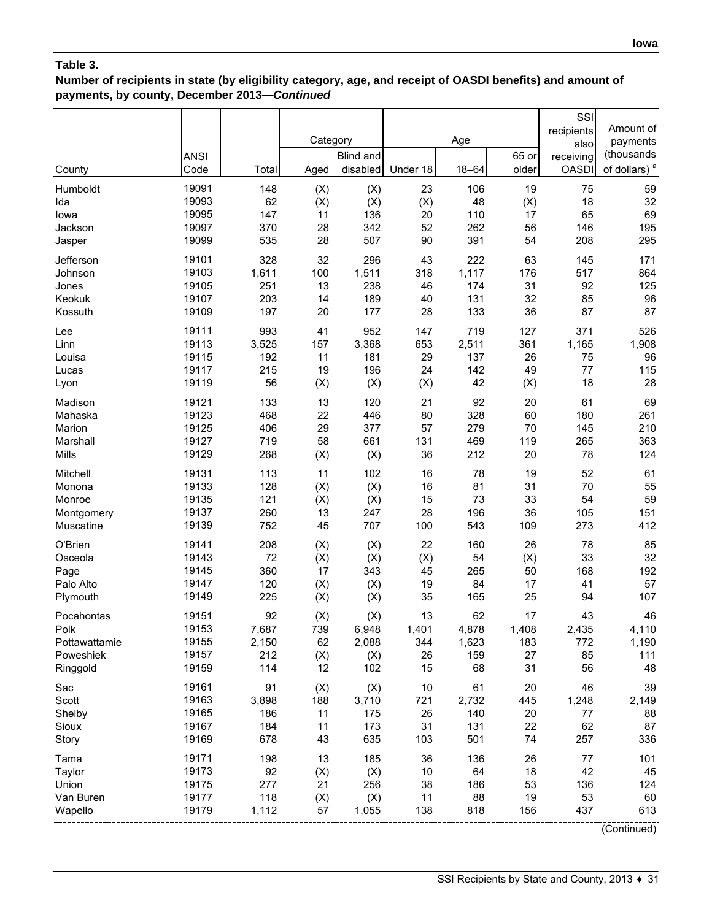## **Number of recipients in state (by eligibility category, age, and receipt of OASDI benefits) and amount of payments, by county, December 2013—***Continued*

|               | <b>ANSI</b> |       | Category | <b>Blind and</b> |          | Age       | 65 or | SSI<br>recipients<br>also<br>receiving | Amount of<br>payments<br>(thousands |
|---------------|-------------|-------|----------|------------------|----------|-----------|-------|----------------------------------------|-------------------------------------|
| County        | Code        | Total | Aged     | disabled         | Under 18 | $18 - 64$ | older | <b>OASDI</b>                           | of dollars) <sup>a</sup>            |
| Humboldt      | 19091       | 148   | (X)      | (X)              | 23       | 106       | 19    | 75                                     | 59                                  |
| Ida           | 19093       | 62    | (X)      | (X)              | (X)      | 48        | (X)   | 18                                     | 32                                  |
| lowa          | 19095       | 147   | 11       | 136              | 20       | 110       | 17    | 65                                     | 69                                  |
| Jackson       | 19097       | 370   | 28       | 342              | 52       | 262       | 56    | 146                                    | 195                                 |
| Jasper        | 19099       | 535   | 28       | 507              | 90       | 391       | 54    | 208                                    | 295                                 |
| Jefferson     | 19101       | 328   | 32       | 296              | 43       | 222       | 63    | 145                                    | 171                                 |
| Johnson       | 19103       | 1,611 | 100      | 1,511            | 318      | 1,117     | 176   | 517                                    | 864                                 |
| Jones         | 19105       | 251   | 13       | 238              | 46       | 174       | 31    | 92                                     | 125                                 |
| Keokuk        | 19107       | 203   | 14       | 189              | 40       | 131       | 32    | 85                                     | 96                                  |
| Kossuth       | 19109       | 197   | 20       | 177              | 28       | 133       | 36    | 87                                     | 87                                  |
| Lee           | 19111       | 993   | 41       | 952              | 147      | 719       | 127   | 371                                    | 526                                 |
| Linn          | 19113       | 3,525 | 157      | 3,368            | 653      | 2,511     | 361   | 1,165                                  | 1,908                               |
| Louisa        | 19115       | 192   | 11       | 181              | 29       | 137       | 26    | 75                                     | 96                                  |
| Lucas         | 19117       | 215   | 19       | 196              | 24       | 142       | 49    | 77                                     | 115                                 |
| Lyon          | 19119       | 56    | (X)      | (X)              | (X)      | 42        | (X)   | 18                                     | 28                                  |
| Madison       | 19121       | 133   | 13       | 120              | 21       | 92        | 20    | 61                                     | 69                                  |
| Mahaska       | 19123       | 468   | 22       | 446              | 80       | 328       | 60    | 180                                    | 261                                 |
| Marion        | 19125       | 406   | 29       | 377              | 57       | 279       | 70    | 145                                    | 210                                 |
| Marshall      | 19127       | 719   | 58       | 661              | 131      | 469       | 119   | 265                                    | 363                                 |
| Mills         | 19129       | 268   | (X)      | (X)              | 36       | 212       | 20    | 78                                     | 124                                 |
| Mitchell      | 19131       | 113   | 11       | 102              | 16       | 78        | 19    | 52                                     | 61                                  |
| Monona        | 19133       | 128   | (X)      | (X)              | 16       | 81        | 31    | 70                                     | 55                                  |
| Monroe        | 19135       | 121   | (X)      | (X)              | 15       | 73        | 33    | 54                                     | 59                                  |
| Montgomery    | 19137       | 260   | 13       | 247              | 28       | 196       | 36    | 105                                    | 151                                 |
| Muscatine     | 19139       | 752   | 45       | 707              | 100      | 543       | 109   | 273                                    | 412                                 |
| O'Brien       | 19141       | 208   | (X)      | (X)              | 22       | 160       | 26    | 78                                     | 85                                  |
| Osceola       | 19143       | 72    | (X)      | (X)              | (X)      | 54        | (X)   | 33                                     | 32                                  |
| Page          | 19145       | 360   | 17       | 343              | 45       | 265       | 50    | 168                                    | 192                                 |
| Palo Alto     | 19147       | 120   | (X)      | (X)              | 19       | 84        | 17    | 41                                     | 57                                  |
| Plymouth      | 19149       | 225   | (X)      | (X)              | 35       | 165       | 25    | 94                                     | 107                                 |
| Pocahontas    | 19151       | 92    | (X)      | (X)              | 13       | 62        | 17    | 43                                     | 46                                  |
| Polk          | 19153       | 7,687 | 739      | 6,948            | 1,401    | 4,878     | 1,408 | 2,435                                  | 4,110                               |
| Pottawattamie | 19155       | 2,150 | 62       | 2,088            | 344      | 1,623     | 183   | 772                                    | 1,190                               |
| Poweshiek     | 19157       | 212   | (X)      | (X)              | 26       | 159       | 27    | 85                                     | 111                                 |
| Ringgold      | 19159       | 114   | 12       | 102              | 15       | 68        | 31    | 56                                     | 48                                  |
| Sac           | 19161       | 91    | (X)      | (X)              | 10       | 61        | 20    | 46                                     | 39                                  |
| Scott         | 19163       | 3,898 | 188      | 3,710            | 721      | 2,732     | 445   | 1,248                                  | 2,149                               |
| Shelby        | 19165       | 186   | 11       | 175              | 26       | 140       | 20    | 77                                     | 88                                  |
| Sioux         | 19167       | 184   | 11       | 173              | 31       | 131       | 22    | 62                                     | 87                                  |
| Story         | 19169       | 678   | 43       | 635              | 103      | 501       | 74    | 257                                    | 336                                 |
| Tama          | 19171       | 198   | 13       | 185              | 36       | 136       | 26    | 77                                     | 101                                 |
| Taylor        | 19173       | 92    | (X)      | (X)              | 10       | 64        | 18    | 42                                     | 45                                  |
| Union         | 19175       | 277   | 21       | 256              | 38       | 186       | 53    | 136                                    | 124                                 |
| Van Buren     | 19177       | 118   | (X)      | (X)              | 11       | 88        | 19    | 53                                     | 60                                  |
| Wapello       | 19179       | 1,112 | 57       | 1,055            | 138      | 818       | 156   | 437                                    | 613                                 |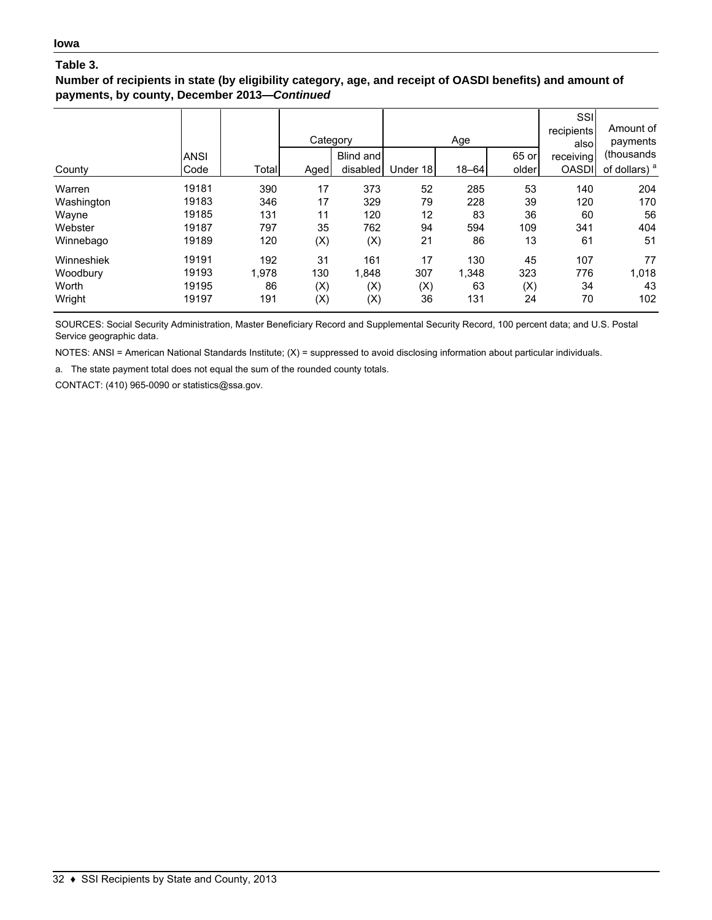### **Number of recipients in state (by eligibility category, age, and receipt of OASDI benefits) and amount of payments, by county, December 2013—***Continued*

| County     | <b>ANSI</b><br>Code | Total | Category<br>Aged | Blind and<br>disabled | Under 18 | Age<br>$18 - 64$ | 65 or<br>older | SSI<br>recipients<br>alsol<br>receiving<br><b>OASDI</b> | Amount of<br>payments<br>(thousands)<br>of dollars) <sup>a</sup> |
|------------|---------------------|-------|------------------|-----------------------|----------|------------------|----------------|---------------------------------------------------------|------------------------------------------------------------------|
| Warren     | 19181               | 390   | 17               | 373                   | 52       | 285              | 53             | 140                                                     | 204                                                              |
| Washington | 19183               | 346   | 17               | 329                   | 79       | 228              | 39             | 120                                                     | 170                                                              |
| Wayne      | 19185               | 131   | 11               | 120                   | 12       | 83               | 36             | 60                                                      | 56                                                               |
| Webster    | 19187               | 797   | 35               | 762                   | 94       | 594              | 109            | 341                                                     | 404                                                              |
| Winnebago  | 19189               | 120   | (X)              | (X)                   | 21       | 86               | 13             | 61                                                      | 51                                                               |
| Winneshiek | 19191               | 192   | 31               | 161                   | 17       | 130              | 45             | 107                                                     | 77                                                               |
| Woodbury   | 19193               | 1,978 | 130              | 1,848                 | 307      | 1,348            | 323            | 776                                                     | 1,018                                                            |
| Worth      | 19195               | 86    | (X)              | (X)                   | (X)      | 63               | (X)            | 34                                                      | 43                                                               |
| Wright     | 19197               | 191   | (X)              | (X)                   | 36       | 131              | 24             | 70                                                      | 102                                                              |

SOURCES: Social Security Administration, Master Beneficiary Record and Supplemental Security Record, 100 percent data; and U.S. Postal Service geographic data.

NOTES: ANSI = American National Standards Institute; (X) = suppressed to avoid disclosing information about particular individuals.

a. The state payment total does not equal the sum of the rounded county totals.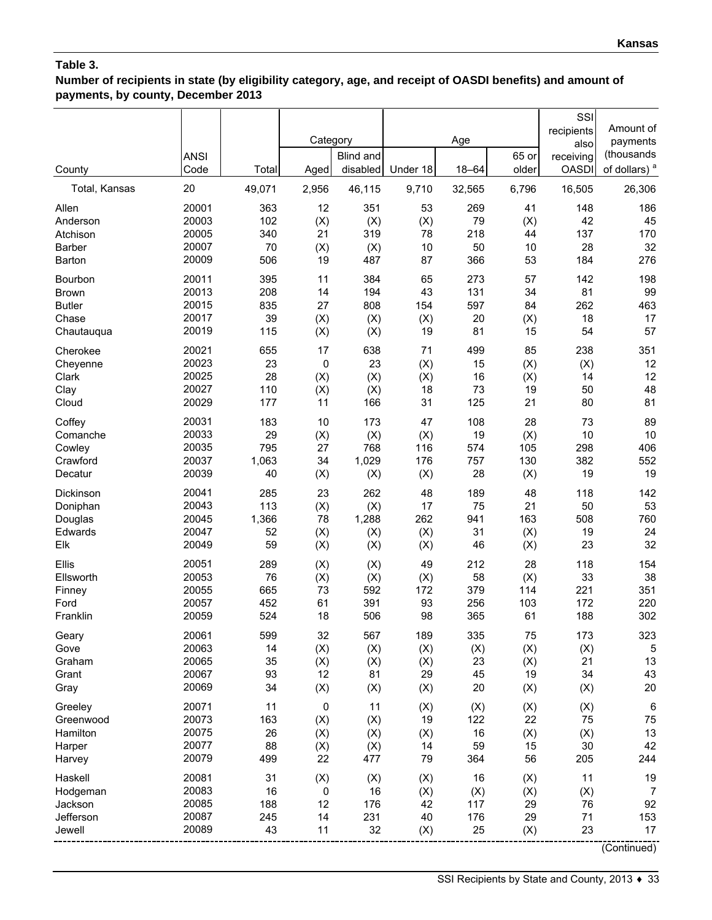**Number of recipients in state (by eligibility category, age, and receipt of OASDI benefits) and amount of payments, by county, December 2013**

|                    | <b>ANSI</b>    |              | Category          | <b>Blind and</b> |           | Age       | 65 or     | SSI<br>recipients<br>also<br>receiving | Amount of<br>payments<br>(thousands |
|--------------------|----------------|--------------|-------------------|------------------|-----------|-----------|-----------|----------------------------------------|-------------------------------------|
| County             | Code           | Total        | Aged              | disabled         | Under 18  | $18 - 64$ | older     | <b>OASDI</b>                           | of dollars) <sup>a</sup>            |
| Total, Kansas      | 20             | 49,071       | 2,956             | 46,115           | 9,710     | 32,565    | 6,796     | 16,505                                 | 26,306                              |
| Allen<br>Anderson  | 20001<br>20003 | 363<br>102   | 12<br>(X)         | 351<br>(X)       | 53<br>(X) | 269<br>79 | 41<br>(X) | 148<br>42                              | 186<br>45                           |
| Atchison           | 20005          | 340          | 21                | 319              | 78        | 218       | 44        | 137                                    | 170                                 |
| Barber             | 20007          | 70           | (X)               | (X)              | 10        | 50        | 10        | 28                                     | 32                                  |
| Barton             | 20009          | 506          | 19                | 487              | 87        | 366       | 53        | 184                                    | 276                                 |
| Bourbon            | 20011          | 395          | 11                | 384              | 65        | 273       | 57        | 142                                    | 198                                 |
| <b>Brown</b>       | 20013          | 208          | 14                | 194              | 43        | 131       | 34        | 81                                     | 99                                  |
| <b>Butler</b>      | 20015          | 835          | 27                | 808              | 154       | 597       | 84        | 262                                    | 463                                 |
| Chase              | 20017          | 39           | (X)               | (X)              | (X)       | 20        | (X)       | 18                                     | 17                                  |
| Chautauqua         | 20019          | 115          | (X)               | (X)              | 19        | 81        | 15        | 54                                     | 57                                  |
| Cherokee           | 20021<br>20023 | 655<br>23    | 17<br>$\mathbf 0$ | 638<br>23        | 71<br>(X) | 499<br>15 | 85<br>(X) | 238                                    | 351<br>12                           |
| Cheyenne<br>Clark  | 20025          | 28           | (X)               | (X)              | (X)       | 16        | (X)       | (X)<br>14                              | 12                                  |
| Clay               | 20027          | 110          | (X)               | (X)              | 18        | 73        | 19        | 50                                     | 48                                  |
| Cloud              | 20029          | 177          | 11                | 166              | 31        | 125       | 21        | 80                                     | 81                                  |
| Coffey             | 20031          | 183          | 10                | 173              | 47        | 108       | 28        | 73                                     | 89                                  |
| Comanche           | 20033          | 29           | (X)               | (X)              | (X)       | 19        | (X)       | 10                                     | 10                                  |
| Cowley             | 20035          | 795          | 27                | 768              | 116       | 574       | 105       | 298                                    | 406                                 |
| Crawford           | 20037          | 1,063        | 34                | 1,029            | 176       | 757       | 130       | 382                                    | 552                                 |
| Decatur            | 20039          | 40           | (X)               | (X)              | (X)       | 28        | (X)       | 19                                     | 19                                  |
| Dickinson          | 20041          | 285          | 23                | 262              | 48        | 189       | 48        | 118                                    | 142                                 |
| Doniphan           | 20043<br>20045 | 113<br>1,366 | (X)<br>78         | (X)<br>1,288     | 17<br>262 | 75<br>941 | 21<br>163 | 50<br>508                              | 53<br>760                           |
| Douglas<br>Edwards | 20047          | 52           | (X)               | (X)              | (X)       | 31        | (X)       | 19                                     | 24                                  |
| Elk                | 20049          | 59           | (X)               | (X)              | (X)       | 46        | (X)       | 23                                     | 32                                  |
| Ellis              | 20051          | 289          | (X)               | (X)              | 49        | 212       | 28        | 118                                    | 154                                 |
| Ellsworth          | 20053          | 76           | (X)               | (X)              | (X)       | 58        | (X)       | 33                                     | 38                                  |
| Finney             | 20055          | 665          | 73                | 592              | 172       | 379       | 114       | 221                                    | 351                                 |
| Ford               | 20057          | 452          | 61                | 391              | 93        | 256       | 103       | 172                                    | 220                                 |
| Franklin           | 20059          | 524          | 18                | 506              | 98        | 365       | 61        | 188                                    | 302                                 |
| Geary              | 20061          | 599          | 32                | 567              | 189       | 335       | 75        | 173                                    | 323                                 |
| Gove               | 20063          | 14           | (X)               | (X)              | (X)       | (X)       | (X)       | (X)                                    | 5                                   |
| Graham             | 20065          | 35           | (X)               | (X)              | (X)       | 23        | (X)       | 21                                     | 13                                  |
| Grant<br>Gray      | 20067<br>20069 | 93<br>34     | 12<br>(X)         | 81<br>(X)        | 29<br>(X) | 45<br>20  | 19<br>(X) | 34<br>(X)                              | 43<br>20                            |
| Greeley            | 20071          | 11           | 0                 | 11               | (X)       | (X)       | (X)       | (X)                                    | 6                                   |
| Greenwood          | 20073          | 163          | (X)               | (X)              | 19        | 122       | 22        | 75                                     | 75                                  |
| Hamilton           | 20075          | 26           | (X)               | (X)              | (X)       | 16        | (X)       | (X)                                    | 13                                  |
| Harper             | 20077          | 88           | (X)               | (X)              | 14        | 59        | 15        | 30                                     | 42                                  |
| Harvey             | 20079          | 499          | 22                | 477              | 79        | 364       | 56        | 205                                    | 244                                 |
| Haskell            | 20081          | 31           | (X)               | (X)              | (X)       | 16        | (X)       | 11                                     | 19                                  |
| Hodgeman           | 20083          | 16           | $\mathbf 0$       | 16               | (X)       | (X)       | (X)       | (X)                                    | 7                                   |
| Jackson            | 20085          | 188          | 12                | 176              | 42        | 117       | 29        | 76                                     | 92                                  |
| Jefferson          | 20087          | 245          | 14                | 231              | 40        | 176       | 29        | 71                                     | 153                                 |
| Jewell             | 20089          | 43           | 11                | 32               | (X)       | 25        | (X)       | 23                                     | 17                                  |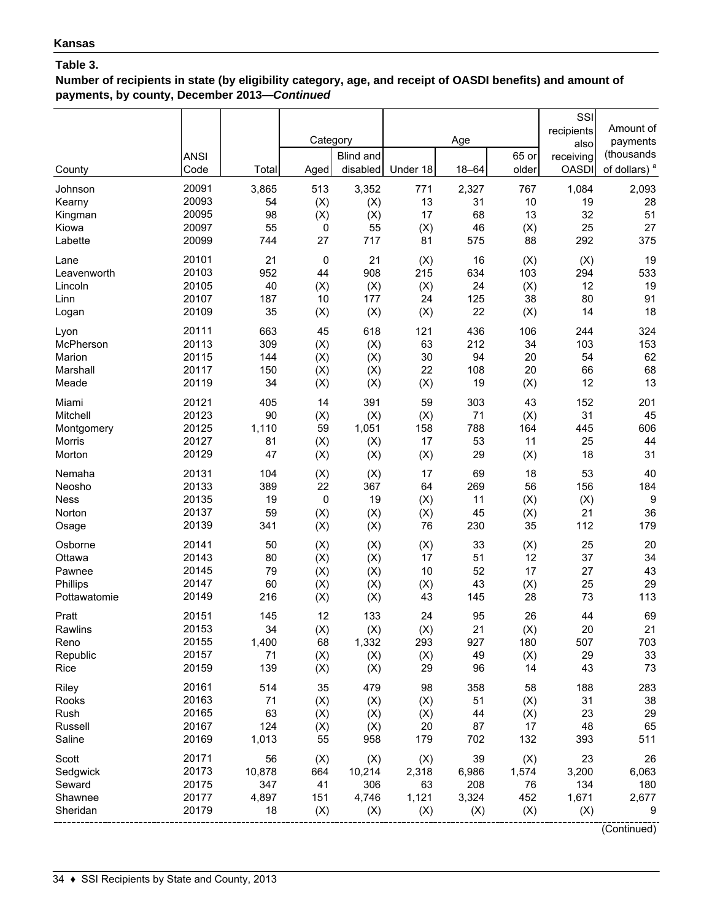**Number of recipients in state (by eligibility category, age, and receipt of OASDI benefits) and amount of payments, by county, December 2013—***Continued*

| County        | <b>ANSI</b><br>Code | Total  | Category<br>Aged | <b>Blind and</b><br>disabled | Under 18 | Age<br>$18 - 64$ | 65 or<br>older | SSI<br>recipients<br>also<br>receiving<br><b>OASDI</b> | Amount of<br>payments<br>(thousands<br>of dollars) <sup>a</sup> |
|---------------|---------------------|--------|------------------|------------------------------|----------|------------------|----------------|--------------------------------------------------------|-----------------------------------------------------------------|
| Johnson       | 20091               | 3,865  | 513              | 3,352                        | 771      | 2,327            | 767            | 1,084                                                  | 2,093                                                           |
| Kearny        | 20093               | 54     | (X)              | (X)                          | 13       | 31               | 10             | 19                                                     | 28                                                              |
| Kingman       | 20095               | 98     | (X)              | (X)                          | 17       | 68               | 13             | 32                                                     | 51                                                              |
| Kiowa         | 20097               | 55     | $\pmb{0}$        | 55                           | (X)      | 46               | (X)            | 25                                                     | 27                                                              |
| Labette       | 20099               | 744    | 27               | 717                          | 81       | 575              | 88             | 292                                                    | 375                                                             |
| Lane          | 20101               | 21     | $\mathbf 0$      | 21                           | (X)      | 16               | (X)            | (X)                                                    | 19                                                              |
| Leavenworth   | 20103               | 952    | 44               | 908                          | 215      | 634              | 103            | 294                                                    | 533                                                             |
| Lincoln       | 20105               | 40     | (X)              | (X)                          | (X)      | 24               | (X)            | 12                                                     | 19                                                              |
| Linn          | 20107               | 187    | 10               | 177                          | 24       | 125              | 38             | 80                                                     | 91                                                              |
| Logan         | 20109               | 35     | (X)              | (X)                          | (X)      | 22               | (X)            | 14                                                     | 18                                                              |
| Lyon          | 20111               | 663    | 45               | 618                          | 121      | 436              | 106            | 244                                                    | 324                                                             |
| McPherson     | 20113               | 309    | (X)              | (X)                          | 63       | 212              | 34             | 103                                                    | 153                                                             |
| Marion        | 20115               | 144    | (X)              | (X)                          | 30       | 94               | 20             | 54                                                     | 62                                                              |
| Marshall      | 20117               | 150    | (X)              | (X)                          | 22       | 108              | 20             | 66                                                     | 68                                                              |
| Meade         | 20119               | 34     | (X)              | (X)                          | (X)      | 19               | (X)            | 12                                                     | 13                                                              |
| Miami         | 20121               | 405    | 14               | 391                          | 59       | 303              | 43             | 152                                                    | 201                                                             |
| Mitchell      | 20123               | 90     | (X)              | (X)                          | (X)      | 71               | (X)            | 31                                                     | 45                                                              |
| Montgomery    | 20125               | 1,110  | 59               | 1,051                        | 158      | 788              | 164            | 445                                                    | 606                                                             |
| <b>Morris</b> | 20127               | 81     | (X)              | (X)                          | 17       | 53               | 11             | 25                                                     | 44                                                              |
| Morton        | 20129               | 47     | (X)              | (X)                          | (X)      | 29               | (X)            | 18                                                     | 31                                                              |
| Nemaha        | 20131               | 104    | (X)              | (X)                          | 17       | 69               | 18             | 53                                                     | 40                                                              |
| Neosho        | 20133               | 389    | 22               | 367                          | 64       | 269              | 56             | 156                                                    | 184                                                             |
| <b>Ness</b>   | 20135               | 19     | 0                | 19                           | (X)      | 11               | (X)            | (X)                                                    | 9                                                               |
| Norton        | 20137               | 59     | (X)              | (X)                          | (X)      | 45               | (X)            | 21                                                     | 36                                                              |
| Osage         | 20139               | 341    | (X)              | (X)                          | 76       | 230              | 35             | 112                                                    | 179                                                             |
| Osborne       | 20141               | 50     | (X)              | (X)                          | (X)      | 33               | (X)            | 25                                                     | 20                                                              |
| Ottawa        | 20143               | 80     | (X)              | (X)                          | 17       | 51               | 12             | 37                                                     | 34                                                              |
| Pawnee        | 20145               | 79     | (X)              | (X)                          | 10       | 52               | 17             | 27                                                     | 43                                                              |
| Phillips      | 20147               | 60     | (X)              | (X)                          | (X)      | 43               | (X)            | 25                                                     | 29                                                              |
| Pottawatomie  | 20149               | 216    | (X)              | (X)                          | 43       | 145              | 28             | 73                                                     | 113                                                             |
| Pratt         | 20151               | 145    | 12               | 133                          | 24       | 95               | 26             | 44                                                     | 69                                                              |
| Rawlins       | 20153               | 34     | (X)              | $(\mathsf{X})$               | (X)      | 21               | (X)            | 20                                                     | 21                                                              |
| Reno          | 20155               | 1,400  | 68               | 1,332                        | 293      | 927              | 180            | 507                                                    | 703                                                             |
| Republic      | 20157               | 71     | (X)              | (X)                          | (X)      | 49               | (X)            | 29                                                     | 33                                                              |
| Rice          | 20159               | 139    | (X)              | (X)                          | 29       | 96               | 14             | 43                                                     | 73                                                              |
| Riley         | 20161               | 514    | 35               | 479                          | 98       | 358              | 58             | 188                                                    | 283                                                             |
| Rooks         | 20163               | 71     | (X)              | (X)                          | (X)      | 51               | (X)            | 31                                                     | 38                                                              |
| Rush          | 20165               | 63     | (X)              | (X)                          | (X)      | 44               | (X)            | 23                                                     | 29                                                              |
| Russell       | 20167               | 124    | (X)              | (X)                          | 20       | 87               | 17             | 48                                                     | 65                                                              |
| Saline        | 20169               | 1,013  | 55               | 958                          | 179      | 702              | 132            | 393                                                    | 511                                                             |
| Scott         | 20171               | 56     | (X)              | (X)                          | (X)      | 39               | (X)            | 23                                                     | 26                                                              |
| Sedgwick      | 20173               | 10,878 | 664              | 10,214                       | 2,318    | 6,986            | 1,574          | 3,200                                                  | 6,063                                                           |
| Seward        | 20175               | 347    | 41               | 306                          | 63       | 208              | 76             | 134                                                    | 180                                                             |
| Shawnee       | 20177               | 4,897  | 151              | 4,746                        | 1,121    | 3,324            | 452            | 1,671                                                  | 2,677                                                           |
| Sheridan      | 20179               | 18     | (X)              | (X)                          | (X)      | (X)              | (X)            | (X)                                                    | 9                                                               |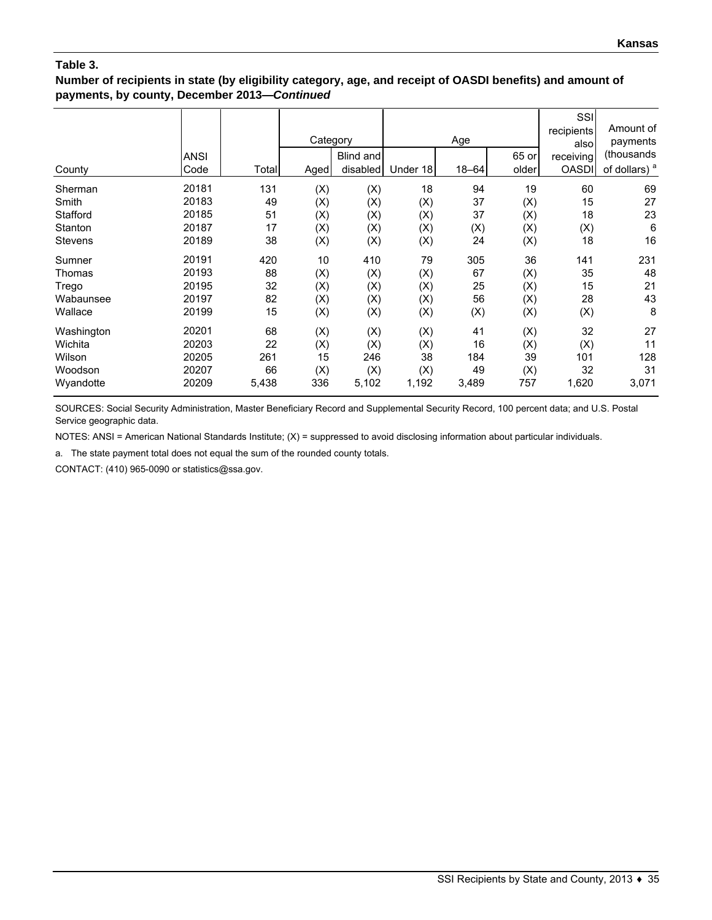### **Number of recipients in state (by eligibility category, age, and receipt of OASDI benefits) and amount of payments, by county, December 2013—***Continued*

|                | <b>ANSI</b> |       | Category | Blind and |          | Age       | 65 or | SSI<br>recipients<br>also<br>receiving | Amount of<br>payments<br>(thousands |
|----------------|-------------|-------|----------|-----------|----------|-----------|-------|----------------------------------------|-------------------------------------|
| County         | Code        | Total | Aged     | disabled  | Under 18 | $18 - 64$ | older | <b>OASDI</b>                           | of dollars) <sup>a</sup>            |
| Sherman        | 20181       | 131   | (X)      | (X)       | 18       | 94        | 19    | 60                                     | 69                                  |
| Smith          | 20183       | 49    | (X)      | (X)       | (X)      | 37        | (X)   | 15                                     | 27                                  |
| Stafford       | 20185       | 51    | (X)      | (X)       | (X)      | 37        | (X)   | 18                                     | 23                                  |
| Stanton        | 20187       | 17    | (X)      | (X)       | (X)      | (X)       | (X)   | (X)                                    | 6                                   |
| <b>Stevens</b> | 20189       | 38    | (X)      | (X)       | (X)      | 24        | (X)   | 18                                     | 16                                  |
| Sumner         | 20191       | 420   | 10       | 410       | 79       | 305       | 36    | 141                                    | 231                                 |
| Thomas         | 20193       | 88    | (X)      | (X)       | (X)      | 67        | (X)   | 35                                     | 48                                  |
| Trego          | 20195       | 32    | (X)      | (X)       | (X)      | 25        | (X)   | 15                                     | 21                                  |
| Wabaunsee      | 20197       | 82    | (X)      | (X)       | (X)      | 56        | (X)   | 28                                     | 43                                  |
| Wallace        | 20199       | 15    | (X)      | (X)       | (X)      | (X)       | (X)   | (X)                                    | 8                                   |
| Washington     | 20201       | 68    | (X)      | (X)       | (X)      | 41        | (X)   | 32                                     | 27                                  |
| Wichita        | 20203       | 22    | (X)      | (X)       | (X)      | 16        | (X)   | (X)                                    | 11                                  |
| Wilson         | 20205       | 261   | 15       | 246       | 38       | 184       | 39    | 101                                    | 128                                 |
| Woodson        | 20207       | 66    | (X)      | (X)       | (X)      | 49        | (X)   | 32                                     | 31                                  |
| Wyandotte      | 20209       | 5,438 | 336      | 5,102     | 1,192    | 3,489     | 757   | 1,620                                  | 3,071                               |

SOURCES: Social Security Administration, Master Beneficiary Record and Supplemental Security Record, 100 percent data; and U.S. Postal Service geographic data.

NOTES: ANSI = American National Standards Institute; (X) = suppressed to avoid disclosing information about particular individuals.

a. The state payment total does not equal the sum of the rounded county totals.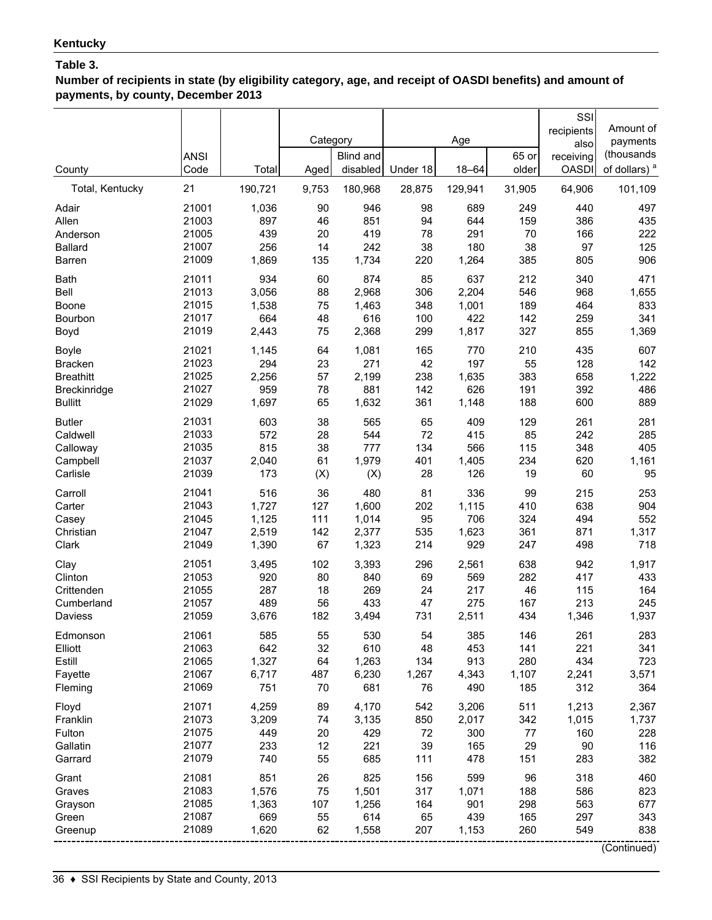**Number of recipients in state (by eligibility category, age, and receipt of OASDI benefits) and amount of payments, by county, December 2013**

|                                | <b>ANSI</b>    |              | Category  | <b>Blind and</b> |            | Age          | 65 or      | SSI<br>recipients<br>also<br>receiving | Amount of<br>payments<br>(thousands |
|--------------------------------|----------------|--------------|-----------|------------------|------------|--------------|------------|----------------------------------------|-------------------------------------|
| County                         | Code           | Total        | Aged      | disabled         | Under 18   | $18 - 64$    | older      | <b>OASDI</b>                           | of dollars) <sup>a</sup>            |
| Total, Kentucky                | 21             | 190,721      | 9,753     | 180,968          | 28,875     | 129,941      | 31,905     | 64,906                                 | 101,109                             |
| Adair<br>Allen                 | 21001<br>21003 | 1,036<br>897 | 90<br>46  | 946<br>851       | 98<br>94   | 689<br>644   | 249<br>159 | 440<br>386                             | 497<br>435                          |
| Anderson                       | 21005          | 439          | 20        | 419              | 78         | 291          | 70         | 166                                    | 222                                 |
| <b>Ballard</b>                 | 21007          | 256          | 14        | 242              | 38         | 180          | 38         | 97                                     | 125                                 |
| Barren                         | 21009          | 1,869        | 135       | 1,734            | 220        | 1,264        | 385        | 805                                    | 906                                 |
| <b>Bath</b>                    | 21011          | 934          | 60        | 874              | 85         | 637          | 212        | 340                                    | 471                                 |
| Bell                           | 21013          | 3,056        | 88        | 2,968            | 306        | 2,204        | 546        | 968                                    | 1,655                               |
| Boone                          | 21015          | 1,538        | 75        | 1,463            | 348        | 1,001        | 189        | 464                                    | 833                                 |
| Bourbon                        | 21017          | 664          | 48        | 616              | 100        | 422          | 142        | 259                                    | 341                                 |
| Boyd                           | 21019          | 2,443        | 75        | 2,368            | 299        | 1,817        | 327        | 855                                    | 1,369                               |
| Boyle                          | 21021          | 1,145        | 64        | 1,081            | 165        | 770          | 210        | 435                                    | 607                                 |
| <b>Bracken</b>                 | 21023          | 294          | 23        | 271              | 42         | 197          | 55         | 128                                    | 142                                 |
| <b>Breathitt</b>               | 21025<br>21027 | 2,256        | 57        | 2,199            | 238        | 1,635        | 383        | 658                                    | 1,222                               |
| Breckinridge<br><b>Bullitt</b> | 21029          | 959<br>1,697 | 78<br>65  | 881<br>1,632     | 142<br>361 | 626<br>1,148 | 191<br>188 | 392<br>600                             | 486<br>889                          |
| <b>Butler</b>                  | 21031          | 603          | 38        | 565              | 65         | 409          | 129        | 261                                    | 281                                 |
| Caldwell                       | 21033          | 572          | 28        | 544              | 72         | 415          | 85         | 242                                    | 285                                 |
| Calloway                       | 21035          | 815          | 38        | 777              | 134        | 566          | 115        | 348                                    | 405                                 |
| Campbell                       | 21037          | 2,040        | 61        | 1,979            | 401        | 1,405        | 234        | 620                                    | 1,161                               |
| Carlisle                       | 21039          | 173          | (X)       | (X)              | 28         | 126          | 19         | 60                                     | 95                                  |
| Carroll                        | 21041          | 516          | 36        | 480              | 81         | 336          | 99         | 215                                    | 253                                 |
| Carter                         | 21043          | 1,727        | 127       | 1,600            | 202        | 1,115        | 410        | 638                                    | 904                                 |
| Casey                          | 21045          | 1,125        | 111       | 1,014            | 95         | 706          | 324        | 494                                    | 552                                 |
| Christian                      | 21047          | 2,519        | 142       | 2,377            | 535        | 1,623        | 361        | 871                                    | 1,317                               |
| Clark                          | 21049          | 1,390        | 67        | 1,323            | 214        | 929          | 247        | 498                                    | 718                                 |
| Clay                           | 21051          | 3,495        | 102       | 3,393            | 296        | 2,561        | 638        | 942                                    | 1,917                               |
| Clinton                        | 21053          | 920          | 80        | 840              | 69         | 569          | 282        | 417                                    | 433                                 |
| Crittenden                     | 21055          | 287          | 18        | 269              | 24         | 217          | 46         | 115                                    | 164                                 |
| Cumberland<br>Daviess          | 21057<br>21059 | 489<br>3,676 | 56<br>182 | 433<br>3,494     | 47<br>731  | 275<br>2,511 | 167<br>434 | 213<br>1,346                           | 245<br>1,937                        |
| Edmonson                       | 21061          | 585          | 55        | 530              | 54         | 385          | 146        | 261                                    | 283                                 |
| Elliott                        | 21063          | 642          | 32        | 610              | 48         | 453          | 141        | 221                                    | 341                                 |
| Estill                         | 21065          | 1,327        | 64        | 1,263            | 134        | 913          | 280        | 434                                    | 723                                 |
| Fayette                        | 21067          | 6,717        | 487       | 6,230            | 1,267      | 4,343        | 1,107      | 2,241                                  | 3,571                               |
| Fleming                        | 21069          | 751          | $70\,$    | 681              | 76         | 490          | 185        | 312                                    | 364                                 |
| Floyd                          | 21071          | 4,259        | 89        | 4,170            | 542        | 3,206        | 511        | 1,213                                  | 2,367                               |
| Franklin                       | 21073          | 3,209        | 74        | 3,135            | 850        | 2,017        | 342        | 1,015                                  | 1,737                               |
| Fulton                         | 21075          | 449          | 20        | 429              | 72         | 300          | 77         | 160                                    | 228                                 |
| Gallatin                       | 21077          | 233          | 12        | 221              | 39         | 165          | 29         | 90                                     | 116                                 |
| Garrard                        | 21079          | 740          | 55        | 685              | 111        | 478          | 151        | 283                                    | 382                                 |
| Grant                          | 21081          | 851          | 26        | 825              | 156        | 599          | 96         | 318                                    | 460                                 |
| Graves                         | 21083          | 1,576        | 75        | 1,501            | 317        | 1,071        | 188        | 586                                    | 823                                 |
| Grayson                        | 21085          | 1,363        | 107       | 1,256            | 164        | 901          | 298        | 563                                    | 677                                 |
| Green<br>Greenup               | 21087<br>21089 | 669<br>1,620 | 55<br>62  | 614<br>1,558     | 65<br>207  | 439<br>1,153 | 165<br>260 | 297<br>549                             | 343<br>838                          |
|                                |                |              |           |                  |            |              |            |                                        | (Continued)                         |
|                                |                |              |           |                  |            |              |            |                                        |                                     |

36 ♦ SSI Recipients by State and County, 2013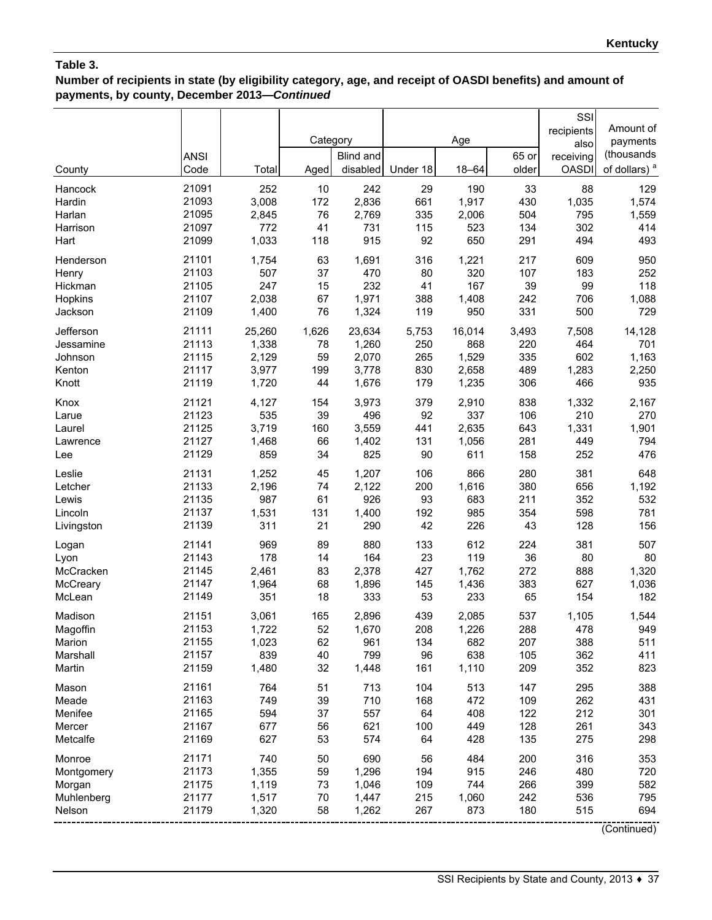# **Number of recipients in state (by eligibility category, age, and receipt of OASDI benefits) and amount of payments, by county, December 2013—***Continued*

|            | <b>ANSI</b> |        | Category | <b>Blind and</b> |          | Age       | 65 or | SSI<br>recipients<br>also<br>receiving | Amount of<br>payments<br>(thousands |
|------------|-------------|--------|----------|------------------|----------|-----------|-------|----------------------------------------|-------------------------------------|
| County     | Code        | Total  | Aged     | disabled         | Under 18 | $18 - 64$ | older | <b>OASDI</b>                           | of dollars) <sup>a</sup>            |
| Hancock    | 21091       | 252    | 10       | 242              | 29       | 190       | 33    | 88                                     | 129                                 |
| Hardin     | 21093       | 3,008  | 172      | 2,836            | 661      | 1,917     | 430   | 1,035                                  | 1,574                               |
| Harlan     | 21095       | 2,845  | 76       | 2,769            | 335      | 2,006     | 504   | 795                                    | 1,559                               |
| Harrison   | 21097       | 772    | 41       | 731              | 115      | 523       | 134   | 302                                    | 414                                 |
| Hart       | 21099       | 1,033  | 118      | 915              | 92       | 650       | 291   | 494                                    | 493                                 |
| Henderson  | 21101       | 1,754  | 63       | 1,691            | 316      | 1,221     | 217   | 609                                    | 950                                 |
| Henry      | 21103       | 507    | 37       | 470              | 80       | 320       | 107   | 183                                    | 252                                 |
| Hickman    | 21105       | 247    | 15       | 232              | 41       | 167       | 39    | 99                                     | 118                                 |
| Hopkins    | 21107       | 2,038  | 67       | 1,971            | 388      | 1,408     | 242   | 706                                    | 1,088                               |
| Jackson    | 21109       | 1,400  | 76       | 1,324            | 119      | 950       | 331   | 500                                    | 729                                 |
| Jefferson  | 21111       | 25,260 | 1,626    | 23,634           | 5,753    | 16,014    | 3,493 | 7,508                                  | 14,128                              |
| Jessamine  | 21113       | 1,338  | 78       | 1,260            | 250      | 868       | 220   | 464                                    | 701                                 |
| Johnson    | 21115       | 2,129  | 59       | 2,070            | 265      | 1,529     | 335   | 602                                    | 1,163                               |
| Kenton     | 21117       | 3,977  | 199      | 3,778            | 830      | 2,658     | 489   | 1,283                                  | 2,250                               |
| Knott      | 21119       | 1,720  | 44       | 1,676            | 179      | 1,235     | 306   | 466                                    | 935                                 |
| Knox       | 21121       | 4,127  | 154      | 3,973            | 379      | 2,910     | 838   | 1,332                                  | 2,167                               |
| Larue      | 21123       | 535    | 39       | 496              | 92       | 337       | 106   | 210                                    | 270                                 |
| Laurel     | 21125       | 3,719  | 160      | 3,559            | 441      | 2,635     | 643   | 1,331                                  | 1,901                               |
| Lawrence   | 21127       | 1,468  | 66       | 1,402            | 131      | 1,056     | 281   | 449                                    | 794                                 |
| Lee        | 21129       | 859    | 34       | 825              | 90       | 611       | 158   | 252                                    | 476                                 |
| Leslie     | 21131       | 1,252  | 45       | 1,207            | 106      | 866       | 280   | 381                                    | 648                                 |
| Letcher    | 21133       | 2,196  | 74       | 2,122            | 200      | 1,616     | 380   | 656                                    | 1,192                               |
| Lewis      | 21135       | 987    | 61       | 926              | 93       | 683       | 211   | 352                                    | 532                                 |
| Lincoln    | 21137       | 1,531  | 131      | 1,400            | 192      | 985       | 354   | 598                                    | 781                                 |
| Livingston | 21139       | 311    | 21       | 290              | 42       | 226       | 43    | 128                                    | 156                                 |
| Logan      | 21141       | 969    | 89       | 880              | 133      | 612       | 224   | 381                                    | 507                                 |
| Lyon       | 21143       | 178    | 14       | 164              | 23       | 119       | 36    | 80                                     | 80                                  |
| McCracken  | 21145       | 2,461  | 83       | 2,378            | 427      | 1,762     | 272   | 888                                    | 1,320                               |
| McCreary   | 21147       | 1,964  | 68       | 1,896            | 145      | 1,436     | 383   | 627                                    | 1,036                               |
| McLean     | 21149       | 351    | 18       | 333              | 53       | 233       | 65    | 154                                    | 182                                 |
| Madison    | 21151       | 3,061  | 165      | 2,896            | 439      | 2,085     | 537   | 1,105                                  | 1,544                               |
| Magoffin   | 21153       | 1,722  | 52       | 1,670            | 208      | 1,226     | 288   | 478                                    | 949                                 |
| Marion     | 21155       | 1,023  | 62       | 961              | 134      | 682       | 207   | 388                                    | 511                                 |
| Marshall   | 21157       | 839    | 40       | 799              | 96       | 638       | 105   | 362                                    | 411                                 |
| Martin     | 21159       | 1,480  | 32       | 1,448            | 161      | 1,110     | 209   | 352                                    | 823                                 |
| Mason      | 21161       | 764    | 51       | 713              | 104      | 513       | 147   | 295                                    | 388                                 |
| Meade      | 21163       | 749    | 39       | 710              | 168      | 472       | 109   | 262                                    | 431                                 |
| Menifee    | 21165       | 594    | 37       | 557              | 64       | 408       | 122   | 212                                    | 301                                 |
| Mercer     | 21167       | 677    | 56       | 621              | 100      | 449       | 128   | 261                                    | 343                                 |
| Metcalfe   | 21169       | 627    | 53       | 574              | 64       | 428       | 135   | 275                                    | 298                                 |
| Monroe     | 21171       | 740    | 50       | 690              | 56       | 484       | 200   | 316                                    | 353                                 |
| Montgomery | 21173       | 1,355  | 59       | 1,296            | 194      | 915       | 246   | 480                                    | 720                                 |
| Morgan     | 21175       | 1,119  | 73       | 1,046            | 109      | 744       | 266   | 399                                    | 582                                 |
| Muhlenberg | 21177       | 1,517  | 70       | 1,447            | 215      | 1,060     | 242   | 536                                    | 795                                 |
| Nelson     | 21179       | 1,320  | 58       | 1,262            | 267      | 873       | 180   | 515                                    | 694                                 |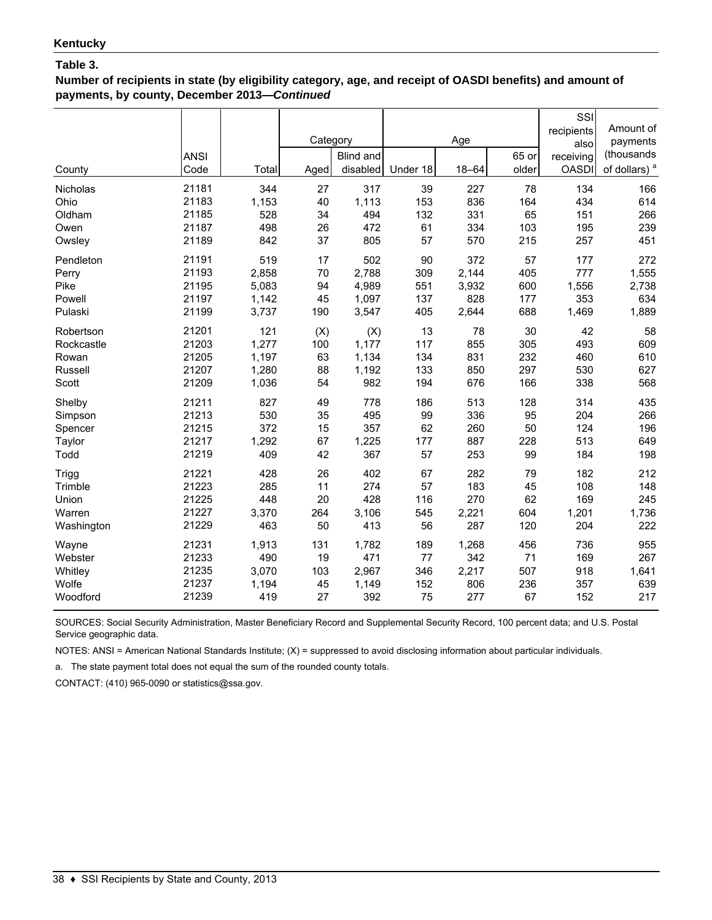**Number of recipients in state (by eligibility category, age, and receipt of OASDI benefits) and amount of payments, by county, December 2013—***Continued*

| County<br>Nicholas<br>Ohio<br>Oldham<br>Owen<br>Owsley | <b>ANSI</b><br>Code<br>21181<br>21183<br>21185<br>21187<br>21189 | Total<br>344<br>1,153<br>528<br>498<br>842 | Category<br>Aged<br>27<br>40<br>34<br>26<br>37 | <b>Blind and</b><br>disabled<br>317<br>1,113<br>494<br>472<br>805 | Under 18<br>39<br>153<br>132<br>61<br>57 | Age<br>$18 - 64$<br>227<br>836<br>331<br>334<br>570 | 65 or<br>older<br>78<br>164<br>65<br>103<br>215 | SSI<br>recipients<br>also<br>receiving<br><b>OASDI</b><br>134<br>434<br>151<br>195<br>257 | Amount of<br>payments<br>(thousands<br>of dollars) <sup>a</sup><br>166<br>614<br>266<br>239<br>451 |
|--------------------------------------------------------|------------------------------------------------------------------|--------------------------------------------|------------------------------------------------|-------------------------------------------------------------------|------------------------------------------|-----------------------------------------------------|-------------------------------------------------|-------------------------------------------------------------------------------------------|----------------------------------------------------------------------------------------------------|
| Pendleton                                              | 21191                                                            | 519                                        | 17                                             | 502                                                               | 90                                       | 372                                                 | 57                                              | 177                                                                                       | 272                                                                                                |
| Perry                                                  | 21193                                                            | 2,858                                      | 70                                             | 2,788                                                             | 309                                      | 2,144                                               | 405                                             | 777                                                                                       | 1,555                                                                                              |
| Pike                                                   | 21195                                                            | 5,083                                      | 94                                             | 4,989                                                             | 551                                      | 3,932                                               | 600                                             | 1,556                                                                                     | 2,738                                                                                              |
| Powell                                                 | 21197                                                            | 1,142                                      | 45                                             | 1,097                                                             | 137                                      | 828                                                 | 177                                             | 353                                                                                       | 634                                                                                                |
| Pulaski                                                | 21199                                                            | 3,737                                      | 190                                            | 3,547                                                             | 405                                      | 2,644                                               | 688                                             | 1,469                                                                                     | 1,889                                                                                              |
| Robertson                                              | 21201                                                            | 121                                        | (X)                                            | (X)                                                               | 13                                       | 78                                                  | 30                                              | 42                                                                                        | 58                                                                                                 |
| Rockcastle                                             | 21203                                                            | 1,277                                      | 100                                            | 1,177                                                             | 117                                      | 855                                                 | 305                                             | 493                                                                                       | 609                                                                                                |
| Rowan                                                  | 21205                                                            | 1,197                                      | 63                                             | 1,134                                                             | 134                                      | 831                                                 | 232                                             | 460                                                                                       | 610                                                                                                |
| Russell                                                | 21207                                                            | 1,280                                      | 88                                             | 1,192                                                             | 133                                      | 850                                                 | 297                                             | 530                                                                                       | 627                                                                                                |
| Scott                                                  | 21209                                                            | 1,036                                      | 54                                             | 982                                                               | 194                                      | 676                                                 | 166                                             | 338                                                                                       | 568                                                                                                |
| Shelby                                                 | 21211                                                            | 827                                        | 49                                             | 778                                                               | 186                                      | 513                                                 | 128                                             | 314                                                                                       | 435                                                                                                |
| Simpson                                                | 21213                                                            | 530                                        | 35                                             | 495                                                               | 99                                       | 336                                                 | 95                                              | 204                                                                                       | 266                                                                                                |
| Spencer                                                | 21215                                                            | 372                                        | 15                                             | 357                                                               | 62                                       | 260                                                 | 50                                              | 124                                                                                       | 196                                                                                                |
| Taylor                                                 | 21217                                                            | 1,292                                      | 67                                             | 1,225                                                             | 177                                      | 887                                                 | 228                                             | 513                                                                                       | 649                                                                                                |
| Todd                                                   | 21219                                                            | 409                                        | 42                                             | 367                                                               | 57                                       | 253                                                 | 99                                              | 184                                                                                       | 198                                                                                                |
| Trigg                                                  | 21221                                                            | 428                                        | 26                                             | 402                                                               | 67                                       | 282                                                 | 79                                              | 182                                                                                       | 212                                                                                                |
| Trimble                                                | 21223                                                            | 285                                        | 11                                             | 274                                                               | 57                                       | 183                                                 | 45                                              | 108                                                                                       | 148                                                                                                |
| Union                                                  | 21225                                                            | 448                                        | 20                                             | 428                                                               | 116                                      | 270                                                 | 62                                              | 169                                                                                       | 245                                                                                                |
| Warren                                                 | 21227                                                            | 3,370                                      | 264                                            | 3,106                                                             | 545                                      | 2,221                                               | 604                                             | 1,201                                                                                     | 1,736                                                                                              |
| Washington                                             | 21229                                                            | 463                                        | 50                                             | 413                                                               | 56                                       | 287                                                 | 120                                             | 204                                                                                       | 222                                                                                                |
| Wayne                                                  | 21231                                                            | 1,913                                      | 131                                            | 1,782                                                             | 189                                      | 1,268                                               | 456                                             | 736                                                                                       | 955                                                                                                |
| Webster                                                | 21233                                                            | 490                                        | 19                                             | 471                                                               | 77                                       | 342                                                 | 71                                              | 169                                                                                       | 267                                                                                                |
| Whitley                                                | 21235                                                            | 3,070                                      | 103                                            | 2,967                                                             | 346                                      | 2,217                                               | 507                                             | 918                                                                                       | 1,641                                                                                              |
| Wolfe                                                  | 21237                                                            | 1,194                                      | 45                                             | 1,149                                                             | 152                                      | 806                                                 | 236                                             | 357                                                                                       | 639                                                                                                |
| Woodford                                               | 21239                                                            | 419                                        | 27                                             | 392                                                               | 75                                       | 277                                                 | 67                                              | 152                                                                                       | 217                                                                                                |

SOURCES: Social Security Administration, Master Beneficiary Record and Supplemental Security Record, 100 percent data; and U.S. Postal Service geographic data.

NOTES: ANSI = American National Standards Institute; (X) = suppressed to avoid disclosing information about particular individuals.

a. The state payment total does not equal the sum of the rounded county totals.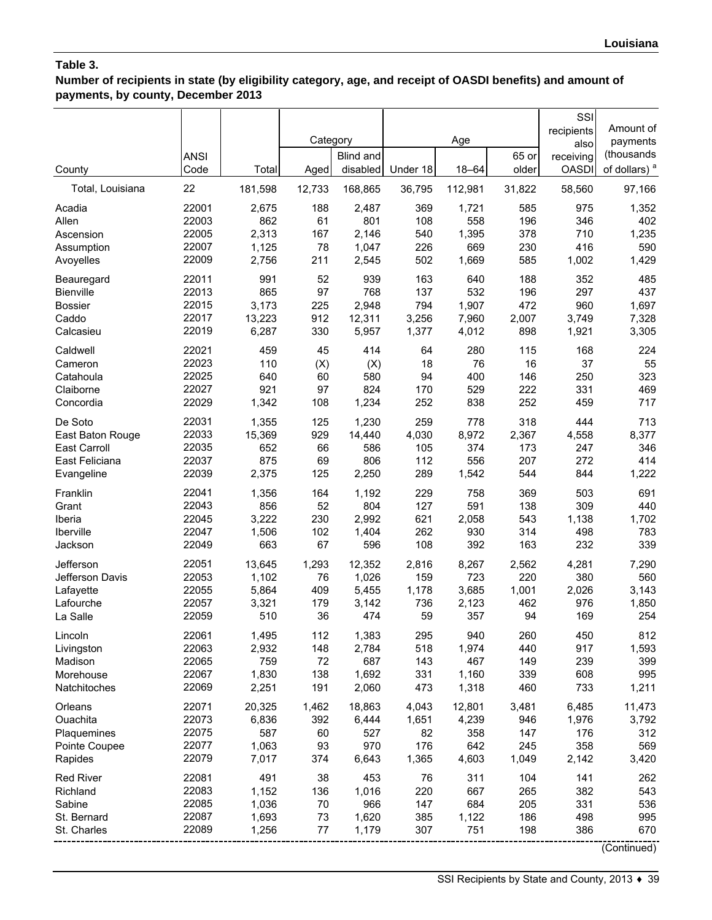**Number of recipients in state (by eligibility category, age, and receipt of OASDI benefits) and amount of payments, by county, December 2013**

| County           | <b>ANSI</b><br>Code | Total   | Category<br>Aged | Blind and<br>disabled | Under 18 | Age<br>$18 - 64$ | 65 or<br>older | SSI<br>recipients<br>also<br>receiving<br><b>OASDI</b> | Amount of<br>payments<br>(thousands<br>of dollars) <sup>a</sup> |
|------------------|---------------------|---------|------------------|-----------------------|----------|------------------|----------------|--------------------------------------------------------|-----------------------------------------------------------------|
| Total, Louisiana | 22                  | 181,598 | 12,733           | 168,865               | 36,795   | 112,981          | 31,822         | 58,560                                                 | 97,166                                                          |
| Acadia           | 22001               | 2,675   | 188              | 2,487                 | 369      | 1,721            | 585            | 975                                                    | 1,352                                                           |
| Allen            | 22003               | 862     | 61               | 801                   | 108      | 558              | 196            | 346                                                    | 402                                                             |
| Ascension        | 22005               | 2,313   | 167              | 2,146                 | 540      | 1,395            | 378            | 710                                                    | 1,235                                                           |
| Assumption       | 22007               | 1,125   | 78               | 1,047                 | 226      | 669              | 230            | 416                                                    | 590                                                             |
| Avoyelles        | 22009               | 2,756   | 211              | 2,545                 | 502      | 1,669            | 585            | 1,002                                                  | 1,429                                                           |
| Beauregard       | 22011               | 991     | 52               | 939                   | 163      | 640              | 188            | 352                                                    | 485                                                             |
| Bienville        | 22013               | 865     | 97               | 768                   | 137      | 532              | 196            | 297                                                    | 437                                                             |
| <b>Bossier</b>   | 22015               | 3,173   | 225              | 2,948                 | 794      | 1,907            | 472            | 960                                                    | 1,697                                                           |
| Caddo            | 22017               | 13,223  | 912              | 12,311                | 3,256    | 7,960            | 2,007          | 3,749                                                  | 7,328                                                           |
| Calcasieu        | 22019               | 6,287   | 330              | 5,957                 | 1,377    | 4,012            | 898            | 1,921                                                  | 3,305                                                           |
| Caldwell         | 22021               | 459     | 45               | 414                   | 64       | 280              | 115            | 168                                                    | 224                                                             |
| Cameron          | 22023               | 110     | (X)              | (X)                   | 18       | 76               | 16             | 37                                                     | 55                                                              |
| Catahoula        | 22025               | 640     | 60               | 580                   | 94       | 400              | 146            | 250                                                    | 323                                                             |
| Claiborne        | 22027               | 921     | 97               | 824                   | 170      | 529              | 222            | 331                                                    | 469                                                             |
| Concordia        | 22029               | 1,342   | 108              | 1,234                 | 252      | 838              | 252            | 459                                                    | 717                                                             |
| De Soto          | 22031               | 1,355   | 125              | 1,230                 | 259      | 778              | 318            | 444                                                    | 713                                                             |
| East Baton Rouge | 22033               | 15,369  | 929              | 14,440                | 4,030    | 8,972            | 2,367          | 4,558                                                  | 8,377                                                           |
| East Carroll     | 22035               | 652     | 66               | 586                   | 105      | 374              | 173            | 247                                                    | 346                                                             |
| East Feliciana   | 22037               | 875     | 69               | 806                   | 112      | 556              | 207            | 272                                                    | 414                                                             |
| Evangeline       | 22039               | 2,375   | 125              | 2,250                 | 289      | 1,542            | 544            | 844                                                    | 1,222                                                           |
| Franklin         | 22041               | 1,356   | 164              | 1,192                 | 229      | 758              | 369            | 503                                                    | 691                                                             |
| Grant            | 22043               | 856     | 52               | 804                   | 127      | 591              | 138            | 309                                                    | 440                                                             |
| Iberia           | 22045               | 3,222   | 230              | 2,992                 | 621      | 2,058            | 543            | 1,138                                                  | 1,702                                                           |
| Iberville        | 22047               | 1,506   | 102              | 1,404                 | 262      | 930              | 314            | 498                                                    | 783                                                             |
| Jackson          | 22049               | 663     | 67               | 596                   | 108      | 392              | 163            | 232                                                    | 339                                                             |
| Jefferson        | 22051               | 13,645  | 1,293            | 12,352                | 2,816    | 8,267            | 2,562          | 4,281                                                  | 7,290                                                           |
| Jefferson Davis  | 22053               | 1,102   | 76               | 1,026                 | 159      | 723              | 220            | 380                                                    | 560                                                             |
| Lafayette        | 22055               | 5,864   | 409              | 5,455                 | 1,178    | 3,685            | 1,001          | 2,026                                                  | 3,143                                                           |
| Lafourche        | 22057               | 3,321   | 179              | 3,142                 | 736      | 2,123            | 462            | 976                                                    | 1,850                                                           |
| La Salle         | 22059               | 510     | 36               | 474                   | 59       | 357              | 94             | 169                                                    | 254                                                             |
| Lincoln          | 22061               | 1,495   | 112              | 1,383                 | 295      | 940              | 260            | 450                                                    | 812                                                             |
| Livingston       | 22063               | 2,932   | 148              | 2,784                 | 518      | 1,974            | 440            | 917                                                    | 1,593                                                           |
| Madison          | 22065               | 759     | 72               | 687                   | 143      | 467              | 149            | 239                                                    | 399                                                             |
| Morehouse        | 22067               | 1,830   | 138              | 1,692                 | 331      | 1,160            | 339            | 608                                                    | 995                                                             |
| Natchitoches     | 22069               | 2,251   | 191              | 2,060                 | 473      | 1,318            | 460            | 733                                                    | 1,211                                                           |
| Orleans          | 22071               | 20,325  | 1,462            | 18,863                | 4,043    | 12,801           | 3,481          | 6,485                                                  | 11,473                                                          |
| Ouachita         | 22073               | 6,836   | 392              | 6,444                 | 1,651    | 4,239            | 946            | 1,976                                                  | 3,792                                                           |
| Plaquemines      | 22075               | 587     | 60               | 527                   | 82       | 358              | 147            | 176                                                    | 312                                                             |
| Pointe Coupee    | 22077               | 1,063   | 93               | 970                   | 176      | 642              | 245            | 358                                                    | 569                                                             |
| Rapides          | 22079               | 7,017   | 374              | 6,643                 | 1,365    | 4,603            | 1,049          | 2,142                                                  | 3,420                                                           |
| <b>Red River</b> | 22081               | 491     | 38               | 453                   | 76       | 311              | 104            | 141                                                    | 262                                                             |
| Richland         | 22083               | 1,152   | 136              | 1,016                 | 220      | 667              | 265            | 382                                                    | 543                                                             |
| Sabine           | 22085               | 1,036   | 70               | 966                   | 147      | 684              | 205            | 331                                                    | 536                                                             |
| St. Bernard      | 22087               | 1,693   | 73               | 1,620                 | 385      | 1,122            | 186            | 498                                                    | 995                                                             |
| St. Charles      | 22089               | 1,256   | 77               | 1,179                 | 307      | 751              | 198            | 386                                                    | 670                                                             |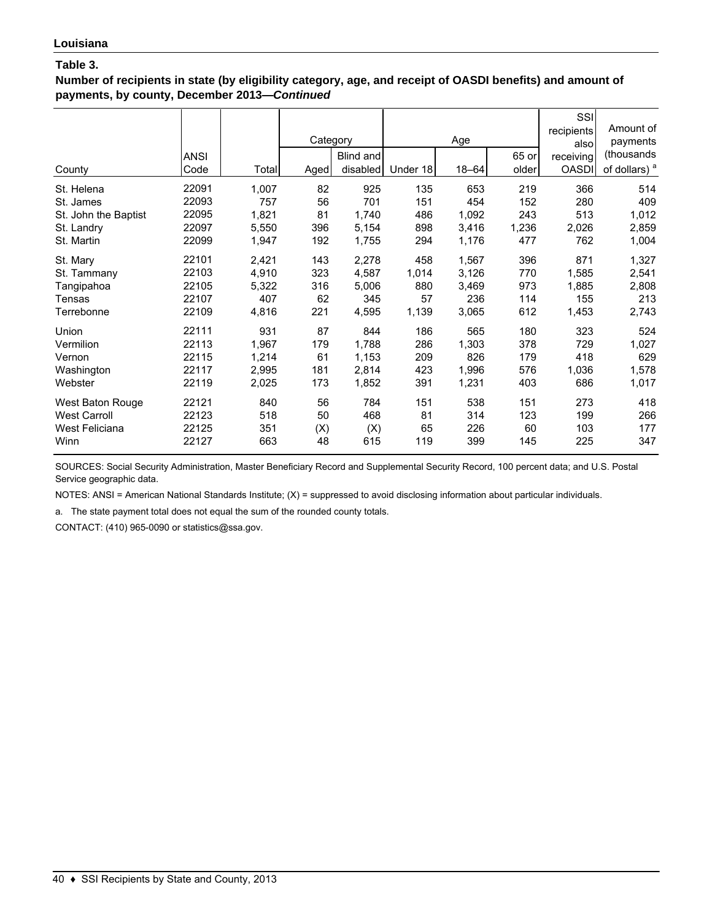**Number of recipients in state (by eligibility category, age, and receipt of OASDI benefits) and amount of payments, by county, December 2013—***Continued*

| County               | <b>ANSI</b><br>Code | Total | Category<br>Aged | Blind and<br>disabled | Under 18 | Age<br>$18 - 64$ | 65 or<br>older | SSI<br>recipients<br>alsol<br>receiving<br><b>OASDI</b> | Amount of<br>payments<br>(thousands)<br>of dollars) <sup>a</sup> |
|----------------------|---------------------|-------|------------------|-----------------------|----------|------------------|----------------|---------------------------------------------------------|------------------------------------------------------------------|
| St. Helena           | 22091               | 1,007 | 82               | 925                   | 135      | 653              | 219            | 366                                                     | 514                                                              |
| St. James            | 22093               | 757   | 56               | 701                   | 151      | 454              | 152            | 280                                                     | 409                                                              |
| St. John the Baptist | 22095               | 1,821 | 81               | 1,740                 | 486      | 1,092            | 243            | 513                                                     | 1,012                                                            |
| St. Landry           | 22097               | 5,550 | 396              | 5,154                 | 898      | 3,416            | 1,236          | 2,026                                                   | 2,859                                                            |
| St. Martin           | 22099               | 1,947 | 192              | 1,755                 | 294      | 1,176            | 477            | 762                                                     | 1,004                                                            |
| St. Mary             | 22101               | 2,421 | 143              | 2,278                 | 458      | 1,567            | 396            | 871                                                     | 1,327                                                            |
| St. Tammany          | 22103               | 4,910 | 323              | 4,587                 | 1,014    | 3,126            | 770            | 1,585                                                   | 2,541                                                            |
| Tangipahoa           | 22105               | 5,322 | 316              | 5,006                 | 880      | 3,469            | 973            | 1,885                                                   | 2,808                                                            |
| Tensas               | 22107               | 407   | 62               | 345                   | 57       | 236              | 114            | 155                                                     | 213                                                              |
| Terrebonne           | 22109               | 4,816 | 221              | 4,595                 | 1,139    | 3,065            | 612            | 1,453                                                   | 2,743                                                            |
| Union                | 22111               | 931   | 87               | 844                   | 186      | 565              | 180            | 323                                                     | 524                                                              |
| Vermilion            | 22113               | 1,967 | 179              | 1,788                 | 286      | 1,303            | 378            | 729                                                     | 1,027                                                            |
| Vernon               | 22115               | 1,214 | 61               | 1,153                 | 209      | 826              | 179            | 418                                                     | 629                                                              |
| Washington           | 22117               | 2,995 | 181              | 2,814                 | 423      | 1,996            | 576            | 1,036                                                   | 1,578                                                            |
| Webster              | 22119               | 2,025 | 173              | 1,852                 | 391      | 1,231            | 403            | 686                                                     | 1,017                                                            |
| West Baton Rouge     | 22121               | 840   | 56               | 784                   | 151      | 538              | 151            | 273                                                     | 418                                                              |
| <b>West Carroll</b>  | 22123               | 518   | 50               | 468                   | 81       | 314              | 123            | 199                                                     | 266                                                              |
| West Feliciana       | 22125               | 351   | (X)              | (X)                   | 65       | 226              | 60             | 103                                                     | 177                                                              |
| Winn                 | 22127               | 663   | 48               | 615                   | 119      | 399              | 145            | 225                                                     | 347                                                              |

SOURCES: Social Security Administration, Master Beneficiary Record and Supplemental Security Record, 100 percent data; and U.S. Postal Service geographic data.

NOTES: ANSI = American National Standards Institute; (X) = suppressed to avoid disclosing information about particular individuals.

a. The state payment total does not equal the sum of the rounded county totals.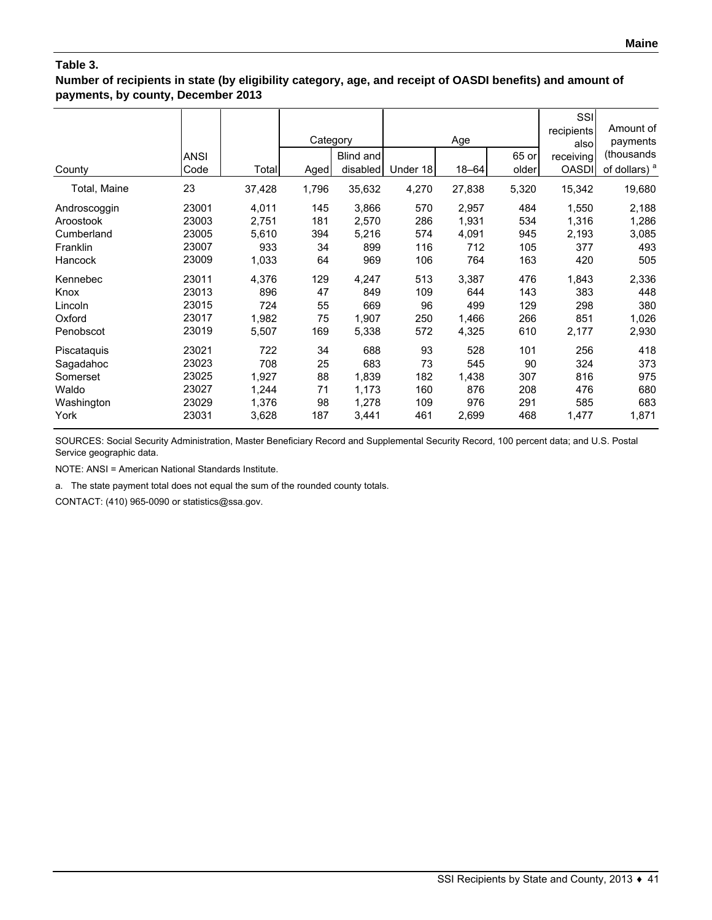**Number of recipients in state (by eligibility category, age, and receipt of OASDI benefits) and amount of payments, by county, December 2013**

| County       | <b>ANSI</b><br>Code | Total  | Category<br>Aged | Blind and<br>disabled | Under 18 | Age<br>$18 - 64$ | 65 or<br>older | SSI<br>recipients<br>alsol<br>receiving<br><b>OASDI</b> | Amount of<br>payments<br>(thousands<br>of dollars) <sup>a</sup> |
|--------------|---------------------|--------|------------------|-----------------------|----------|------------------|----------------|---------------------------------------------------------|-----------------------------------------------------------------|
| Total, Maine | 23                  | 37,428 | 1,796            | 35,632                | 4,270    | 27,838           | 5,320          | 15,342                                                  | 19,680                                                          |
| Androscoggin | 23001               | 4,011  | 145              | 3,866                 | 570      | 2,957            | 484            | 1,550                                                   | 2,188                                                           |
| Aroostook    | 23003               | 2,751  | 181              | 2,570                 | 286      | 1,931            | 534            | 1,316                                                   | 1,286                                                           |
| Cumberland   | 23005               | 5,610  | 394              | 5,216                 | 574      | 4,091            | 945            | 2,193                                                   | 3,085                                                           |
| Franklin     | 23007               | 933    | 34               | 899                   | 116      | 712              | 105            | 377                                                     | 493                                                             |
| Hancock      | 23009               | 1,033  | 64               | 969                   | 106      | 764              | 163            | 420                                                     | 505                                                             |
| Kennebec     | 23011               | 4,376  | 129              | 4,247                 | 513      | 3,387            | 476            | 1,843                                                   | 2,336                                                           |
| Knox         | 23013               | 896    | 47               | 849                   | 109      | 644              | 143            | 383                                                     | 448                                                             |
| Lincoln      | 23015               | 724    | 55               | 669                   | 96       | 499              | 129            | 298                                                     | 380                                                             |
| Oxford       | 23017               | 1,982  | 75               | 1,907                 | 250      | 1,466            | 266            | 851                                                     | 1,026                                                           |
| Penobscot    | 23019               | 5,507  | 169              | 5,338                 | 572      | 4,325            | 610            | 2,177                                                   | 2,930                                                           |
| Piscataquis  | 23021               | 722    | 34               | 688                   | 93       | 528              | 101            | 256                                                     | 418                                                             |
| Sagadahoc    | 23023               | 708    | 25               | 683                   | 73       | 545              | 90             | 324                                                     | 373                                                             |
| Somerset     | 23025               | 1,927  | 88               | 1,839                 | 182      | 1,438            | 307            | 816                                                     | 975                                                             |
| Waldo        | 23027               | 1,244  | 71               | 1,173                 | 160      | 876              | 208            | 476                                                     | 680                                                             |
| Washington   | 23029               | 1,376  | 98               | 1,278                 | 109      | 976              | 291            | 585                                                     | 683                                                             |
| York         | 23031               | 3,628  | 187              | 3,441                 | 461      | 2,699            | 468            | 1,477                                                   | 1,871                                                           |

SOURCES: Social Security Administration, Master Beneficiary Record and Supplemental Security Record, 100 percent data; and U.S. Postal Service geographic data.

NOTE: ANSI = American National Standards Institute.

a. The state payment total does not equal the sum of the rounded county totals.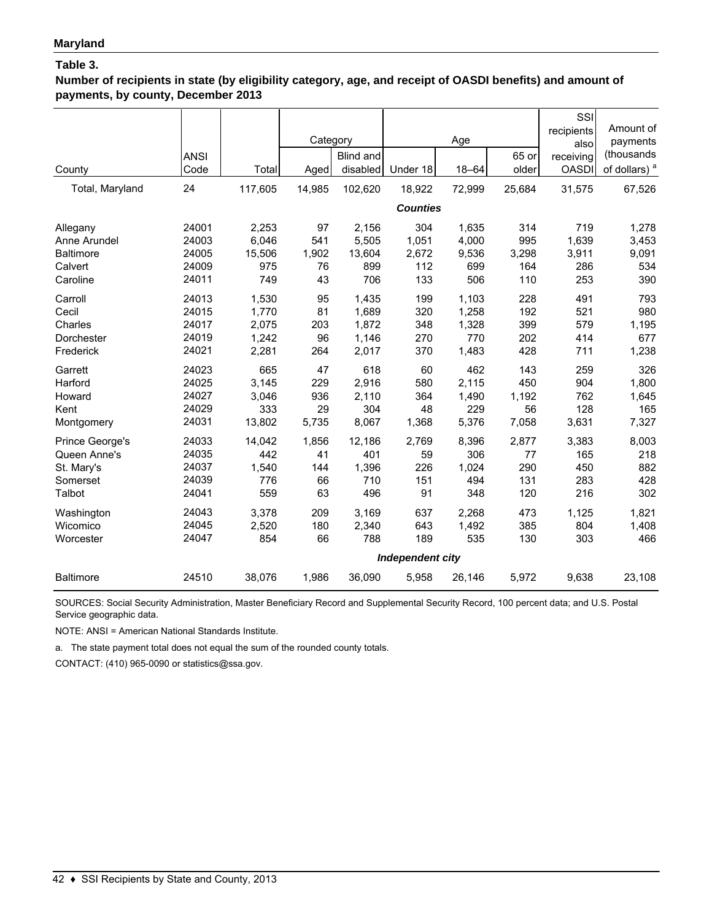**Number of recipients in state (by eligibility category, age, and receipt of OASDI benefits) and amount of payments, by county, December 2013**

| County<br>Total, Maryland           | <b>ANSI</b><br>Code<br>24 | Total<br>117,605      | Category<br>Aged<br>14,985 | <b>Blind and</b><br>disabled<br>102,620 | Under 18<br>18,922<br><b>Counties</b>        | Age<br>$18 - 64$<br>72,999 | 65 or<br>older<br>25,684 | SSI<br>recipients<br>also<br>receiving<br><b>OASDI</b><br>31,575 | Amount of<br>payments<br>(thousands<br>of dollars) <sup>a</sup><br>67,526 |
|-------------------------------------|---------------------------|-----------------------|----------------------------|-----------------------------------------|----------------------------------------------|----------------------------|--------------------------|------------------------------------------------------------------|---------------------------------------------------------------------------|
| Allegany                            | 24001                     | 2,253                 | 97                         | 2,156                                   | 304                                          | 1,635                      | 314                      | 719                                                              | 1,278                                                                     |
| Anne Arundel                        | 24003                     | 6,046                 | 541                        | 5,505                                   | 1,051                                        | 4,000                      | 995                      | 1,639                                                            | 3,453                                                                     |
| <b>Baltimore</b>                    | 24005                     | 15,506                | 1,902                      | 13,604                                  | 2,672                                        | 9,536                      | 3,298                    | 3,911                                                            | 9,091                                                                     |
| Calvert                             | 24009                     | 975                   | 76                         | 899                                     | 112                                          | 699                        | 164                      | 286                                                              | 534                                                                       |
| Caroline                            | 24011                     | 749                   | 43                         | 706                                     | 133                                          | 506                        | 110                      | 253                                                              | 390                                                                       |
| Carroll                             | 24013                     | 1,530                 | 95                         | 1,435                                   | 199                                          | 1,103                      | 228                      | 491                                                              | 793                                                                       |
| Cecil                               | 24015                     | 1,770                 | 81                         | 1,689                                   | 320                                          | 1,258                      | 192                      | 521                                                              | 980                                                                       |
| Charles                             | 24017                     | 2,075                 | 203                        | 1,872                                   | 348                                          | 1,328                      | 399                      | 579                                                              | 1,195                                                                     |
| Dorchester                          | 24019                     | 1,242                 | 96                         | 1,146                                   | 270                                          | 770                        | 202                      | 414                                                              | 677                                                                       |
| Frederick                           | 24021                     | 2,281                 | 264                        | 2,017                                   | 370                                          | 1,483                      | 428                      | 711                                                              | 1,238                                                                     |
| Garrett                             | 24023                     | 665                   | 47                         | 618                                     | 60                                           | 462                        | 143                      | 259                                                              | 326                                                                       |
| Harford                             | 24025                     | 3,145                 | 229                        | 2,916                                   | 580                                          | 2,115                      | 450                      | 904                                                              | 1,800                                                                     |
| Howard                              | 24027                     | 3,046                 | 936                        | 2,110                                   | 364                                          | 1,490                      | 1,192                    | 762                                                              | 1,645                                                                     |
| Kent                                | 24029                     | 333                   | 29                         | 304                                     | 48                                           | 229                        | 56                       | 128                                                              | 165                                                                       |
| Montgomery                          | 24031                     | 13,802                | 5,735                      | 8,067                                   | 1,368                                        | 5,376                      | 7,058                    | 3,631                                                            | 7,327                                                                     |
| Prince George's                     | 24033                     | 14,042                | 1,856                      | 12,186                                  | 2,769                                        | 8,396                      | 2,877                    | 3,383                                                            | 8,003                                                                     |
| Queen Anne's                        | 24035                     | 442                   | 41                         | 401                                     | 59                                           | 306                        | 77                       | 165                                                              | 218                                                                       |
| St. Mary's                          | 24037                     | 1,540                 | 144                        | 1,396                                   | 226                                          | 1,024                      | 290                      | 450                                                              | 882                                                                       |
| Somerset                            | 24039                     | 776                   | 66                         | 710                                     | 151                                          | 494                        | 131                      | 283                                                              | 428                                                                       |
| Talbot                              | 24041                     | 559                   | 63                         | 496                                     | 91                                           | 348                        | 120                      | 216                                                              | 302                                                                       |
| Washington<br>Wicomico<br>Worcester | 24043<br>24045<br>24047   | 3.378<br>2,520<br>854 | 209<br>180<br>66           | 3,169<br>2,340<br>788                   | 637<br>643<br>189<br><b>Independent city</b> | 2,268<br>1,492<br>535      | 473<br>385<br>130        | 1,125<br>804<br>303                                              | 1,821<br>1,408<br>466                                                     |
| <b>Baltimore</b>                    | 24510                     | 38,076                | 1,986                      | 36,090                                  | 5,958                                        | 26,146                     | 5,972                    | 9,638                                                            | 23,108                                                                    |

SOURCES: Social Security Administration, Master Beneficiary Record and Supplemental Security Record, 100 percent data; and U.S. Postal Service geographic data.

NOTE: ANSI = American National Standards Institute.

a. The state payment total does not equal the sum of the rounded county totals.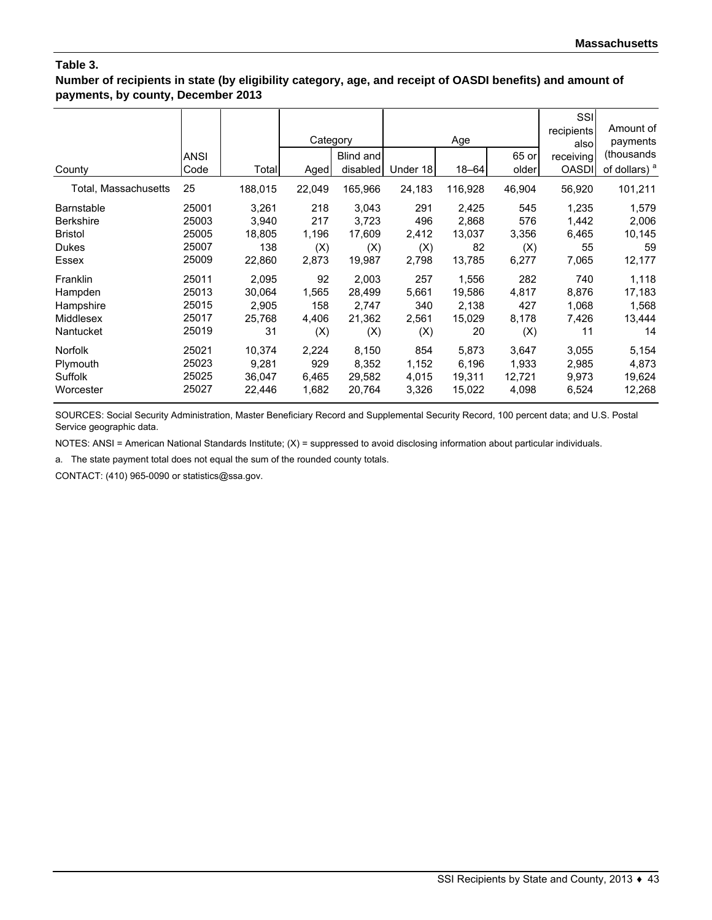### **Number of recipients in state (by eligibility category, age, and receipt of OASDI benefits) and amount of payments, by county, December 2013**

|                      | <b>ANSI</b> |         | Category | Blind and |          | Age       | 65 or  | SSI<br>recipients<br>alsol<br>receiving | Amount of<br>payments<br>(thousands |
|----------------------|-------------|---------|----------|-----------|----------|-----------|--------|-----------------------------------------|-------------------------------------|
| County               | Code        | Total   | Aged     | disabled  | Under 18 | $18 - 64$ | older  | <b>OASDI</b>                            | of dollars) <sup>a</sup>            |
| Total, Massachusetts | 25          | 188,015 | 22,049   | 165,966   | 24,183   | 116,928   | 46,904 | 56,920                                  | 101,211                             |
| <b>Barnstable</b>    | 25001       | 3,261   | 218      | 3,043     | 291      | 2,425     | 545    | 1,235                                   | 1,579                               |
| <b>Berkshire</b>     | 25003       | 3,940   | 217      | 3,723     | 496      | 2,868     | 576    | 1,442                                   | 2,006                               |
| <b>Bristol</b>       | 25005       | 18,805  | 1,196    | 17,609    | 2,412    | 13,037    | 3,356  | 6,465                                   | 10,145                              |
| <b>Dukes</b>         | 25007       | 138     | (X)      | (X)       | (X)      | 82        | (X)    | 55                                      | 59                                  |
| Essex                | 25009       | 22,860  | 2,873    | 19,987    | 2,798    | 13,785    | 6,277  | 7,065                                   | 12,177                              |
| Franklin             | 25011       | 2,095   | 92       | 2,003     | 257      | 1,556     | 282    | 740                                     | 1,118                               |
| Hampden              | 25013       | 30,064  | 1,565    | 28,499    | 5,661    | 19,586    | 4,817  | 8,876                                   | 17,183                              |
| Hampshire            | 25015       | 2,905   | 158      | 2,747     | 340      | 2,138     | 427    | 1,068                                   | 1,568                               |
| Middlesex            | 25017       | 25,768  | 4,406    | 21,362    | 2,561    | 15,029    | 8,178  | 7,426                                   | 13,444                              |
| Nantucket            | 25019       | 31      | (X)      | (X)       | (X)      | 20        | (X)    | 11                                      | 14                                  |
| <b>Norfolk</b>       | 25021       | 10,374  | 2,224    | 8,150     | 854      | 5,873     | 3,647  | 3,055                                   | 5,154                               |
| Plymouth             | 25023       | 9,281   | 929      | 8,352     | 1,152    | 6,196     | 1,933  | 2,985                                   | 4,873                               |
| Suffolk              | 25025       | 36,047  | 6,465    | 29,582    | 4,015    | 19,311    | 12,721 | 9,973                                   | 19,624                              |
| Worcester            | 25027       | 22,446  | 1,682    | 20,764    | 3,326    | 15,022    | 4,098  | 6,524                                   | 12,268                              |

SOURCES: Social Security Administration, Master Beneficiary Record and Supplemental Security Record, 100 percent data; and U.S. Postal Service geographic data.

NOTES: ANSI = American National Standards Institute; (X) = suppressed to avoid disclosing information about particular individuals.

a. The state payment total does not equal the sum of the rounded county totals.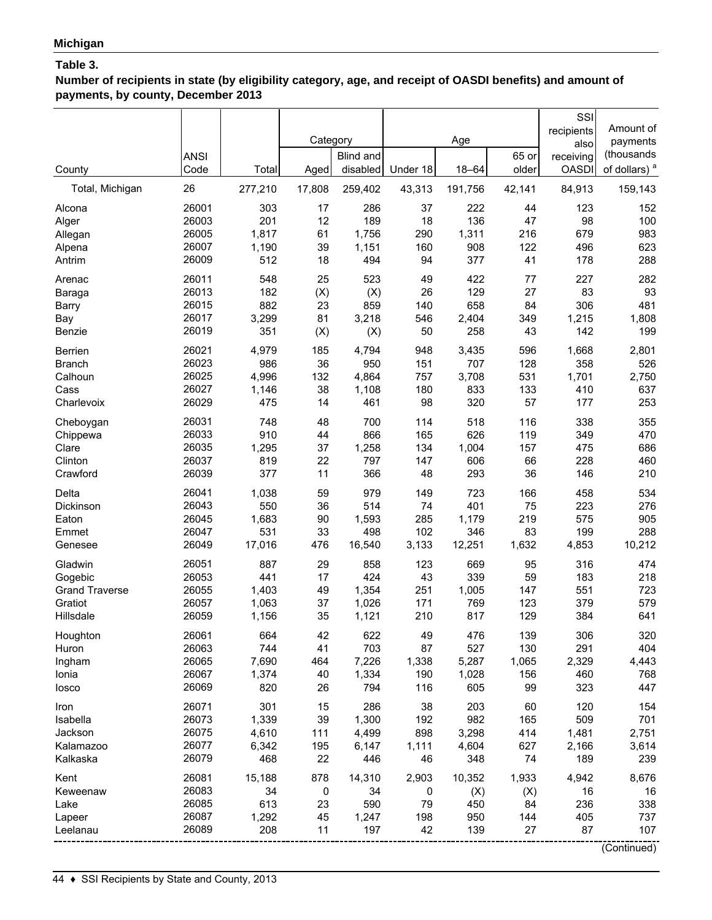**Number of recipients in state (by eligibility category, age, and receipt of OASDI benefits) and amount of payments, by county, December 2013**

|                       | <b>ANSI</b>    |                | Category | Blind and      |            | Age          | 65 or      | SSI<br>recipients<br>also<br>receiving | Amount of<br>payments<br>(thousands |
|-----------------------|----------------|----------------|----------|----------------|------------|--------------|------------|----------------------------------------|-------------------------------------|
| County                | Code           | Total          | Aged     | disabled       | Under 18   | $18 - 64$    | older      | <b>OASDI</b>                           | of dollars) <sup>a</sup>            |
| Total, Michigan       | 26             | 277,210        | 17,808   | 259,402        | 43,313     | 191,756      | 42,141     | 84,913                                 | 159,143                             |
| Alcona                | 26001          | 303            | 17       | 286            | 37         | 222          | 44         | 123                                    | 152                                 |
| Alger                 | 26003          | 201            | 12       | 189            | 18         | 136          | 47         | 98                                     | 100                                 |
| Allegan               | 26005<br>26007 | 1,817<br>1,190 | 61<br>39 | 1,756          | 290        | 1,311<br>908 | 216<br>122 | 679<br>496                             | 983<br>623                          |
| Alpena<br>Antrim      | 26009          | 512            | 18       | 1,151<br>494   | 160<br>94  | 377          | 41         | 178                                    | 288                                 |
| Arenac                | 26011          | 548            | 25       | 523            | 49         | 422          | 77         | 227                                    | 282                                 |
| Baraga                | 26013          | 182            | (X)      | (X)            | 26         | 129          | 27         | 83                                     | 93                                  |
| Barry                 | 26015          | 882            | 23       | 859            | 140        | 658          | 84         | 306                                    | 481                                 |
| Bay                   | 26017          | 3,299          | 81       | 3,218          | 546        | 2,404        | 349        | 1,215                                  | 1,808                               |
| Benzie                | 26019          | 351            | (X)      | (X)            | 50         | 258          | 43         | 142                                    | 199                                 |
| <b>Berrien</b>        | 26021          | 4,979          | 185      | 4,794          | 948        | 3,435        | 596        | 1,668                                  | 2,801                               |
| <b>Branch</b>         | 26023          | 986            | 36       | 950            | 151        | 707          | 128        | 358                                    | 526                                 |
| Calhoun               | 26025          | 4,996          | 132      | 4,864          | 757        | 3,708        | 531        | 1,701                                  | 2,750                               |
| Cass<br>Charlevoix    | 26027<br>26029 | 1,146<br>475   | 38<br>14 | 1,108<br>461   | 180<br>98  | 833<br>320   | 133<br>57  | 410<br>177                             | 637<br>253                          |
| Cheboygan             | 26031          | 748            | 48       | 700            | 114        | 518          | 116        | 338                                    | 355                                 |
| Chippewa              | 26033          | 910            | 44       | 866            | 165        | 626          | 119        | 349                                    | 470                                 |
| Clare                 | 26035          | 1,295          | 37       | 1,258          | 134        | 1,004        | 157        | 475                                    | 686                                 |
| Clinton               | 26037          | 819            | 22       | 797            | 147        | 606          | 66         | 228                                    | 460                                 |
| Crawford              | 26039          | 377            | 11       | 366            | 48         | 293          | 36         | 146                                    | 210                                 |
| Delta                 | 26041          | 1,038          | 59       | 979            | 149        | 723          | 166        | 458                                    | 534                                 |
| Dickinson             | 26043          | 550            | 36       | 514            | 74         | 401          | 75         | 223                                    | 276                                 |
| Eaton                 | 26045          | 1,683          | 90       | 1,593          | 285        | 1,179        | 219        | 575                                    | 905                                 |
| Emmet                 | 26047          | 531            | 33       | 498            | 102        | 346          | 83         | 199                                    | 288                                 |
| Genesee               | 26049          | 17,016         | 476      | 16,540         | 3,133      | 12,251       | 1,632      | 4,853                                  | 10,212                              |
| Gladwin               | 26051          | 887            | 29       | 858            | 123        | 669          | 95         | 316                                    | 474                                 |
| Gogebic               | 26053          | 441            | 17       | 424            | 43         | 339          | 59         | 183                                    | 218                                 |
| <b>Grand Traverse</b> | 26055          | 1,403          | 49       | 1,354          | 251        | 1,005        | 147        | 551                                    | 723                                 |
| Gratiot<br>Hillsdale  | 26057<br>26059 | 1,063<br>1,156 | 37<br>35 | 1,026<br>1,121 | 171<br>210 | 769<br>817   | 123<br>129 | 379<br>384                             | 579<br>641                          |
|                       | 26061          | 664            | 42       | 622            | 49         | 476          | 139        | 306                                    | 320                                 |
| Houghton<br>Huron     | 26063          | 744            | 41       | 703            | 87         | 527          | 130        | 291                                    | 404                                 |
| Ingham                | 26065          | 7,690          | 464      | 7,226          | 1,338      | 5,287        | 1,065      | 2,329                                  | 4,443                               |
| Ionia                 | 26067          | 1,374          | 40       | 1,334          | 190        | 1,028        | 156        | 460                                    | 768                                 |
| losco                 | 26069          | 820            | 26       | 794            | 116        | 605          | 99         | 323                                    | 447                                 |
| Iron                  | 26071          | 301            | 15       | 286            | 38         | 203          | 60         | 120                                    | 154                                 |
| Isabella              | 26073          | 1,339          | 39       | 1,300          | 192        | 982          | 165        | 509                                    | 701                                 |
| Jackson               | 26075          | 4,610          | 111      | 4,499          | 898        | 3,298        | 414        | 1,481                                  | 2,751                               |
| Kalamazoo             | 26077          | 6,342          | 195      | 6,147          | 1,111      | 4,604        | 627        | 2,166                                  | 3,614                               |
| Kalkaska              | 26079          | 468            | 22       | 446            | 46         | 348          | 74         | 189                                    | 239                                 |
| Kent                  | 26081          | 15,188         | 878      | 14,310         | 2,903      | 10,352       | 1,933      | 4,942                                  | 8,676                               |
| Keweenaw              | 26083          | 34             | 0        | 34             | 0          | (X)          | (X)        | 16                                     | 16                                  |
| Lake                  | 26085          | 613            | 23       | 590            | 79         | 450          | 84         | 236                                    | 338                                 |
| Lapeer                | 26087          | 1,292          | 45       | 1,247          | 198        | 950          | 144        | 405                                    | 737                                 |
| Leelanau              | 26089          | 208            | 11       | 197            | 42         | 139          | 27         | 87                                     | 107                                 |
|                       |                |                |          |                |            |              |            |                                        | (Continued)                         |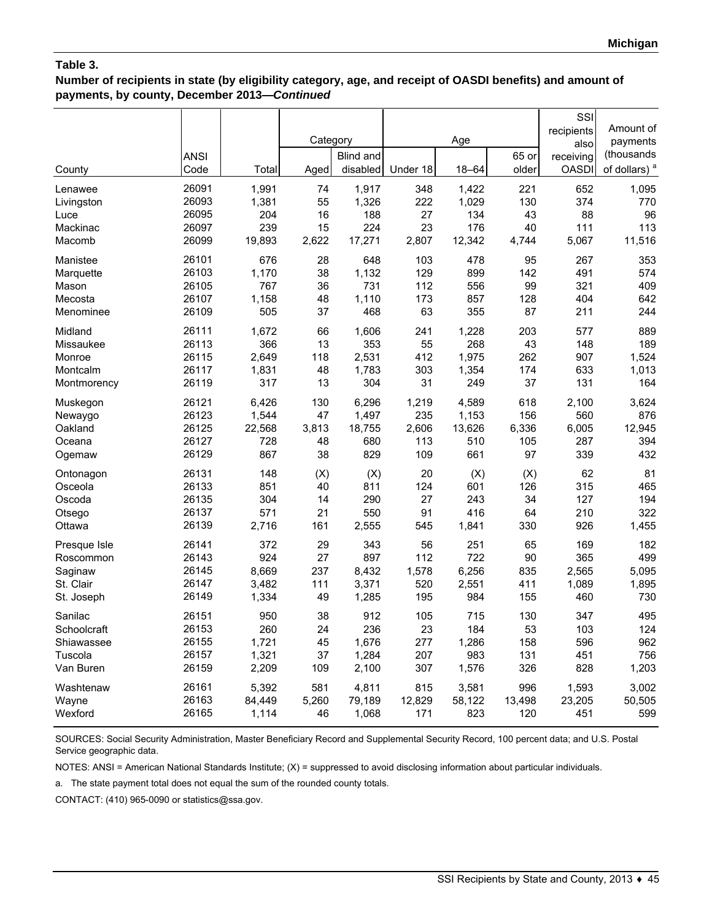**Number of recipients in state (by eligibility category, age, and receipt of OASDI benefits) and amount of payments, by county, December 2013—***Continued*

|              |             |        |          |           |          |           |        | SSI          |                          |
|--------------|-------------|--------|----------|-----------|----------|-----------|--------|--------------|--------------------------|
|              |             |        |          |           |          |           |        | recipients   | Amount of                |
|              |             |        | Category |           |          | Age       |        | also         | payments                 |
|              | <b>ANSI</b> |        |          | Blind and |          |           | 65 or  | receiving    | (thousands               |
| County       | Code        | Total  | Aged     | disabled  | Under 18 | $18 - 64$ | older  | <b>OASDI</b> | of dollars) <sup>a</sup> |
| Lenawee      | 26091       | 1,991  | 74       | 1,917     | 348      | 1,422     | 221    | 652          | 1,095                    |
| Livingston   | 26093       | 1,381  | 55       | 1,326     | 222      | 1,029     | 130    | 374          | 770                      |
| Luce         | 26095       | 204    | 16       | 188       | 27       | 134       | 43     | 88           | 96                       |
| Mackinac     | 26097       | 239    | 15       | 224       | 23       | 176       | 40     | 111          | 113                      |
| Macomb       | 26099       | 19,893 | 2,622    | 17,271    | 2,807    | 12,342    | 4,744  | 5,067        | 11,516                   |
| Manistee     | 26101       | 676    | 28       | 648       | 103      | 478       | 95     | 267          | 353                      |
| Marquette    | 26103       | 1,170  | 38       | 1,132     | 129      | 899       | 142    | 491          | 574                      |
| Mason        | 26105       | 767    | 36       | 731       | 112      | 556       | 99     | 321          | 409                      |
| Mecosta      | 26107       | 1,158  | 48       | 1,110     | 173      | 857       | 128    | 404          | 642                      |
| Menominee    | 26109       | 505    | 37       | 468       | 63       | 355       | 87     | 211          | 244                      |
| Midland      | 26111       | 1,672  | 66       | 1,606     | 241      | 1,228     | 203    | 577          | 889                      |
| Missaukee    | 26113       | 366    | 13       | 353       | 55       | 268       | 43     | 148          | 189                      |
| Monroe       | 26115       | 2,649  | 118      | 2,531     | 412      | 1,975     | 262    | 907          | 1,524                    |
| Montcalm     | 26117       | 1,831  | 48       | 1,783     | 303      | 1,354     | 174    | 633          | 1,013                    |
| Montmorency  | 26119       | 317    | 13       | 304       | 31       | 249       | 37     | 131          | 164                      |
| Muskegon     | 26121       | 6,426  | 130      | 6,296     | 1,219    | 4,589     | 618    | 2,100        | 3,624                    |
| Newaygo      | 26123       | 1,544  | 47       | 1,497     | 235      | 1,153     | 156    | 560          | 876                      |
| Oakland      | 26125       | 22,568 | 3,813    | 18,755    | 2,606    | 13,626    | 6,336  | 6,005        | 12,945                   |
| Oceana       | 26127       | 728    | 48       | 680       | 113      | 510       | 105    | 287          | 394                      |
| Ogemaw       | 26129       | 867    | 38       | 829       | 109      | 661       | 97     | 339          | 432                      |
| Ontonagon    | 26131       | 148    | (X)      | (X)       | 20       | (X)       | (X)    | 62           | 81                       |
| Osceola      | 26133       | 851    | 40       | 811       | 124      | 601       | 126    | 315          | 465                      |
| Oscoda       | 26135       | 304    | 14       | 290       | 27       | 243       | 34     | 127          | 194                      |
| Otsego       | 26137       | 571    | 21       | 550       | 91       | 416       | 64     | 210          | 322                      |
| Ottawa       | 26139       | 2,716  | 161      | 2,555     | 545      | 1,841     | 330    | 926          | 1,455                    |
| Presque Isle | 26141       | 372    | 29       | 343       | 56       | 251       | 65     | 169          | 182                      |
| Roscommon    | 26143       | 924    | 27       | 897       | 112      | 722       | 90     | 365          | 499                      |
| Saginaw      | 26145       | 8,669  | 237      | 8,432     | 1,578    | 6,256     | 835    | 2,565        | 5,095                    |
| St. Clair    | 26147       | 3,482  | 111      | 3,371     | 520      | 2,551     | 411    | 1,089        | 1,895                    |
| St. Joseph   | 26149       | 1,334  | 49       | 1,285     | 195      | 984       | 155    | 460          | 730                      |
| Sanilac      | 26151       | 950    | 38       | 912       | 105      | 715       | 130    | 347          | 495                      |
| Schoolcraft  | 26153       | 260    | 24       | 236       | 23       | 184       | 53     | 103          | 124                      |
| Shiawassee   | 26155       | 1,721  | 45       | 1,676     | 277      | 1,286     | 158    | 596          | 962                      |
| Tuscola      | 26157       | 1,321  | 37       | 1,284     | 207      | 983       | 131    | 451          | 756                      |
| Van Buren    | 26159       | 2,209  | 109      | 2,100     | 307      | 1,576     | 326    | 828          | 1,203                    |
| Washtenaw    | 26161       | 5,392  | 581      | 4,811     | 815      | 3,581     | 996    | 1,593        | 3,002                    |
| Wayne        | 26163       | 84,449 | 5,260    | 79,189    | 12,829   | 58,122    | 13,498 | 23,205       | 50,505                   |
| Wexford      | 26165       | 1,114  | 46       | 1,068     | 171      | 823       | 120    | 451          | 599                      |

SOURCES: Social Security Administration, Master Beneficiary Record and Supplemental Security Record, 100 percent data; and U.S. Postal Service geographic data.

NOTES: ANSI = American National Standards Institute; (X) = suppressed to avoid disclosing information about particular individuals.

a. The state payment total does not equal the sum of the rounded county totals.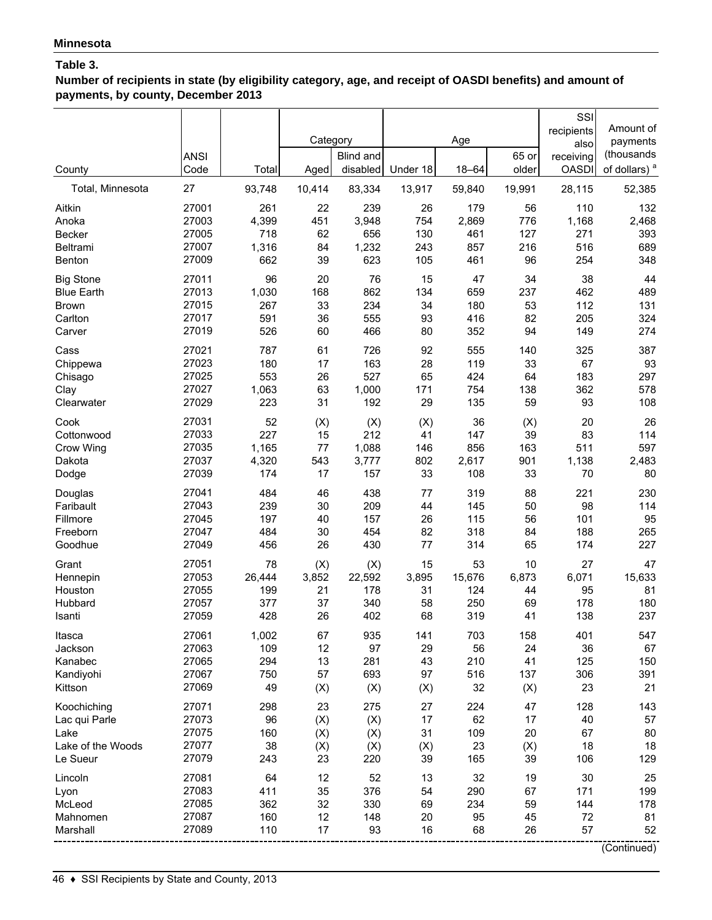**Number of recipients in state (by eligibility category, age, and receipt of OASDI benefits) and amount of payments, by county, December 2013**

| Blind and<br>65 or<br><b>ANSI</b><br>receiving<br>older<br>disabled<br>Under 18<br>$18 - 64$                                                    | (thousands                         |
|-------------------------------------------------------------------------------------------------------------------------------------------------|------------------------------------|
| <b>OASDI</b><br>Code<br>Total<br>County<br>Aged<br>27<br>93,748<br>83,334<br>28,115<br>Total, Minnesota<br>10,414<br>13,917<br>59,840<br>19,991 | of dollars) <sup>a</sup><br>52,385 |
| 27001<br>Aitkin<br>261<br>22<br>239<br>26<br>179<br>56<br>110                                                                                   | 132                                |
| 27003<br>4,399<br>776<br>1,168<br>451<br>3,948<br>754<br>2,869<br>Anoka                                                                         | 2,468                              |
| 718<br>62<br>656<br>461<br>271<br>Becker<br>27005<br>130<br>127                                                                                 | 393                                |
| 27007<br>1,316<br>1,232<br>243<br>857<br>516<br>84<br>216<br>Beltrami                                                                           | 689                                |
| 27009<br>662<br>623<br>461<br>254<br>Benton<br>39<br>105<br>96                                                                                  | 348                                |
| 96<br>76<br>15<br>38<br><b>Big Stone</b><br>27011<br>20<br>47<br>34                                                                             | 44                                 |
| 27013<br><b>Blue Earth</b><br>1,030<br>168<br>862<br>134<br>659<br>237<br>462                                                                   | 489                                |
| 27015<br>33<br>234<br>180<br>112<br>267<br>34<br>53<br><b>Brown</b>                                                                             | 131                                |
| 27017<br>591<br>36<br>555<br>93<br>416<br>82<br>205<br>Carlton                                                                                  | 324                                |
| 526<br>352<br>27019<br>60<br>466<br>80<br>94<br>149<br>Carver                                                                                   | 274                                |
| 27021<br>787<br>61<br>726<br>555<br>325<br>92<br>140<br>Cass                                                                                    | 387                                |
| 27023<br>180<br>17<br>163<br>28<br>119<br>33<br>67<br>Chippewa                                                                                  | 93                                 |
| 27025<br>553<br>26<br>527<br>183<br>65<br>424<br>64<br>Chisago                                                                                  | 297                                |
| 27027<br>63<br>1,000<br>362<br>1,063<br>171<br>754<br>138<br>Clay                                                                               | 578                                |
| 27029<br>223<br>31<br>192<br>29<br>135<br>93<br>59<br>Clearwater                                                                                | 108                                |
| 27031<br>52<br>36<br>20<br>Cook<br>(X)<br>(X)<br>(X)<br>(X)                                                                                     | 26                                 |
| 27033<br>227<br>15<br>212<br>147<br>39<br>83<br>Cottonwood<br>41                                                                                | 114                                |
| 27035<br>1,165<br>77<br>1,088<br>856<br>511<br>Crow Wing<br>146<br>163                                                                          | 597                                |
| 27037<br>4,320<br>3,777<br>2,617<br>1,138<br>Dakota<br>543<br>802<br>901                                                                        | 2,483                              |
| 27039<br>174<br>17<br>157<br>33<br>108<br>33<br>Dodge<br>70                                                                                     | 80                                 |
| 27041<br>484<br>46<br>438<br>319<br>88<br>221<br>77<br>Douglas                                                                                  | 230                                |
| 27043<br>239<br>30<br>209<br>145<br>50<br>98<br>Faribault<br>44                                                                                 | 114                                |
| 27045<br>40<br>157<br>26<br>115<br>56<br>101<br>Fillmore<br>197                                                                                 | 95                                 |
| 27047<br>30<br>454<br>82<br>318<br>84<br>188<br>Freeborn<br>484                                                                                 | 265                                |
| 27049<br>Goodhue<br>456<br>26<br>430<br>77<br>314<br>65<br>174                                                                                  | 227                                |
| 27051<br>78<br>(X)<br>(X)<br>15<br>53<br>10<br>27<br>Grant                                                                                      | 47                                 |
| 27053<br>15,676<br>6,873<br>6,071<br>26,444<br>3,852<br>22,592<br>3,895<br>Hennepin                                                             | 15,633                             |
| 27055<br>178<br>31<br>124<br>95<br>199<br>21<br>44<br>Houston                                                                                   | 81                                 |
| 27057<br>37<br>250<br>178<br>Hubbard<br>377<br>340<br>58<br>69                                                                                  | 180                                |
| 27059<br>428<br>26<br>68<br>138<br>402<br>319<br>41<br>Isanti                                                                                   | 237                                |
| 27061<br>1,002<br>67<br>935<br>141<br>703<br>158<br>401<br>Itasca                                                                               | 547                                |
| 27063<br>109<br>97<br>56<br>36<br>Jackson<br>12<br>29<br>24<br>27065<br>294<br>13<br>43<br>210<br>41<br>125                                     | 67<br>150                          |
| Kanabec<br>281<br>27067<br>750<br>57<br>693<br>97<br>516<br>306<br>137                                                                          | 391                                |
| Kandiyohi<br>27069<br>49<br>32<br>23<br>(X)<br>(X)<br>(X)<br>Kittson<br>(X)                                                                     | 21                                 |
|                                                                                                                                                 |                                    |
| 23<br>275<br>128<br>27071<br>298<br>27<br>224<br>47<br>Koochiching                                                                              | 143                                |
| 27073<br>(X)<br>17<br>62<br>40<br>96<br>(X)<br>17<br>Lac qui Parle                                                                              | 57                                 |
| 27075<br>109<br>Lake<br>160<br>(X)<br>(X)<br>31<br>20<br>67<br>27077                                                                            | 80                                 |
| 23<br>18<br>Lake of the Woods<br>38<br>(X)<br>(X)<br>(X)<br>(X)<br>27079<br>39<br>39<br>106<br>Le Sueur<br>243<br>23<br>220<br>165              | 18<br>129                          |
| 27081<br>12<br>52<br>32<br>19<br>30<br>64<br>13                                                                                                 | 25                                 |
| Lincoln<br>27083<br>35<br>376<br>67<br>411<br>54<br>290<br>171<br>Lyon                                                                          | 199                                |
| 27085<br>362<br>32<br>330<br>234<br>59<br>144<br>McLeod<br>69                                                                                   | 178                                |
| 27087<br>160<br>12<br>95<br>148<br>20<br>45<br>72<br>Mahnomen                                                                                   | 81                                 |
| 27089<br>17<br>93<br>68<br>57<br>Marshall<br>110<br>16<br>26                                                                                    | 52                                 |
|                                                                                                                                                 | (Continued)                        |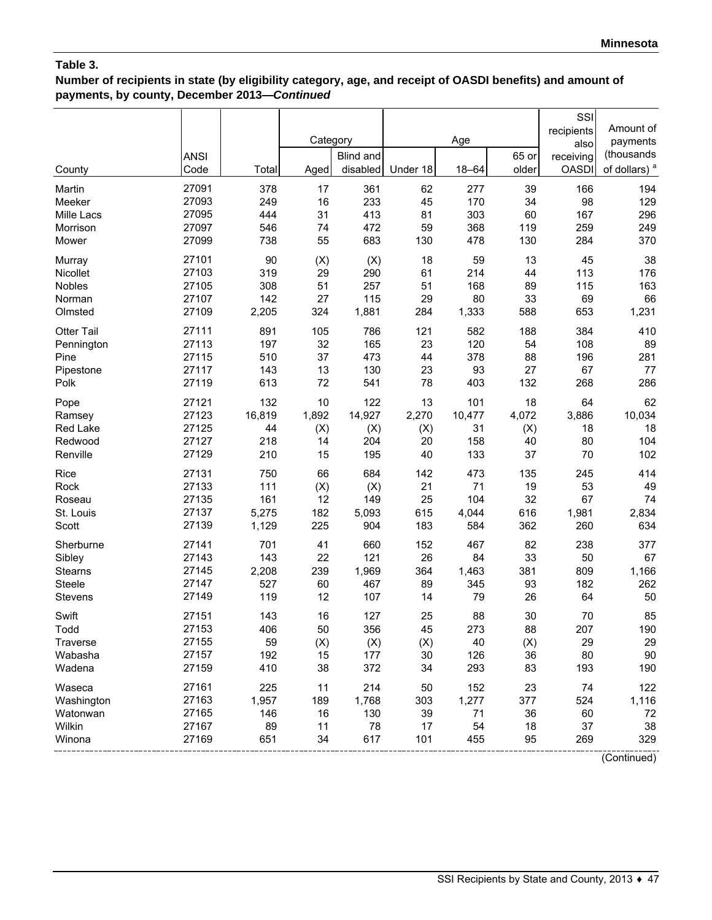**Number of recipients in state (by eligibility category, age, and receipt of OASDI benefits) and amount of payments, by county, December 2013—***Continued*

|            |             |        |          |           |           |           |       | SSI          |                          |
|------------|-------------|--------|----------|-----------|-----------|-----------|-------|--------------|--------------------------|
|            |             |        |          |           |           |           |       | recipients   | Amount of                |
|            |             |        | Category |           |           | Age       |       | also         | payments                 |
|            | <b>ANSI</b> |        |          | Blind and |           |           | 65 or | receiving    | (thousands               |
| County     | Code        | Total  | Aged     | disabled  | Under 18  | $18 - 64$ | older | <b>OASDI</b> | of dollars) <sup>a</sup> |
| Martin     | 27091       | 378    | 17       | 361       | 62        | 277       | 39    | 166          | 194                      |
| Meeker     | 27093       | 249    | 16       | 233       | 45        | 170       | 34    | 98           | 129                      |
| Mille Lacs | 27095       | 444    | 31       | 413       | 81        | 303       | 60    | 167          | 296                      |
| Morrison   | 27097       | 546    | 74       | 472       | 59        | 368       | 119   | 259          | 249                      |
| Mower      | 27099       | 738    | 55       | 683       | 130       | 478       | 130   | 284          | 370                      |
| Murray     | 27101       | 90     | (X)      | (X)       | 18        | 59        | 13    | 45           | 38                       |
| Nicollet   | 27103       | 319    | 29       | 290       | 61        | 214       | 44    | 113          | 176                      |
| Nobles     | 27105       | 308    | 51       | 257       | 51        | 168       | 89    | 115          | 163                      |
| Norman     | 27107       | 142    | 27       | 115       | 29        | 80        | 33    | 69           | 66                       |
| Olmsted    | 27109       | 2,205  | 324      | 1,881     | 284       | 1,333     | 588   | 653          | 1,231                    |
| Otter Tail | 27111       | 891    | 105      | 786       | 121       | 582       | 188   | 384          | 410                      |
| Pennington | 27113       | 197    | 32       | 165       | 23        | 120       | 54    | 108          | 89                       |
| Pine       | 27115       | 510    | 37       | 473       | 44        | 378       | 88    | 196          | 281                      |
| Pipestone  | 27117       | 143    | 13       | 130       | 23        | 93        | 27    | 67           | $77 \,$                  |
| Polk       | 27119       | 613    | 72       | 541       | 78        | 403       | 132   | 268          | 286                      |
| Pope       | 27121       | 132    | 10       | 122       | 13        | 101       | 18    | 64           | 62                       |
| Ramsey     | 27123       | 16,819 | 1,892    | 14,927    | 2,270     | 10,477    | 4,072 | 3,886        | 10,034                   |
| Red Lake   | 27125       | 44     | (X)      | (X)       |           | 31        | (X)   | 18           | 18                       |
|            | 27127       | 218    |          | 204       | (X)<br>20 | 158       | 40    | 80           | 104                      |
| Redwood    | 27129       | 210    | 14<br>15 |           | 40        | 133       | 37    | 70           | 102                      |
| Renville   |             |        |          | 195       |           |           |       |              |                          |
| Rice       | 27131       | 750    | 66       | 684       | 142       | 473       | 135   | 245          | 414                      |
| Rock       | 27133       | 111    | (X)      | (X)       | 21        | 71        | 19    | 53           | 49                       |
| Roseau     | 27135       | 161    | 12       | 149       | 25        | 104       | 32    | 67           | 74                       |
| St. Louis  | 27137       | 5,275  | 182      | 5,093     | 615       | 4,044     | 616   | 1,981        | 2,834                    |
| Scott      | 27139       | 1,129  | 225      | 904       | 183       | 584       | 362   | 260          | 634                      |
| Sherburne  | 27141       | 701    | 41       | 660       | 152       | 467       | 82    | 238          | 377                      |
| Sibley     | 27143       | 143    | 22       | 121       | 26        | 84        | 33    | 50           | 67                       |
| Stearns    | 27145       | 2,208  | 239      | 1,969     | 364       | 1,463     | 381   | 809          | 1,166                    |
| Steele     | 27147       | 527    | 60       | 467       | 89        | 345       | 93    | 182          | 262                      |
| Stevens    | 27149       | 119    | 12       | 107       | 14        | 79        | 26    | 64           | 50                       |
| Swift      | 27151       | 143    | 16       | 127       | 25        | 88        | 30    | 70           | 85                       |
| Todd       | 27153       | 406    | 50       | 356       | 45        | 273       | 88    | 207          | 190                      |
| Traverse   | 27155       | 59     | (X)      | (X)       | (X)       | 40        | (X)   | 29           | 29                       |
| Wabasha    | 27157       | 192    | 15       | 177       | 30        | 126       | 36    | 80           | $90\,$                   |
| Wadena     | 27159       | 410    | 38       | 372       | 34        | 293       | 83    | 193          | 190                      |
| Waseca     | 27161       | 225    | 11       | 214       | 50        | 152       | 23    | 74           | 122                      |
| Washington | 27163       | 1,957  | 189      | 1,768     | 303       | 1,277     | 377   | 524          | 1,116                    |
| Watonwan   | 27165       | 146    | 16       | 130       | 39        | 71        | 36    | 60           | 72                       |
| Wilkin     | 27167       | 89     | 11       | 78        | 17        | 54        | 18    | 37           | 38                       |
| Winona     | 27169       | 651    | 34       | 617       | 101       | 455       | 95    | 269          | 329                      |
|            |             |        |          |           |           |           |       |              | (Continued)              |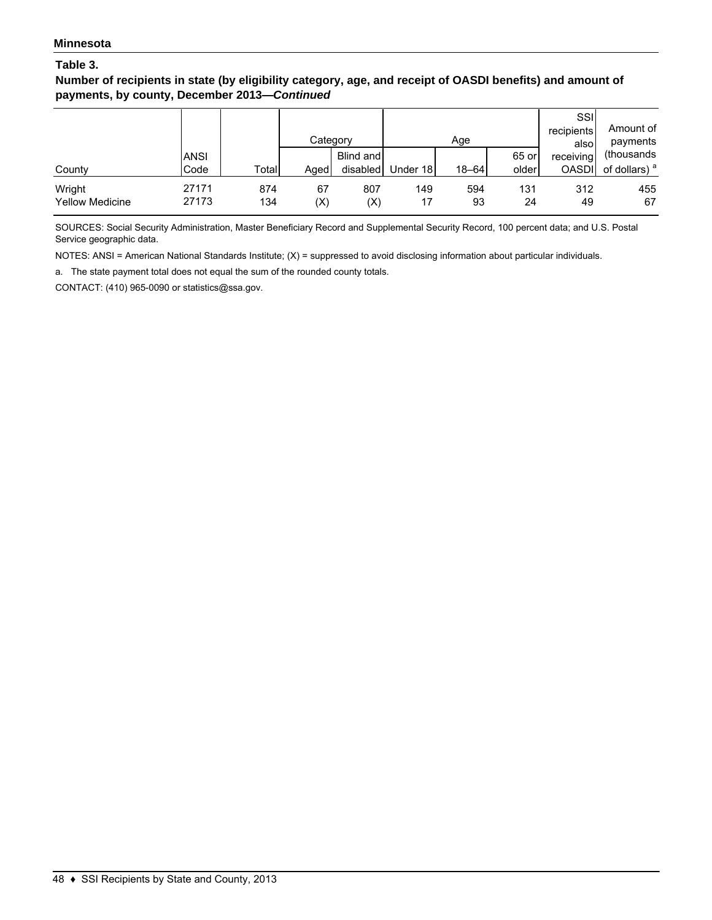**Number of recipients in state (by eligibility category, age, and receipt of OASDI benefits) and amount of payments, by county, December 2013—***Continued*

|                                  |                     |            | Category  |                       |           | Age       |                | SSI<br>recipients<br>alsol | Amount of<br>payments                   |
|----------------------------------|---------------------|------------|-----------|-----------------------|-----------|-----------|----------------|----------------------------|-----------------------------------------|
| County                           | <b>ANSI</b><br>Code | Total      | Aged      | Blind and<br>disabled | Under 18  | $18 - 64$ | 65 or<br>older | receiving<br><b>OASDI</b>  | (thousands)<br>of dollars) <sup>a</sup> |
| Wright<br><b>Yellow Medicine</b> | 27171<br>27173      | 874<br>134 | 67<br>(X) | 807<br>(X)            | 149<br>17 | 594<br>93 | 131<br>24      | 312<br>49                  | 455<br>67                               |

SOURCES: Social Security Administration, Master Beneficiary Record and Supplemental Security Record, 100 percent data; and U.S. Postal Service geographic data.

NOTES: ANSI = American National Standards Institute; (X) = suppressed to avoid disclosing information about particular individuals.

a. The state payment total does not equal the sum of the rounded county totals.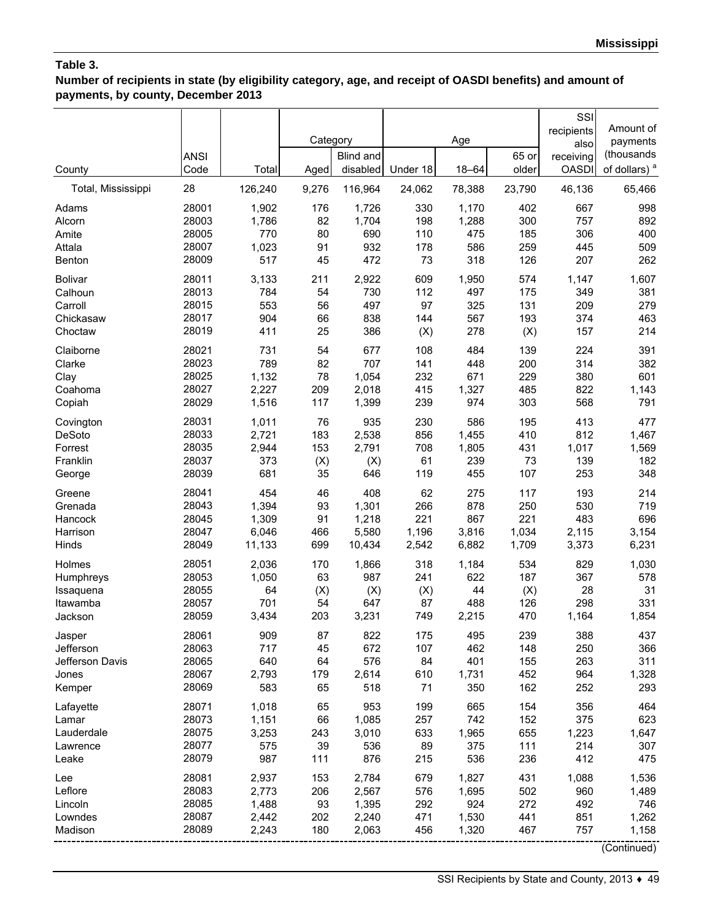**Number of recipients in state (by eligibility category, age, and receipt of OASDI benefits) and amount of payments, by county, December 2013**

|                     |                     |                | Category  |                              |            | Age          |                | SSI<br>recipients<br>also | Amount of<br>payments<br>(thousands |
|---------------------|---------------------|----------------|-----------|------------------------------|------------|--------------|----------------|---------------------------|-------------------------------------|
| County              | <b>ANSI</b><br>Code | Total          | Aged      | <b>Blind and</b><br>disabled | Under 18   | $18 - 64$    | 65 or<br>older | receiving<br><b>OASDI</b> | of dollars) <sup>a</sup>            |
| Total, Mississippi  | 28                  | 126,240        | 9,276     | 116,964                      | 24,062     | 78,388       | 23,790         | 46,136                    | 65,466                              |
| Adams               | 28001               | 1,902          | 176       | 1,726                        | 330        | 1,170        | 402            | 667                       | 998                                 |
| Alcorn              | 28003               | 1,786          | 82        | 1,704                        | 198        | 1,288        | 300            | 757                       | 892                                 |
| Amite               | 28005<br>28007      | 770<br>1,023   | 80<br>91  | 690<br>932                   | 110        | 475<br>586   | 185            | 306                       | 400<br>509                          |
| Attala<br>Benton    | 28009               | 517            | 45        | 472                          | 178<br>73  | 318          | 259<br>126     | 445<br>207                | 262                                 |
| <b>Bolivar</b>      | 28011               | 3,133          | 211       | 2,922                        | 609        | 1,950        | 574            | 1,147                     | 1,607                               |
| Calhoun             | 28013               | 784            | 54        | 730                          | 112        | 497          | 175            | 349                       | 381                                 |
| Carroll             | 28015               | 553            | 56        | 497                          | 97         | 325          | 131            | 209                       | 279                                 |
| Chickasaw           | 28017               | 904            | 66        | 838                          | 144        | 567          | 193            | 374                       | 463                                 |
| Choctaw             | 28019               | 411            | 25        | 386                          | (X)        | 278          | (X)            | 157                       | 214                                 |
| Claiborne           | 28021               | 731            | 54        | 677                          | 108        | 484          | 139            | 224                       | 391                                 |
| Clarke<br>Clay      | 28023<br>28025      | 789<br>1,132   | 82<br>78  | 707<br>1,054                 | 141<br>232 | 448<br>671   | 200<br>229     | 314<br>380                | 382<br>601                          |
| Coahoma             | 28027               | 2,227          | 209       | 2,018                        | 415        | 1,327        | 485            | 822                       | 1,143                               |
| Copiah              | 28029               | 1,516          | 117       | 1,399                        | 239        | 974          | 303            | 568                       | 791                                 |
| Covington           | 28031               | 1,011          | 76        | 935                          | 230        | 586          | 195            | 413                       | 477                                 |
| <b>DeSoto</b>       | 28033               | 2,721          | 183       | 2,538                        | 856        | 1,455        | 410            | 812                       | 1,467                               |
| Forrest             | 28035               | 2,944          | 153       | 2,791                        | 708        | 1,805        | 431            | 1,017                     | 1,569                               |
| Franklin            | 28037               | 373            | (X)       | (X)                          | 61         | 239          | 73             | 139                       | 182                                 |
| George              | 28039               | 681            | 35        | 646                          | 119        | 455          | 107            | 253                       | 348                                 |
| Greene              | 28041               | 454            | 46        | 408                          | 62         | 275          | 117            | 193                       | 214                                 |
| Grenada             | 28043<br>28045      | 1,394<br>1,309 | 93<br>91  | 1,301                        | 266<br>221 | 878<br>867   | 250<br>221     | 530<br>483                | 719<br>696                          |
| Hancock<br>Harrison | 28047               | 6,046          | 466       | 1,218<br>5,580               | 1,196      | 3,816        | 1,034          | 2,115                     | 3,154                               |
| Hinds               | 28049               | 11,133         | 699       | 10,434                       | 2,542      | 6,882        | 1,709          | 3,373                     | 6,231                               |
| Holmes              | 28051               | 2,036          | 170       | 1,866                        | 318        | 1,184        | 534            | 829                       | 1,030                               |
| Humphreys           | 28053               | 1,050          | 63        | 987                          | 241        | 622          | 187            | 367                       | 578                                 |
| Issaquena           | 28055               | 64             | (X)       | (X)                          | (X)        | 44           | (X)            | 28                        | 31                                  |
| Itawamba            | 28057               | 701            | 54        | 647                          | 87         | 488          | 126            | 298                       | 331                                 |
| Jackson             | 28059               | 3,434          | 203       | 3,231                        | 749        | 2,215        | 470            | 1,164                     | 1,854                               |
| Jasper              | 28061               | 909            | 87        | 822                          | 175        | 495          | 239            | 388                       | 437                                 |
| Jefferson           | 28063               | 717            | 45        | 672                          | 107        | 462          | 148            | 250                       | 366                                 |
| Jefferson Davis     | 28065<br>28067      | 640            | 64        | 576                          | 84         | 401          | 155            | 263<br>964                | 311                                 |
| Jones<br>Kemper     | 28069               | 2,793<br>583   | 179<br>65 | 2,614<br>518                 | 610<br>71  | 1,731<br>350 | 452<br>162     | 252                       | 1,328<br>293                        |
| Lafayette           | 28071               | 1,018          | 65        | 953                          | 199        | 665          | 154            | 356                       | 464                                 |
| Lamar               | 28073               | 1,151          | 66        | 1,085                        | 257        | 742          | 152            | 375                       | 623                                 |
| Lauderdale          | 28075               | 3,253          | 243       | 3,010                        | 633        | 1,965        | 655            | 1,223                     | 1,647                               |
| Lawrence            | 28077               | 575            | 39        | 536                          | 89         | 375          | 111            | 214                       | 307                                 |
| Leake               | 28079               | 987            | 111       | 876                          | 215        | 536          | 236            | 412                       | 475                                 |
| Lee                 | 28081               | 2,937          | 153       | 2,784                        | 679        | 1,827        | 431            | 1,088                     | 1,536                               |
| Leflore             | 28083               | 2,773          | 206       | 2,567                        | 576        | 1,695        | 502            | 960                       | 1,489                               |
| Lincoln             | 28085               | 1,488          | 93        | 1,395                        | 292        | 924          | 272            | 492                       | 746                                 |
| Lowndes             | 28087               | 2,442          | 202       | 2,240                        | 471        | 1,530        | 441            | 851                       | 1,262                               |
| Madison             | 28089               | 2,243          | 180       | 2,063                        | 456        | 1,320        | 467            | 757                       | 1,158                               |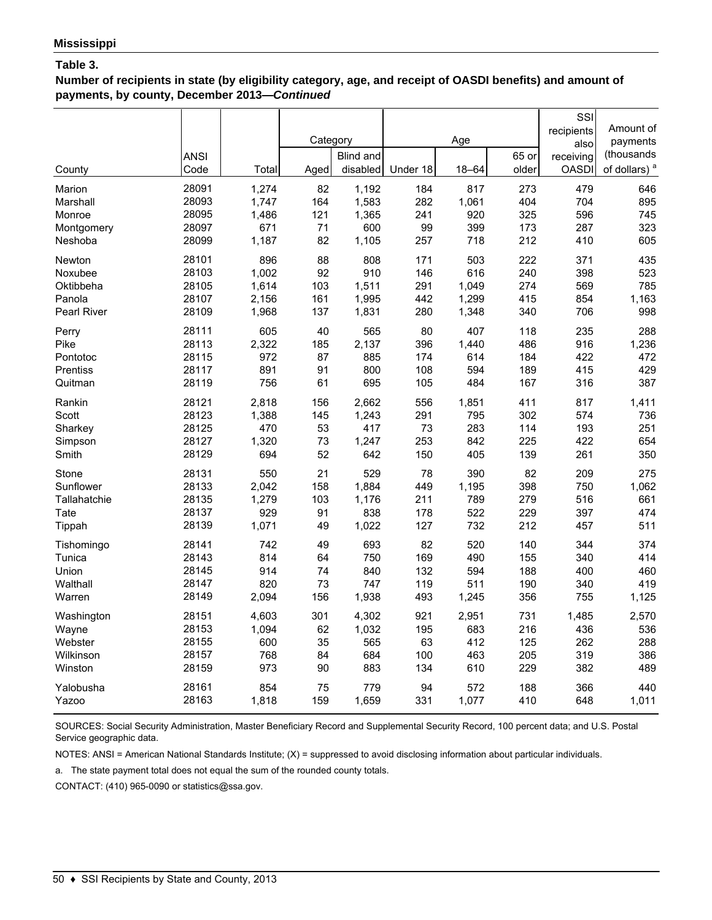**Number of recipients in state (by eligibility category, age, and receipt of OASDI benefits) and amount of payments, by county, December 2013—***Continued*

|                    |             |       |          |                  |          |       |       | SSI          |                          |
|--------------------|-------------|-------|----------|------------------|----------|-------|-------|--------------|--------------------------|
|                    |             |       |          |                  |          |       |       | recipients   | Amount of                |
|                    |             |       | Category |                  |          | Age   |       | also         | payments                 |
|                    | <b>ANSI</b> |       |          | <b>Blind and</b> |          |       | 65 or | receiving    | (thousands               |
| County             | Code        | Total | Aged     | disabled         | Under 18 | 18-64 | older | <b>OASDI</b> | of dollars) <sup>a</sup> |
| Marion             | 28091       | 1,274 | 82       | 1,192            | 184      | 817   | 273   | 479          | 646                      |
| Marshall           | 28093       | 1.747 | 164      | 1,583            | 282      | 1,061 | 404   | 704          | 895                      |
| Monroe             | 28095       | 1,486 | 121      | 1,365            | 241      | 920   | 325   | 596          | 745                      |
| Montgomery         | 28097       | 671   | 71       | 600              | 99       | 399   | 173   | 287          | 323                      |
| Neshoba            | 28099       | 1,187 | 82       | 1,105            | 257      | 718   | 212   | 410          | 605                      |
| Newton             | 28101       | 896   | 88       | 808              | 171      | 503   | 222   | 371          | 435                      |
| Noxubee            | 28103       | 1,002 | 92       | 910              | 146      | 616   | 240   | 398          | 523                      |
| Oktibbeha          | 28105       | 1,614 | 103      | 1,511            | 291      | 1,049 | 274   | 569          | 785                      |
| Panola             | 28107       | 2,156 | 161      | 1,995            | 442      | 1,299 | 415   | 854          | 1,163                    |
| <b>Pearl River</b> | 28109       | 1,968 | 137      | 1,831            | 280      | 1,348 | 340   | 706          | 998                      |
| Perry              | 28111       | 605   | 40       | 565              | 80       | 407   | 118   | 235          | 288                      |
| Pike               | 28113       | 2,322 | 185      | 2,137            | 396      | 1,440 | 486   | 916          | 1,236                    |
| Pontotoc           | 28115       | 972   | 87       | 885              | 174      | 614   | 184   | 422          | 472                      |
| Prentiss           | 28117       | 891   | 91       | 800              | 108      | 594   | 189   | 415          | 429                      |
| Quitman            | 28119       | 756   | 61       | 695              | 105      | 484   | 167   | 316          | 387                      |
| Rankin             | 28121       | 2,818 | 156      | 2,662            | 556      | 1,851 | 411   | 817          | 1,411                    |
| Scott              | 28123       | 1,388 | 145      | 1,243            | 291      | 795   | 302   | 574          | 736                      |
| Sharkey            | 28125       | 470   | 53       | 417              | 73       | 283   | 114   | 193          | 251                      |
| Simpson            | 28127       | 1,320 | 73       | 1,247            | 253      | 842   | 225   | 422          | 654                      |
| Smith              | 28129       | 694   | 52       | 642              | 150      | 405   | 139   | 261          | 350                      |
| Stone              | 28131       | 550   | 21       | 529              | 78       | 390   | 82    | 209          | 275                      |
| Sunflower          | 28133       | 2,042 | 158      | 1,884            | 449      | 1,195 | 398   | 750          | 1,062                    |
| Tallahatchie       | 28135       | 1,279 | 103      | 1,176            | 211      | 789   | 279   | 516          | 661                      |
| Tate               | 28137       | 929   | 91       | 838              | 178      | 522   | 229   | 397          | 474                      |
| Tippah             | 28139       | 1,071 | 49       | 1,022            | 127      | 732   | 212   | 457          | 511                      |
| Tishomingo         | 28141       | 742   | 49       | 693              | 82       | 520   | 140   | 344          | 374                      |
| Tunica             | 28143       | 814   | 64       | 750              | 169      | 490   | 155   | 340          | 414                      |
| Union              | 28145       | 914   | 74       | 840              | 132      | 594   | 188   | 400          | 460                      |
| Walthall           | 28147       | 820   | 73       | 747              | 119      | 511   | 190   | 340          | 419                      |
| Warren             | 28149       | 2,094 | 156      | 1,938            | 493      | 1,245 | 356   | 755          | 1,125                    |
| Washington         | 28151       | 4,603 | 301      | 4,302            | 921      | 2,951 | 731   | 1,485        | 2,570                    |
| Wayne              | 28153       | 1,094 | 62       | 1,032            | 195      | 683   | 216   | 436          | 536                      |
| Webster            | 28155       | 600   | 35       | 565              | 63       | 412   | 125   | 262          | 288                      |
| Wilkinson          | 28157       | 768   | 84       | 684              | 100      | 463   | 205   | 319          | 386                      |
| Winston            | 28159       | 973   | 90       | 883              | 134      | 610   | 229   | 382          | 489                      |
| Yalobusha          | 28161       | 854   | 75       | 779              | 94       | 572   | 188   | 366          | 440                      |
| Yazoo              | 28163       | 1,818 | 159      | 1,659            | 331      | 1,077 | 410   | 648          | 1,011                    |
|                    |             |       |          |                  |          |       |       |              |                          |

SOURCES: Social Security Administration, Master Beneficiary Record and Supplemental Security Record, 100 percent data; and U.S. Postal Service geographic data.

NOTES: ANSI = American National Standards Institute; (X) = suppressed to avoid disclosing information about particular individuals.

a. The state payment total does not equal the sum of the rounded county totals.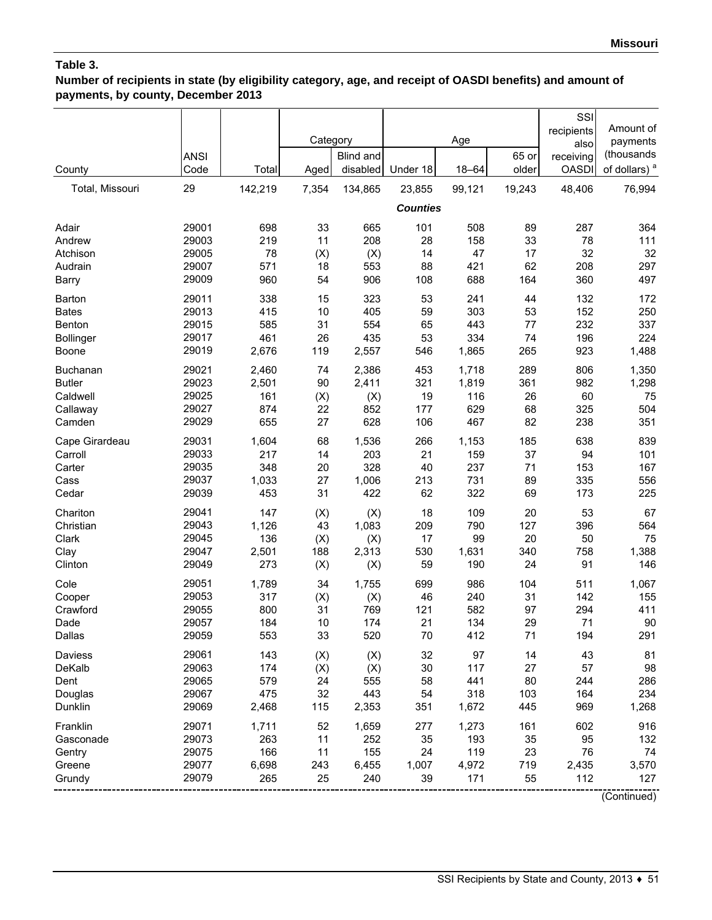# **Number of recipients in state (by eligibility category, age, and receipt of OASDI benefits) and amount of payments, by county, December 2013**

|                  |                |              | Category  |              |                 | Age          |           | SSI<br>recipients | Amount of                |
|------------------|----------------|--------------|-----------|--------------|-----------------|--------------|-----------|-------------------|--------------------------|
|                  | <b>ANSI</b>    |              |           | Blind and    |                 |              | 65 or     | also<br>receiving | payments<br>(thousands   |
| County           | Code           | Total        | Aged      | disabled     | Under 18        | $18 - 64$    | older     | <b>OASDI</b>      | of dollars) <sup>a</sup> |
| Total, Missouri  | 29             | 142,219      | 7,354     | 134,865      | 23,855          | 99,121       | 19,243    | 48,406            | 76,994                   |
|                  |                |              |           |              |                 |              |           |                   |                          |
|                  |                |              |           |              | <b>Counties</b> |              |           |                   |                          |
| Adair            | 29001          | 698          | 33        | 665          | 101             | 508          | 89        | 287               | 364                      |
| Andrew           | 29003          | 219          | 11        | 208          | 28              | 158          | 33        | 78                | 111                      |
| Atchison         | 29005          | 78           | (X)       | (X)          | 14              | 47           | 17        | 32                | 32                       |
| Audrain          | 29007          | 571          | 18        | 553          | 88              | 421          | 62        | 208               | 297                      |
| Barry            | 29009          | 960          | 54        | 906          | 108             | 688          | 164       | 360               | 497                      |
| Barton           | 29011          | 338          | 15        | 323          | 53              | 241          | 44        | 132               | 172                      |
| <b>Bates</b>     | 29013          | 415          | 10        | 405          | 59              | 303          | 53        | 152               | 250                      |
| Benton           | 29015          | 585          | 31        | 554          | 65              | 443          | 77        | 232               | 337                      |
| <b>Bollinger</b> | 29017          | 461          | 26        | 435          | 53              | 334          | 74        | 196               | 224                      |
| Boone            | 29019          | 2,676        | 119       | 2,557        | 546             | 1,865        | 265       | 923               | 1,488                    |
| Buchanan         | 29021          | 2,460        | 74        | 2,386        | 453             | 1,718        | 289       | 806               | 1,350                    |
| <b>Butler</b>    | 29023          | 2,501        | 90        | 2,411        | 321             | 1,819        | 361       | 982               | 1,298                    |
| Caldwell         | 29025          | 161          | (X)       | (X)          | 19              | 116          | 26        | 60                | 75                       |
| Callaway         | 29027          | 874          | 22        | 852          | 177             | 629          | 68        | 325               | 504                      |
| Camden           | 29029          | 655          | 27        | 628          | 106             | 467          | 82        | 238               | 351                      |
| Cape Girardeau   | 29031          | 1,604        | 68        | 1,536        | 266             | 1,153        | 185       | 638               | 839                      |
| Carroll          | 29033          | 217          | 14        | 203          | 21              | 159          | 37        | 94                | 101                      |
| Carter           | 29035          | 348          | 20        | 328          | 40              | 237          | 71        | 153               | 167                      |
| Cass             | 29037          | 1,033        | 27        | 1,006        | 213             | 731          | 89        | 335               | 556                      |
| Cedar            | 29039          | 453          | 31        | 422          | 62              | 322          | 69        | 173               | 225                      |
| Chariton         | 29041          | 147          | (X)       | (X)          | 18              | 109          | 20        | 53                | 67                       |
| Christian        | 29043          | 1,126        | 43        | 1,083        | 209             | 790          | 127       | 396               | 564                      |
| Clark            | 29045          | 136          | (X)       | (X)          | 17              | 99           | 20        | 50                | 75                       |
| Clay             | 29047          | 2,501        | 188       | 2,313        | 530             | 1,631        | 340       | 758               | 1,388                    |
| Clinton          | 29049          | 273          | (X)       | (X)          | 59              | 190          | 24        | 91                | 146                      |
| Cole             | 29051          | 1,789        | 34        | 1,755        | 699             | 986          | 104       | 511               | 1,067                    |
| Cooper           | 29053          | 317          | (X)       | (X)          | 46              | 240          | 31        | 142               | 155                      |
| Crawford         | 29055          | 800          | 31        | 769          | 121             | 582          | 97        | 294               | 411                      |
| Dade             | 29057          | 184          | 10        | 174          | 21              | 134          | 29        | 71                | 90                       |
| Dallas           | 29059          | 553          | 33        | 520          | 70              | 412          | 71        | 194               | 291                      |
| Daviess          | 29061          | 143          | (X)       | (X)          | 32              | 97           | 14        | 43                | 81                       |
| DeKalb           | 29063          | 174          | (X)       | (X)          | 30              | 117          | 27        | 57                | 98                       |
| Dent             | 29065          | 579          | 24        | 555          | 58              | 441          | 80        | 244               | 286                      |
| Douglas          | 29067          | 475          | 32        | 443          | 54              | 318          | 103       | 164               | 234                      |
| Dunklin          | 29069          | 2,468        | 115       | 2,353        | 351             | 1,672        | 445       | 969               | 1,268                    |
|                  |                |              |           |              |                 |              |           |                   |                          |
| Franklin         | 29071          | 1,711        | 52        | 1,659        | 277             | 1,273        | 161       | 602               | 916                      |
| Gasconade        | 29073          | 263          | 11        | 252          | 35              | 193          | 35        | 95                | 132                      |
| Gentry           | 29075<br>29077 | 166          | 11        | 155          | 24              | 119          | 23        | 76                | 74                       |
| Greene<br>Grundy | 29079          | 6,698<br>265 | 243<br>25 | 6,455<br>240 | 1,007<br>39     | 4,972<br>171 | 719<br>55 | 2,435<br>112      | 3,570<br>127             |
|                  |                |              |           |              |                 |              |           |                   |                          |
|                  |                |              |           |              |                 |              |           |                   | (Continued)              |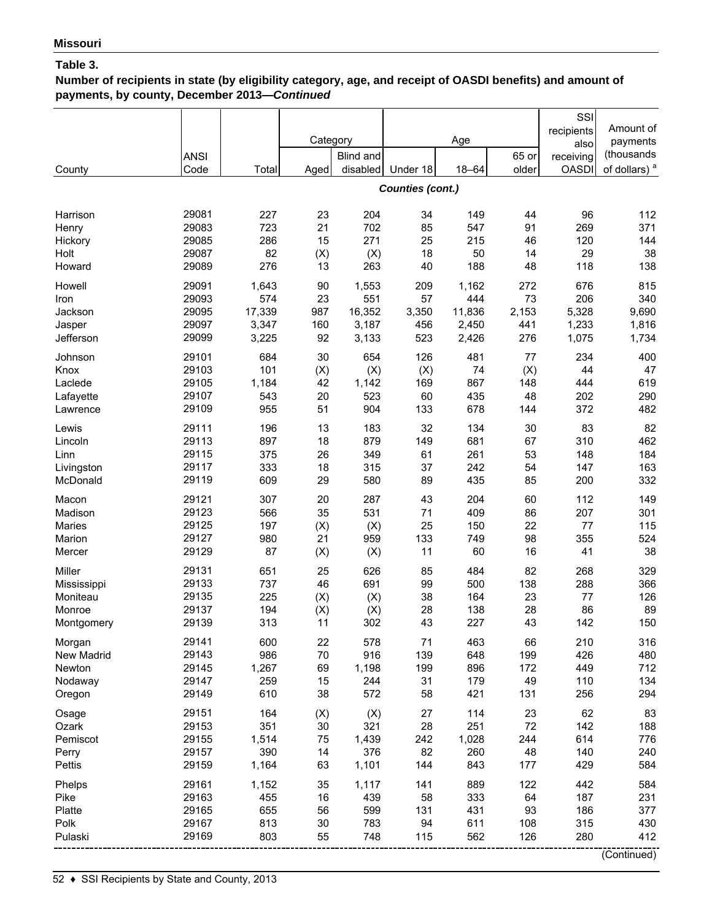# **Number of recipients in state (by eligibility category, age, and receipt of OASDI benefits) and amount of payments, by county, December 2013—***Continued*

|                         |                |              | Category  |              |                         | Age          |           | SSI<br>recipients<br>also | Amount of<br>payments    |
|-------------------------|----------------|--------------|-----------|--------------|-------------------------|--------------|-----------|---------------------------|--------------------------|
|                         | <b>ANSI</b>    |              |           | Blind and    |                         |              | 65 or     | receiving                 | (thousands               |
| County                  | Code           | Total        | Aged      | disabled     | Under 18                | $18 - 64$    | older     | <b>OASDI</b>              | of dollars) <sup>a</sup> |
|                         |                |              |           |              | <b>Counties (cont.)</b> |              |           |                           |                          |
| Harrison                | 29081          | 227          | 23        | 204          | 34                      | 149          | 44        | 96                        | 112                      |
| Henry                   | 29083          | 723          | 21        | 702          | 85                      | 547          | 91        | 269                       | 371                      |
| Hickory                 | 29085          | 286          | 15        | 271          | 25                      | 215          | 46        | 120                       | 144                      |
| Holt                    | 29087<br>29089 | 82<br>276    | (X)<br>13 | (X)          | 18                      | 50<br>188    | 14        | 29<br>118                 | 38                       |
| Howard                  |                |              |           | 263          | 40                      |              | 48        |                           | 138                      |
| Howell                  | 29091<br>29093 | 1,643<br>574 | 90<br>23  | 1,553<br>551 | 209<br>57               | 1,162<br>444 | 272<br>73 | 676<br>206                | 815<br>340               |
| Iron<br>Jackson         | 29095          | 17,339       | 987       | 16,352       | 3,350                   | 11,836       | 2,153     | 5,328                     | 9,690                    |
| Jasper                  | 29097          | 3,347        | 160       | 3,187        | 456                     | 2,450        | 441       | 1,233                     | 1,816                    |
| Jefferson               | 29099          | 3,225        | 92        | 3,133        | 523                     | 2,426        | 276       | 1,075                     | 1,734                    |
| Johnson                 | 29101          | 684          | 30        | 654          | 126                     | 481          | 77        | 234                       | 400                      |
| Knox                    | 29103          | 101          | (X)       | (X)          | (X)                     | 74           | (X)       | 44                        | 47                       |
| Laclede                 | 29105          | 1,184        | 42        | 1,142        | 169                     | 867          | 148       | 444                       | 619                      |
| Lafayette               | 29107          | 543          | 20        | 523          | 60                      | 435          | 48        | 202                       | 290                      |
| Lawrence                | 29109          | 955          | 51        | 904          | 133                     | 678          | 144       | 372                       | 482                      |
| Lewis                   | 29111          | 196          | 13        | 183          | 32                      | 134          | 30        | 83                        | 82                       |
| Lincoln                 | 29113          | 897          | 18        | 879          | 149                     | 681          | 67        | 310                       | 462                      |
| Linn                    | 29115          | 375          | 26        | 349          | 61                      | 261          | 53        | 148                       | 184                      |
| Livingston              | 29117          | 333          | 18        | 315          | 37                      | 242          | 54        | 147                       | 163                      |
| McDonald                | 29119          | 609          | 29        | 580          | 89                      | 435          | 85        | 200                       | 332                      |
| Macon                   | 29121          | 307          | 20        | 287          | 43                      | 204          | 60        | 112                       | 149                      |
| Madison                 | 29123          | 566          | 35        | 531          | 71                      | 409          | 86        | 207                       | 301                      |
| Maries                  | 29125          | 197          | (X)       | (X)          | 25                      | 150          | 22        | 77                        | 115                      |
| Marion<br>Mercer        | 29127<br>29129 | 980<br>87    | 21<br>(X) | 959<br>(X)   | 133<br>11               | 749<br>60    | 98<br>16  | 355<br>41                 | 524<br>38                |
|                         |                |              |           |              |                         |              |           |                           |                          |
| Miller                  | 29131          | 651<br>737   | 25<br>46  | 626          | 85                      | 484          | 82        | 268                       | 329                      |
| Mississippi<br>Moniteau | 29133<br>29135 | 225          | (X)       | 691<br>(X)   | 99<br>38                | 500<br>164   | 138<br>23 | 288<br>77                 | 366<br>126               |
| Monroe                  | 29137          | 194          | (X)       | (X)          | 28                      | 138          | 28        | 86                        | 89                       |
| Montgomery              | 29139          | 313          | 11        | 302          | 43                      | 227          | 43        | 142                       | 150                      |
| Morgan                  | 29141          | 600          | 22        | 578          | 71                      | 463          | 66        | 210                       | 316                      |
| New Madrid              | 29143          | 986          | 70        | 916          | 139                     | 648          | 199       | 426                       | 480                      |
| Newton                  | 29145          | 1,267        | 69        | 1,198        | 199                     | 896          | 172       | 449                       | 712                      |
| Nodaway                 | 29147          | 259          | 15        | 244          | 31                      | 179          | 49        | 110                       | 134                      |
| Oregon                  | 29149          | 610          | 38        | 572          | 58                      | 421          | 131       | 256                       | 294                      |
| Osage                   | 29151          | 164          | (X)       | (X)          | 27                      | 114          | 23        | 62                        | 83                       |
| Ozark                   | 29153          | 351          | 30        | 321          | 28                      | 251          | 72        | 142                       | 188                      |
| Pemiscot                | 29155          | 1,514        | 75        | 1,439        | 242                     | 1,028        | 244       | 614                       | 776                      |
| Perry                   | 29157          | 390          | 14        | 376          | 82                      | 260          | 48        | 140                       | 240                      |
| Pettis                  | 29159          | 1,164        | 63        | 1,101        | 144                     | 843          | 177       | 429                       | 584                      |
| Phelps                  | 29161          | 1,152        | 35        | 1,117        | 141                     | 889          | 122       | 442                       | 584                      |
| Pike                    | 29163          | 455          | 16        | 439          | 58                      | 333          | 64        | 187                       | 231                      |
| Platte                  | 29165          | 655          | 56        | 599          | 131                     | 431          | 93        | 186                       | 377                      |
| Polk                    | 29167          | 813          | 30        | 783          | 94                      | 611          | 108       | 315                       | 430                      |
| Pulaski                 | 29169          | 803          | 55        | 748          | 115                     | 562          | 126       | 280                       | 412                      |
|                         |                |              |           |              |                         |              |           |                           | (Continued)              |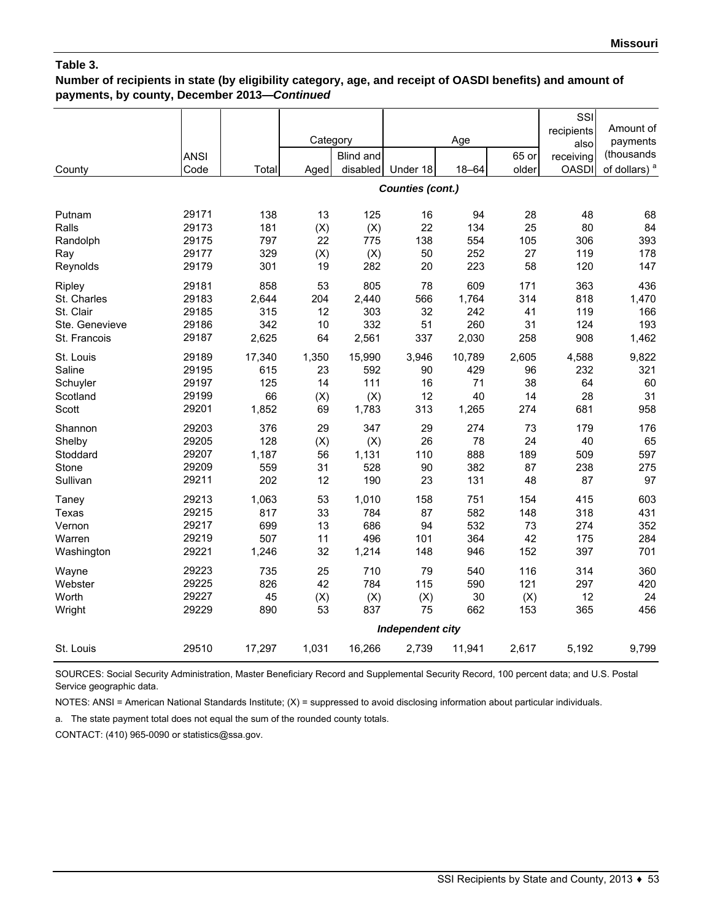### **Number of recipients in state (by eligibility category, age, and receipt of OASDI benefits) and amount of payments, by county, December 2013—***Continued*

|                                                                                  | <b>ANSI</b>                               |                                            | Category                          | <b>Blind and</b>                           |                                                   | Age                                        | 65 or                               | SSI<br>recipients<br>also<br>receiving | Amount of<br>payments<br>(thousands        |
|----------------------------------------------------------------------------------|-------------------------------------------|--------------------------------------------|-----------------------------------|--------------------------------------------|---------------------------------------------------|--------------------------------------------|-------------------------------------|----------------------------------------|--------------------------------------------|
| County                                                                           | Code                                      | Total                                      | Aged                              | disabled                                   | Under 18                                          | $18 - 64$                                  | older                               | <b>OASDI</b>                           | of dollars) <sup>a</sup>                   |
|                                                                                  |                                           |                                            |                                   |                                            | <b>Counties (cont.)</b>                           |                                            |                                     |                                        |                                            |
| Putnam<br>Ralls<br>Randolph<br>Ray                                               | 29171<br>29173<br>29175<br>29177<br>29179 | 138<br>181<br>797<br>329                   | 13<br>(X)<br>22<br>(X)            | 125<br>(X)<br>775<br>(X)                   | 16<br>22<br>138<br>50                             | 94<br>134<br>554<br>252                    | 28<br>25<br>105<br>27               | 48<br>80<br>306<br>119                 | 68<br>84<br>393<br>178                     |
| Reynolds<br>Ripley<br>St. Charles<br>St. Clair<br>Ste. Genevieve<br>St. Francois | 29181<br>29183<br>29185<br>29186<br>29187 | 301<br>858<br>2,644<br>315<br>342<br>2,625 | 19<br>53<br>204<br>12<br>10<br>64 | 282<br>805<br>2,440<br>303<br>332<br>2,561 | 20<br>78<br>566<br>32<br>51<br>337                | 223<br>609<br>1,764<br>242<br>260<br>2,030 | 58<br>171<br>314<br>41<br>31<br>258 | 120<br>363<br>818<br>119<br>124<br>908 | 147<br>436<br>1,470<br>166<br>193<br>1,462 |
| St. Louis<br>Saline<br>Schuyler<br>Scotland<br>Scott                             | 29189<br>29195<br>29197<br>29199<br>29201 | 17,340<br>615<br>125<br>66<br>1,852        | 1,350<br>23<br>14<br>(X)<br>69    | 15,990<br>592<br>111<br>(X)<br>1,783       | 3,946<br>90<br>16<br>12<br>313                    | 10,789<br>429<br>71<br>40<br>1,265         | 2,605<br>96<br>38<br>14<br>274      | 4,588<br>232<br>64<br>28<br>681        | 9,822<br>321<br>60<br>31<br>958            |
| Shannon<br>Shelby<br>Stoddard<br>Stone<br>Sullivan                               | 29203<br>29205<br>29207<br>29209<br>29211 | 376<br>128<br>1,187<br>559<br>202          | 29<br>(X)<br>56<br>31<br>12       | 347<br>(X)<br>1,131<br>528<br>190          | 29<br>26<br>110<br>90<br>23                       | 274<br>78<br>888<br>382<br>131             | 73<br>24<br>189<br>87<br>48         | 179<br>40<br>509<br>238<br>87          | 176<br>65<br>597<br>275<br>97              |
| Taney<br>Texas<br>Vernon<br>Warren<br>Washington                                 | 29213<br>29215<br>29217<br>29219<br>29221 | 1,063<br>817<br>699<br>507<br>1,246        | 53<br>33<br>13<br>11<br>32        | 1,010<br>784<br>686<br>496<br>1,214        | 158<br>87<br>94<br>101<br>148                     | 751<br>582<br>532<br>364<br>946            | 154<br>148<br>73<br>42<br>152       | 415<br>318<br>274<br>175<br>397        | 603<br>431<br>352<br>284<br>701            |
| Wayne<br>Webster<br>Worth<br>Wright                                              | 29223<br>29225<br>29227<br>29229          | 735<br>826<br>45<br>890                    | 25<br>42<br>(X)<br>53             | 710<br>784<br>(X)<br>837                   | 79<br>115<br>(X)<br>75<br><b>Independent city</b> | 540<br>590<br>30<br>662                    | 116<br>121<br>(X)<br>153            | 314<br>297<br>12<br>365                | 360<br>420<br>24<br>456                    |
| St. Louis                                                                        | 29510                                     | 17,297                                     | 1,031                             | 16,266                                     | 2,739                                             | 11,941                                     | 2,617                               | 5,192                                  | 9,799                                      |

SOURCES: Social Security Administration, Master Beneficiary Record and Supplemental Security Record, 100 percent data; and U.S. Postal Service geographic data.

NOTES: ANSI = American National Standards Institute; (X) = suppressed to avoid disclosing information about particular individuals.

a. The state payment total does not equal the sum of the rounded county totals.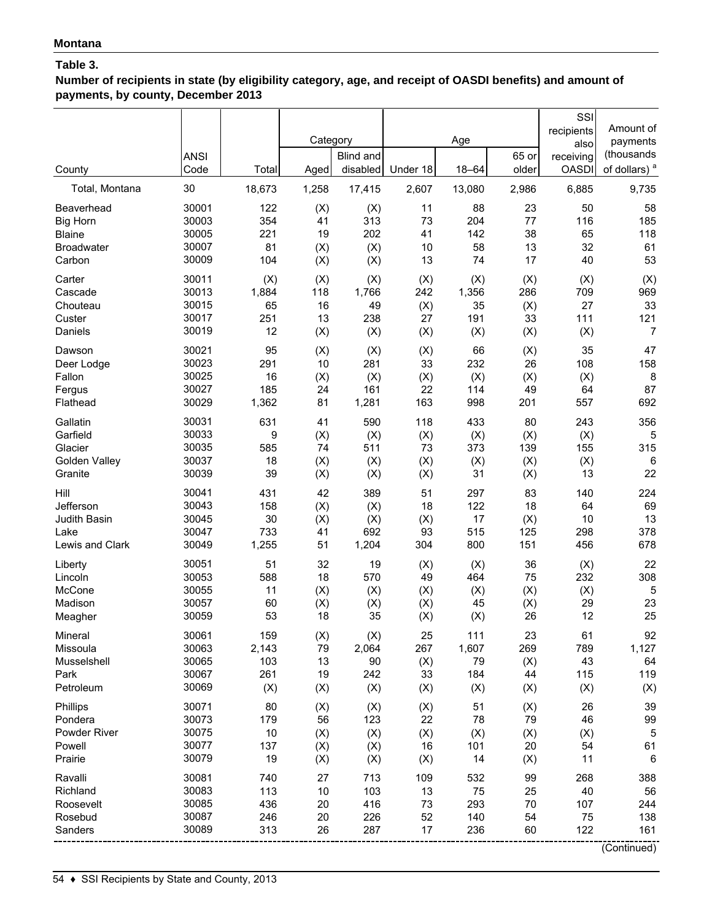**Number of recipients in state (by eligibility category, age, and receipt of OASDI benefits) and amount of payments, by county, December 2013**

|                                                        | <b>ANSI</b><br>Code                       | Total                           | Category                   | <b>Blind and</b><br>disabled    | Under 18                    | Age<br>$18 - 64$               | 65 or<br>older             | SSI<br>recipients<br>also<br>receiving<br><b>OASDI</b> | Amount of<br>payments<br>(thousands<br>of dollars) <sup>a</sup> |
|--------------------------------------------------------|-------------------------------------------|---------------------------------|----------------------------|---------------------------------|-----------------------------|--------------------------------|----------------------------|--------------------------------------------------------|-----------------------------------------------------------------|
| County<br>Total, Montana                               | 30                                        | 18,673                          | Aged<br>1,258              | 17,415                          | 2,607                       | 13,080                         | 2,986                      | 6,885                                                  | 9,735                                                           |
| Beaverhead                                             | 30001                                     | 122                             | (X)                        | (X)                             | 11                          | 88                             | 23                         | 50                                                     | 58                                                              |
| <b>Big Horn</b>                                        | 30003                                     | 354                             | 41                         | 313                             | 73                          | 204                            | 77                         | 116                                                    | 185                                                             |
| <b>Blaine</b>                                          | 30005                                     | 221                             | 19                         | 202                             | 41                          | 142                            | 38                         | 65                                                     | 118                                                             |
| <b>Broadwater</b>                                      | 30007                                     | 81                              | (X)                        | (X)                             | 10                          | 58                             | 13                         | 32                                                     | 61                                                              |
| Carbon                                                 | 30009                                     | 104                             | (X)                        | (X)                             | 13                          | 74                             | 17                         | 40                                                     | 53                                                              |
| Carter                                                 | 30011                                     | (X)                             | (X)                        | (X)                             | (X)                         | (X)                            | (X)                        | (X)                                                    | (X)                                                             |
| Cascade                                                | 30013                                     | 1,884                           | 118                        | 1,766                           | 242                         | 1,356                          | 286                        | 709                                                    | 969                                                             |
| Chouteau                                               | 30015                                     | 65                              | 16                         | 49                              | (X)                         | 35                             | (X)                        | 27                                                     | 33                                                              |
| Custer                                                 | 30017                                     | 251                             | 13                         | 238                             | 27                          | 191                            | 33                         | 111                                                    | 121                                                             |
| Daniels                                                | 30019                                     | 12                              | (X)                        | (X)                             | (X)                         | (X)                            | (X)                        | (X)                                                    | 7                                                               |
| Dawson                                                 | 30021                                     | 95                              | (X)                        | (X)                             | (X)                         | 66                             | (X)                        | 35                                                     | 47                                                              |
| Deer Lodge                                             | 30023                                     | 291                             | 10                         | 281                             | 33                          | 232                            | 26                         | 108                                                    | 158                                                             |
| Fallon                                                 | 30025                                     | 16                              | (X)                        | (X)                             | (X)                         | (X)                            | (X)                        | (X)                                                    | 8                                                               |
| Fergus                                                 | 30027                                     | 185                             | 24                         | 161                             | 22                          | 114                            | 49                         | 64                                                     | 87                                                              |
| Flathead                                               | 30029                                     | 1,362                           | 81                         | 1,281                           | 163                         | 998                            | 201                        | 557                                                    | 692                                                             |
| Gallatin                                               | 30031                                     | 631                             | 41                         | 590                             | 118                         | 433                            | 80                         | 243                                                    | 356                                                             |
| Garfield                                               | 30033                                     | 9                               | (X)                        | (X)                             | (X)                         | (X)                            | (X)                        | (X)                                                    | 5                                                               |
| Glacier                                                | 30035                                     | 585                             | 74                         | 511                             | 73                          | 373                            | 139                        | 155                                                    | 315                                                             |
| Golden Valley                                          | 30037                                     | 18                              | (X)                        | (X)                             | (X)                         | (X)                            | (X)                        | (X)                                                    | 6                                                               |
| Granite                                                | 30039                                     | 39                              | (X)                        | (X)                             | (X)                         | 31                             | (X)                        | 13                                                     | 22                                                              |
| Hill                                                   | 30041                                     | 431                             | 42                         | 389                             | 51                          | 297                            | 83                         | 140                                                    | 224                                                             |
| Jefferson                                              | 30043                                     | 158                             | (X)                        | (X)                             | 18                          | 122                            | 18                         | 64                                                     | 69                                                              |
| Judith Basin                                           | 30045                                     | 30                              | (X)                        | (X)                             | (X)                         | 17                             | (X)                        | 10                                                     | 13                                                              |
| Lake                                                   | 30047                                     | 733                             | 41                         | 692                             | 93                          | 515                            | 125                        | 298                                                    | 378                                                             |
| Lewis and Clark                                        | 30049                                     | 1,255                           | 51                         | 1,204                           | 304                         | 800                            | 151                        | 456                                                    | 678                                                             |
| Liberty                                                | 30051                                     | 51                              | 32                         | 19                              | (X)                         | (X)                            | 36                         | (X)                                                    | 22                                                              |
| Lincoln                                                | 30053                                     | 588                             | 18                         | 570                             | 49                          | 464                            | 75                         | 232                                                    | 308                                                             |
| McCone                                                 | 30055                                     | 11                              | (X)                        | (X)                             | (X)                         | (X)                            | (X)                        | (X)                                                    | 5                                                               |
| Madison                                                | 30057                                     | 60                              | (X)                        | (X)                             | (X)                         | 45                             | (X)                        | 29                                                     | 23                                                              |
| Meagher                                                | 30059                                     | 53                              | 18                         | 35                              | (X)                         | (X)                            | 26                         | 12                                                     | 25                                                              |
| Mineral                                                | 30061                                     | 159                             | (X)                        | (X)                             | 25                          | 111                            | 23                         | 61                                                     | 92                                                              |
| Missoula                                               | 30063                                     | 2,143                           | 79                         | 2,064                           | 267                         | 1,607                          | 269                        | 789                                                    | 1,127                                                           |
| Musselshell                                            | 30065                                     | 103                             | 13                         | 90                              | (X)                         | 79                             | (X)                        | 43                                                     | 64                                                              |
| Park                                                   | 30067                                     | 261                             | 19                         | 242                             | 33                          | 184                            | 44                         | 115                                                    | 119                                                             |
| Petroleum                                              | 30069                                     | (X)                             | (X)                        | (X)                             | (X)                         | (X)                            | (X)                        | (X)                                                    | (X)                                                             |
| Phillips                                               | 30071                                     | 80                              | (X)                        | (X)                             | (X)                         | 51                             | (X)                        | 26                                                     | 39                                                              |
| Pondera                                                | 30073                                     | 179                             | 56                         | 123                             | 22                          | 78                             | 79                         | 46                                                     | 99                                                              |
| Powder River                                           | 30075                                     | 10                              | (X)                        | (X)                             | (X)                         | (X)                            | (X)                        | (X)                                                    | 5                                                               |
| Powell                                                 | 30077                                     | 137                             | (X)                        | (X)                             | 16                          | 101                            | 20                         | 54                                                     | 61                                                              |
| Prairie                                                | 30079                                     | 19                              | (X)                        | (X)                             | (X)                         | 14                             | (X)                        | 11                                                     | $\,6$                                                           |
| Ravalli<br>Richland<br>Roosevelt<br>Rosebud<br>Sanders | 30081<br>30083<br>30085<br>30087<br>30089 | 740<br>113<br>436<br>246<br>313 | 27<br>10<br>20<br>20<br>26 | 713<br>103<br>416<br>226<br>287 | 109<br>13<br>73<br>52<br>17 | 532<br>75<br>293<br>140<br>236 | 99<br>25<br>70<br>54<br>60 | 268<br>40<br>107<br>75<br>122                          | 388<br>56<br>244<br>138<br>161<br>(Continued)                   |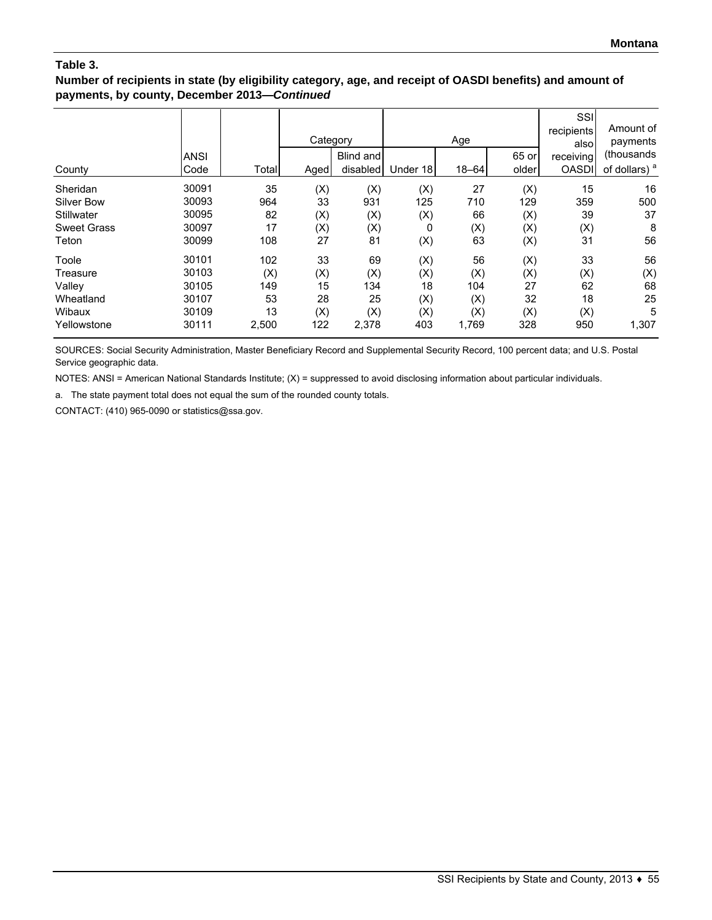### **Number of recipients in state (by eligibility category, age, and receipt of OASDI benefits) and amount of payments, by county, December 2013—***Continued*

| County             | ANSI<br>Code | Total | Category<br>Aged | Blind and<br>disabled | Under 18 | Age<br>$18 - 64$ | 65 or<br>older | SSI<br>recipients<br>alsol<br>receiving<br><b>OASDI</b> | Amount of<br>payments<br>(thousands<br>of dollars) <sup>a</sup> |
|--------------------|--------------|-------|------------------|-----------------------|----------|------------------|----------------|---------------------------------------------------------|-----------------------------------------------------------------|
| Sheridan           | 30091        | 35    | (X)              | (X)                   | (X)      | 27               | (X)            | 15                                                      | 16                                                              |
| Silver Bow         | 30093        | 964   | 33               | 931                   | 125      | 710              | 129            | 359                                                     | 500                                                             |
| Stillwater         | 30095        | 82    | (X)              | (X)                   | (X)      | 66               | (X)            | 39                                                      | 37                                                              |
| <b>Sweet Grass</b> | 30097        | 17    | (X)              | (X)                   | 0        | (X)              | (X)            | (X)                                                     | 8                                                               |
| Teton              | 30099        | 108   | 27               | 81                    | (X)      | 63               | (X)            | 31                                                      | 56                                                              |
| Toole              | 30101        | 102   | 33               | 69                    | (X)      | 56               | (X)            | 33                                                      | 56                                                              |
| Treasure           | 30103        | (X)   | (X)              | (X)                   | (X)      | (X)              | (X)            | (X)                                                     | (X)                                                             |
| Valley             | 30105        | 149   | 15               | 134                   | 18       | 104              | 27             | 62                                                      | 68                                                              |
| Wheatland          | 30107        | 53    | 28               | 25                    | (X)      | (X)              | 32             | 18                                                      | 25                                                              |
| Wibaux             | 30109        | 13    | (X)              | (X)                   | (X)      | (X)              | (X)            | (X)                                                     | 5                                                               |
| Yellowstone        | 30111        | 2,500 | 122              | 2,378                 | 403      | 1,769            | 328            | 950                                                     | 1,307                                                           |

SOURCES: Social Security Administration, Master Beneficiary Record and Supplemental Security Record, 100 percent data; and U.S. Postal Service geographic data.

NOTES: ANSI = American National Standards Institute; (X) = suppressed to avoid disclosing information about particular individuals.

a. The state payment total does not equal the sum of the rounded county totals.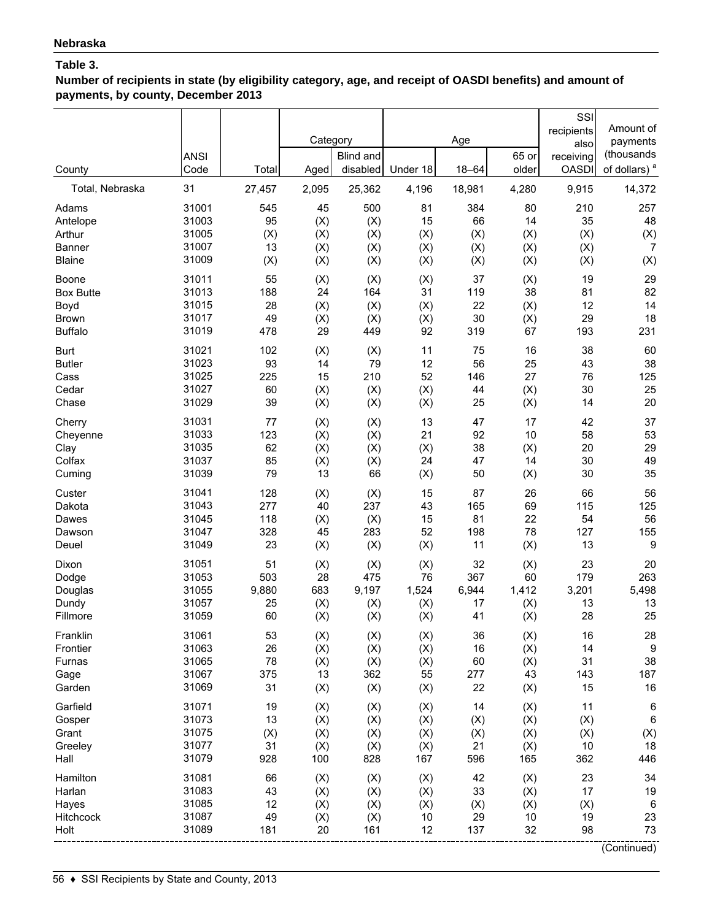**Number of recipients in state (by eligibility category, age, and receipt of OASDI benefits) and amount of payments, by county, December 2013**

| County                    | <b>ANSI</b><br>Code | Total     | Category<br>Aged | Blind and<br>disabled | Under 18   | Age<br>$18 - 64$ | 65 or<br>older | SSI<br>recipients<br>also<br>receiving<br><b>OASDI</b> | Amount of<br>payments<br>(thousands<br>of dollars) <sup>a</sup> |
|---------------------------|---------------------|-----------|------------------|-----------------------|------------|------------------|----------------|--------------------------------------------------------|-----------------------------------------------------------------|
| Total, Nebraska           | 31                  | 27,457    | 2,095            | 25,362                | 4,196      | 18,981           | 4,280          | 9,915                                                  | 14,372                                                          |
| Adams                     | 31001               | 545       | 45               | 500                   | 81         | 384              | 80             | 210                                                    | 257                                                             |
| Antelope                  | 31003               | 95        | (X)              | (X)                   | 15         | 66               | 14             | 35                                                     | 48                                                              |
| Arthur                    | 31005               | (X)       | (X)              | (X)                   | (X)        | (X)              | (X)            | (X)                                                    | (X)                                                             |
| <b>Banner</b>             | 31007               | 13        | (X)              | (X)                   | (X)        | (X)              | (X)            | (X)                                                    | $\overline{7}$                                                  |
| <b>Blaine</b>             | 31009               | (X)       | (X)              | (X)                   | (X)        | (X)              | (X)            | (X)                                                    | (X)                                                             |
| Boone<br><b>Box Butte</b> | 31011<br>31013      | 55        | (X)              | (X)                   | (X)        | 37               | (X)            | 19                                                     | 29                                                              |
|                           | 31015               | 188<br>28 | 24               | 164                   | 31         | 119<br>22        | 38             | 81<br>12                                               | 82<br>14                                                        |
| Boyd<br><b>Brown</b>      | 31017               | 49        | (X)<br>(X)       | (X)<br>(X)            | (X)<br>(X) | 30               | (X)<br>(X)     | 29                                                     | 18                                                              |
| <b>Buffalo</b>            | 31019               | 478       | 29               | 449                   | 92         | 319              | 67             | 193                                                    | 231                                                             |
| <b>Burt</b>               | 31021               | 102       | (X)              | (X)                   | 11         | 75               | 16             | 38                                                     | 60                                                              |
| <b>Butler</b>             | 31023               | 93        | 14               | 79                    | 12         | 56               | 25             | 43                                                     | 38                                                              |
| Cass                      | 31025               | 225       | 15               | 210                   | 52         | 146              | 27             | 76                                                     | 125                                                             |
| Cedar                     | 31027               | 60        | (X)              | (X)                   | (X)        | 44               | (X)            | 30                                                     | 25                                                              |
| Chase                     | 31029               | 39        | (X)              | (X)                   | (X)        | 25               | (X)            | 14                                                     | 20                                                              |
| Cherry                    | 31031               | 77        | (X)              | (X)                   | 13         | 47               | 17             | 42                                                     | 37                                                              |
| Cheyenne                  | 31033               | 123       | (X)              | (X)                   | 21         | 92               | 10             | 58                                                     | 53                                                              |
| Clay                      | 31035               | 62        | (X)              | (X)                   | (X)        | 38               | (X)            | 20                                                     | 29                                                              |
| Colfax                    | 31037               | 85        | (X)              | (X)                   | 24         | 47               | 14             | 30                                                     | 49                                                              |
| Cuming                    | 31039               | 79        | 13               | 66                    | (X)        | 50               | (X)            | 30                                                     | 35                                                              |
| Custer                    | 31041               | 128       | (X)              | (X)                   | 15         | 87               | 26             | 66                                                     | 56                                                              |
| Dakota                    | 31043               | 277       | 40               | 237                   | 43         | 165              | 69             | 115                                                    | 125                                                             |
| Dawes                     | 31045               | 118       | (X)              | (X)                   | 15         | 81               | 22             | 54                                                     | 56                                                              |
| Dawson                    | 31047               | 328       | 45               | 283                   | 52         | 198              | 78             | 127                                                    | 155                                                             |
| Deuel                     | 31049               | 23        | (X)              | (X)                   | (X)        | 11               | (X)            | 13                                                     | 9                                                               |
| Dixon                     | 31051               | 51        | (X)              | (X)                   | (X)        | 32               | (X)            | 23                                                     | 20                                                              |
| Dodge                     | 31053               | 503       | 28               | 475                   | 76         | 367              | 60             | 179                                                    | 263                                                             |
| Douglas                   | 31055               | 9,880     | 683              | 9,197                 | 1,524      | 6,944            | 1,412          | 3,201                                                  | 5,498                                                           |
| Dundy<br>Fillmore         | 31057<br>31059      | 25<br>60  | (X)<br>(X)       | (X)<br>(X)            | (X)<br>(X) | 17<br>41         | (X)<br>(X)     | 13<br>28                                               | 13<br>25                                                        |
|                           |                     |           |                  |                       |            |                  |                |                                                        |                                                                 |
| Franklin<br>Frontier      | 31061<br>31063      | 53<br>26  | (X)<br>(X)       | (X)<br>(X)            | (X)        | 36<br>16         | (X)<br>(X)     | 16<br>14                                               | 28<br>9                                                         |
| Furnas                    | 31065               | 78        | (X)              | (X)                   | (X)<br>(X) | 60               | (X)            | 31                                                     | 38                                                              |
| Gage                      | 31067               | 375       | 13               | 362                   | 55         | 277              | 43             | 143                                                    | 187                                                             |
| Garden                    | 31069               | 31        | (X)              | (X)                   | (X)        | 22               | (X)            | 15                                                     | 16                                                              |
| Garfield                  | 31071               | 19        | (X)              | (X)                   | (X)        | 14               | (X)            | 11                                                     | 6                                                               |
| Gosper                    | 31073               | 13        | (X)              | (X)                   | (X)        | (X)              | (X)            | (X)                                                    | $\,6\,$                                                         |
| Grant                     | 31075               | (X)       | (X)              | (X)                   | (X)        | (X)              | (X)            | (X)                                                    | (X)                                                             |
| Greeley                   | 31077               | 31        | (X)              | (X)                   | (X)        | 21               | (X)            | 10                                                     | 18                                                              |
| Hall                      | 31079               | 928       | 100              | 828                   | 167        | 596              | 165            | 362                                                    | 446                                                             |
| Hamilton                  | 31081               | 66        | (X)              | (X)                   | (X)        | 42               | (X)            | 23                                                     | 34                                                              |
| Harlan                    | 31083               | 43        | (X)              | (X)                   | (X)        | 33               | (X)            | 17                                                     | 19                                                              |
| Hayes                     | 31085               | 12        | (X)              | (X)                   | (X)        | (X)              | (X)            | (X)                                                    | $\,6\,$                                                         |
| Hitchcock                 | 31087               | 49        | (X)              | (X)                   | 10         | 29               | 10             | 19                                                     | 23                                                              |
| Holt                      | 31089               | 181       | 20               | 161                   | 12         | 137              | 32             | 98                                                     | 73                                                              |
|                           |                     |           |                  |                       |            |                  |                |                                                        | (Continued)                                                     |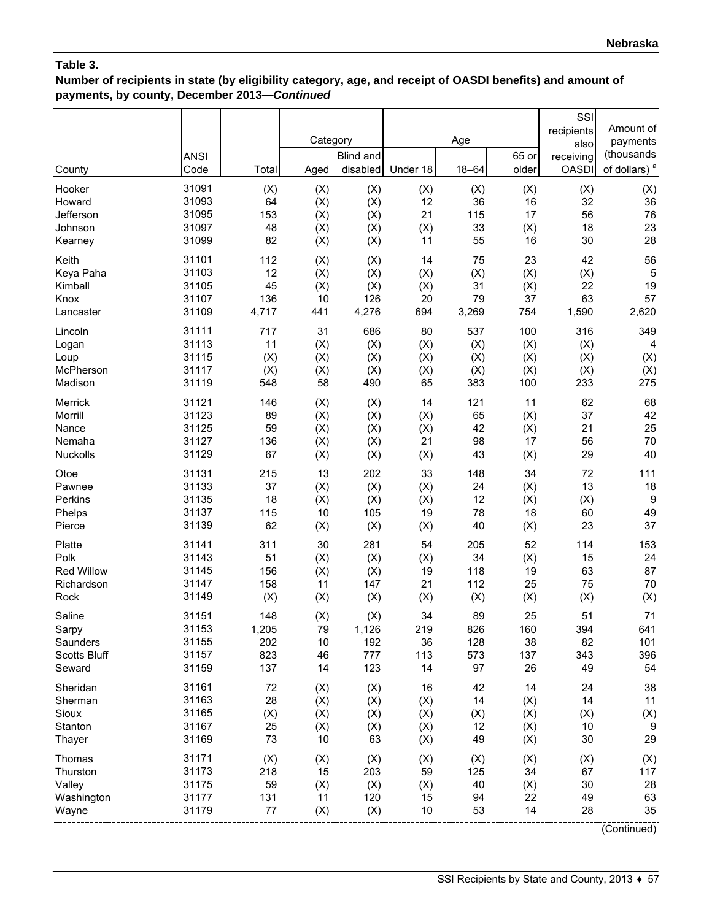**Number of recipients in state (by eligibility category, age, and receipt of OASDI benefits) and amount of payments, by county, December 2013—***Continued*

| County              | <b>ANSI</b><br>Code | Total | Category<br>Aged | <b>Blind and</b><br>disabled | Under 18 | Age<br>$18 - 64$ | 65 or<br>older | SSI<br>recipients<br>also<br>receiving<br><b>OASDI</b> | Amount of<br>payments<br>(thousands<br>of dollars) <sup>a</sup> |
|---------------------|---------------------|-------|------------------|------------------------------|----------|------------------|----------------|--------------------------------------------------------|-----------------------------------------------------------------|
| Hooker              | 31091               | (X)   | (X)              | (X)                          | (X)      | (X)              | (X)            | (X)                                                    | (X)                                                             |
| Howard              | 31093               | 64    | (X)              | (X)                          | 12       | 36               | 16             | 32                                                     | 36                                                              |
| Jefferson           | 31095               | 153   | (X)              | (X)                          | 21       | 115              | 17             | 56                                                     | 76                                                              |
| Johnson             | 31097               | 48    | (X)              | (X)                          | (X)      | 33               | (X)            | 18                                                     | 23                                                              |
| Kearney             | 31099               | 82    | (X)              | (X)                          | 11       | 55               | 16             | 30                                                     | 28                                                              |
| Keith               | 31101               | 112   | (X)              | (X)                          | 14       | 75               | 23             | 42                                                     | 56                                                              |
| Keya Paha           | 31103               | 12    | (X)              | (X)                          | (X)      | (X)              | (X)            | (X)                                                    | 5                                                               |
| Kimball             | 31105               | 45    | (X)              | (X)                          | (X)      | 31               | (X)            | 22                                                     | 19                                                              |
| Knox                | 31107               | 136   | 10               | 126                          | 20       | 79               | 37             | 63                                                     | 57                                                              |
| Lancaster           | 31109               | 4,717 | 441              | 4,276                        | 694      | 3,269            | 754            | 1,590                                                  | 2,620                                                           |
| Lincoln             | 31111               | 717   | 31               | 686                          | 80       | 537              | 100            | 316                                                    | 349                                                             |
| Logan               | 31113               | 11    | (X)              | (X)                          | (X)      | (X)              | (X)            | (X)                                                    | 4                                                               |
| Loup                | 31115               | (X)   | (X)              | (X)                          | (X)      | (X)              | (X)            | (X)                                                    | (X)                                                             |
| McPherson           | 31117               | (X)   | (X)              | (X)                          | (X)      | (X)              | (X)            | (X)                                                    | (X)                                                             |
| Madison             | 31119               | 548   | 58               | 490                          | 65       | 383              | 100            | 233                                                    | 275                                                             |
| Merrick             | 31121               | 146   | (X)              | (X)                          | 14       | 121              | 11             | 62                                                     | 68                                                              |
| Morrill             | 31123               | 89    | (X)              | (X)                          | (X)      | 65               | (X)            | 37                                                     | 42                                                              |
| Nance               | 31125               | 59    | (X)              | (X)                          | (X)      | 42               | (X)            | 21                                                     | 25                                                              |
| Nemaha              | 31127               | 136   | (X)              | (X)                          | 21       | 98               | 17             | 56                                                     | 70                                                              |
| Nuckolls            | 31129               | 67    | (X)              | (X)                          | (X)      | 43               | (X)            | 29                                                     | 40                                                              |
| Otoe                | 31131               | 215   | 13               | 202                          | 33       | 148              | 34             | 72                                                     | 111                                                             |
| Pawnee              | 31133               | 37    | (X)              | (X)                          | (X)      | 24               | (X)            | 13                                                     | 18                                                              |
| Perkins             | 31135               | 18    | (X)              | (X)                          | (X)      | 12               | (X)            | (X)                                                    | 9                                                               |
| Phelps              | 31137               | 115   | 10               | 105                          | 19       | 78               | 18             | 60                                                     | 49                                                              |
| Pierce              | 31139               | 62    | (X)              | (X)                          | (X)      | 40               | (X)            | 23                                                     | 37                                                              |
| Platte              | 31141               | 311   | 30               | 281                          | 54       | 205              | 52             | 114                                                    | 153                                                             |
| Polk                | 31143               | 51    | (X)              | (X)                          | (X)      | 34               | (X)            | 15                                                     | 24                                                              |
| Red Willow          | 31145               | 156   | (X)              | (X)                          | 19       | 118              | 19             | 63                                                     | 87                                                              |
| Richardson          | 31147               | 158   | 11               | 147                          | 21       | 112              | 25             | 75                                                     | 70                                                              |
| Rock                | 31149               | (X)   | (X)              | (X)                          | (X)      | (X)              | (X)            | (X)                                                    | (X)                                                             |
| Saline              | 31151               | 148   | (X)              | (X)                          | 34       | 89               | 25             | 51                                                     | 71                                                              |
| Sarpy               | 31153               | 1,205 | 79               | 1,126                        | 219      | 826              | 160            | 394                                                    | 641                                                             |
| Saunders            | 31155               | 202   | 10               | 192                          | 36       | 128              | 38             | 82                                                     | 101                                                             |
| <b>Scotts Bluff</b> | 31157               | 823   | 46               | 777                          | 113      | 573              | 137            | 343                                                    | 396                                                             |
| Seward              | 31159               | 137   | 14               | 123                          | 14       | 97               | 26             | 49                                                     | 54                                                              |
| Sheridan            | 31161               | 72    | (X)              | (X)                          | 16       | 42               | 14             | 24                                                     | 38                                                              |
| Sherman             | 31163               | 28    | (X)              | (X)                          | (X)      | 14               | (X)            | 14                                                     | 11                                                              |
| Sioux               | 31165               | (X)   | (X)              | (X)                          | (X)      | (X)              | (X)            | (X)                                                    | (X)                                                             |
| Stanton             | 31167               | 25    | (X)              | (X)                          | (X)      | 12               | (X)            | 10                                                     | 9                                                               |
| Thayer              | 31169               | 73    | 10               | 63                           | (X)      | 49               | (X)            | 30                                                     | 29                                                              |
| Thomas              | 31171               | (X)   | (X)              | (X)                          | (X)      | (X)              | (X)            | (X)                                                    | (X)                                                             |
| Thurston            | 31173               | 218   | 15               | 203                          | 59       | 125              | 34             | 67                                                     | 117                                                             |
| Valley              | 31175               | 59    | (X)              | (X)                          | (X)      | 40               | (X)            | 30                                                     | 28                                                              |
| Washington          | 31177               | 131   | 11               | 120                          | 15       | 94               | 22             | 49                                                     | 63                                                              |
| Wayne               | 31179               | 77    | (X)              | (X)                          | 10       | 53               | 14             | 28                                                     | 35                                                              |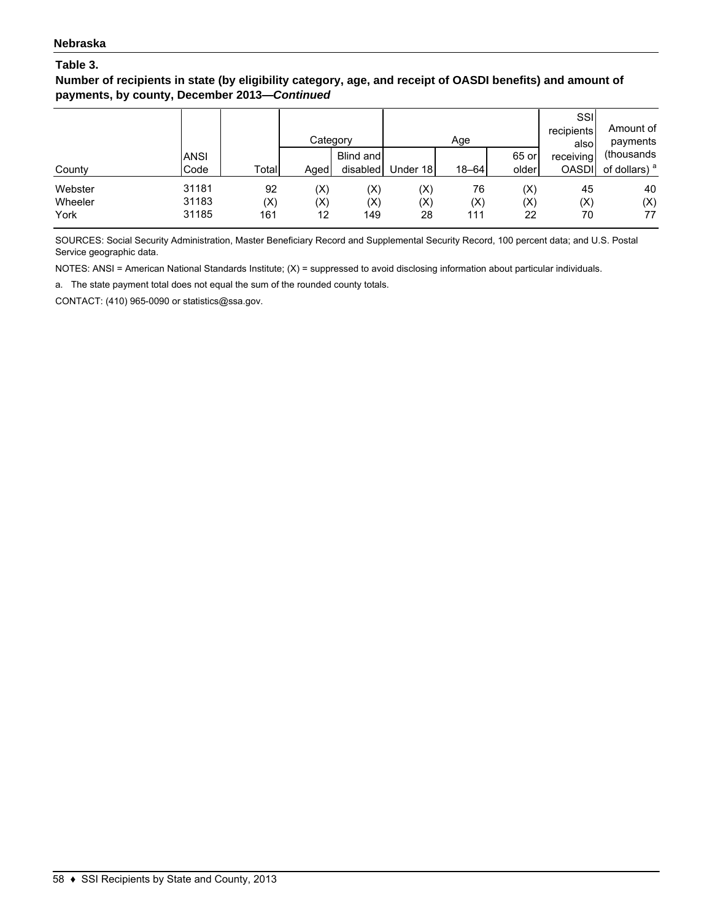**Number of recipients in state (by eligibility category, age, and receipt of OASDI benefits) and amount of payments, by county, December 2013—***Continued*

|         |             |       | Category |           |          | Age       |                | SSI<br>recipients<br>alsol | Amount of<br>payments    |
|---------|-------------|-------|----------|-----------|----------|-----------|----------------|----------------------------|--------------------------|
|         | <b>ANSI</b> |       |          | Blind and |          |           | 65 or          | receiving                  | (thousands)              |
| County  | Code        | Total | Aged     | disabled  | Under 18 | $18 - 64$ | older          | <b>OASDI</b>               | of dollars) <sup>a</sup> |
| Webster | 31181       | 92    | (X)      | (X)       | (X)      | 76        | $(\mathsf{X})$ | 45                         | 40                       |
| Wheeler | 31183       | (X)   | (X)      | (X)       | (X)      | (X)       | (X)            | (X)                        | (X)                      |
| York    | 31185       | 161   | 12       | 149       | 28       | 111       | 22             | 70                         | 77                       |

SOURCES: Social Security Administration, Master Beneficiary Record and Supplemental Security Record, 100 percent data; and U.S. Postal Service geographic data.

NOTES: ANSI = American National Standards Institute; (X) = suppressed to avoid disclosing information about particular individuals.

a. The state payment total does not equal the sum of the rounded county totals.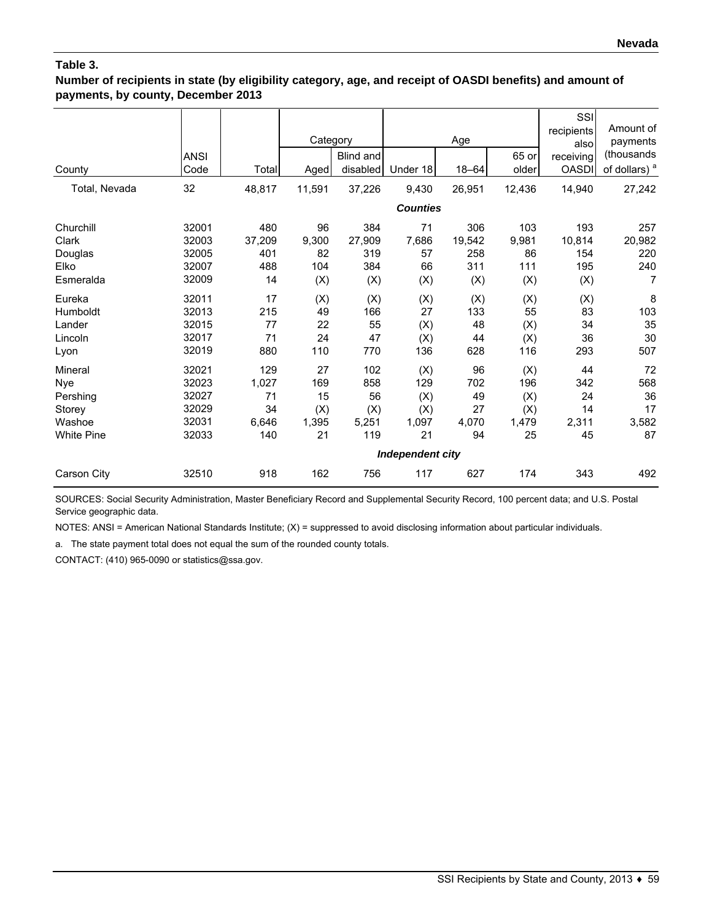### **Number of recipients in state (by eligibility category, age, and receipt of OASDI benefits) and amount of payments, by county, December 2013**

| County                                                              | <b>ANSI</b><br>Code                                | Total                                    | Category<br>Aged                      | Blind and<br>disabled                   | Under 18                                                           | Age<br>18-64                         | 65 or<br>older                          | SSI<br>recipients<br>alsol<br>receiving<br><b>OASDI</b> | Amount of<br>payments<br>(thousands<br>of dollars) <sup>a</sup> |
|---------------------------------------------------------------------|----------------------------------------------------|------------------------------------------|---------------------------------------|-----------------------------------------|--------------------------------------------------------------------|--------------------------------------|-----------------------------------------|---------------------------------------------------------|-----------------------------------------------------------------|
| Total, Nevada                                                       | 32                                                 | 48,817                                   | 11,591                                | 37,226                                  | 9,430                                                              | 26,951                               | 12,436                                  | 14,940                                                  | 27,242                                                          |
|                                                                     |                                                    |                                          |                                       |                                         | <b>Counties</b>                                                    |                                      |                                         |                                                         |                                                                 |
| Churchill<br>Clark<br>Douglas<br>Elko<br>Esmeralda                  | 32001<br>32003<br>32005<br>32007<br>32009          | 480<br>37,209<br>401<br>488<br>14        | 96<br>9,300<br>82<br>104<br>(X)       | 384<br>27,909<br>319<br>384<br>(X)      | 71<br>7,686<br>57<br>66<br>(X)                                     | 306<br>19,542<br>258<br>311<br>(X)   | 103<br>9,981<br>86<br>111<br>(X)        | 193<br>10,814<br>154<br>195<br>(X)                      | 257<br>20,982<br>220<br>240<br>7                                |
| Eureka<br>Humboldt<br>Lander<br>Lincoln<br>Lyon                     | 32011<br>32013<br>32015<br>32017<br>32019          | 17<br>215<br>77<br>71<br>880             | (X)<br>49<br>22<br>24<br>110          | (X)<br>166<br>55<br>47<br>770           | (X)<br>27<br>(X)<br>(X)<br>136                                     | (X)<br>133<br>48<br>44<br>628        | (X)<br>55<br>(X)<br>(X)<br>116          | (X)<br>83<br>34<br>36<br>293                            | 8<br>103<br>35<br>30<br>507                                     |
| Mineral<br>Nye<br>Pershing<br>Storey<br>Washoe<br><b>White Pine</b> | 32021<br>32023<br>32027<br>32029<br>32031<br>32033 | 129<br>1,027<br>71<br>34<br>6,646<br>140 | 27<br>169<br>15<br>(X)<br>1,395<br>21 | 102<br>858<br>56<br>(X)<br>5,251<br>119 | (X)<br>129<br>(X)<br>(X)<br>1,097<br>21<br><b>Independent city</b> | 96<br>702<br>49<br>27<br>4,070<br>94 | (X)<br>196<br>(X)<br>(X)<br>1,479<br>25 | 44<br>342<br>24<br>14<br>2,311<br>45                    | 72<br>568<br>36<br>17<br>3,582<br>87                            |
| Carson City                                                         | 32510                                              | 918                                      | 162                                   | 756                                     | 117                                                                | 627                                  | 174                                     | 343                                                     | 492                                                             |

SOURCES: Social Security Administration, Master Beneficiary Record and Supplemental Security Record, 100 percent data; and U.S. Postal Service geographic data.

NOTES: ANSI = American National Standards Institute; (X) = suppressed to avoid disclosing information about particular individuals.

a. The state payment total does not equal the sum of the rounded county totals.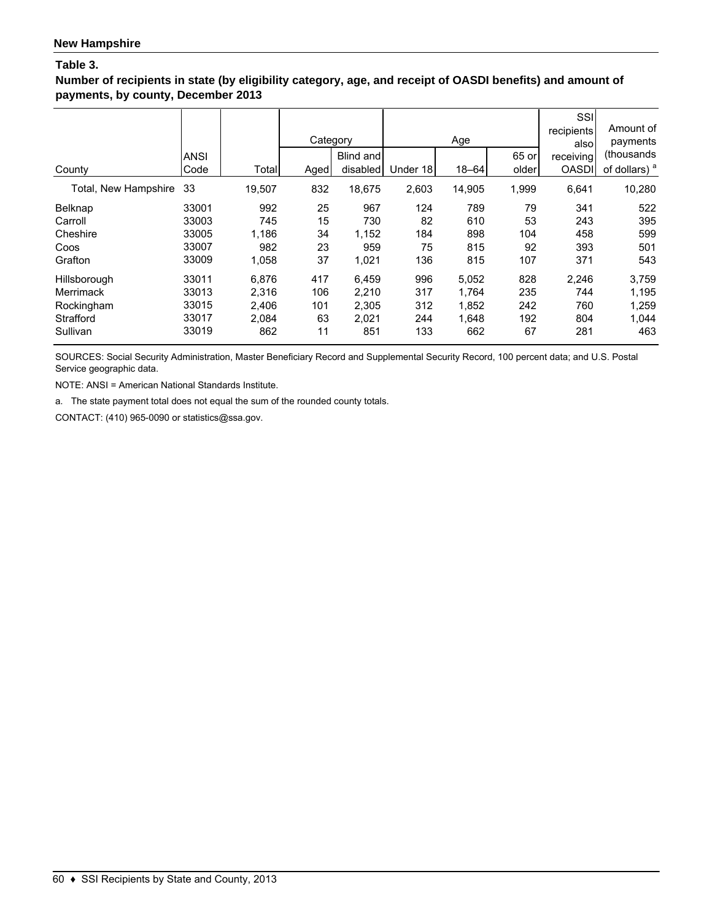### **Number of recipients in state (by eligibility category, age, and receipt of OASDI benefits) and amount of payments, by county, December 2013**

| County               | <b>ANSI</b><br>Code | Total  | Category<br>Aged | Blind and<br>disabled | Under 18 | Age<br>$18 - 64$ | 65 or<br>older | SSI<br>recipients<br>alsol<br>receiving<br><b>OASDI</b> | Amount of<br>payments<br>(thousands<br>of dollars) $a$ |
|----------------------|---------------------|--------|------------------|-----------------------|----------|------------------|----------------|---------------------------------------------------------|--------------------------------------------------------|
| Total, New Hampshire | 33                  | 19,507 | 832              | 18,675                | 2,603    | 14,905           | 1,999          | 6,641                                                   | 10,280                                                 |
| Belknap              | 33001               | 992    | 25               | 967                   | 124      | 789              | 79             | 341                                                     | 522                                                    |
| Carroll              | 33003               | 745    | 15               | 730                   | 82       | 610              | 53             | 243                                                     | 395                                                    |
| Cheshire             | 33005               | 1,186  | 34               | 1,152                 | 184      | 898              | 104            | 458                                                     | 599                                                    |
| Coos                 | 33007               | 982    | 23               | 959                   | 75       | 815              | 92             | 393                                                     | 501                                                    |
| Grafton              | 33009               | 1,058  | 37               | 1,021                 | 136      | 815              | 107            | 371                                                     | 543                                                    |
| Hillsborough         | 33011               | 6,876  | 417              | 6.459                 | 996      | 5,052            | 828            | 2,246                                                   | 3,759                                                  |
| Merrimack            | 33013               | 2,316  | 106              | 2,210                 | 317      | 1.764            | 235            | 744                                                     | 1,195                                                  |
| Rockingham           | 33015               | 2,406  | 101              | 2,305                 | 312      | 1,852            | 242            | 760                                                     | 1,259                                                  |
| Strafford            | 33017               | 2,084  | 63               | 2,021                 | 244      | 1,648            | 192            | 804                                                     | 1,044                                                  |
| Sullivan             | 33019               | 862    | 11               | 851                   | 133      | 662              | 67             | 281                                                     | 463                                                    |

SOURCES: Social Security Administration, Master Beneficiary Record and Supplemental Security Record, 100 percent data; and U.S. Postal Service geographic data.

NOTE: ANSI = American National Standards Institute.

a. The state payment total does not equal the sum of the rounded county totals.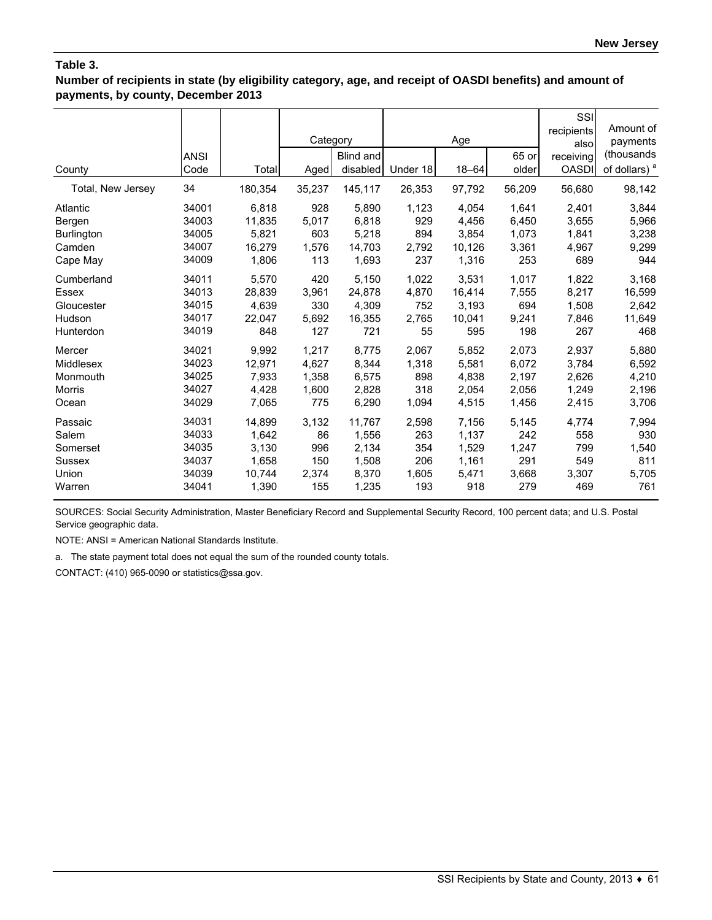**Number of recipients in state (by eligibility category, age, and receipt of OASDI benefits) and amount of payments, by county, December 2013**

|                   | <b>ANSI</b> |         | Category | Blind and |          | Age       | 65 or  | SSI<br>recipients<br>alsol<br>receiving | Amount of<br>payments<br>(thousands |
|-------------------|-------------|---------|----------|-----------|----------|-----------|--------|-----------------------------------------|-------------------------------------|
| County            | Code        | Total   | Aged     | disabled  | Under 18 | $18 - 64$ | older  | <b>OASDI</b>                            | of dollars) <sup>a</sup>            |
| Total, New Jersey | 34          | 180,354 | 35,237   | 145,117   | 26,353   | 97,792    | 56,209 | 56,680                                  | 98,142                              |
| Atlantic          | 34001       | 6,818   | 928      | 5,890     | 1,123    | 4,054     | 1,641  | 2,401                                   | 3,844                               |
| Bergen            | 34003       | 11,835  | 5,017    | 6,818     | 929      | 4,456     | 6,450  | 3,655                                   | 5,966                               |
| <b>Burlington</b> | 34005       | 5,821   | 603      | 5,218     | 894      | 3.854     | 1.073  | 1,841                                   | 3,238                               |
| Camden            | 34007       | 16,279  | 1,576    | 14,703    | 2,792    | 10,126    | 3,361  | 4,967                                   | 9,299                               |
| Cape May          | 34009       | 1,806   | 113      | 1,693     | 237      | 1,316     | 253    | 689                                     | 944                                 |
| Cumberland        | 34011       | 5,570   | 420      | 5,150     | 1,022    | 3,531     | 1,017  | 1,822                                   | 3,168                               |
| Essex             | 34013       | 28.839  | 3,961    | 24,878    | 4,870    | 16,414    | 7,555  | 8,217                                   | 16,599                              |
| Gloucester        | 34015       | 4.639   | 330      | 4,309     | 752      | 3,193     | 694    | 1,508                                   | 2,642                               |
| Hudson            | 34017       | 22,047  | 5.692    | 16,355    | 2,765    | 10.041    | 9,241  | 7,846                                   | 11,649                              |
| Hunterdon         | 34019       | 848     | 127      | 721       | 55       | 595       | 198    | 267                                     | 468                                 |
| Mercer            | 34021       | 9,992   | 1,217    | 8,775     | 2,067    | 5,852     | 2,073  | 2,937                                   | 5,880                               |
| Middlesex         | 34023       | 12,971  | 4,627    | 8,344     | 1,318    | 5,581     | 6,072  | 3,784                                   | 6,592                               |
| Monmouth          | 34025       | 7,933   | 1,358    | 6,575     | 898      | 4,838     | 2,197  | 2,626                                   | 4,210                               |
| <b>Morris</b>     | 34027       | 4,428   | 1,600    | 2,828     | 318      | 2,054     | 2,056  | 1,249                                   | 2,196                               |
| Ocean             | 34029       | 7,065   | 775      | 6,290     | 1,094    | 4,515     | 1,456  | 2,415                                   | 3,706                               |
| Passaic           | 34031       | 14,899  | 3,132    | 11,767    | 2,598    | 7,156     | 5,145  | 4,774                                   | 7,994                               |
| Salem             | 34033       | 1,642   | 86       | 1,556     | 263      | 1,137     | 242    | 558                                     | 930                                 |
| Somerset          | 34035       | 3,130   | 996      | 2,134     | 354      | 1,529     | 1,247  | 799                                     | 1,540                               |
| <b>Sussex</b>     | 34037       | 1,658   | 150      | 1,508     | 206      | 1,161     | 291    | 549                                     | 811                                 |
| Union             | 34039       | 10,744  | 2,374    | 8,370     | 1,605    | 5,471     | 3,668  | 3,307                                   | 5,705                               |
| Warren            | 34041       | 1,390   | 155      | 1,235     | 193      | 918       | 279    | 469                                     | 761                                 |

SOURCES: Social Security Administration, Master Beneficiary Record and Supplemental Security Record, 100 percent data; and U.S. Postal Service geographic data.

NOTE: ANSI = American National Standards Institute.

a. The state payment total does not equal the sum of the rounded county totals.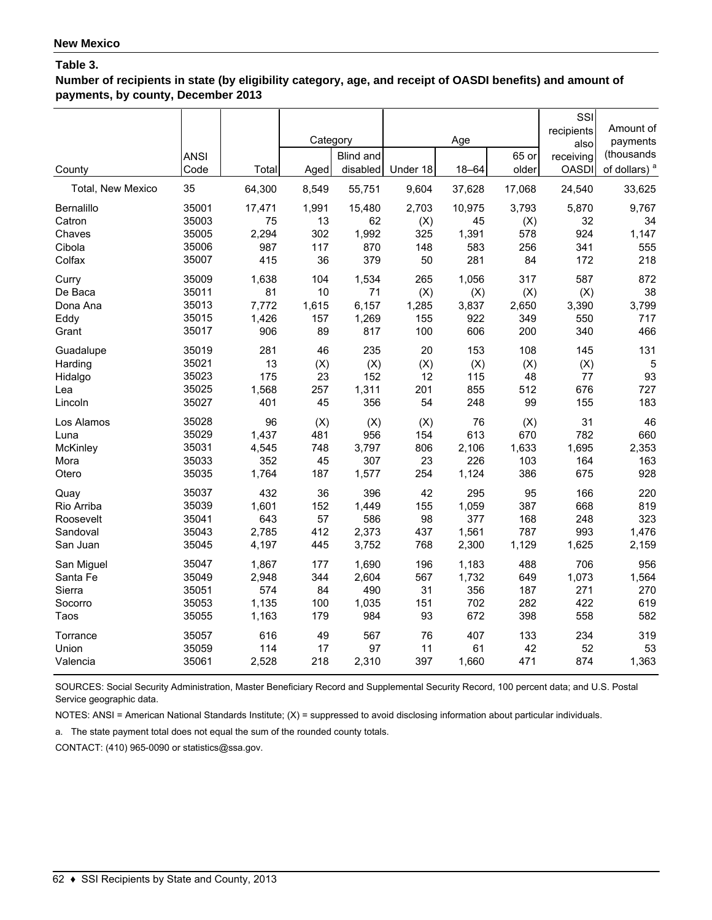**Number of recipients in state (by eligibility category, age, and receipt of OASDI benefits) and amount of payments, by county, December 2013**

| County            | <b>ANSI</b><br>Code | Total  | Category<br>Aged | <b>Blind and</b><br>disabled | Under 18 | Age<br>$18 - 64$ | 65 or<br>older | SSI<br>recipients<br>also<br>receiving<br><b>OASDI</b> | Amount of<br>payments<br>(thousands<br>of dollars) <sup>a</sup> |
|-------------------|---------------------|--------|------------------|------------------------------|----------|------------------|----------------|--------------------------------------------------------|-----------------------------------------------------------------|
| Total, New Mexico | 35                  | 64,300 | 8,549            | 55,751                       | 9,604    | 37,628           | 17,068         | 24,540                                                 | 33,625                                                          |
| Bernalillo        | 35001               | 17,471 | 1,991            | 15,480                       | 2,703    | 10,975           | 3,793          | 5,870                                                  | 9,767                                                           |
| Catron            | 35003               | 75     | 13               | 62                           | (X)      | 45               | (X)            | 32                                                     | 34                                                              |
| Chaves            | 35005               | 2,294  | 302              | 1,992                        | 325      | 1,391            | 578            | 924                                                    | 1,147                                                           |
| Cibola            | 35006               | 987    | 117              | 870                          | 148      | 583              | 256            | 341                                                    | 555                                                             |
| Colfax            | 35007               | 415    | 36               | 379                          | 50       | 281              | 84             | 172                                                    | 218                                                             |
| Curry             | 35009               | 1,638  | 104              | 1,534                        | 265      | 1,056            | 317            | 587                                                    | 872                                                             |
| De Baca           | 35011               | 81     | 10               | 71                           | (X)      | (X)              | (X)            | (X)                                                    | 38                                                              |
| Dona Ana          | 35013               | 7,772  | 1,615            | 6,157                        | 1,285    | 3,837            | 2,650          | 3,390                                                  | 3,799                                                           |
| Eddy              | 35015               | 1,426  | 157              | 1,269                        | 155      | 922              | 349            | 550                                                    | 717                                                             |
| Grant             | 35017               | 906    | 89               | 817                          | 100      | 606              | 200            | 340                                                    | 466                                                             |
| Guadalupe         | 35019               | 281    | 46               | 235                          | 20       | 153              | 108            | 145                                                    | 131                                                             |
| Harding           | 35021               | 13     | (X)              | (X)                          | (X)      | (X)              | (X)            | (X)                                                    | 5                                                               |
| Hidalgo           | 35023               | 175    | 23               | 152                          | 12       | 115              | 48             | 77                                                     | 93                                                              |
| Lea               | 35025               | 1,568  | 257              | 1,311                        | 201      | 855              | 512            | 676                                                    | 727                                                             |
| Lincoln           | 35027               | 401    | 45               | 356                          | 54       | 248              | 99             | 155                                                    | 183                                                             |
| Los Alamos        | 35028               | 96     | (X)              | (X)                          | (X)      | 76               | (X)            | 31                                                     | 46                                                              |
| Luna              | 35029               | 1,437  | 481              | 956                          | 154      | 613              | 670            | 782                                                    | 660                                                             |
| McKinley          | 35031               | 4,545  | 748              | 3,797                        | 806      | 2,106            | 1,633          | 1,695                                                  | 2,353                                                           |
| Mora              | 35033               | 352    | 45               | 307                          | 23       | 226              | 103            | 164                                                    | 163                                                             |
| Otero             | 35035               | 1,764  | 187              | 1,577                        | 254      | 1,124            | 386            | 675                                                    | 928                                                             |
| Quay              | 35037               | 432    | 36               | 396                          | 42       | 295              | 95             | 166                                                    | 220                                                             |
| Rio Arriba        | 35039               | 1,601  | 152              | 1,449                        | 155      | 1,059            | 387            | 668                                                    | 819                                                             |
| Roosevelt         | 35041               | 643    | 57               | 586                          | 98       | 377              | 168            | 248                                                    | 323                                                             |
| Sandoval          | 35043               | 2,785  | 412              | 2,373                        | 437      | 1,561            | 787            | 993                                                    | 1,476                                                           |
| San Juan          | 35045               | 4,197  | 445              | 3,752                        | 768      | 2,300            | 1,129          | 1,625                                                  | 2,159                                                           |
| San Miguel        | 35047               | 1,867  | 177              | 1,690                        | 196      | 1,183            | 488            | 706                                                    | 956                                                             |
| Santa Fe          | 35049               | 2,948  | 344              | 2,604                        | 567      | 1,732            | 649            | 1,073                                                  | 1,564                                                           |
| Sierra            | 35051               | 574    | 84               | 490                          | 31       | 356              | 187            | 271                                                    | 270                                                             |
| Socorro           | 35053               | 1,135  | 100              | 1,035                        | 151      | 702              | 282            | 422                                                    | 619                                                             |
| Taos              | 35055               | 1,163  | 179              | 984                          | 93       | 672              | 398            | 558                                                    | 582                                                             |
| Torrance          | 35057               | 616    | 49               | 567                          | 76       | 407              | 133            | 234                                                    | 319                                                             |
| Union             | 35059               | 114    | 17               | 97                           | 11       | 61               | 42             | 52                                                     | 53                                                              |
| Valencia          | 35061               | 2,528  | 218              | 2,310                        | 397      | 1,660            | 471            | 874                                                    | 1,363                                                           |

SOURCES: Social Security Administration, Master Beneficiary Record and Supplemental Security Record, 100 percent data; and U.S. Postal Service geographic data.

NOTES: ANSI = American National Standards Institute; (X) = suppressed to avoid disclosing information about particular individuals.

a. The state payment total does not equal the sum of the rounded county totals.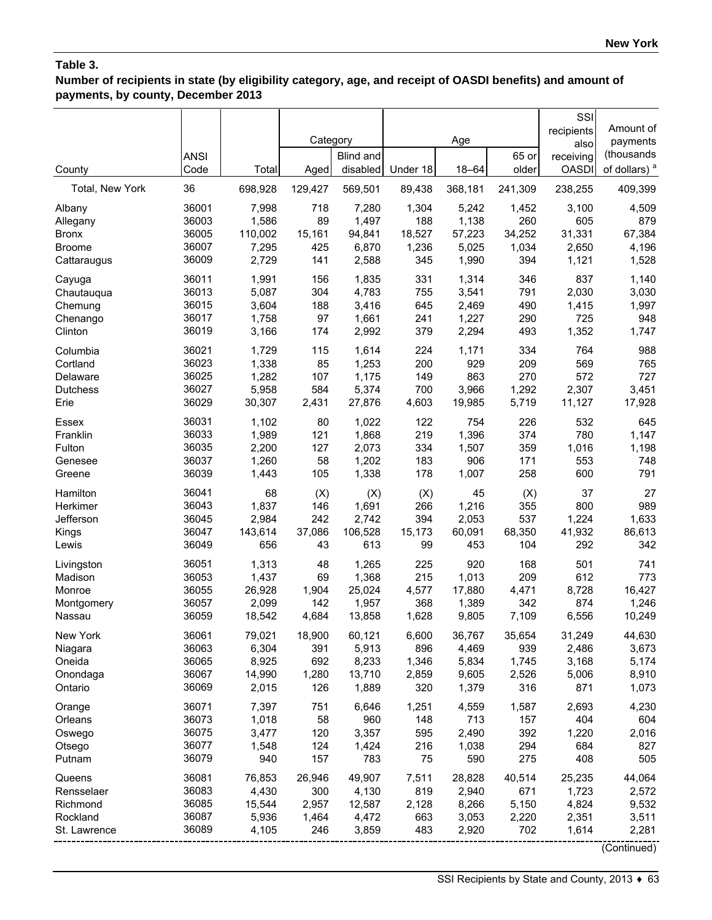# **Number of recipients in state (by eligibility category, age, and receipt of OASDI benefits) and amount of payments, by county, December 2013**

|                      | <b>ANSI</b>    |                 | Category   | <b>Blind and</b> |              | Age            | 65 or          | SSI<br>recipients<br>also<br>receiving | Amount of<br>payments<br>(thousands |
|----------------------|----------------|-----------------|------------|------------------|--------------|----------------|----------------|----------------------------------------|-------------------------------------|
| County               | Code           | Total           | Aged       | disabled         | Under 18     | $18 - 64$      | older          | <b>OASDI</b>                           | of dollars) <sup>a</sup>            |
| Total, New York      | 36             | 698,928         | 129,427    | 569,501          | 89,438       | 368,181        | 241,309        | 238,255                                | 409,399                             |
| Albany               | 36001          | 7,998           | 718        | 7,280            | 1,304        | 5,242          | 1,452          | 3,100                                  | 4,509                               |
| Allegany             | 36003          | 1,586           | 89         | 1,497            | 188          | 1,138          | 260            | 605                                    | 879                                 |
| <b>Bronx</b>         | 36005          | 110,002         | 15,161     | 94,841           | 18,527       | 57,223         | 34,252         | 31,331                                 | 67,384                              |
| <b>Broome</b>        | 36007          | 7,295           | 425        | 6,870            | 1,236        | 5,025          | 1,034          | 2,650                                  | 4,196                               |
| Cattaraugus          | 36009          | 2,729           | 141        | 2,588            | 345          | 1,990          | 394            | 1,121                                  | 1,528                               |
| Cayuga               | 36011          | 1,991           | 156        | 1,835            | 331          | 1,314          | 346            | 837                                    | 1,140                               |
| Chautauqua           | 36013          | 5,087           | 304        | 4,783            | 755          | 3,541          | 791            | 2,030                                  | 3,030                               |
| Chemung              | 36015          | 3,604           | 188        | 3,416            | 645          | 2,469          | 490            | 1,415                                  | 1,997                               |
| Chenango             | 36017<br>36019 | 1,758<br>3,166  | 97<br>174  | 1,661<br>2,992   | 241<br>379   | 1,227<br>2,294 | 290<br>493     | 725<br>1,352                           | 948<br>1,747                        |
| Clinton              |                |                 |            |                  |              |                |                |                                        |                                     |
| Columbia<br>Cortland | 36021<br>36023 | 1,729<br>1,338  | 115<br>85  | 1,614<br>1,253   | 224<br>200   | 1,171<br>929   | 334<br>209     | 764<br>569                             | 988<br>765                          |
| Delaware             | 36025          | 1,282           | 107        | 1,175            | 149          | 863            | 270            | 572                                    | 727                                 |
| <b>Dutchess</b>      | 36027          | 5,958           | 584        | 5,374            | 700          | 3,966          | 1,292          | 2,307                                  | 3,451                               |
| Erie                 | 36029          | 30,307          | 2,431      | 27,876           | 4,603        | 19,985         | 5,719          | 11,127                                 | 17,928                              |
| Essex                | 36031          | 1,102           | 80         | 1,022            | 122          | 754            | 226            | 532                                    | 645                                 |
| Franklin             | 36033          | 1,989           | 121        | 1,868            | 219          | 1,396          | 374            | 780                                    | 1,147                               |
| Fulton               | 36035          | 2,200           | 127        | 2,073            | 334          | 1,507          | 359            | 1,016                                  | 1,198                               |
| Genesee              | 36037          | 1,260           | 58         | 1,202            | 183          | 906            | 171            | 553                                    | 748                                 |
| Greene               | 36039          | 1,443           | 105        | 1,338            | 178          | 1,007          | 258            | 600                                    | 791                                 |
| Hamilton             | 36041          | 68              | (X)        | (X)              | (X)          | 45             | (X)            | 37                                     | 27                                  |
| Herkimer             | 36043          | 1,837           | 146        | 1,691            | 266          | 1,216          | 355            | 800                                    | 989                                 |
| Jefferson            | 36045          | 2,984           | 242        | 2,742            | 394          | 2,053          | 537            | 1,224                                  | 1,633                               |
| Kings                | 36047          | 143,614         | 37,086     | 106,528          | 15,173       | 60,091         | 68,350         | 41,932                                 | 86,613                              |
| Lewis                | 36049          | 656             | 43         | 613              | 99           | 453            | 104            | 292                                    | 342                                 |
| Livingston           | 36051          | 1,313           | 48         | 1,265            | 225          | 920            | 168            | 501                                    | 741                                 |
| Madison              | 36053          | 1,437           | 69         | 1,368            | 215          | 1,013          | 209            | 612                                    | 773                                 |
| Monroe               | 36055          | 26,928          | 1,904      | 25,024           | 4,577        | 17,880         | 4,471          | 8,728                                  | 16,427                              |
| Montgomery           | 36057          | 2,099           | 142        | 1,957            | 368          | 1,389          | 342            | 874                                    | 1,246                               |
| Nassau               | 36059          | 18,542          | 4,684      | 13,858           | 1,628        | 9,805          | 7,109          | 6,556                                  | 10,249                              |
| New York             | 36061          | 79,021          | 18,900     | 60,121           | 6,600        | 36,767         | 35,654         | 31,249                                 | 44,630                              |
| Niagara              | 36063<br>36065 | 6,304           | 391<br>692 | 5,913            | 896          | 4,469          | 939            | 2,486                                  | 3,673                               |
| Oneida               | 36067          | 8,925<br>14,990 | 1,280      | 8,233<br>13,710  | 1,346        | 5,834<br>9,605 | 1,745<br>2,526 | 3,168<br>5,006                         | 5,174                               |
| Onondaga<br>Ontario  | 36069          | 2,015           | 126        | 1,889            | 2,859<br>320 | 1,379          | 316            | 871                                    | 8,910<br>1,073                      |
|                      |                |                 |            |                  |              |                |                |                                        |                                     |
| Orange               | 36071          | 7,397           | 751        | 6,646            | 1,251        | 4,559          | 1,587          | 2,693                                  | 4,230                               |
| Orleans              | 36073<br>36075 | 1,018           | 58         | 960              | 148          | 713            | 157<br>392     | 404                                    | 604                                 |
| Oswego               | 36077          | 3,477<br>1,548  | 120<br>124 | 3,357            | 595<br>216   | 2,490<br>1,038 | 294            | 1,220<br>684                           | 2,016<br>827                        |
| Otsego<br>Putnam     | 36079          | 940             | 157        | 1,424<br>783     | 75           | 590            | 275            | 408                                    | 505                                 |
| Queens               | 36081          | 76,853          | 26,946     | 49,907           | 7,511        | 28,828         | 40,514         | 25,235                                 | 44,064                              |
| Rensselaer           | 36083          | 4,430           | 300        | 4,130            | 819          | 2,940          | 671            | 1,723                                  | 2,572                               |
| Richmond             | 36085          | 15,544          | 2,957      | 12,587           | 2,128        | 8,266          | 5,150          | 4,824                                  | 9,532                               |
| Rockland             | 36087          | 5,936           | 1,464      | 4,472            | 663          | 3,053          | 2,220          | 2,351                                  | 3,511                               |
| St. Lawrence         | 36089          | 4,105           | 246        | 3,859            | 483          | 2,920          | 702            | 1,614                                  | 2,281                               |
|                      |                |                 |            |                  |              |                |                |                                        | (Continued)                         |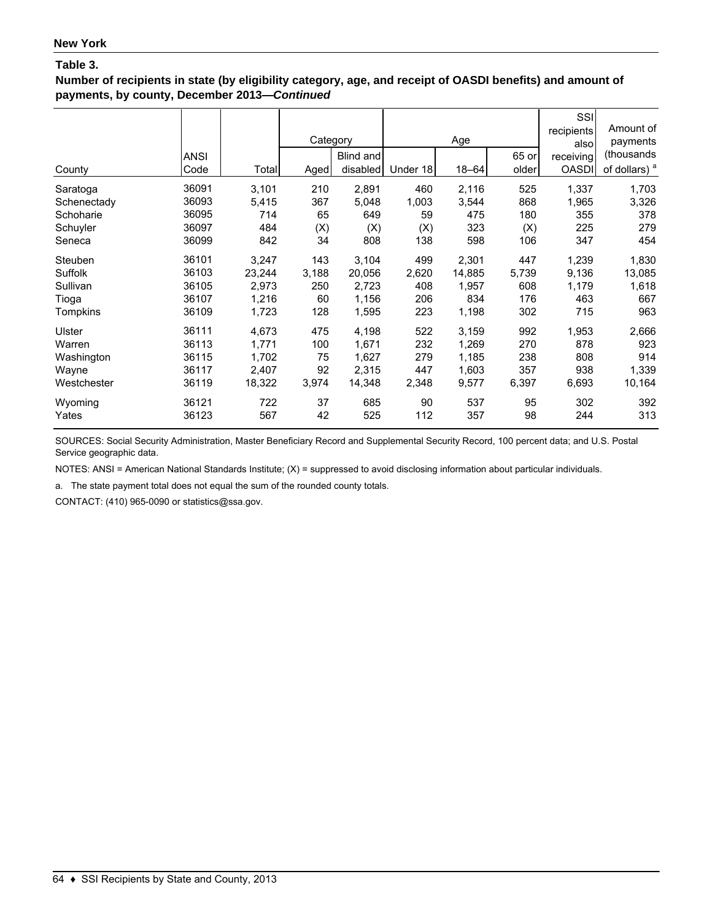**Number of recipients in state (by eligibility category, age, and receipt of OASDI benefits) and amount of payments, by county, December 2013—***Continued*

| County      | <b>ANSI</b><br>Code | Total  | Category<br>Aged | Blind and<br>disabled | Under 18 | Age<br>$18 - 64$ | 65 or<br>older | SSI<br>recipients<br>also<br>receiving<br><b>OASDI</b> | Amount of<br>payments<br>(thousands<br>of dollars) <sup>a</sup> |
|-------------|---------------------|--------|------------------|-----------------------|----------|------------------|----------------|--------------------------------------------------------|-----------------------------------------------------------------|
| Saratoga    | 36091               | 3,101  | 210              | 2,891                 | 460      | 2,116            | 525            | 1,337                                                  | 1,703                                                           |
| Schenectady | 36093               | 5,415  | 367              | 5,048                 | 1,003    | 3,544            | 868            | 1,965                                                  | 3,326                                                           |
| Schoharie   | 36095               | 714    | 65               | 649                   | 59       | 475              | 180            | 355                                                    | 378                                                             |
| Schuyler    | 36097               | 484    | (X)              | (X)                   | (X)      | 323              | (X)            | 225                                                    | 279                                                             |
| Seneca      | 36099               | 842    | 34               | 808                   | 138      | 598              | 106            | 347                                                    | 454                                                             |
| Steuben     | 36101               | 3,247  | 143              | 3,104                 | 499      | 2,301            | 447            | 1,239                                                  | 1,830                                                           |
| Suffolk     | 36103               | 23,244 | 3,188            | 20.056                | 2,620    | 14.885           | 5,739          | 9,136                                                  | 13,085                                                          |
| Sullivan    | 36105               | 2,973  | 250              | 2,723                 | 408      | 1,957            | 608            | 1,179                                                  | 1,618                                                           |
| Tioga       | 36107               | 1,216  | 60               | 1,156                 | 206      | 834              | 176            | 463                                                    | 667                                                             |
| Tompkins    | 36109               | 1,723  | 128              | 1,595                 | 223      | 1,198            | 302            | 715                                                    | 963                                                             |
| Ulster      | 36111               | 4,673  | 475              | 4,198                 | 522      | 3,159            | 992            | 1,953                                                  | 2,666                                                           |
| Warren      | 36113               | 1,771  | 100              | 1,671                 | 232      | 1,269            | 270            | 878                                                    | 923                                                             |
| Washington  | 36115               | 1,702  | 75               | 1,627                 | 279      | 1,185            | 238            | 808                                                    | 914                                                             |
| Wayne       | 36117               | 2,407  | 92               | 2,315                 | 447      | 1,603            | 357            | 938                                                    | 1,339                                                           |
| Westchester | 36119               | 18,322 | 3,974            | 14,348                | 2,348    | 9,577            | 6,397          | 6,693                                                  | 10,164                                                          |
| Wyoming     | 36121               | 722    | 37               | 685                   | 90       | 537              | 95             | 302                                                    | 392                                                             |
| Yates       | 36123               | 567    | 42               | 525                   | 112      | 357              | 98             | 244                                                    | 313                                                             |

SOURCES: Social Security Administration, Master Beneficiary Record and Supplemental Security Record, 100 percent data; and U.S. Postal Service geographic data.

NOTES: ANSI = American National Standards Institute; (X) = suppressed to avoid disclosing information about particular individuals.

a. The state payment total does not equal the sum of the rounded county totals.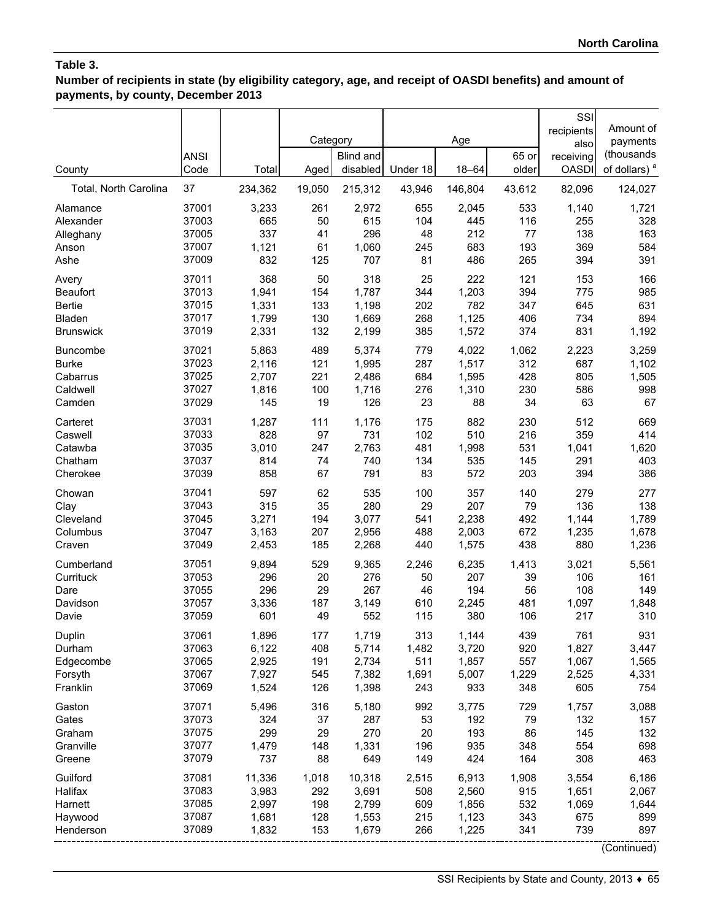**Number of recipients in state (by eligibility category, age, and receipt of OASDI benefits) and amount of payments, by county, December 2013**

| County                | <b>ANSI</b><br>Code | Total   | Category<br>Aged | <b>Blind and</b><br>disabled | Under 18 | Age<br>$18 - 64$ | 65 or<br>older | SSI<br>recipients<br>also<br>receiving<br><b>OASDI</b> | Amount of<br>payments<br>(thousands<br>of dollars) <sup>a</sup> |
|-----------------------|---------------------|---------|------------------|------------------------------|----------|------------------|----------------|--------------------------------------------------------|-----------------------------------------------------------------|
| Total, North Carolina | 37                  | 234,362 | 19,050           | 215,312                      | 43,946   | 146,804          | 43,612         | 82,096                                                 | 124,027                                                         |
| Alamance              | 37001               | 3,233   | 261              | 2,972                        | 655      | 2,045            | 533            | 1,140                                                  | 1,721                                                           |
| Alexander             | 37003               | 665     | 50               | 615                          | 104      | 445              | 116            | 255                                                    | 328                                                             |
| Alleghany             | 37005               | 337     | 41               | 296                          | 48       | 212              | 77             | 138                                                    | 163                                                             |
| Anson                 | 37007               | 1,121   | 61               | 1,060                        | 245      | 683              | 193            | 369                                                    | 584                                                             |
| Ashe                  | 37009               | 832     | 125              | 707                          | 81       | 486              | 265            | 394                                                    | 391                                                             |
| Avery                 | 37011               | 368     | 50               | 318                          | 25       | 222              | 121            | 153                                                    | 166                                                             |
| <b>Beaufort</b>       | 37013               | 1,941   | 154              | 1,787                        | 344      | 1,203            | 394            | 775                                                    | 985                                                             |
| <b>Bertie</b>         | 37015               | 1,331   | 133              | 1,198                        | 202      | 782              | 347            | 645                                                    | 631                                                             |
| Bladen                | 37017               | 1,799   | 130              | 1,669                        | 268      | 1,125            | 406            | 734                                                    | 894                                                             |
| <b>Brunswick</b>      | 37019               | 2,331   | 132              | 2,199                        | 385      | 1,572            | 374            | 831                                                    | 1,192                                                           |
| <b>Buncombe</b>       | 37021               | 5,863   | 489              | 5,374                        | 779      | 4,022            | 1,062          | 2,223                                                  | 3,259                                                           |
| <b>Burke</b>          | 37023               | 2,116   | 121              | 1,995                        | 287      | 1,517            | 312            | 687                                                    | 1,102                                                           |
| Cabarrus              | 37025               | 2,707   | 221              | 2,486                        | 684      | 1,595            | 428            | 805                                                    | 1,505                                                           |
| Caldwell              | 37027               | 1,816   | 100              | 1,716                        | 276      | 1,310            | 230            | 586                                                    | 998                                                             |
| Camden                | 37029               | 145     | 19               | 126                          | 23       | 88               | 34             | 63                                                     | 67                                                              |
| Carteret              | 37031               | 1,287   | 111              | 1,176                        | 175      | 882              | 230            | 512                                                    | 669                                                             |
| Caswell               | 37033               | 828     | 97               | 731                          | 102      | 510              | 216            | 359                                                    | 414                                                             |
| Catawba               | 37035               | 3,010   | 247              | 2,763                        | 481      | 1,998            | 531            | 1,041                                                  | 1,620                                                           |
| Chatham               | 37037               | 814     | 74               | 740                          | 134      | 535              | 145            | 291                                                    | 403                                                             |
| Cherokee              | 37039               | 858     | 67               | 791                          | 83       | 572              | 203            | 394                                                    | 386                                                             |
| Chowan                | 37041               | 597     | 62               | 535                          | 100      | 357              | 140            | 279                                                    | 277                                                             |
| Clay                  | 37043               | 315     | 35               | 280                          | 29       | 207              | 79             | 136                                                    | 138                                                             |
| Cleveland             | 37045               | 3,271   | 194              | 3,077                        | 541      | 2,238            | 492            | 1,144                                                  | 1,789                                                           |
| Columbus              | 37047               | 3,163   | 207              | 2,956                        | 488      | 2,003            | 672            | 1,235                                                  | 1,678                                                           |
| Craven                | 37049               | 2,453   | 185              | 2,268                        | 440      | 1,575            | 438            | 880                                                    | 1,236                                                           |
| Cumberland            | 37051               | 9,894   | 529              | 9,365                        | 2,246    | 6,235            | 1,413          | 3,021                                                  | 5,561                                                           |
| Currituck             | 37053               | 296     | 20               | 276                          | 50       | 207              | 39             | 106                                                    | 161                                                             |
| Dare                  | 37055               | 296     | 29               | 267                          | 46       | 194              | 56             | 108                                                    | 149                                                             |
| Davidson              | 37057               | 3,336   | 187              | 3,149                        | 610      | 2,245            | 481            | 1,097                                                  | 1,848                                                           |
| Davie                 | 37059               | 601     | 49               | 552                          | 115      | 380              | 106            | 217                                                    | 310                                                             |
| Duplin                | 37061               | 1,896   | 177              | 1,719                        | 313      | 1,144            | 439            | 761                                                    | 931                                                             |
| Durham                | 37063               | 6,122   | 408              | 5,714                        | 1,482    | 3,720            | 920            | 1,827                                                  | 3,447                                                           |
| Edgecombe             | 37065               | 2,925   | 191              | 2,734                        | 511      | 1,857            | 557            | 1,067                                                  | 1,565                                                           |
| Forsyth               | 37067               | 7,927   | 545              | 7,382                        | 1,691    | 5,007            | 1,229          | 2,525                                                  | 4,331                                                           |
| Franklin              | 37069               | 1,524   | 126              | 1,398                        | 243      | 933              | 348            | 605                                                    | 754                                                             |
| Gaston                | 37071               | 5,496   | 316              | 5,180                        | 992      | 3,775            | 729            | 1,757                                                  | 3,088                                                           |
| Gates                 | 37073               | 324     | 37               | 287                          | 53       | 192              | 79             | 132                                                    | 157                                                             |
| Graham                | 37075               | 299     | 29               | 270                          | 20       | 193              | 86             | 145                                                    | 132                                                             |
| Granville             | 37077               | 1,479   | 148              | 1,331                        | 196      | 935              | 348            | 554                                                    | 698                                                             |
| Greene                | 37079               | 737     | 88               | 649                          | 149      | 424              | 164            | 308                                                    | 463                                                             |
| Guilford              | 37081               | 11,336  | 1,018            | 10,318                       | 2,515    | 6,913            | 1,908          | 3,554                                                  | 6,186                                                           |
| Halifax               | 37083               | 3,983   | 292              | 3,691                        | 508      | 2,560            | 915            | 1,651                                                  | 2,067                                                           |
| Harnett               | 37085               | 2,997   | 198              | 2,799                        | 609      | 1,856            | 532            | 1,069                                                  | 1,644                                                           |
| Haywood               | 37087               | 1,681   | 128              | 1,553                        | 215      | 1,123            | 343            | 675                                                    | 899                                                             |
| Henderson             | 37089               | 1,832   | 153              | 1,679                        | 266      | 1,225            | 341            | 739                                                    | 897                                                             |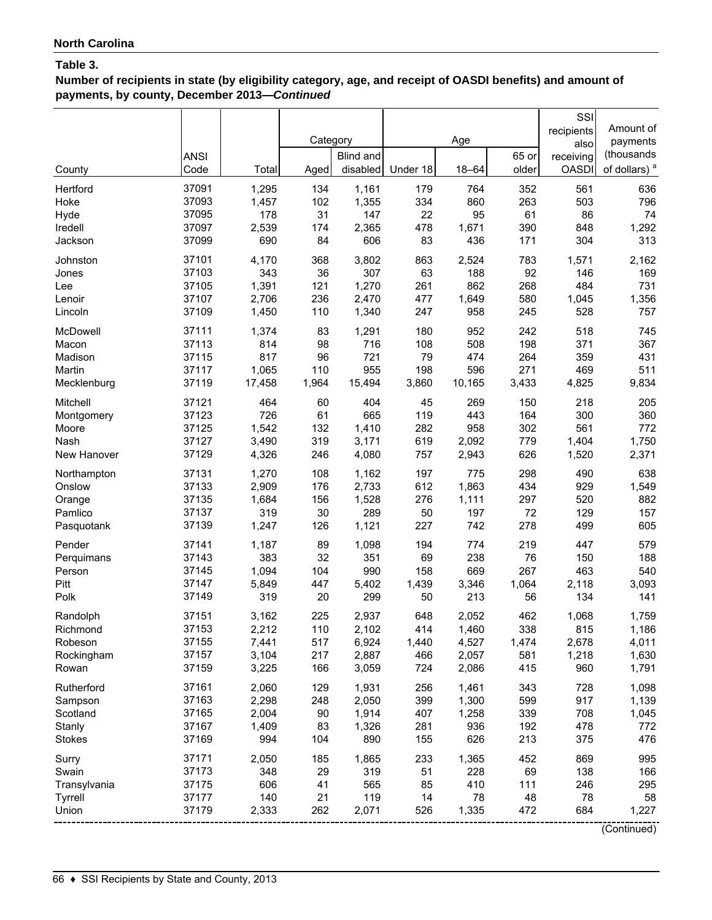**Number of recipients in state (by eligibility category, age, and receipt of OASDI benefits) and amount of payments, by county, December 2013—***Continued*

| County        | <b>ANSI</b><br>Code | Total  | Category<br>Aged | Blind and<br>disabled | Under 18 | Age<br>$18 - 64$ | 65 or<br>older | SSI<br>recipients<br>also<br>receiving<br><b>OASDI</b> | Amount of<br>payments<br>(thousands<br>of dollars) <sup>a</sup> |
|---------------|---------------------|--------|------------------|-----------------------|----------|------------------|----------------|--------------------------------------------------------|-----------------------------------------------------------------|
|               |                     |        |                  |                       |          |                  |                |                                                        |                                                                 |
| Hertford      | 37091               | 1,295  | 134              | 1,161                 | 179      | 764              | 352            | 561                                                    | 636                                                             |
| Hoke          | 37093               | 1,457  | 102              | 1,355                 | 334      | 860              | 263            | 503                                                    | 796                                                             |
| Hyde          | 37095               | 178    | 31               | 147                   | 22       | 95               | 61             | 86                                                     | 74                                                              |
| Iredell       | 37097<br>37099      | 2,539  | 174<br>84        | 2,365                 | 478      | 1,671            | 390            | 848                                                    | 1,292                                                           |
| Jackson       |                     | 690    |                  | 606                   | 83       | 436              | 171            | 304                                                    | 313                                                             |
| Johnston      | 37101               | 4,170  | 368              | 3,802                 | 863      | 2,524            | 783            | 1,571                                                  | 2,162                                                           |
| Jones         | 37103               | 343    | 36               | 307                   | 63       | 188              | 92             | 146                                                    | 169                                                             |
| Lee           | 37105               | 1,391  | 121              | 1,270                 | 261      | 862              | 268            | 484                                                    | 731                                                             |
| Lenoir        | 37107               | 2,706  | 236              | 2,470                 | 477      | 1,649            | 580            | 1,045                                                  | 1,356                                                           |
| Lincoln       | 37109               | 1,450  | 110              | 1,340                 | 247      | 958              | 245            | 528                                                    | 757                                                             |
| McDowell      | 37111               | 1,374  | 83               | 1,291                 | 180      | 952              | 242            | 518                                                    | 745                                                             |
| Macon         | 37113               | 814    | 98               | 716                   | 108      | 508              | 198            | 371                                                    | 367                                                             |
| Madison       | 37115               | 817    | 96               | 721                   | 79       | 474              | 264            | 359                                                    | 431                                                             |
| Martin        | 37117               | 1,065  | 110              | 955                   | 198      | 596              | 271            | 469                                                    | 511                                                             |
| Mecklenburg   | 37119               | 17,458 | 1,964            | 15,494                | 3,860    | 10,165           | 3,433          | 4,825                                                  | 9,834                                                           |
| Mitchell      | 37121               | 464    | 60               | 404                   | 45       | 269              | 150            | 218                                                    | 205                                                             |
| Montgomery    | 37123               | 726    | 61               | 665                   | 119      | 443              | 164            | 300                                                    | 360                                                             |
| Moore         | 37125               | 1,542  | 132              | 1,410                 | 282      | 958              | 302            | 561                                                    | 772                                                             |
| Nash          | 37127               | 3,490  | 319              | 3,171                 | 619      | 2,092            | 779            | 1,404                                                  | 1,750                                                           |
| New Hanover   | 37129               | 4,326  | 246              | 4,080                 | 757      | 2,943            | 626            | 1,520                                                  | 2,371                                                           |
| Northampton   | 37131               | 1,270  | 108              | 1,162                 | 197      | 775              | 298            | 490                                                    | 638                                                             |
| Onslow        | 37133               | 2,909  | 176              | 2,733                 | 612      | 1,863            | 434            | 929                                                    | 1,549                                                           |
| Orange        | 37135               | 1,684  | 156              | 1,528                 | 276      | 1,111            | 297            | 520                                                    | 882                                                             |
| Pamlico       | 37137               | 319    | 30               | 289                   | 50       | 197              | 72             | 129                                                    | 157                                                             |
| Pasquotank    | 37139               | 1,247  | 126              | 1,121                 | 227      | 742              | 278            | 499                                                    | 605                                                             |
| Pender        | 37141               | 1,187  | 89               | 1,098                 | 194      | 774              | 219            | 447                                                    | 579                                                             |
| Perquimans    | 37143               | 383    | 32               | 351                   | 69       | 238              | 76             | 150                                                    | 188                                                             |
| Person        | 37145               | 1,094  | 104              | 990                   | 158      | 669              | 267            | 463                                                    | 540                                                             |
| Pitt          | 37147               | 5,849  | 447              | 5,402                 | 1,439    | 3,346            | 1,064          | 2,118                                                  | 3,093                                                           |
| Polk          | 37149               | 319    | 20               | 299                   | 50       | 213              | 56             | 134                                                    | 141                                                             |
| Randolph      | 37151               | 3,162  | 225              | 2,937                 | 648      | 2,052            | 462            | 1,068                                                  | 1,759                                                           |
| Richmond      | 37153               | 2,212  | 110              | 2,102                 | 414      | 1,460            | 338            | 815                                                    | 1,186                                                           |
| Robeson       | 37155               | 7,441  | 517              | 6,924                 | 1,440    | 4,527            | 1,474          | 2,678                                                  | 4,011                                                           |
| Rockingham    | 37157               | 3,104  | 217              | 2,887                 | 466      | 2,057            | 581            | 1,218                                                  | 1,630                                                           |
| Rowan         | 37159               | 3,225  | 166              | 3,059                 | 724      | 2,086            | 415            | 960                                                    | 1,791                                                           |
| Rutherford    | 37161               | 2,060  | 129              | 1,931                 | 256      | 1,461            | 343            | 728                                                    | 1,098                                                           |
| Sampson       | 37163               | 2,298  | 248              | 2,050                 | 399      | 1,300            | 599            | 917                                                    | 1,139                                                           |
| Scotland      | 37165               | 2,004  | 90               | 1,914                 | 407      | 1,258            | 339            | 708                                                    | 1,045                                                           |
| Stanly        | 37167               | 1,409  | 83               | 1,326                 | 281      | 936              | 192            | 478                                                    | 772                                                             |
| <b>Stokes</b> | 37169               | 994    | 104              | 890                   | 155      | 626              | 213            | 375                                                    | 476                                                             |
| Surry         | 37171               | 2,050  | 185              | 1,865                 | 233      | 1,365            | 452            | 869                                                    | 995                                                             |
| Swain         | 37173               | 348    | 29               | 319                   | 51       | 228              | 69             | 138                                                    | 166                                                             |
| Transylvania  | 37175               | 606    | 41               | 565                   | 85       | 410              | 111            | 246                                                    | 295                                                             |
| Tyrrell       | 37177               | 140    | 21               | 119                   | 14       | 78               | 48             | 78                                                     | 58                                                              |
| Union         | 37179               | 2,333  | 262              | 2,071                 | 526      | 1,335            | 472            | 684                                                    | 1,227                                                           |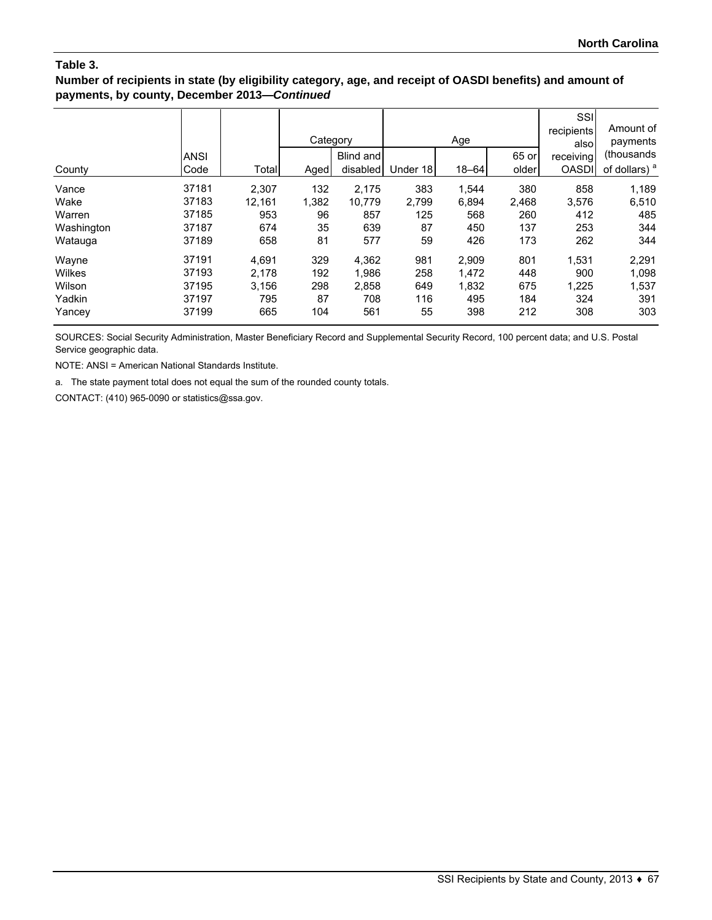### **Number of recipients in state (by eligibility category, age, and receipt of OASDI benefits) and amount of payments, by county, December 2013—***Continued*

|            |             |        | Category |           |          | Age       |       | SSI<br>recipients<br>alsol | Amount of<br>payments    |
|------------|-------------|--------|----------|-----------|----------|-----------|-------|----------------------------|--------------------------|
|            | <b>ANSI</b> |        |          | Blind and |          |           | 65 or | receiving                  | (thousands               |
| County     | Code        | Total  | Aged     | disabled  | Under 18 | $18 - 64$ | older | <b>OASDI</b>               | of dollars) <sup>a</sup> |
| Vance      | 37181       | 2.307  | 132      | 2.175     | 383      | 1,544     | 380   | 858                        | 1,189                    |
| Wake       | 37183       | 12,161 | 1,382    | 10,779    | 2,799    | 6,894     | 2,468 | 3,576                      | 6,510                    |
| Warren     | 37185       | 953    | 96       | 857       | 125      | 568       | 260   | 412                        | 485                      |
| Washington | 37187       | 674    | 35       | 639       | 87       | 450       | 137   | 253                        | 344                      |
| Watauga    | 37189       | 658    | 81       | 577       | 59       | 426       | 173   | 262                        | 344                      |
| Wayne      | 37191       | 4,691  | 329      | 4,362     | 981      | 2,909     | 801   | 1,531                      | 2,291                    |
| Wilkes     | 37193       | 2,178  | 192      | 1,986     | 258      | 1,472     | 448   | 900                        | 1,098                    |
| Wilson     | 37195       | 3,156  | 298      | 2,858     | 649      | 1,832     | 675   | 1,225                      | 1,537                    |
| Yadkin     | 37197       | 795    | 87       | 708       | 116      | 495       | 184   | 324                        | 391                      |
| Yancey     | 37199       | 665    | 104      | 561       | 55       | 398       | 212   | 308                        | 303                      |

SOURCES: Social Security Administration, Master Beneficiary Record and Supplemental Security Record, 100 percent data; and U.S. Postal Service geographic data.

NOTE: ANSI = American National Standards Institute.

a. The state payment total does not equal the sum of the rounded county totals.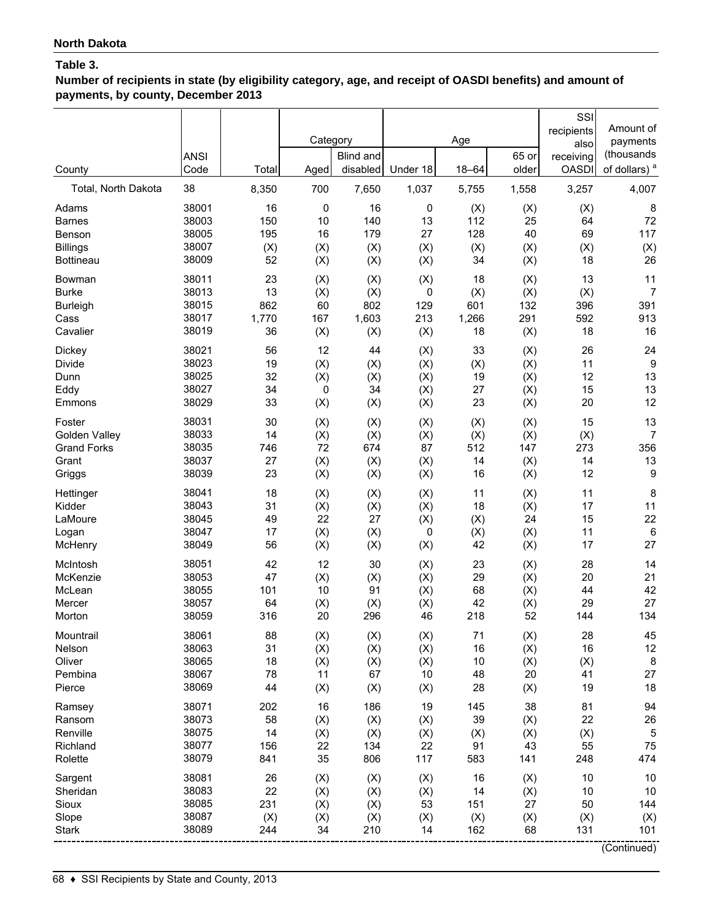**Number of recipients in state (by eligibility category, age, and receipt of OASDI benefits) and amount of payments, by county, December 2013**

|                                                       | <b>ANSI</b>                               |                               | Category                       | Blind and                       |                               | Age                           | 65 or                         | SSI<br>recipients<br>also<br>receiving | Amount of<br>payments<br>(thousands          |
|-------------------------------------------------------|-------------------------------------------|-------------------------------|--------------------------------|---------------------------------|-------------------------------|-------------------------------|-------------------------------|----------------------------------------|----------------------------------------------|
| County                                                | Code                                      | Total                         | Aged                           | disabled                        | Under 18                      | $18 - 64$                     | older                         | <b>OASDI</b>                           | of dollars) <sup>a</sup>                     |
| Total, North Dakota                                   | 38                                        | 8,350                         | 700                            | 7,650                           | 1,037                         | 5,755                         | 1,558                         | 3,257                                  | 4,007                                        |
| Adams                                                 | 38001                                     | 16                            | 0                              | 16                              | 0                             | (X)                           | (X)                           | (X)                                    | 8                                            |
| <b>Barnes</b>                                         | 38003                                     | 150                           | 10                             | 140                             | 13                            | 112                           | 25                            | 64                                     | 72                                           |
| Benson                                                | 38005                                     | 195                           | 16                             | 179                             | 27                            | 128                           | 40                            | 69                                     | 117                                          |
| <b>Billings</b>                                       | 38007                                     | (X)                           | (X)                            | (X)                             | (X)                           | (X)                           | (X)                           | (X)                                    | (X)                                          |
| <b>Bottineau</b>                                      | 38009                                     | 52                            | (X)                            | (X)                             | (X)                           | 34                            | (X)                           | 18                                     | 26                                           |
| Bowman                                                | 38011                                     | 23                            | (X)                            | (X)                             | (X)                           | 18                            | (X)                           | 13                                     | 11                                           |
| <b>Burke</b>                                          | 38013                                     | 13                            | (X)                            | (X)                             | 0                             | (X)                           | (X)                           | (X)                                    | $\overline{7}$                               |
| Burleigh                                              | 38015                                     | 862                           | 60                             | 802                             | 129                           | 601                           | 132                           | 396                                    | 391                                          |
| Cass                                                  | 38017                                     | 1,770                         | 167                            | 1,603                           | 213                           | 1,266                         | 291                           | 592                                    | 913                                          |
| Cavalier                                              | 38019                                     | 36                            | (X)                            | (X)                             | (X)                           | 18                            | (X)                           | 18                                     | 16                                           |
| <b>Dickey</b>                                         | 38021                                     | 56                            | 12                             | 44                              | (X)                           | 33                            | (X)                           | 26                                     | 24                                           |
| Divide                                                | 38023                                     | 19                            | (X)                            | (X)                             | (X)                           | (X)                           | (X)                           | 11                                     | 9                                            |
| Dunn                                                  | 38025                                     | 32                            | (X)                            | (X)                             | (X)                           | 19                            | (X)                           | 12                                     | 13                                           |
| Eddy                                                  | 38027                                     | 34                            | $\pmb{0}$                      | 34                              | (X)                           | 27                            | (X)                           | 15                                     | 13                                           |
| Emmons                                                | 38029                                     | 33                            | (X)                            | (X)                             | (X)                           | 23                            | (X)                           | 20                                     | 12                                           |
| Foster                                                | 38031                                     | 30                            | (X)                            | (X)                             | (X)                           | (X)                           | (X)                           | 15                                     | 13                                           |
| Golden Valley                                         | 38033                                     | 14                            | (X)                            | (X)                             | (X)                           | (X)                           | (X)                           | (X)                                    | 7                                            |
| <b>Grand Forks</b>                                    | 38035                                     | 746                           | 72                             | 674                             | 87                            | 512                           | 147                           | 273                                    | 356                                          |
| Grant                                                 | 38037                                     | 27                            | (X)                            | (X)                             | (X)                           | 14                            | (X)                           | 14                                     | 13                                           |
| Griggs                                                | 38039                                     | 23                            | (X)                            | (X)                             | (X)                           | 16                            | (X)                           | 12                                     | 9                                            |
| Hettinger                                             | 38041                                     | 18                            | (X)                            | (X)                             | (X)                           | 11                            | (X)                           | 11                                     | 8                                            |
| Kidder                                                | 38043                                     | 31                            | (X)                            | (X)                             | (X)                           | 18                            | (X)                           | 17                                     | 11                                           |
| LaMoure                                               | 38045                                     | 49                            | 22                             | 27                              | (X)                           | (X)                           | 24                            | 15                                     | 22                                           |
| Logan                                                 | 38047                                     | 17                            | (X)                            | (X)                             | 0                             | (X)                           | (X)                           | 11                                     | 6                                            |
| McHenry                                               | 38049                                     | 56                            | (X)                            | (X)                             | (X)                           | 42                            | (X)                           | 17                                     | 27                                           |
| McIntosh                                              | 38051                                     | 42                            | 12                             | 30                              | (X)                           | 23                            | (X)                           | 28                                     | 14                                           |
| McKenzie                                              | 38053                                     | 47                            | (X)                            | (X)                             | (X)                           | 29                            | (X)                           | 20                                     | 21                                           |
| McLean                                                | 38055                                     | 101                           | 10                             | 91                              | (X)                           | 68                            | (X)                           | 44                                     | 42                                           |
| Mercer                                                | 38057                                     | 64                            | (X)                            | (X)                             | (X)                           | 42                            | (X)                           | 29                                     | 27                                           |
| Morton                                                | 38059                                     | 316                           | 20                             | 296                             | 46                            | 218                           | 52                            | 144                                    | 134                                          |
| Mountrail                                             | 38061                                     | 88                            | (X)                            | (X)                             | (X)                           | 71                            | (X)                           | 28                                     | 45                                           |
| Nelson                                                | 38063                                     | 31                            | (X)                            | (X)                             | (X)                           | 16                            | (X)                           | 16                                     | 12                                           |
| Oliver                                                | 38065                                     | 18                            | (X)                            | (X)                             | (X)                           | 10                            | (X)                           | (X)                                    | 8                                            |
| Pembina                                               | 38067                                     | 78                            | 11                             | 67                              | 10                            | 48                            | 20                            | 41                                     | 27                                           |
| Pierce                                                | 38069                                     | 44                            | (X)                            | (X)                             | (X)                           | 28                            | (X)                           | 19                                     | 18                                           |
| Ramsey                                                | 38071                                     | 202                           | 16                             | 186                             | 19                            | 145                           | 38                            | 81                                     | 94                                           |
| Ransom                                                | 38073                                     | 58                            | (X)                            | (X)                             | (X)                           | 39                            | (X)                           | 22                                     | 26                                           |
| Renville                                              | 38075                                     | 14                            | (X)                            | (X)                             | (X)                           | (X)                           | (X)                           | (X)                                    | 5                                            |
| Richland                                              | 38077                                     | 156                           | 22                             | 134                             | 22                            | 91                            | 43                            | 55                                     | 75                                           |
| Rolette                                               | 38079                                     | 841                           | 35                             | 806                             | 117                           | 583                           | 141                           | 248                                    | 474                                          |
| Sargent<br>Sheridan<br>Sioux<br>Slope<br><b>Stark</b> | 38081<br>38083<br>38085<br>38087<br>38089 | 26<br>22<br>231<br>(X)<br>244 | (X)<br>(X)<br>(X)<br>(X)<br>34 | (X)<br>(X)<br>(X)<br>(X)<br>210 | (X)<br>(X)<br>53<br>(X)<br>14 | 16<br>14<br>151<br>(X)<br>162 | (X)<br>(X)<br>27<br>(X)<br>68 | 10<br>10<br>50<br>(X)<br>131           | 10<br>10<br>144<br>(X)<br>101<br>(Continued) |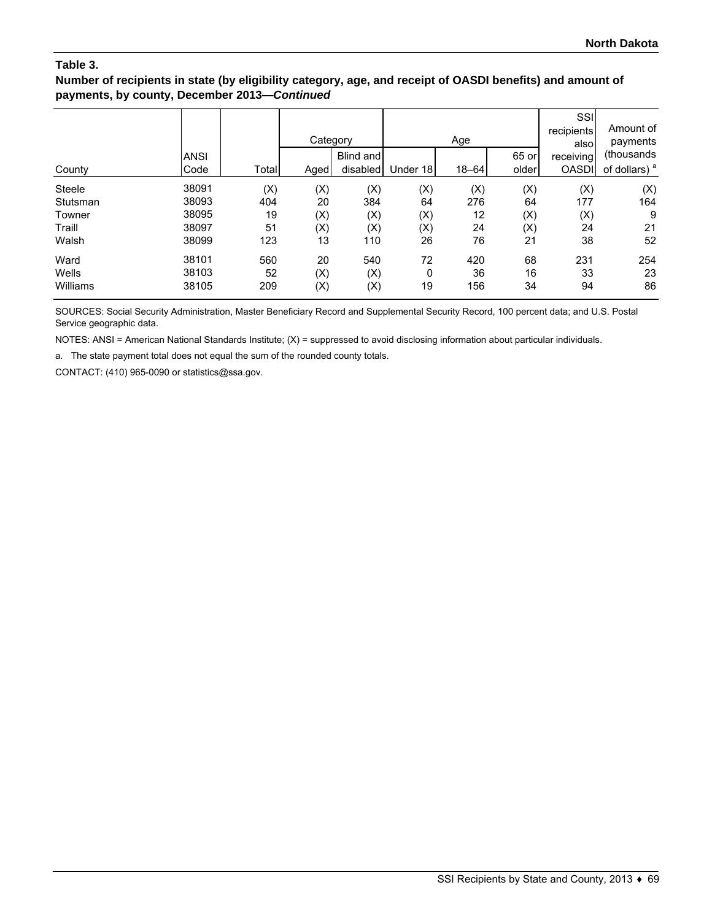### **Number of recipients in state (by eligibility category, age, and receipt of OASDI benefits) and amount of payments, by county, December 2013—***Continued*

| County        | <b>ANSI</b><br>Code | Total | Category<br>Aged | Blind and<br>disabled | Under 18 | Age<br>$18 - 64$ | 65 or<br>older | SSI<br>recipients<br>alsol<br>receiving<br><b>OASDI</b> | Amount of<br>payments<br>(thousands<br>of dollars) <sup>a</sup> |
|---------------|---------------------|-------|------------------|-----------------------|----------|------------------|----------------|---------------------------------------------------------|-----------------------------------------------------------------|
| <b>Steele</b> | 38091               | (X)   | (X)              | (X)                   | (X)      | (X)              | (X)            | (X)                                                     | (X)                                                             |
| Stutsman      | 38093               | 404   | 20               | 384                   | 64       | 276              | 64             | 177                                                     | 164                                                             |
| Towner        | 38095               | 19    | (X)              | (X)                   | (X)      | 12               | (X)            | (X)                                                     | 9                                                               |
| Traill        | 38097               | 51    | (X)              | (X)                   | (X)      | 24               | (X)            | 24                                                      | 21                                                              |
| Walsh         | 38099               | 123   | 13               | 110                   | 26       | 76               | 21             | 38                                                      | 52                                                              |
| Ward          | 38101               | 560   | 20               | 540                   | 72       | 420              | 68             | 231                                                     | 254                                                             |
| Wells         | 38103               | 52    | (X)              | (X)                   | 0        | 36               | 16             | 33                                                      | 23                                                              |
| Williams      | 38105               | 209   | (X)              | (X)                   | 19       | 156              | 34             | 94                                                      | 86                                                              |

SOURCES: Social Security Administration, Master Beneficiary Record and Supplemental Security Record, 100 percent data; and U.S. Postal Service geographic data.

NOTES: ANSI = American National Standards Institute; (X) = suppressed to avoid disclosing information about particular individuals.

a. The state payment total does not equal the sum of the rounded county totals.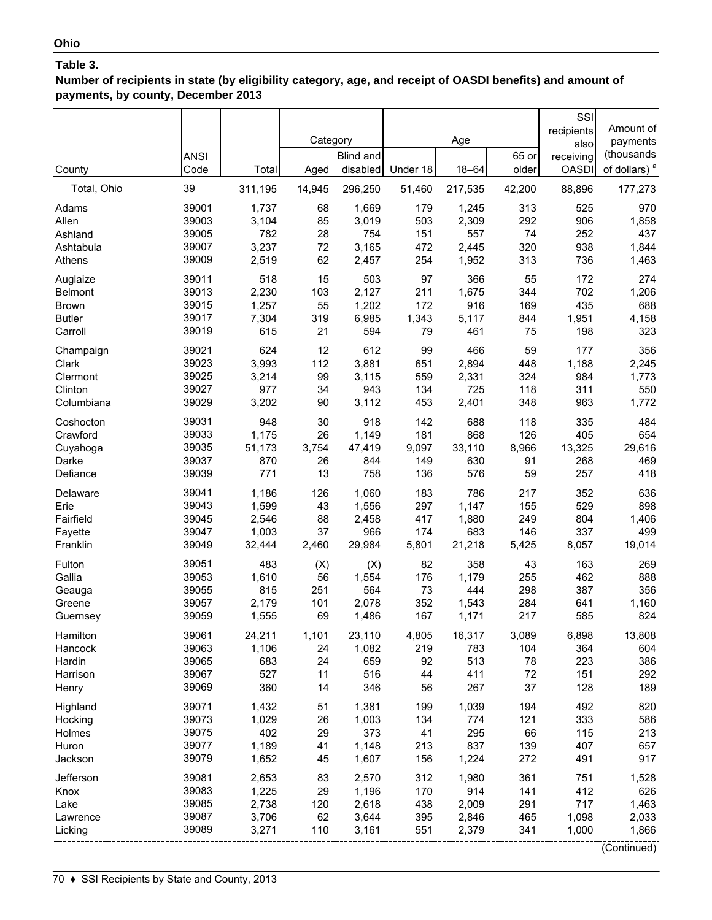**Number of recipients in state (by eligibility category, age, and receipt of OASDI benefits) and amount of payments, by county, December 2013**

| County                                           | <b>ANSI</b><br>Code                       | Total                                     | Category<br>Aged             | <b>Blind and</b><br>disabled              | Under 18                        | Age<br>$18 - 64$                        | 65 or<br>older                  | SSI<br>recipients<br>also<br>receiving<br><b>OASDI</b> | Amount of<br>payments<br>(thousands<br>of dollars) <sup>a</sup> |
|--------------------------------------------------|-------------------------------------------|-------------------------------------------|------------------------------|-------------------------------------------|---------------------------------|-----------------------------------------|---------------------------------|--------------------------------------------------------|-----------------------------------------------------------------|
| Total, Ohio                                      | 39                                        | 311,195                                   | 14,945                       | 296,250                                   | 51,460                          | 217,535                                 | 42,200                          | 88,896                                                 | 177,273                                                         |
| Adams                                            | 39001                                     | 1,737                                     | 68                           | 1,669                                     | 179                             | 1,245                                   | 313                             | 525                                                    | 970                                                             |
| Allen                                            | 39003                                     | 3,104                                     | 85                           | 3,019                                     | 503                             | 2,309                                   | 292                             | 906                                                    | 1,858                                                           |
| Ashland                                          | 39005                                     | 782                                       | 28                           | 754                                       | 151                             | 557                                     | 74                              | 252                                                    | 437                                                             |
| Ashtabula                                        | 39007                                     | 3,237                                     | 72                           | 3,165                                     | 472                             | 2,445                                   | 320                             | 938                                                    | 1,844                                                           |
| Athens                                           | 39009                                     | 2,519                                     | 62                           | 2,457                                     | 254                             | 1,952                                   | 313                             | 736                                                    | 1,463                                                           |
| Auglaize                                         | 39011                                     | 518                                       | 15                           | 503                                       | 97                              | 366                                     | 55                              | 172                                                    | 274                                                             |
| <b>Belmont</b>                                   | 39013                                     | 2,230                                     | 103                          | 2,127                                     | 211                             | 1,675                                   | 344                             | 702                                                    | 1,206                                                           |
| <b>Brown</b>                                     | 39015                                     | 1,257                                     | 55                           | 1,202                                     | 172                             | 916                                     | 169                             | 435                                                    | 688                                                             |
| <b>Butler</b>                                    | 39017                                     | 7,304                                     | 319                          | 6,985                                     | 1,343                           | 5,117                                   | 844                             | 1,951                                                  | 4,158                                                           |
| Carroll                                          | 39019                                     | 615                                       | 21                           | 594                                       | 79                              | 461                                     | 75                              | 198                                                    | 323                                                             |
| Champaign                                        | 39021                                     | 624                                       | 12                           | 612                                       | 99                              | 466                                     | 59                              | 177                                                    | 356                                                             |
| Clark                                            | 39023                                     | 3,993                                     | 112                          | 3,881                                     | 651                             | 2,894                                   | 448                             | 1,188                                                  | 2,245                                                           |
| Clermont                                         | 39025                                     | 3,214                                     | 99                           | 3,115                                     | 559                             | 2,331                                   | 324                             | 984                                                    | 1,773                                                           |
| Clinton                                          | 39027                                     | 977                                       | 34                           | 943                                       | 134                             | 725                                     | 118                             | 311                                                    | 550                                                             |
| Columbiana                                       | 39029                                     | 3,202                                     | 90                           | 3,112                                     | 453                             | 2,401                                   | 348                             | 963                                                    | 1,772                                                           |
| Coshocton                                        | 39031                                     | 948                                       | 30                           | 918                                       | 142                             | 688                                     | 118                             | 335                                                    | 484                                                             |
| Crawford                                         | 39033                                     | 1,175                                     | 26                           | 1,149                                     | 181                             | 868                                     | 126                             | 405                                                    | 654                                                             |
| Cuyahoga                                         | 39035                                     | 51,173                                    | 3,754                        | 47,419                                    | 9,097                           | 33,110                                  | 8,966                           | 13,325                                                 | 29,616                                                          |
| Darke                                            | 39037                                     | 870                                       | 26                           | 844                                       | 149                             | 630                                     | 91                              | 268                                                    | 469                                                             |
| Defiance                                         | 39039                                     | 771                                       | 13                           | 758                                       | 136                             | 576                                     | 59                              | 257                                                    | 418                                                             |
| Delaware                                         | 39041                                     | 1,186                                     | 126                          | 1,060                                     | 183                             | 786                                     | 217                             | 352                                                    | 636                                                             |
| Erie                                             | 39043                                     | 1,599                                     | 43                           | 1,556                                     | 297                             | 1,147                                   | 155                             | 529                                                    | 898                                                             |
| Fairfield                                        | 39045                                     | 2,546                                     | 88                           | 2,458                                     | 417                             | 1,880                                   | 249                             | 804                                                    | 1,406                                                           |
| Fayette                                          | 39047                                     | 1,003                                     | 37                           | 966                                       | 174                             | 683                                     | 146                             | 337                                                    | 499                                                             |
| Franklin                                         | 39049                                     | 32,444                                    | 2,460                        | 29,984                                    | 5,801                           | 21,218                                  | 5,425                           | 8,057                                                  | 19,014                                                          |
| Fulton                                           | 39051                                     | 483                                       | (X)                          | (X)                                       | 82                              | 358                                     | 43                              | 163                                                    | 269                                                             |
| Gallia                                           | 39053                                     | 1,610                                     | 56                           | 1,554                                     | 176                             | 1,179                                   | 255                             | 462                                                    | 888                                                             |
| Geauga                                           | 39055                                     | 815                                       | 251                          | 564                                       | 73                              | 444                                     | 298                             | 387                                                    | 356                                                             |
| Greene                                           | 39057                                     | 2,179                                     | 101                          | 2,078                                     | 352                             | 1,543                                   | 284                             | 641                                                    | 1,160                                                           |
| Guernsey                                         | 39059                                     | 1,555                                     | 69                           | 1,486                                     | 167                             | 1,171                                   | 217                             | 585                                                    | 824                                                             |
| Hamilton                                         | 39061                                     | 24,211                                    | 1,101                        | 23,110                                    | 4,805                           | 16,317                                  | 3,089                           | 6,898                                                  | 13,808                                                          |
| Hancock                                          | 39063                                     | 1,106                                     | 24                           | 1,082                                     | 219                             | 783                                     | 104                             | 364                                                    | 604                                                             |
| Hardin                                           | 39065                                     | 683                                       | 24                           | 659                                       | 92                              | 513                                     | 78                              | 223                                                    | 386                                                             |
| Harrison                                         | 39067                                     | 527                                       | 11                           | 516                                       | 44                              | 411                                     | 72                              | 151                                                    | 292                                                             |
| Henry                                            | 39069                                     | 360                                       | 14                           | 346                                       | 56                              | 267                                     | 37                              | 128                                                    | 189                                                             |
| Highland                                         | 39071                                     | 1,432                                     | 51                           | 1,381                                     | 199                             | 1,039                                   | 194                             | 492                                                    | 820                                                             |
| Hocking                                          | 39073                                     | 1,029                                     | 26                           | 1,003                                     | 134                             | 774                                     | 121                             | 333                                                    | 586                                                             |
| Holmes                                           | 39075                                     | 402                                       | 29                           | 373                                       | 41                              | 295                                     | 66                              | 115                                                    | 213                                                             |
| Huron                                            | 39077                                     | 1,189                                     | 41                           | 1,148                                     | 213                             | 837                                     | 139                             | 407                                                    | 657                                                             |
| Jackson                                          | 39079                                     | 1,652                                     | 45                           | 1,607                                     | 156                             | 1,224                                   | 272                             | 491                                                    | 917                                                             |
| Jefferson<br>Knox<br>Lake<br>Lawrence<br>Licking | 39081<br>39083<br>39085<br>39087<br>39089 | 2,653<br>1,225<br>2,738<br>3,706<br>3,271 | 83<br>29<br>120<br>62<br>110 | 2,570<br>1,196<br>2,618<br>3,644<br>3,161 | 312<br>170<br>438<br>395<br>551 | 1,980<br>914<br>2,009<br>2,846<br>2,379 | 361<br>141<br>291<br>465<br>341 | 751<br>412<br>717<br>1,098<br>1,000                    | 1,528<br>626<br>1,463<br>2,033<br>1,866<br>(Continued)          |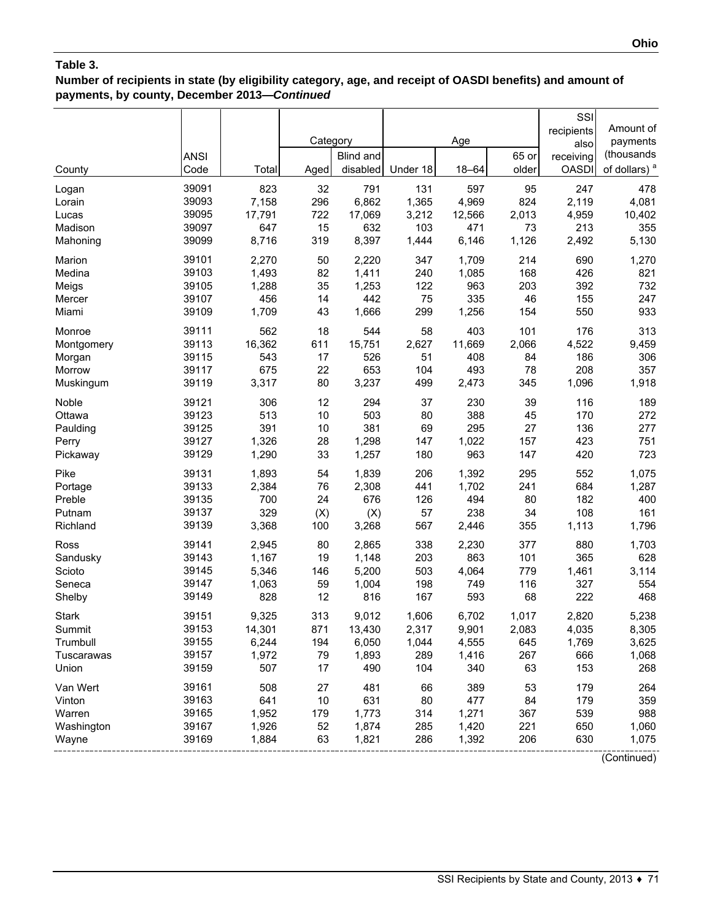## **Number of recipients in state (by eligibility category, age, and receipt of OASDI benefits) and amount of payments, by county, December 2013—***Continued*

|              |             |        |          |           |          |           |       | SSI          |                          |
|--------------|-------------|--------|----------|-----------|----------|-----------|-------|--------------|--------------------------|
|              |             |        |          |           |          |           |       | recipients   | Amount of                |
|              |             |        | Category |           |          | Age       |       | also         | payments                 |
|              | <b>ANSI</b> |        |          | Blind and |          |           | 65 or | receiving    | (thousands               |
| County       | Code        | Total  | Aged     | disabled  | Under 18 | $18 - 64$ | older | <b>OASDI</b> | of dollars) <sup>a</sup> |
| Logan        | 39091       | 823    | 32       | 791       | 131      | 597       | 95    | 247          | 478                      |
| Lorain       | 39093       | 7,158  | 296      | 6,862     | 1,365    | 4,969     | 824   | 2,119        | 4,081                    |
| Lucas        | 39095       | 17,791 | 722      | 17,069    | 3,212    | 12,566    | 2,013 | 4,959        | 10,402                   |
| Madison      | 39097       | 647    | 15       | 632       | 103      | 471       | 73    | 213          | 355                      |
| Mahoning     | 39099       | 8,716  | 319      | 8,397     | 1,444    | 6,146     | 1,126 | 2,492        | 5,130                    |
| Marion       | 39101       | 2,270  | 50       | 2,220     | 347      | 1,709     | 214   | 690          | 1,270                    |
| Medina       | 39103       | 1,493  | 82       | 1,411     | 240      | 1,085     | 168   | 426          | 821                      |
| Meigs        | 39105       | 1,288  | 35       | 1,253     | 122      | 963       | 203   | 392          | 732                      |
| Mercer       | 39107       | 456    | 14       | 442       | 75       | 335       | 46    | 155          | 247                      |
| Miami        | 39109       | 1,709  | 43       | 1,666     | 299      | 1,256     | 154   | 550          | 933                      |
| Monroe       | 39111       | 562    | 18       | 544       | 58       | 403       | 101   | 176          | 313                      |
| Montgomery   | 39113       | 16,362 | 611      | 15,751    | 2,627    | 11,669    | 2,066 | 4,522        | 9,459                    |
| Morgan       | 39115       | 543    | 17       | 526       | 51       | 408       | 84    | 186          | 306                      |
| Morrow       | 39117       | 675    | 22       | 653       | 104      | 493       | 78    | 208          | 357                      |
| Muskingum    | 39119       | 3,317  | 80       | 3,237     | 499      | 2,473     | 345   | 1,096        | 1,918                    |
| Noble        | 39121       | 306    | 12       | 294       | 37       | 230       | 39    | 116          | 189                      |
| Ottawa       | 39123       | 513    | 10       | 503       | 80       | 388       | 45    | 170          | 272                      |
| Paulding     | 39125       | 391    | 10       | 381       | 69       | 295       | 27    | 136          | 277                      |
| Perry        | 39127       | 1,326  | 28       | 1,298     | 147      | 1,022     | 157   | 423          | 751                      |
| Pickaway     | 39129       | 1,290  | 33       | 1,257     | 180      | 963       | 147   | 420          | 723                      |
| Pike         | 39131       | 1,893  | 54       | 1,839     | 206      | 1,392     | 295   | 552          | 1,075                    |
| Portage      | 39133       | 2,384  | 76       | 2,308     | 441      | 1,702     | 241   | 684          | 1,287                    |
| Preble       | 39135       | 700    | 24       | 676       | 126      | 494       | 80    | 182          | 400                      |
| Putnam       | 39137       | 329    | (X)      | (X)       | 57       | 238       | 34    | 108          | 161                      |
| Richland     | 39139       | 3,368  | 100      | 3,268     | 567      | 2,446     | 355   | 1,113        | 1,796                    |
| Ross         | 39141       | 2,945  | 80       | 2,865     | 338      | 2,230     | 377   | 880          | 1,703                    |
| Sandusky     | 39143       | 1,167  | 19       | 1,148     | 203      | 863       | 101   | 365          | 628                      |
| Scioto       | 39145       | 5,346  | 146      | 5,200     | 503      | 4,064     | 779   | 1,461        | 3,114                    |
| Seneca       | 39147       | 1,063  | 59       | 1,004     | 198      | 749       | 116   | 327          | 554                      |
| Shelby       | 39149       | 828    | 12       | 816       | 167      | 593       | 68    | 222          | 468                      |
| <b>Stark</b> | 39151       | 9,325  | 313      | 9,012     | 1,606    | 6,702     | 1,017 | 2,820        | 5,238                    |
| Summit       | 39153       | 14,301 | 871      | 13,430    | 2,317    | 9,901     | 2,083 | 4,035        | 8,305                    |
| Trumbull     | 39155       | 6,244  | 194      | 6,050     | 1,044    | 4,555     | 645   | 1,769        | 3,625                    |
| Tuscarawas   | 39157       | 1,972  | 79       | 1,893     | 289      | 1,416     | 267   | 666          | 1,068                    |
| Union        | 39159       | 507    | 17       | 490       | 104      | 340       | 63    | 153          | 268                      |
| Van Wert     | 39161       | 508    | 27       | 481       | 66       | 389       | 53    | 179          | 264                      |
| Vinton       | 39163       | 641    | 10       | 631       | 80       | 477       | 84    | 179          | 359                      |
| Warren       | 39165       | 1,952  | 179      | 1,773     | 314      | 1,271     | 367   | 539          | 988                      |
| Washington   | 39167       | 1,926  | 52       | 1,874     | 285      | 1,420     | 221   | 650          | 1,060                    |
| Wayne        | 39169       | 1,884  | 63       | 1,821     | 286      | 1,392     | 206   | 630          | 1,075                    |
|              |             |        |          |           |          |           |       |              | (Continued)              |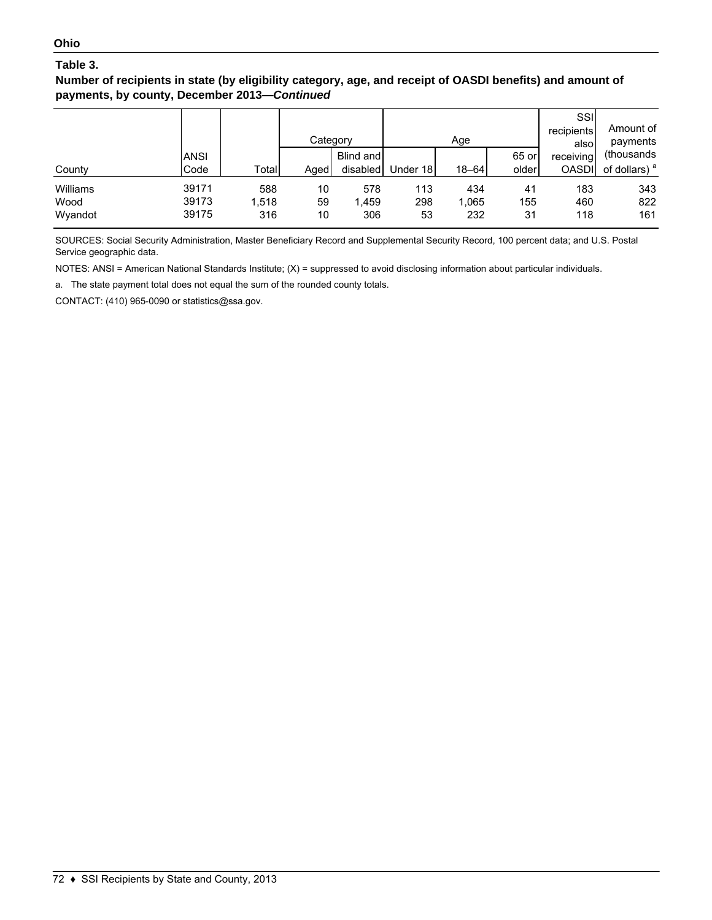**Number of recipients in state (by eligibility category, age, and receipt of OASDI benefits) and amount of payments, by county, December 2013—***Continued*

|          |             |       | Category |           |          | Age       |       | SSII<br>recipients<br>alsol | Amount of<br>payments    |
|----------|-------------|-------|----------|-----------|----------|-----------|-------|-----------------------------|--------------------------|
|          | <b>ANSI</b> |       |          | Blind and |          |           | 65 or | receiving                   | (thousands)              |
| County   | Code        | Total | Aged     | disabled  | Under 18 | $18 - 64$ | older | <b>OASDI</b>                | of dollars) <sup>a</sup> |
| Williams | 39171       | 588   | 10       | 578       | 113      | 434       | 41    | 183                         | 343                      |
| Wood     | 39173       | 1,518 | 59       | 1,459     | 298      | 1,065     | 155   | 460                         | 822                      |
| Wyandot  | 39175       | 316   | 10       | 306       | 53       | 232       | 31    | 118                         | 161                      |

SOURCES: Social Security Administration, Master Beneficiary Record and Supplemental Security Record, 100 percent data; and U.S. Postal Service geographic data.

NOTES: ANSI = American National Standards Institute; (X) = suppressed to avoid disclosing information about particular individuals.

a. The state payment total does not equal the sum of the rounded county totals.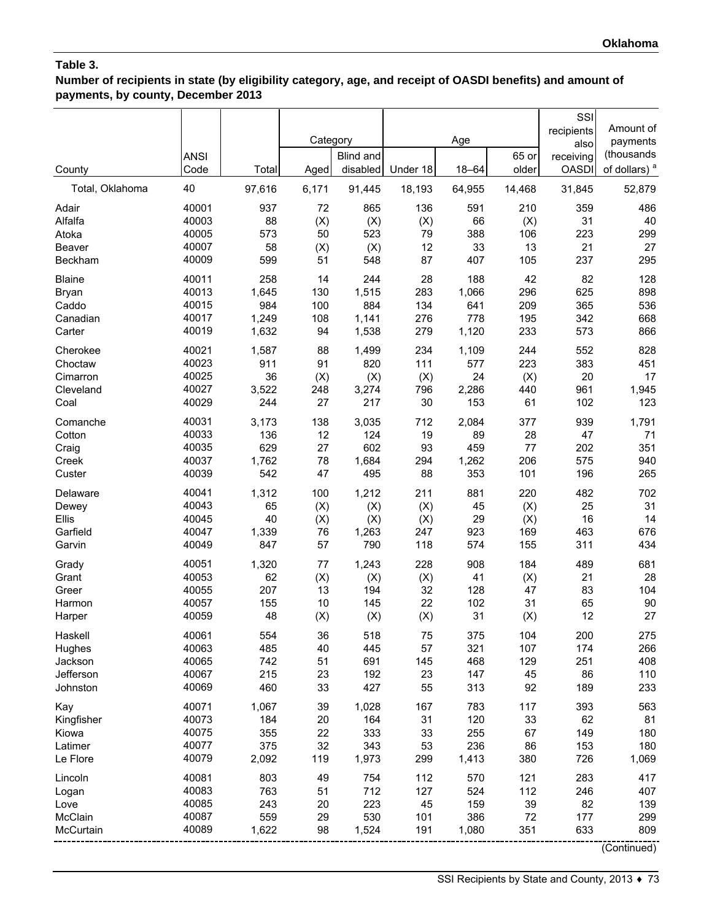**Number of recipients in state (by eligibility category, age, and receipt of OASDI benefits) and amount of payments, by county, December 2013**

|                   | <b>ANSI</b>    |           | Category  | Blind and  |          | Age       | 65 or     | SSI<br>recipients<br>also<br>receiving | Amount of<br>payments<br>(thousands |
|-------------------|----------------|-----------|-----------|------------|----------|-----------|-----------|----------------------------------------|-------------------------------------|
| County            | Code           | Total     | Aged      | disabled   | Under 18 | $18 - 64$ | older     | <b>OASDI</b>                           | of dollars) <sup>a</sup>            |
| Total, Oklahoma   | 40             | 97,616    | 6,171     | 91,445     | 18,193   | 64,955    | 14,468    | 31,845                                 | 52,879                              |
| Adair             | 40001          | 937       | 72        | 865        | 136      | 591       | 210       | 359                                    | 486                                 |
| Alfalfa           | 40003          | 88        | (X)       | (X)        | (X)      | 66        | (X)       | 31                                     | 40                                  |
| Atoka             | 40005          | 573       | 50        | 523        | 79       | 388       | 106       | 223                                    | 299                                 |
| Beaver<br>Beckham | 40007<br>40009 | 58<br>599 | (X)<br>51 | (X)<br>548 | 12<br>87 | 33<br>407 | 13<br>105 | 21<br>237                              | 27<br>295                           |
| <b>Blaine</b>     | 40011          | 258       | 14        | 244        | 28       | 188       | 42        | 82                                     | 128                                 |
| Bryan             | 40013          | 1,645     | 130       | 1,515      | 283      | 1,066     | 296       | 625                                    | 898                                 |
| Caddo             | 40015          | 984       | 100       | 884        | 134      | 641       | 209       | 365                                    | 536                                 |
| Canadian          | 40017          | 1,249     | 108       | 1,141      | 276      | 778       | 195       | 342                                    | 668                                 |
| Carter            | 40019          | 1,632     | 94        | 1,538      | 279      | 1,120     | 233       | 573                                    | 866                                 |
| Cherokee          | 40021          | 1,587     | 88        | 1,499      | 234      | 1,109     | 244       | 552                                    | 828                                 |
| Choctaw           | 40023          | 911       | 91        | 820        | 111      | 577       | 223       | 383                                    | 451                                 |
| Cimarron          | 40025          | 36        | (X)       | (X)        | (X)      | 24        | (X)       | 20                                     | 17                                  |
| Cleveland         | 40027          | 3,522     | 248       | 3,274      | 796      | 2,286     | 440       | 961                                    | 1,945                               |
| Coal              | 40029          | 244       | 27        | 217        | 30       | 153       | 61        | 102                                    | 123                                 |
| Comanche          | 40031          | 3,173     | 138       | 3,035      | 712      | 2,084     | 377       | 939                                    | 1,791                               |
| Cotton            | 40033          | 136       | 12        | 124        | 19       | 89        | 28        | 47                                     | 71                                  |
| Craig             | 40035          | 629       | 27        | 602        | 93       | 459       | 77        | 202                                    | 351                                 |
| Creek             | 40037          | 1,762     | 78        | 1,684      | 294      | 1,262     | 206       | 575                                    | 940                                 |
| Custer            | 40039          | 542       | 47        | 495        | 88       | 353       | 101       | 196                                    | 265                                 |
| Delaware          | 40041          | 1,312     | 100       | 1,212      | 211      | 881       | 220       | 482                                    | 702                                 |
| Dewey             | 40043          | 65        | (X)       | (X)        | (X)      | 45        | (X)       | 25                                     | 31                                  |
| Ellis             | 40045          | 40        | (X)       | (X)        | (X)      | 29        | (X)       | 16                                     | 14                                  |
| Garfield          | 40047          | 1,339     | 76        | 1,263      | 247      | 923       | 169       | 463                                    | 676                                 |
| Garvin            | 40049          | 847       | 57        | 790        | 118      | 574       | 155       | 311                                    | 434                                 |
| Grady             | 40051          | 1,320     | 77        | 1,243      | 228      | 908       | 184       | 489                                    | 681                                 |
| Grant             | 40053          | 62        | (X)       | (X)        | (X)      | 41        | (X)       | 21                                     | 28                                  |
| Greer             | 40055          | 207       | 13        | 194        | 32       | 128       | 47        | 83                                     | 104                                 |
| Harmon            | 40057          | 155       | 10        | 145        | 22       | 102       | 31        | 65                                     | 90                                  |
| Harper            | 40059          | 48        | (X)       | (X)        | (X)      | 31        | (X)       | 12                                     | 27                                  |
| Haskell           | 40061          | 554       | 36        | 518        | 75       | 375       | 104       | 200                                    | 275                                 |
| Hughes            | 40063          | 485       | 40        | 445        | 57       | 321       | 107       | 174                                    | 266                                 |
| Jackson           | 40065          | 742       | 51        | 691        | 145      | 468       | 129       | 251                                    | 408                                 |
| Jefferson         | 40067          | 215       | 23        | 192        | 23       | 147       | 45        | 86                                     | 110                                 |
| Johnston          | 40069          | 460       | 33        | 427        | 55       | 313       | 92        | 189                                    | 233                                 |
| Kay               | 40071          | 1,067     | 39        | 1,028      | 167      | 783       | 117       | 393                                    | 563                                 |
| Kingfisher        | 40073          | 184       | 20        | 164        | 31       | 120       | 33        | 62                                     | 81                                  |
| Kiowa             | 40075          | 355       | 22        | 333        | 33       | 255       | 67        | 149                                    | 180                                 |
| Latimer           | 40077          | 375       | 32        | 343        | 53       | 236       | 86        | 153                                    | 180                                 |
| Le Flore          | 40079          | 2,092     | 119       | 1,973      | 299      | 1,413     | 380       | 726                                    | 1,069                               |
| Lincoln           | 40081          | 803       | 49        | 754        | 112      | 570       | 121       | 283                                    | 417                                 |
| Logan             | 40083          | 763       | 51        | 712        | 127      | 524       | 112       | 246                                    | 407                                 |
| Love              | 40085          | 243       | 20        | 223        | 45       | 159       | 39        | 82                                     | 139                                 |
| McClain           | 40087          | 559       | 29        | 530        | 101      | 386       | 72        | 177                                    | 299                                 |
| McCurtain         | 40089          | 1,622     | 98        | 1,524      | 191      | 1,080     | 351       | 633                                    | 809                                 |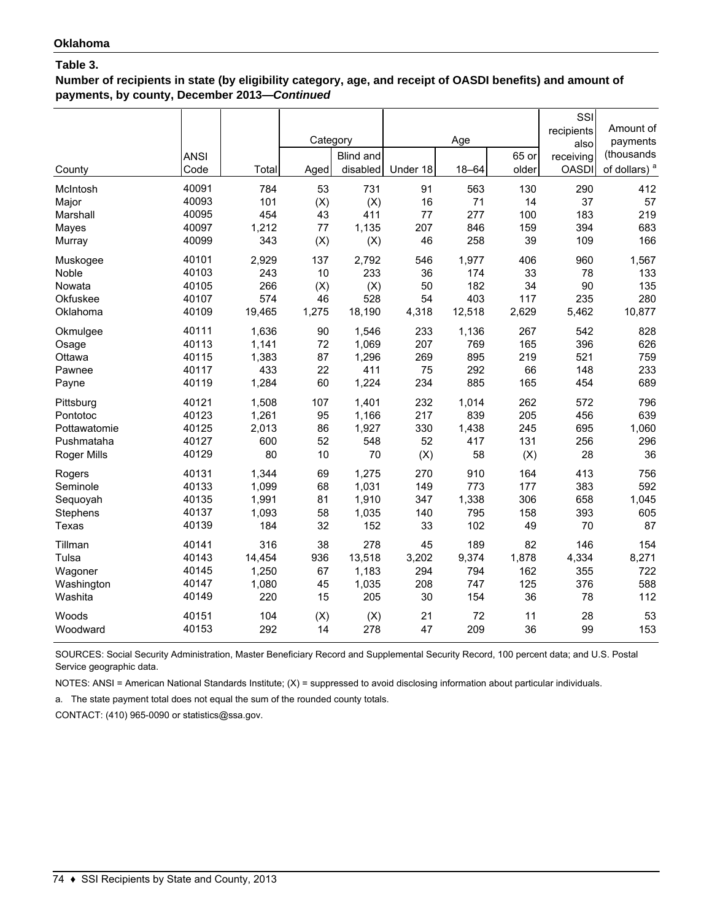**Number of recipients in state (by eligibility category, age, and receipt of OASDI benefits) and amount of payments, by county, December 2013—***Continued*

| County<br>McIntosh<br>Major<br>Marshall<br>Mayes<br>Murray | <b>ANSI</b><br>Code<br>40091<br>40093<br>40095<br>40097<br>40099 | Total<br>784<br>101<br>454<br>1,212<br>343 | Category<br>Aged<br>53<br>(X)<br>43<br>77<br>(X) | <b>Blind and</b><br>disabled<br>731<br>(X)<br>411<br>1,135<br>(X) | Under 18<br>91<br>16<br>77<br>207<br>46 | Age<br>$18 - 64$<br>563<br>71<br>277<br>846<br>258 | 65 or<br>older<br>130<br>14<br>100<br>159<br>39 | SSI<br>recipients<br>also<br>receiving<br><b>OASDI</b><br>290<br>37<br>183<br>394<br>109 | Amount of<br>payments<br>(thousands<br>of dollars) <sup>a</sup><br>412<br>57<br>219<br>683<br>166 |
|------------------------------------------------------------|------------------------------------------------------------------|--------------------------------------------|--------------------------------------------------|-------------------------------------------------------------------|-----------------------------------------|----------------------------------------------------|-------------------------------------------------|------------------------------------------------------------------------------------------|---------------------------------------------------------------------------------------------------|
| Muskogee                                                   | 40101                                                            | 2,929                                      | 137                                              | 2,792                                                             | 546                                     | 1,977                                              | 406                                             | 960                                                                                      | 1,567                                                                                             |
| Noble                                                      | 40103                                                            | 243                                        | 10                                               | 233                                                               | 36                                      | 174                                                | 33                                              | 78                                                                                       | 133                                                                                               |
| Nowata                                                     | 40105                                                            | 266                                        | (X)                                              | (X)                                                               | 50                                      | 182                                                | 34                                              | 90                                                                                       | 135                                                                                               |
| Okfuskee                                                   | 40107                                                            | 574                                        | 46                                               | 528                                                               | 54                                      | 403                                                | 117                                             | 235                                                                                      | 280                                                                                               |
| Oklahoma                                                   | 40109                                                            | 19,465                                     | 1,275                                            | 18,190                                                            | 4,318                                   | 12,518                                             | 2,629                                           | 5,462                                                                                    | 10,877                                                                                            |
| Okmulgee                                                   | 40111                                                            | 1,636                                      | 90                                               | 1,546                                                             | 233                                     | 1,136                                              | 267                                             | 542                                                                                      | 828                                                                                               |
| Osage                                                      | 40113                                                            | 1,141                                      | 72                                               | 1,069                                                             | 207                                     | 769                                                | 165                                             | 396                                                                                      | 626                                                                                               |
| Ottawa                                                     | 40115                                                            | 1,383                                      | 87                                               | 1,296                                                             | 269                                     | 895                                                | 219                                             | 521                                                                                      | 759                                                                                               |
| Pawnee                                                     | 40117                                                            | 433                                        | 22                                               | 411                                                               | 75                                      | 292                                                | 66                                              | 148                                                                                      | 233                                                                                               |
| Payne                                                      | 40119                                                            | 1,284                                      | 60                                               | 1,224                                                             | 234                                     | 885                                                | 165                                             | 454                                                                                      | 689                                                                                               |
| Pittsburg                                                  | 40121                                                            | 1,508                                      | 107                                              | 1,401                                                             | 232                                     | 1,014                                              | 262                                             | 572                                                                                      | 796                                                                                               |
| Pontotoc                                                   | 40123                                                            | 1,261                                      | 95                                               | 1,166                                                             | 217                                     | 839                                                | 205                                             | 456                                                                                      | 639                                                                                               |
| Pottawatomie                                               | 40125                                                            | 2,013                                      | 86                                               | 1,927                                                             | 330                                     | 1,438                                              | 245                                             | 695                                                                                      | 1,060                                                                                             |
| Pushmataha                                                 | 40127                                                            | 600                                        | 52                                               | 548                                                               | 52                                      | 417                                                | 131                                             | 256                                                                                      | 296                                                                                               |
| <b>Roger Mills</b>                                         | 40129                                                            | 80                                         | 10                                               | 70                                                                | (X)                                     | 58                                                 | (X)                                             | 28                                                                                       | 36                                                                                                |
| Rogers                                                     | 40131                                                            | 1,344                                      | 69                                               | 1,275                                                             | 270                                     | 910                                                | 164                                             | 413                                                                                      | 756                                                                                               |
| Seminole                                                   | 40133                                                            | 1,099                                      | 68                                               | 1,031                                                             | 149                                     | 773                                                | 177                                             | 383                                                                                      | 592                                                                                               |
| Sequoyah                                                   | 40135                                                            | 1,991                                      | 81                                               | 1,910                                                             | 347                                     | 1,338                                              | 306                                             | 658                                                                                      | 1,045                                                                                             |
| Stephens                                                   | 40137                                                            | 1,093                                      | 58                                               | 1,035                                                             | 140                                     | 795                                                | 158                                             | 393                                                                                      | 605                                                                                               |
| Texas                                                      | 40139                                                            | 184                                        | 32                                               | 152                                                               | 33                                      | 102                                                | 49                                              | 70                                                                                       | 87                                                                                                |
| Tillman                                                    | 40141                                                            | 316                                        | 38                                               | 278                                                               | 45                                      | 189                                                | 82                                              | 146                                                                                      | 154                                                                                               |
| Tulsa                                                      | 40143                                                            | 14,454                                     | 936                                              | 13,518                                                            | 3,202                                   | 9,374                                              | 1,878                                           | 4,334                                                                                    | 8,271                                                                                             |
| Wagoner                                                    | 40145                                                            | 1,250                                      | 67                                               | 1,183                                                             | 294                                     | 794                                                | 162                                             | 355                                                                                      | 722                                                                                               |
| Washington                                                 | 40147                                                            | 1,080                                      | 45                                               | 1,035                                                             | 208                                     | 747                                                | 125                                             | 376                                                                                      | 588                                                                                               |
| Washita                                                    | 40149                                                            | 220                                        | 15                                               | 205                                                               | 30                                      | 154                                                | 36                                              | 78                                                                                       | 112                                                                                               |
| Woods                                                      | 40151                                                            | 104                                        | (X)                                              | (X)                                                               | 21                                      | 72                                                 | 11                                              | 28                                                                                       | 53                                                                                                |
| Woodward                                                   | 40153                                                            | 292                                        | 14                                               | 278                                                               | 47                                      | 209                                                | 36                                              | 99                                                                                       | 153                                                                                               |

SOURCES: Social Security Administration, Master Beneficiary Record and Supplemental Security Record, 100 percent data; and U.S. Postal Service geographic data.

NOTES: ANSI = American National Standards Institute; (X) = suppressed to avoid disclosing information about particular individuals.

a. The state payment total does not equal the sum of the rounded county totals.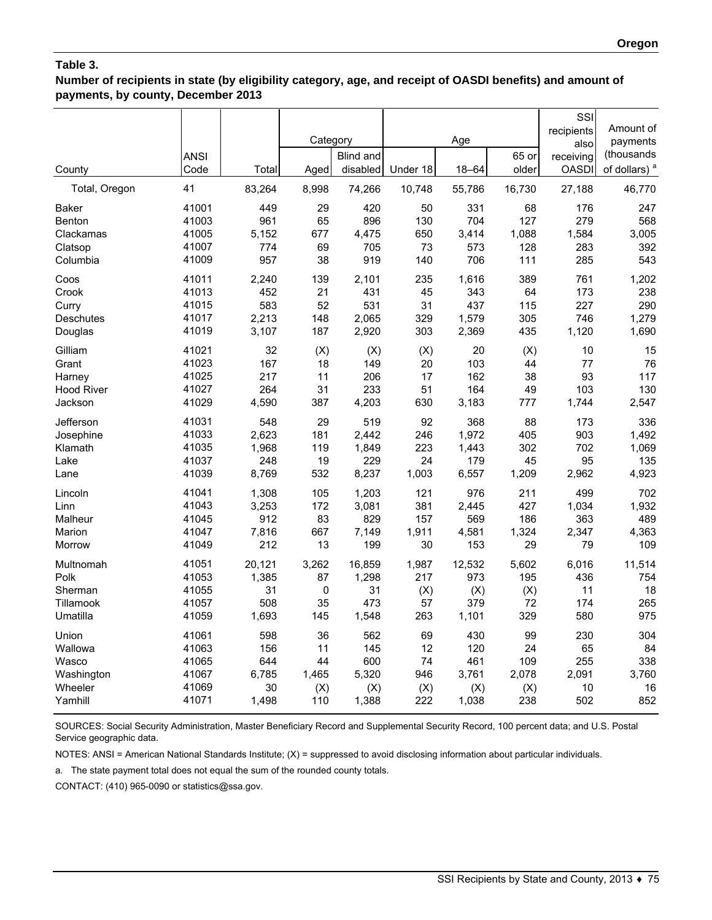**Number of recipients in state (by eligibility category, age, and receipt of OASDI benefits) and amount of payments, by county, December 2013**

|                   |             |        |             |                  |          |        |        | SSI          |                          |
|-------------------|-------------|--------|-------------|------------------|----------|--------|--------|--------------|--------------------------|
|                   |             |        |             |                  |          |        |        | recipients   | Amount of                |
|                   |             |        | Category    |                  |          | Age    |        | also         | payments                 |
|                   | <b>ANSI</b> |        |             | <b>Blind and</b> |          |        | 65 or  | receiving    | (thousands               |
| County            | Code        | Total  | Aged        | disabled         | Under 18 | 18-64  | older  | <b>OASDI</b> | of dollars) <sup>a</sup> |
| Total, Oregon     | 41          | 83,264 | 8,998       | 74,266           | 10,748   | 55,786 | 16,730 | 27,188       | 46,770                   |
| <b>Baker</b>      | 41001       | 449    | 29          | 420              | 50       | 331    | 68     | 176          | 247                      |
| Benton            | 41003       | 961    | 65          | 896              | 130      | 704    | 127    | 279          | 568                      |
| Clackamas         | 41005       | 5,152  | 677         | 4,475            | 650      | 3,414  | 1,088  | 1,584        | 3,005                    |
| Clatsop           | 41007       | 774    | 69          | 705              | 73       | 573    | 128    | 283          | 392                      |
| Columbia          | 41009       | 957    | 38          | 919              | 140      | 706    | 111    | 285          | 543                      |
| Coos              | 41011       | 2,240  | 139         | 2,101            | 235      | 1,616  | 389    | 761          | 1,202                    |
| Crook             | 41013       | 452    | 21          | 431              | 45       | 343    | 64     | 173          | 238                      |
| Curry             | 41015       | 583    | 52          | 531              | 31       | 437    | 115    | 227          | 290                      |
| <b>Deschutes</b>  | 41017       | 2,213  | 148         | 2,065            | 329      | 1,579  | 305    | 746          | 1,279                    |
| Douglas           | 41019       | 3,107  | 187         | 2,920            | 303      | 2,369  | 435    | 1,120        | 1,690                    |
| Gilliam           | 41021       | 32     | (X)         | (X)              | (X)      | 20     | (X)    | 10           | 15                       |
| Grant             | 41023       | 167    | 18          | 149              | 20       | 103    | 44     | 77           | 76                       |
| Harney            | 41025       | 217    | 11          | 206              | 17       | 162    | 38     | 93           | 117                      |
| <b>Hood River</b> | 41027       | 264    | 31          | 233              | 51       | 164    | 49     | 103          | 130                      |
| Jackson           | 41029       | 4,590  | 387         | 4,203            | 630      | 3,183  | 777    | 1,744        | 2,547                    |
| Jefferson         | 41031       | 548    | 29          | 519              | 92       | 368    | 88     | 173          | 336                      |
| Josephine         | 41033       | 2,623  | 181         | 2,442            | 246      | 1,972  | 405    | 903          | 1,492                    |
| Klamath           | 41035       | 1,968  | 119         | 1,849            | 223      | 1,443  | 302    | 702          | 1,069                    |
| Lake              | 41037       | 248    | 19          | 229              | 24       | 179    | 45     | 95           | 135                      |
| Lane              | 41039       | 8,769  | 532         | 8,237            | 1,003    | 6,557  | 1,209  | 2,962        | 4,923                    |
| Lincoln           | 41041       | 1,308  | 105         | 1,203            | 121      | 976    | 211    | 499          | 702                      |
| Linn              | 41043       | 3,253  | 172         | 3,081            | 381      | 2,445  | 427    | 1,034        | 1,932                    |
| Malheur           | 41045       | 912    | 83          | 829              | 157      | 569    | 186    | 363          | 489                      |
| Marion            | 41047       | 7,816  | 667         | 7,149            | 1,911    | 4,581  | 1,324  | 2,347        | 4,363                    |
| Morrow            | 41049       | 212    | 13          | 199              | 30       | 153    | 29     | 79           | 109                      |
| Multnomah         | 41051       | 20,121 | 3,262       | 16,859           | 1,987    | 12,532 | 5,602  | 6,016        | 11,514                   |
| Polk              | 41053       | 1,385  | 87          | 1,298            | 217      | 973    | 195    | 436          | 754                      |
| Sherman           | 41055       | 31     | $\mathbf 0$ | 31               | (X)      | (X)    | (X)    | 11           | 18                       |
| Tillamook         | 41057       | 508    | 35          | 473              | 57       | 379    | 72     | 174          | 265                      |
| Umatilla          | 41059       | 1,693  | 145         | 1,548            | 263      | 1,101  | 329    | 580          | 975                      |
| Union             | 41061       | 598    | 36          | 562              | 69       | 430    | 99     | 230          | 304                      |
| Wallowa           | 41063       | 156    | 11          | 145              | 12       | 120    | 24     | 65           | 84                       |
| Wasco             | 41065       | 644    | 44          | 600              | 74       | 461    | 109    | 255          | 338                      |
| Washington        | 41067       | 6,785  | 1,465       | 5,320            | 946      | 3,761  | 2,078  | 2,091        | 3,760                    |
| Wheeler           | 41069       | 30     | (X)         | (X)              | (X)      | (X)    | (X)    | 10           | 16                       |
| Yamhill           | 41071       | 1,498  | 110         | 1,388            | 222      | 1,038  | 238    | 502          | 852                      |

SOURCES: Social Security Administration, Master Beneficiary Record and Supplemental Security Record, 100 percent data; and U.S. Postal Service geographic data.

NOTES: ANSI = American National Standards Institute; (X) = suppressed to avoid disclosing information about particular individuals.

a. The state payment total does not equal the sum of the rounded county totals.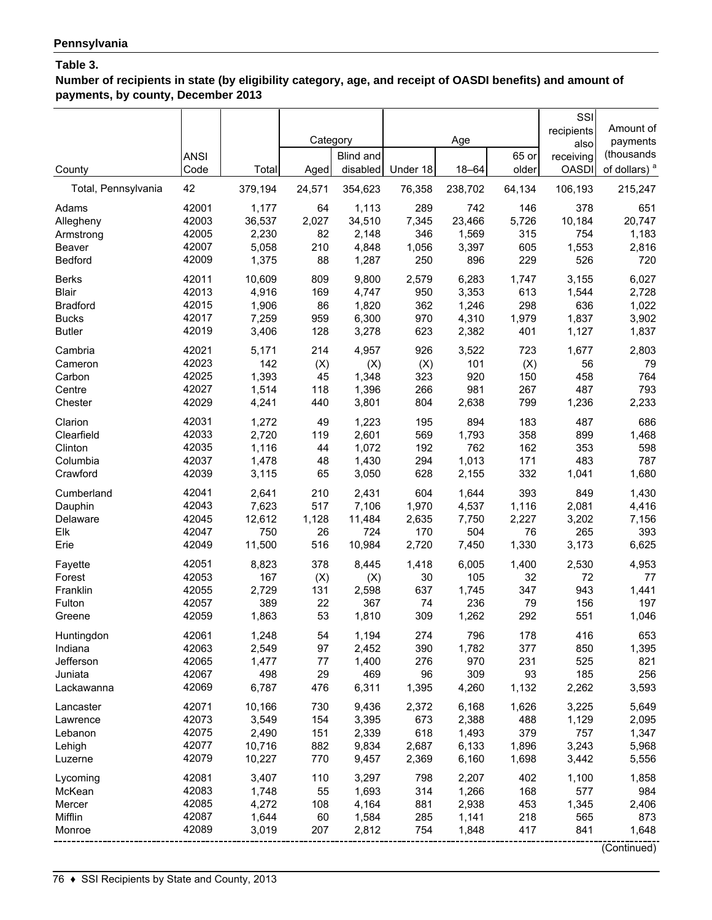**Number of recipients in state (by eligibility category, age, and receipt of OASDI benefits) and amount of payments, by county, December 2013**

| County                                            | <b>ANSI</b><br>Code                       | Total                                     | Category<br>Aged              | Blind and<br>disabled                     | Under 18                        | Age<br>$18 - 64$                          | 65 or<br>older                  | SSI<br>recipients<br>also<br>receiving<br><b>OASDI</b> | Amount of<br>payments<br>(thousands<br>of dollars) <sup>a</sup> |
|---------------------------------------------------|-------------------------------------------|-------------------------------------------|-------------------------------|-------------------------------------------|---------------------------------|-------------------------------------------|---------------------------------|--------------------------------------------------------|-----------------------------------------------------------------|
| Total, Pennsylvania                               | 42                                        | 379,194                                   | 24,571                        | 354,623                                   | 76,358                          | 238,702                                   | 64,134                          | 106,193                                                | 215,247                                                         |
| Adams                                             | 42001                                     | 1,177                                     | 64                            | 1,113                                     | 289                             | 742                                       | 146                             | 378                                                    | 651                                                             |
| Allegheny                                         | 42003                                     | 36,537                                    | 2,027                         | 34,510                                    | 7,345                           | 23,466                                    | 5,726                           | 10,184                                                 | 20,747                                                          |
| Armstrong                                         | 42005                                     | 2,230                                     | 82                            | 2,148                                     | 346                             | 1,569                                     | 315                             | 754                                                    | 1,183                                                           |
| Beaver                                            | 42007                                     | 5,058                                     | 210                           | 4,848                                     | 1,056                           | 3,397                                     | 605                             | 1,553                                                  | 2,816                                                           |
| Bedford                                           | 42009                                     | 1,375                                     | 88                            | 1,287                                     | 250                             | 896                                       | 229                             | 526                                                    | 720                                                             |
| <b>Berks</b>                                      | 42011                                     | 10,609                                    | 809                           | 9,800                                     | 2,579                           | 6,283                                     | 1,747                           | 3,155                                                  | 6,027                                                           |
| <b>Blair</b>                                      | 42013                                     | 4,916                                     | 169                           | 4,747                                     | 950                             | 3,353                                     | 613                             | 1,544                                                  | 2,728                                                           |
| <b>Bradford</b>                                   | 42015                                     | 1,906                                     | 86                            | 1,820                                     | 362                             | 1,246                                     | 298                             | 636                                                    | 1,022                                                           |
| <b>Bucks</b>                                      | 42017                                     | 7,259                                     | 959                           | 6,300                                     | 970                             | 4,310                                     | 1,979                           | 1,837                                                  | 3,902                                                           |
| <b>Butler</b>                                     | 42019                                     | 3,406                                     | 128                           | 3,278                                     | 623                             | 2,382                                     | 401                             | 1,127                                                  | 1,837                                                           |
| Cambria                                           | 42021                                     | 5,171                                     | 214                           | 4,957                                     | 926                             | 3,522                                     | 723                             | 1,677                                                  | 2,803                                                           |
| Cameron                                           | 42023                                     | 142                                       | (X)                           | (X)                                       | (X)                             | 101                                       | (X)                             | 56                                                     | 79                                                              |
| Carbon                                            | 42025                                     | 1,393                                     | 45                            | 1,348                                     | 323                             | 920                                       | 150                             | 458                                                    | 764                                                             |
| Centre                                            | 42027                                     | 1,514                                     | 118                           | 1,396                                     | 266                             | 981                                       | 267                             | 487                                                    | 793                                                             |
| Chester                                           | 42029                                     | 4,241                                     | 440                           | 3,801                                     | 804                             | 2,638                                     | 799                             | 1,236                                                  | 2,233                                                           |
| Clarion                                           | 42031                                     | 1,272                                     | 49                            | 1,223                                     | 195                             | 894                                       | 183                             | 487                                                    | 686                                                             |
| Clearfield                                        | 42033                                     | 2,720                                     | 119                           | 2,601                                     | 569                             | 1,793                                     | 358                             | 899                                                    | 1,468                                                           |
| Clinton                                           | 42035                                     | 1,116                                     | 44                            | 1,072                                     | 192                             | 762                                       | 162                             | 353                                                    | 598                                                             |
| Columbia                                          | 42037                                     | 1,478                                     | 48                            | 1,430                                     | 294                             | 1,013                                     | 171                             | 483                                                    | 787                                                             |
| Crawford                                          | 42039                                     | 3,115                                     | 65                            | 3,050                                     | 628                             | 2,155                                     | 332                             | 1,041                                                  | 1,680                                                           |
| Cumberland                                        | 42041                                     | 2,641                                     | 210                           | 2,431                                     | 604                             | 1,644                                     | 393                             | 849                                                    | 1,430                                                           |
| Dauphin                                           | 42043                                     | 7,623                                     | 517                           | 7,106                                     | 1,970                           | 4,537                                     | 1,116                           | 2,081                                                  | 4,416                                                           |
| Delaware                                          | 42045                                     | 12,612                                    | 1,128                         | 11,484                                    | 2,635                           | 7,750                                     | 2,227                           | 3,202                                                  | 7,156                                                           |
| Elk                                               | 42047                                     | 750                                       | 26                            | 724                                       | 170                             | 504                                       | 76                              | 265                                                    | 393                                                             |
| Erie                                              | 42049                                     | 11,500                                    | 516                           | 10,984                                    | 2,720                           | 7,450                                     | 1,330                           | 3,173                                                  | 6,625                                                           |
| Fayette                                           | 42051                                     | 8,823                                     | 378                           | 8,445                                     | 1,418                           | 6,005                                     | 1,400                           | 2,530                                                  | 4,953                                                           |
| Forest                                            | 42053                                     | 167                                       | (X)                           | (X)                                       | 30                              | 105                                       | 32                              | 72                                                     | 77                                                              |
| Franklin                                          | 42055                                     | 2,729                                     | 131                           | 2,598                                     | 637                             | 1,745                                     | 347                             | 943                                                    | 1,441                                                           |
| Fulton                                            | 42057                                     | 389                                       | 22                            | 367                                       | 74                              | 236                                       | 79                              | 156                                                    | 197                                                             |
| Greene                                            | 42059                                     | 1,863                                     | 53                            | 1,810                                     | 309                             | 1,262                                     | 292                             | 551                                                    | 1,046                                                           |
| Huntingdon                                        | 42061                                     | 1,248                                     | 54                            | 1,194                                     | 274                             | 796                                       | 178                             | 416                                                    | 653                                                             |
| Indiana                                           | 42063                                     | 2,549                                     | 97                            | 2,452                                     | 390                             | 1,782                                     | 377                             | 850                                                    | 1,395                                                           |
| Jefferson                                         | 42065                                     | 1,477                                     | 77                            | 1,400                                     | 276                             | 970                                       | 231                             | 525                                                    | 821                                                             |
| Juniata                                           | 42067                                     | 498                                       | 29                            | 469                                       | 96                              | 309                                       | 93                              | 185                                                    | 256                                                             |
| Lackawanna                                        | 42069                                     | 6,787                                     | 476                           | 6,311                                     | 1,395                           | 4,260                                     | 1,132                           | 2,262                                                  | 3,593                                                           |
| Lancaster                                         | 42071                                     | 10,166                                    | 730                           | 9,436                                     | 2,372                           | 6,168                                     | 1,626                           | 3,225                                                  | 5,649                                                           |
| Lawrence                                          | 42073                                     | 3,549                                     | 154                           | 3,395                                     | 673                             | 2,388                                     | 488                             | 1,129                                                  | 2,095                                                           |
| Lebanon                                           | 42075                                     | 2,490                                     | 151                           | 2,339                                     | 618                             | 1,493                                     | 379                             | 757                                                    | 1,347                                                           |
| Lehigh                                            | 42077                                     | 10,716                                    | 882                           | 9,834                                     | 2,687                           | 6,133                                     | 1,896                           | 3,243                                                  | 5,968                                                           |
| Luzerne                                           | 42079                                     | 10,227                                    | 770                           | 9,457                                     | 2,369                           | 6,160                                     | 1,698                           | 3,442                                                  | 5,556                                                           |
| Lycoming<br>McKean<br>Mercer<br>Mifflin<br>Monroe | 42081<br>42083<br>42085<br>42087<br>42089 | 3,407<br>1,748<br>4,272<br>1,644<br>3,019 | 110<br>55<br>108<br>60<br>207 | 3,297<br>1,693<br>4,164<br>1,584<br>2,812 | 798<br>314<br>881<br>285<br>754 | 2,207<br>1,266<br>2,938<br>1,141<br>1,848 | 402<br>168<br>453<br>218<br>417 | 1,100<br>577<br>1,345<br>565<br>841                    | 1,858<br>984<br>2,406<br>873<br>1,648<br>(Continued)            |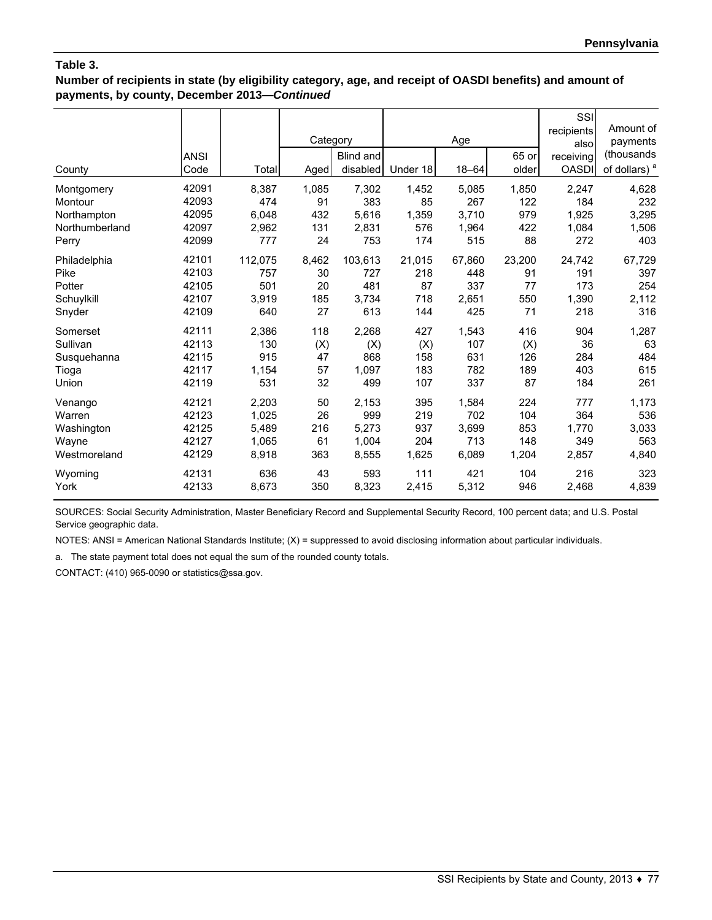**Number of recipients in state (by eligibility category, age, and receipt of OASDI benefits) and amount of payments, by county, December 2013—***Continued*

|                | <b>ANSI</b> |         | Category | Blind and |          | Age       | 65 or  | SSI<br>recipients<br>alsol<br>receiving | Amount of<br>payments<br>(thousands) |
|----------------|-------------|---------|----------|-----------|----------|-----------|--------|-----------------------------------------|--------------------------------------|
| County         | Code        | Total   | Aged     | disabled  | Under 18 | $18 - 64$ | older  | <b>OASDI</b>                            | of dollars) <sup>a</sup>             |
| Montgomery     | 42091       | 8,387   | 1,085    | 7,302     | 1,452    | 5,085     | 1,850  | 2,247                                   | 4,628                                |
| Montour        | 42093       | 474     | 91       | 383       | 85       | 267       | 122    | 184                                     | 232                                  |
| Northampton    | 42095       | 6,048   | 432      | 5,616     | 1,359    | 3.710     | 979    | 1,925                                   | 3,295                                |
| Northumberland | 42097       | 2,962   | 131      | 2,831     | 576      | 1,964     | 422    | 1,084                                   | 1,506                                |
| Perry          | 42099       | 777     | 24       | 753       | 174      | 515       | 88     | 272                                     | 403                                  |
| Philadelphia   | 42101       | 112,075 | 8,462    | 103,613   | 21,015   | 67,860    | 23,200 | 24,742                                  | 67,729                               |
| Pike           | 42103       | 757     | 30       | 727       | 218      | 448       | 91     | 191                                     | 397                                  |
| Potter         | 42105       | 501     | 20       | 481       | 87       | 337       | 77     | 173                                     | 254                                  |
| Schuylkill     | 42107       | 3.919   | 185      | 3,734     | 718      | 2.651     | 550    | 1,390                                   | 2,112                                |
| Snyder         | 42109       | 640     | 27       | 613       | 144      | 425       | 71     | 218                                     | 316                                  |
| Somerset       | 42111       | 2,386   | 118      | 2,268     | 427      | 1,543     | 416    | 904                                     | 1,287                                |
| Sullivan       | 42113       | 130     | (X)      | (X)       | (X)      | 107       | (X)    | 36                                      | 63                                   |
| Susquehanna    | 42115       | 915     | 47       | 868       | 158      | 631       | 126    | 284                                     | 484                                  |
| Tioga          | 42117       | 1,154   | 57       | 1,097     | 183      | 782       | 189    | 403                                     | 615                                  |
| Union          | 42119       | 531     | 32       | 499       | 107      | 337       | 87     | 184                                     | 261                                  |
| Venango        | 42121       | 2,203   | 50       | 2,153     | 395      | 1,584     | 224    | 777                                     | 1,173                                |
| Warren         | 42123       | 1,025   | 26       | 999       | 219      | 702       | 104    | 364                                     | 536                                  |
| Washington     | 42125       | 5,489   | 216      | 5,273     | 937      | 3,699     | 853    | 1,770                                   | 3,033                                |
| Wayne          | 42127       | 1,065   | 61       | 1,004     | 204      | 713       | 148    | 349                                     | 563                                  |
| Westmoreland   | 42129       | 8,918   | 363      | 8,555     | 1,625    | 6,089     | 1,204  | 2,857                                   | 4,840                                |
| Wyoming        | 42131       | 636     | 43       | 593       | 111      | 421       | 104    | 216                                     | 323                                  |
| York           | 42133       | 8,673   | 350      | 8,323     | 2,415    | 5,312     | 946    | 2,468                                   | 4,839                                |

SOURCES: Social Security Administration, Master Beneficiary Record and Supplemental Security Record, 100 percent data; and U.S. Postal Service geographic data.

NOTES: ANSI = American National Standards Institute; (X) = suppressed to avoid disclosing information about particular individuals.

a. The state payment total does not equal the sum of the rounded county totals.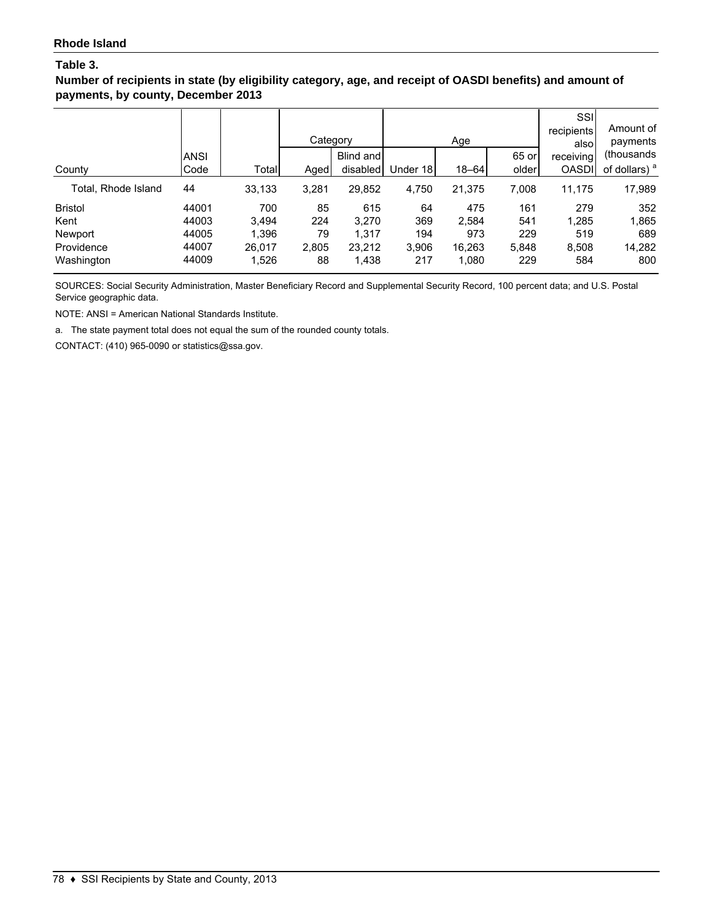**Number of recipients in state (by eligibility category, age, and receipt of OASDI benefits) and amount of payments, by county, December 2013**

|                     |             |        | Category |           |          | Age       | 65 or | SSI<br>recipients<br>alsol | Amount of<br>payments<br>(thousands) |
|---------------------|-------------|--------|----------|-----------|----------|-----------|-------|----------------------------|--------------------------------------|
|                     | <b>ANSI</b> |        |          | Blind and |          |           |       | receiving                  |                                      |
| County              | Code        | Total  | Aged     | disabled  | Under 18 | $18 - 64$ | older | <b>OASDI</b>               | of dollars) <sup>a</sup>             |
| Total, Rhode Island | 44          | 33,133 | 3,281    | 29,852    | 4,750    | 21,375    | 7,008 | 11,175                     | 17,989                               |
| <b>Bristol</b>      | 44001       | 700    | 85       | 615       | 64       | 475       | 161   | 279                        | 352                                  |
| Kent                | 44003       | 3.494  | 224      | 3.270     | 369      | 2.584     | 541   | 1,285                      | 1,865                                |
| Newport             | 44005       | 1,396  | 79       | 1.317     | 194      | 973       | 229   | 519                        | 689                                  |
| Providence          | 44007       | 26,017 | 2,805    | 23,212    | 3,906    | 16,263    | 5,848 | 8,508                      | 14,282                               |
| Washington          | 44009       | 1,526  | 88       | 1,438     | 217      | 1,080     | 229   | 584                        | 800                                  |

SOURCES: Social Security Administration, Master Beneficiary Record and Supplemental Security Record, 100 percent data; and U.S. Postal Service geographic data.

NOTE: ANSI = American National Standards Institute.

a. The state payment total does not equal the sum of the rounded county totals.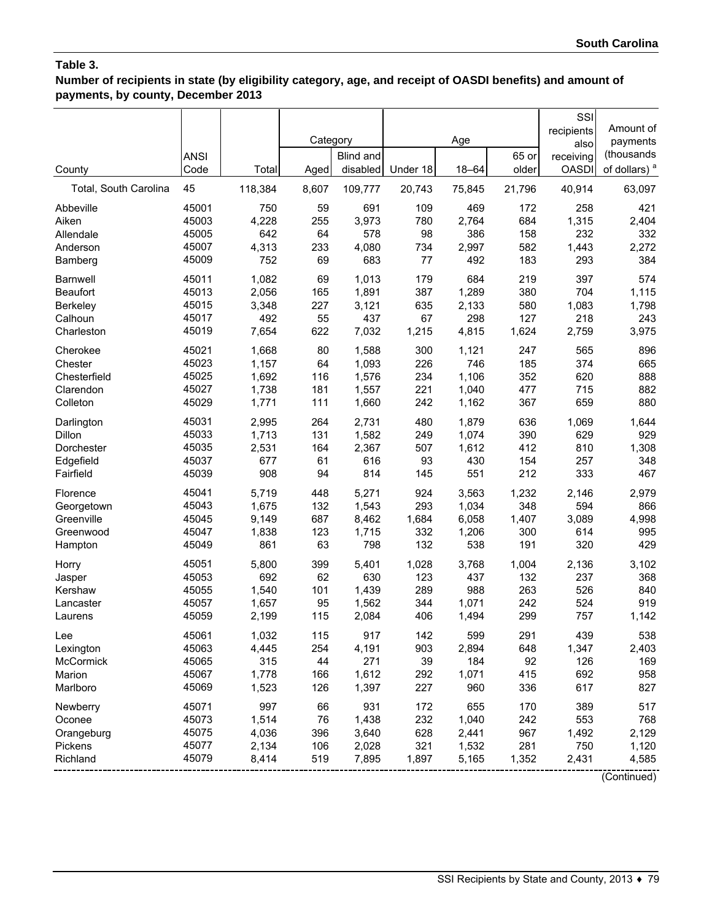**Number of recipients in state (by eligibility category, age, and receipt of OASDI benefits) and amount of payments, by county, December 2013**

|                       | <b>ANSI</b> |         | Category | Blind and |          | Age       | 65 or  | SSI<br>recipients<br>also<br>receiving | Amount of<br>payments<br>(thousands |
|-----------------------|-------------|---------|----------|-----------|----------|-----------|--------|----------------------------------------|-------------------------------------|
| County                | Code        | Total   | Aged     | disabled  | Under 18 | $18 - 64$ | older  | <b>OASDI</b>                           | of dollars) <sup>a</sup>            |
| Total, South Carolina | 45          | 118,384 | 8,607    | 109,777   | 20,743   | 75,845    | 21,796 | 40,914                                 | 63,097                              |
| Abbeville             | 45001       | 750     | 59       | 691       | 109      | 469       | 172    | 258                                    | 421                                 |
| Aiken                 | 45003       | 4,228   | 255      | 3,973     | 780      | 2,764     | 684    | 1,315                                  | 2,404                               |
| Allendale             | 45005       | 642     | 64       | 578       | 98       | 386       | 158    | 232                                    | 332                                 |
| Anderson              | 45007       | 4,313   | 233      | 4,080     | 734      | 2,997     | 582    | 1,443                                  | 2,272                               |
| Bamberg               | 45009       | 752     | 69       | 683       | 77       | 492       | 183    | 293                                    | 384                                 |
| <b>Barnwell</b>       | 45011       | 1,082   | 69       | 1,013     | 179      | 684       | 219    | 397                                    | 574                                 |
| <b>Beaufort</b>       | 45013       | 2,056   | 165      | 1,891     | 387      | 1,289     | 380    | 704                                    | 1,115                               |
| Berkeley              | 45015       | 3,348   | 227      | 3,121     | 635      | 2,133     | 580    | 1,083                                  | 1,798                               |
| Calhoun               | 45017       | 492     | 55       | 437       | 67       | 298       | 127    | 218                                    | 243                                 |
| Charleston            | 45019       | 7,654   | 622      | 7,032     | 1,215    | 4,815     | 1,624  | 2,759                                  | 3,975                               |
| Cherokee              | 45021       | 1,668   | 80       | 1,588     | 300      | 1,121     | 247    | 565                                    | 896                                 |
| Chester               | 45023       | 1,157   | 64       | 1,093     | 226      | 746       | 185    | 374                                    | 665                                 |
| Chesterfield          | 45025       | 1,692   | 116      | 1,576     | 234      | 1,106     | 352    | 620                                    | 888                                 |
| Clarendon             | 45027       | 1,738   | 181      | 1,557     | 221      | 1,040     | 477    | 715                                    | 882                                 |
| Colleton              | 45029       | 1,771   | 111      | 1,660     | 242      | 1,162     | 367    | 659                                    | 880                                 |
| Darlington            | 45031       | 2,995   | 264      | 2,731     | 480      | 1,879     | 636    | 1,069                                  | 1,644                               |
| Dillon                | 45033       | 1,713   | 131      | 1,582     | 249      | 1,074     | 390    | 629                                    | 929                                 |
| Dorchester            | 45035       | 2,531   | 164      | 2,367     | 507      | 1,612     | 412    | 810                                    | 1,308                               |
| Edgefield             | 45037       | 677     | 61       | 616       | 93       | 430       | 154    | 257                                    | 348                                 |
| Fairfield             | 45039       | 908     | 94       | 814       | 145      | 551       | 212    | 333                                    | 467                                 |
| Florence              | 45041       | 5,719   | 448      | 5,271     | 924      | 3,563     | 1,232  | 2,146                                  | 2,979                               |
| Georgetown            | 45043       | 1,675   | 132      | 1,543     | 293      | 1,034     | 348    | 594                                    | 866                                 |
| Greenville            | 45045       | 9,149   | 687      | 8,462     | 1,684    | 6,058     | 1,407  | 3,089                                  | 4,998                               |
| Greenwood             | 45047       | 1,838   | 123      | 1,715     | 332      | 1,206     | 300    | 614                                    | 995                                 |
| Hampton               | 45049       | 861     | 63       | 798       | 132      | 538       | 191    | 320                                    | 429                                 |
| Horry                 | 45051       | 5,800   | 399      | 5,401     | 1,028    | 3,768     | 1,004  | 2,136                                  | 3,102                               |
| Jasper                | 45053       | 692     | 62       | 630       | 123      | 437       | 132    | 237                                    | 368                                 |
| Kershaw               | 45055       | 1,540   | 101      | 1,439     | 289      | 988       | 263    | 526                                    | 840                                 |
| Lancaster             | 45057       | 1,657   | 95       | 1,562     | 344      | 1,071     | 242    | 524                                    | 919                                 |
| Laurens               | 45059       | 2,199   | 115      | 2,084     | 406      | 1,494     | 299    | 757                                    | 1,142                               |
| Lee                   | 45061       | 1,032   | 115      | 917       | 142      | 599       | 291    | 439                                    | 538                                 |
| Lexington             | 45063       | 4,445   | 254      | 4,191     | 903      | 2,894     | 648    | 1,347                                  | 2,403                               |
| McCormick             | 45065       | 315     | 44       | 271       | 39       | 184       | 92     | 126                                    | 169                                 |
| Marion                | 45067       | 1,778   | 166      | 1,612     | 292      | 1,071     | 415    | 692                                    | 958                                 |
| Marlboro              | 45069       | 1,523   | 126      | 1,397     | 227      | 960       | 336    | 617                                    | 827                                 |
| Newberry              | 45071       | 997     | 66       | 931       | 172      | 655       | 170    | 389                                    | 517                                 |
| Oconee                | 45073       | 1,514   | 76       | 1,438     | 232      | 1,040     | 242    | 553                                    | 768                                 |
| Orangeburg            | 45075       | 4,036   | 396      | 3,640     | 628      | 2,441     | 967    | 1,492                                  | 2,129                               |
| Pickens               | 45077       | 2,134   | 106      | 2,028     | 321      | 1,532     | 281    | 750                                    | 1,120                               |
| Richland              | 45079       | 8,414   | 519      | 7,895     | 1,897    | 5,165     | 1,352  | 2,431                                  | 4,585                               |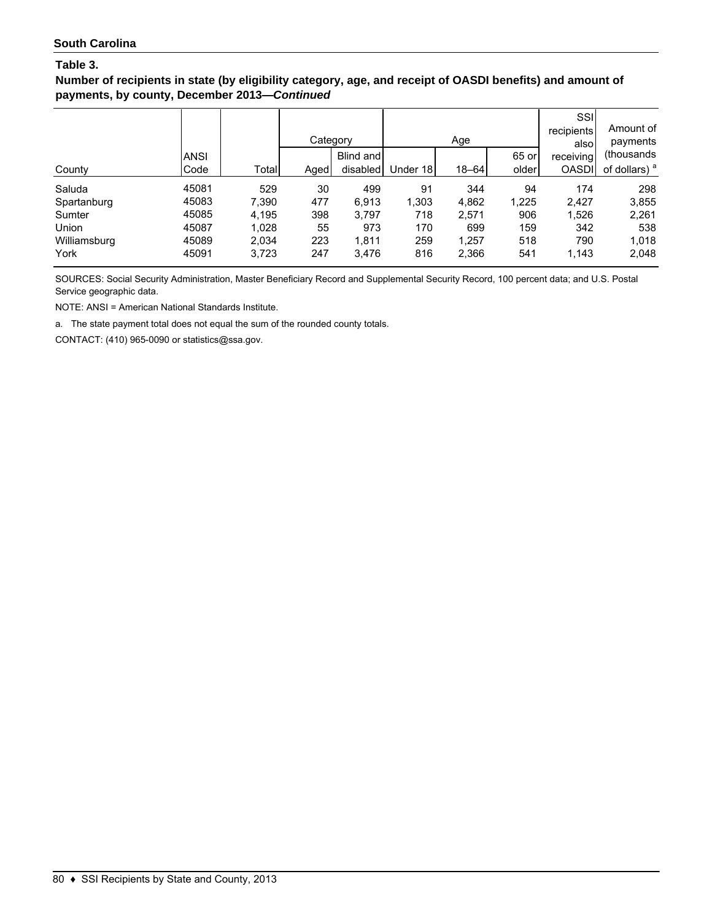**Number of recipients in state (by eligibility category, age, and receipt of OASDI benefits) and amount of payments, by county, December 2013—***Continued*

|              |             |       | Category |           |          | Age       |       | SSI<br>recipients<br>alsol | Amount of<br>payments    |
|--------------|-------------|-------|----------|-----------|----------|-----------|-------|----------------------------|--------------------------|
|              | <b>ANSI</b> |       |          | Blind and |          |           | 65 or | receiving                  | (thousands               |
| County       | Code        | Total | Aged     | disabled  | Under 18 | $18 - 64$ | older | <b>OASDI</b>               | of dollars) <sup>a</sup> |
| Saluda       | 45081       | 529   | 30       | 499       | 91       | 344       | 94    | 174                        | 298                      |
| Spartanburg  | 45083       | 7,390 | 477      | 6.913     | 1,303    | 4,862     | 1,225 | 2,427                      | 3,855                    |
| Sumter       | 45085       | 4,195 | 398      | 3.797     | 718      | 2.571     | 906   | 1,526                      | 2,261                    |
| Union        | 45087       | 1,028 | 55       | 973       | 170      | 699       | 159   | 342                        | 538                      |
| Williamsburg | 45089       | 2,034 | 223      | 1.811     | 259      | 1,257     | 518   | 790                        | 1,018                    |
| York         | 45091       | 3,723 | 247      | 3,476     | 816      | 2,366     | 541   | 1,143                      | 2,048                    |

SOURCES: Social Security Administration, Master Beneficiary Record and Supplemental Security Record, 100 percent data; and U.S. Postal Service geographic data.

NOTE: ANSI = American National Standards Institute.

a. The state payment total does not equal the sum of the rounded county totals.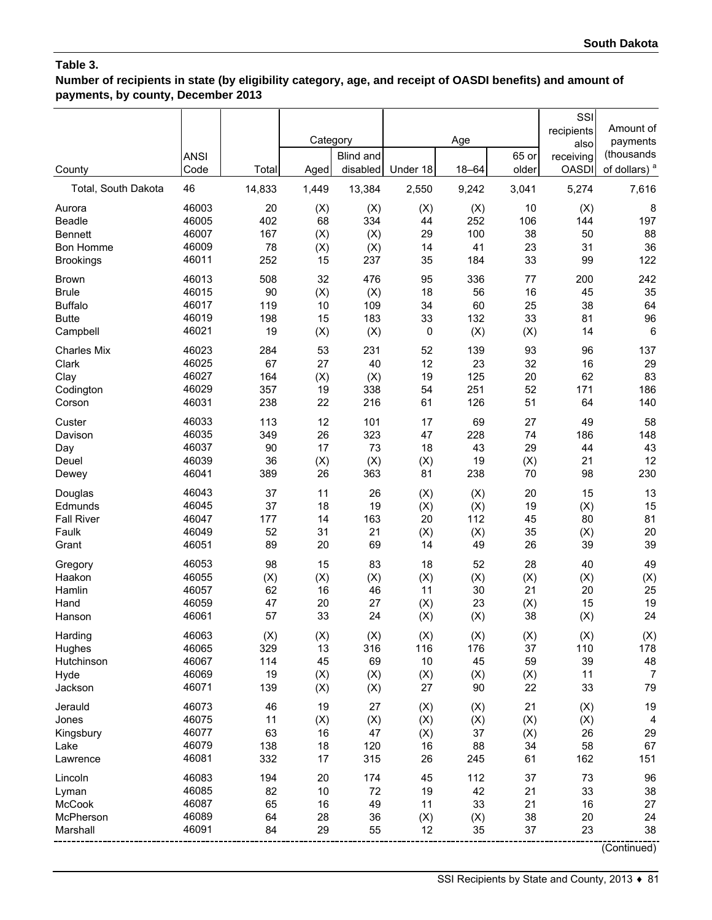**Number of recipients in state (by eligibility category, age, and receipt of OASDI benefits) and amount of payments, by county, December 2013**

| County              | <b>ANSI</b><br>Code | Total  | Category<br>Aged | <b>Blind and</b><br>disabled | Under 18 | Age<br>$18 - 64$ | 65 or<br>older | SSI<br>recipients<br>also<br>receiving<br><b>OASDI</b> | Amount of<br>payments<br>(thousands<br>of dollars) <sup>a</sup> |
|---------------------|---------------------|--------|------------------|------------------------------|----------|------------------|----------------|--------------------------------------------------------|-----------------------------------------------------------------|
| Total, South Dakota | 46                  | 14,833 | 1,449            | 13,384                       | 2,550    | 9,242            | 3,041          | 5,274                                                  | 7,616                                                           |
| Aurora              | 46003               | 20     | (X)              | (X)                          | (X)      | (X)              | 10             | (X)                                                    | 8                                                               |
| Beadle              | 46005               | 402    | 68               | 334                          | 44       | 252              | 106            | 144                                                    | 197                                                             |
| <b>Bennett</b>      | 46007               | 167    | (X)              | (X)                          | 29       | 100              | 38             | 50                                                     | 88                                                              |
| Bon Homme           | 46009               | 78     | (X)              | (X)                          | 14       | 41               | 23             | 31                                                     | 36                                                              |
| <b>Brookings</b>    | 46011               | 252    | 15               | 237                          | 35       | 184              | 33             | 99                                                     | 122                                                             |
| <b>Brown</b>        | 46013               | 508    | 32               | 476                          | 95       | 336              | 77             | 200                                                    | 242                                                             |
| <b>Brule</b>        | 46015               | 90     | (X)              | (X)                          | 18       | 56               | 16             | 45                                                     | 35                                                              |
| <b>Buffalo</b>      | 46017               | 119    | 10               | 109                          | 34       | 60               | 25             | 38                                                     | 64                                                              |
| <b>Butte</b>        | 46019               | 198    | 15               | 183                          | 33       | 132              | 33             | 81                                                     | 96                                                              |
| Campbell            | 46021               | 19     | (X)              | (X)                          | 0        | (X)              | (X)            | 14                                                     | 6                                                               |
| <b>Charles Mix</b>  | 46023               | 284    | 53               | 231                          | 52       | 139              | 93             | 96                                                     | 137                                                             |
| Clark               | 46025               | 67     | 27               | 40                           | 12       | 23               | 32             | 16                                                     | 29                                                              |
| Clay                | 46027               | 164    | (X)              | (X)                          | 19       | 125              | 20             | 62                                                     | 83                                                              |
| Codington           | 46029               | 357    | 19               | 338                          | 54       | 251              | 52             | 171                                                    | 186                                                             |
| Corson              | 46031               | 238    | 22               | 216                          | 61       | 126              | 51             | 64                                                     | 140                                                             |
| Custer              | 46033               | 113    | 12               | 101                          | 17       | 69               | 27             | 49                                                     | 58                                                              |
| Davison             | 46035               | 349    | 26               | 323                          | 47       | 228              | 74             | 186                                                    | 148                                                             |
| Day                 | 46037               | 90     | 17               | 73                           | 18       | 43               | 29             | 44                                                     | 43                                                              |
| Deuel               | 46039               | 36     | (X)              | (X)                          | (X)      | 19               | (X)            | 21                                                     | 12                                                              |
| Dewey               | 46041               | 389    | 26               | 363                          | 81       | 238              | 70             | 98                                                     | 230                                                             |
| Douglas             | 46043               | 37     | 11               | 26                           | (X)      | (X)              | 20             | 15                                                     | 13                                                              |
| Edmunds             | 46045               | 37     | 18               | 19                           | (X)      | (X)              | 19             | (X)                                                    | 15                                                              |
| <b>Fall River</b>   | 46047               | 177    | 14               | 163                          | 20       | 112              | 45             | 80                                                     | 81                                                              |
| Faulk               | 46049               | 52     | 31               | 21                           | (X)      | (X)              | 35             | (X)                                                    | 20                                                              |
| Grant               | 46051               | 89     | 20               | 69                           | 14       | 49               | 26             | 39                                                     | 39                                                              |
| Gregory             | 46053               | 98     | 15               | 83                           | 18       | 52               | 28             | 40                                                     | 49                                                              |
| Haakon              | 46055               | (X)    | (X)              | (X)                          | (X)      | (X)              | (X)            | (X)                                                    | (X)                                                             |
| Hamlin              | 46057               | 62     | 16               | 46                           | 11       | 30               | 21             | 20                                                     | 25                                                              |
| Hand                | 46059               | 47     | 20               | 27                           | (X)      | 23               | (X)            | 15                                                     | 19                                                              |
| Hanson              | 46061               | 57     | 33               | 24                           | (X)      | (X)              | 38             | (X)                                                    | 24                                                              |
| Harding             | 46063               | (X)    | (X)              | (X)                          | (X)      | (X)              | (X)            | (X)                                                    | (X)                                                             |
| Hughes              | 46065               | 329    | 13               | 316                          | 116      | 176              | 37             | 110                                                    | 178                                                             |
| Hutchinson          | 46067               | 114    | 45               | 69                           | 10       | 45               | 59             | 39                                                     | 48                                                              |
| Hyde                | 46069               | 19     | (X)              | (X)                          | (X)      | (X)              | (X)            | 11                                                     | $\overline{7}$                                                  |
| Jackson             | 46071               | 139    | (X)              | (X)                          | 27       | 90               | 22             | 33                                                     | 79                                                              |
| Jerauld             | 46073               | 46     | 19               | 27                           | (X)      | (X)              | 21             | (X)                                                    | 19                                                              |
| Jones               | 46075               | 11     | (X)              | (X)                          | (X)      | (X)              | (X)            | (X)                                                    | 4                                                               |
| Kingsbury           | 46077               | 63     | 16               | 47                           | (X)      | 37               | (X)            | 26                                                     | 29                                                              |
| Lake                | 46079               | 138    | 18               | 120                          | 16       | 88               | 34             | 58                                                     | 67                                                              |
| Lawrence            | 46081               | 332    | 17               | 315                          | 26       | 245              | 61             | 162                                                    | 151                                                             |
| Lincoln             | 46083               | 194    | 20               | 174                          | 45       | 112              | 37             | 73                                                     | 96                                                              |
| Lyman               | 46085               | 82     | 10               | 72                           | 19       | 42               | 21             | 33                                                     | 38                                                              |
| McCook              | 46087               | 65     | 16               | 49                           | 11       | 33               | 21             | 16                                                     | 27                                                              |
| McPherson           | 46089               | 64     | 28               | 36                           | (X)      | (X)              | 38             | 20                                                     | 24                                                              |
| Marshall            | 46091               | 84     | 29               | 55                           | 12       | 35               | 37             | 23                                                     | 38                                                              |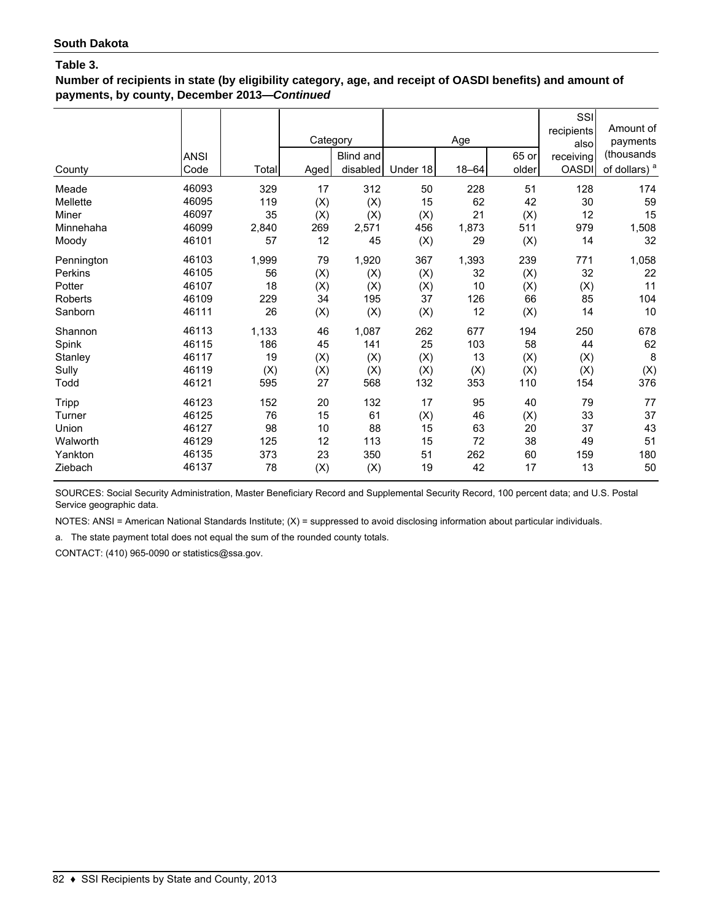**Number of recipients in state (by eligibility category, age, and receipt of OASDI benefits) and amount of payments, by county, December 2013—***Continued*

| County     | <b>ANSI</b><br>Code | Total | Category<br>Aged | Blind and<br>disabled | Under 18 | Age<br>$18 - 64$ | 65 or<br>older | SSI<br>recipients<br>also<br>receiving<br><b>OASDI</b> | Amount of<br>payments<br>(thousands<br>of dollars) <sup>a</sup> |
|------------|---------------------|-------|------------------|-----------------------|----------|------------------|----------------|--------------------------------------------------------|-----------------------------------------------------------------|
| Meade      | 46093               | 329   | 17               | 312                   | 50       | 228              | 51             | 128                                                    | 174                                                             |
| Mellette   | 46095               | 119   | (X)              | (X)                   | 15       | 62               | 42             | $30\,$                                                 | 59                                                              |
| Miner      | 46097               | 35    | (X)              | (X)                   | (X)      | 21               | (X)            | 12                                                     | 15                                                              |
| Minnehaha  | 46099               | 2,840 | 269              | 2,571                 | 456      | 1,873            | 511            | 979                                                    | 1,508                                                           |
| Moody      | 46101               | 57    | 12               | 45                    | (X)      | 29               | (X)            | 14                                                     | 32                                                              |
| Pennington | 46103               | 1,999 | 79               | 1,920                 | 367      | 1,393            | 239            | 771                                                    | 1,058                                                           |
| Perkins    | 46105               | 56    | (X)              | (X)                   | (X)      | 32               | (X)            | 32                                                     | 22                                                              |
| Potter     | 46107               | 18    | (X)              | (X)                   | (X)      | 10               | (X)            | (X)                                                    | 11                                                              |
| Roberts    | 46109               | 229   | 34               | 195                   | 37       | 126              | 66             | 85                                                     | 104                                                             |
| Sanborn    | 46111               | 26    | (X)              | (X)                   | (X)      | 12               | (X)            | 14                                                     | 10                                                              |
| Shannon    | 46113               | 1,133 | 46               | 1,087                 | 262      | 677              | 194            | 250                                                    | 678                                                             |
| Spink      | 46115               | 186   | 45               | 141                   | 25       | 103              | 58             | 44                                                     | 62                                                              |
| Stanley    | 46117               | 19    | (X)              | (X)                   | (X)      | 13               | (X)            | (X)                                                    | 8                                                               |
| Sully      | 46119               | (X)   | (X)              | (X)                   | (X)      | (X)              | (X)            | (X)                                                    | (X)                                                             |
| Todd       | 46121               | 595   | 27               | 568                   | 132      | 353              | 110            | 154                                                    | 376                                                             |
| Tripp      | 46123               | 152   | 20               | 132                   | 17       | 95               | 40             | 79                                                     | 77                                                              |
| Turner     | 46125               | 76    | 15               | 61                    | (X)      | 46               | (X)            | 33                                                     | 37                                                              |
| Union      | 46127               | 98    | 10               | 88                    | 15       | 63               | 20             | 37                                                     | 43                                                              |
| Walworth   | 46129               | 125   | 12               | 113                   | 15       | 72               | 38             | 49                                                     | 51                                                              |
| Yankton    | 46135               | 373   | 23               | 350                   | 51       | 262              | 60             | 159                                                    | 180                                                             |
| Ziebach    | 46137               | 78    | (X)              | (X)                   | 19       | 42               | 17             | 13                                                     | 50                                                              |

SOURCES: Social Security Administration, Master Beneficiary Record and Supplemental Security Record, 100 percent data; and U.S. Postal Service geographic data.

NOTES: ANSI = American National Standards Institute; (X) = suppressed to avoid disclosing information about particular individuals.

a. The state payment total does not equal the sum of the rounded county totals.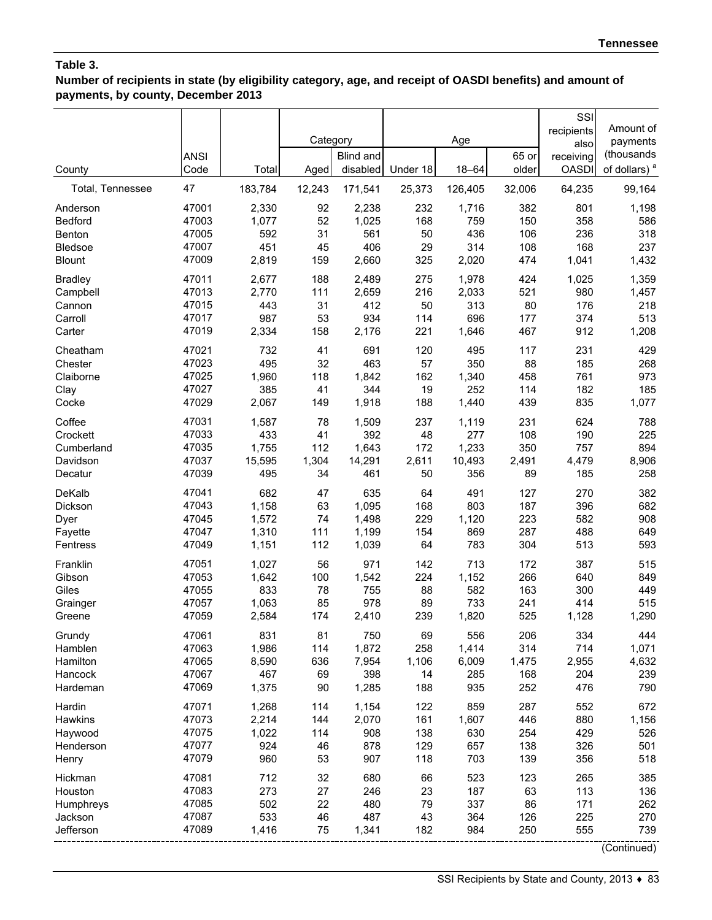**Number of recipients in state (by eligibility category, age, and receipt of OASDI benefits) and amount of payments, by county, December 2013**

| County           | <b>ANSI</b><br>Code | Total   | Category<br>Aged | <b>Blind and</b><br>disabled | Under 18 | Age<br>$18 - 64$ | 65 or<br>older | SSI<br>recipients<br>also<br>receiving<br><b>OASDI</b> | Amount of<br>payments<br>(thousands<br>of dollars) <sup>a</sup> |
|------------------|---------------------|---------|------------------|------------------------------|----------|------------------|----------------|--------------------------------------------------------|-----------------------------------------------------------------|
| Total, Tennessee | 47                  | 183,784 | 12,243           | 171,541                      | 25,373   | 126,405          | 32,006         | 64,235                                                 | 99,164                                                          |
| Anderson         | 47001               | 2,330   | 92               | 2,238                        | 232      | 1,716            | 382            | 801                                                    | 1,198                                                           |
| Bedford          | 47003               | 1,077   | 52               | 1,025                        | 168      | 759              | 150            | 358                                                    | 586                                                             |
| Benton           | 47005               | 592     | 31               | 561                          | 50       | 436              | 106            | 236                                                    | 318                                                             |
| <b>Bledsoe</b>   | 47007               | 451     | 45               | 406                          | 29       | 314              | 108            | 168                                                    | 237                                                             |
| <b>Blount</b>    | 47009               | 2,819   | 159              | 2,660                        | 325      | 2,020            | 474            | 1,041                                                  | 1,432                                                           |
| <b>Bradley</b>   | 47011               | 2,677   | 188              | 2,489                        | 275      | 1,978            | 424            | 1,025                                                  | 1,359                                                           |
| Campbell         | 47013               | 2,770   | 111              | 2,659                        | 216      | 2,033            | 521            | 980                                                    | 1,457                                                           |
| Cannon           | 47015               | 443     | 31               | 412                          | 50       | 313              | 80             | 176                                                    | 218                                                             |
| Carroll          | 47017               | 987     | 53               | 934                          | 114      | 696              | 177            | 374                                                    | 513                                                             |
| Carter           | 47019               | 2,334   | 158              | 2,176                        | 221      | 1,646            | 467            | 912                                                    | 1,208                                                           |
| Cheatham         | 47021               | 732     | 41               | 691                          | 120      | 495              | 117            | 231                                                    | 429                                                             |
| Chester          | 47023               | 495     | 32               | 463                          | 57       | 350              | 88             | 185                                                    | 268                                                             |
| Claiborne        | 47025               | 1,960   | 118              | 1,842                        | 162      | 1,340            | 458            | 761                                                    | 973                                                             |
| Clay             | 47027               | 385     | 41               | 344                          | 19       | 252              | 114            | 182                                                    | 185                                                             |
| Cocke            | 47029               | 2,067   | 149              | 1,918                        | 188      | 1,440            | 439            | 835                                                    | 1,077                                                           |
| Coffee           | 47031               | 1,587   | 78               | 1,509                        | 237      | 1,119            | 231            | 624                                                    | 788                                                             |
| Crockett         | 47033               | 433     | 41               | 392                          | 48       | 277              | 108            | 190                                                    | 225                                                             |
| Cumberland       | 47035               | 1,755   | 112              | 1,643                        | 172      | 1,233            | 350            | 757                                                    | 894                                                             |
| Davidson         | 47037               | 15,595  | 1,304            | 14,291                       | 2,611    | 10,493           | 2,491          | 4,479                                                  | 8,906                                                           |
| Decatur          | 47039               | 495     | 34               | 461                          | 50       | 356              | 89             | 185                                                    | 258                                                             |
| DeKalb           | 47041               | 682     | 47               | 635                          | 64       | 491              | 127            | 270                                                    | 382                                                             |
| Dickson          | 47043               | 1,158   | 63               | 1,095                        | 168      | 803              | 187            | 396                                                    | 682                                                             |
| Dyer             | 47045               | 1,572   | 74               | 1,498                        | 229      | 1,120            | 223            | 582                                                    | 908                                                             |
| Fayette          | 47047               | 1,310   | 111              | 1,199                        | 154      | 869              | 287            | 488                                                    | 649                                                             |
| Fentress         | 47049               | 1,151   | 112              | 1,039                        | 64       | 783              | 304            | 513                                                    | 593                                                             |
| Franklin         | 47051               | 1,027   | 56               | 971                          | 142      | 713              | 172            | 387                                                    | 515                                                             |
| Gibson           | 47053               | 1,642   | 100              | 1,542                        | 224      | 1,152            | 266            | 640                                                    | 849                                                             |
| Giles            | 47055               | 833     | 78               | 755                          | 88       | 582              | 163            | 300                                                    | 449                                                             |
| Grainger         | 47057               | 1,063   | 85               | 978                          | 89       | 733              | 241            | 414                                                    | 515                                                             |
| Greene           | 47059               | 2,584   | 174              | 2,410                        | 239      | 1,820            | 525            | 1,128                                                  | 1,290                                                           |
| Grundy           | 47061               | 831     | 81               | 750                          | 69       | 556              | 206            | 334                                                    | 444                                                             |
| Hamblen          | 47063               | 1,986   | 114              | 1,872                        | 258      | 1,414            | 314            | 714                                                    | 1,071                                                           |
| Hamilton         | 47065               | 8,590   | 636              | 7,954                        | 1,106    | 6,009            | 1,475          | 2,955                                                  | 4,632                                                           |
| Hancock          | 47067               | 467     | 69               | 398                          | 14       | 285              | 168            | 204                                                    | 239                                                             |
| Hardeman         | 47069               | 1,375   | 90               | 1,285                        | 188      | 935              | 252            | 476                                                    | 790                                                             |
| Hardin           | 47071               | 1,268   | 114              | 1,154                        | 122      | 859              | 287            | 552                                                    | 672                                                             |
| <b>Hawkins</b>   | 47073               | 2,214   | 144              | 2,070                        | 161      | 1,607            | 446            | 880                                                    | 1,156                                                           |
| Haywood          | 47075               | 1,022   | 114              | 908                          | 138      | 630              | 254            | 429                                                    | 526                                                             |
| Henderson        | 47077               | 924     | 46               | 878                          | 129      | 657              | 138            | 326                                                    | 501                                                             |
| Henry            | 47079               | 960     | 53               | 907                          | 118      | 703              | 139            | 356                                                    | 518                                                             |
| Hickman          | 47081               | 712     | 32               | 680                          | 66       | 523              | 123            | 265                                                    | 385                                                             |
| Houston          | 47083               | 273     | 27               | 246                          | 23       | 187              | 63             | 113                                                    | 136                                                             |
| Humphreys        | 47085               | 502     | 22               | 480                          | 79       | 337              | 86             | 171                                                    | 262                                                             |
| Jackson          | 47087               | 533     | 46               | 487                          | 43       | 364              | 126            | 225                                                    | 270                                                             |
| Jefferson        | 47089               | 1,416   | 75               | 1,341                        | 182      | 984              | 250            | 555                                                    | 739                                                             |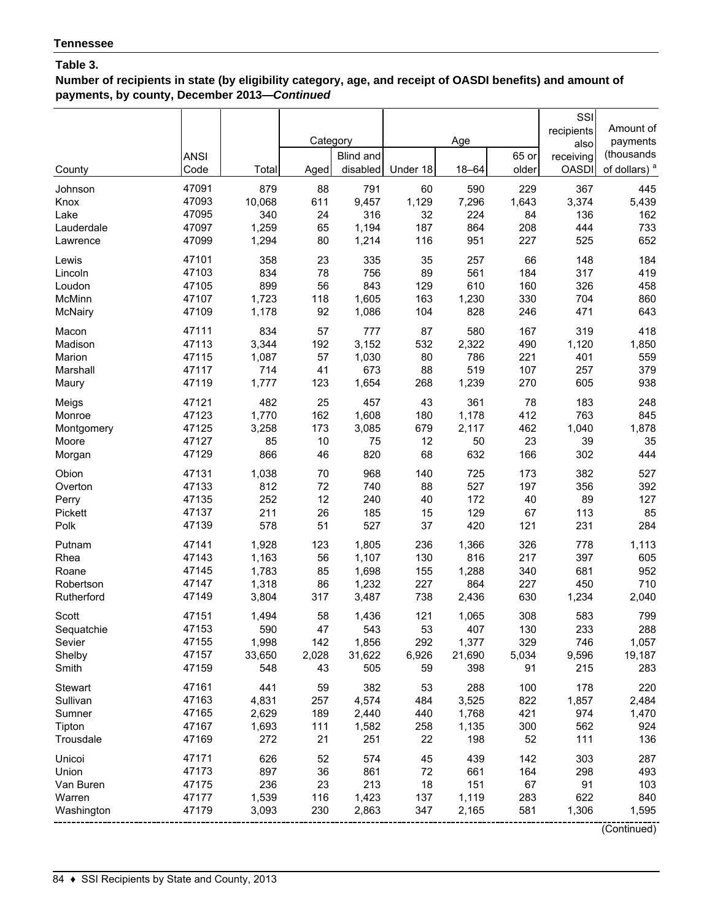**Number of recipients in state (by eligibility category, age, and receipt of OASDI benefits) and amount of payments, by county, December 2013—***Continued*

|            | <b>ANSI</b> |        | Category | Blind and |          | Age       | 65 or | SSI<br>recipients<br>also<br>receiving | Amount of<br>payments<br>(thousands |
|------------|-------------|--------|----------|-----------|----------|-----------|-------|----------------------------------------|-------------------------------------|
| County     | Code        | Total  | Aged     | disabled  | Under 18 | $18 - 64$ | older | <b>OASDI</b>                           | of dollars) <sup>a</sup>            |
| Johnson    | 47091       | 879    | 88       | 791       | 60       | 590       | 229   | 367                                    | 445                                 |
| Knox       | 47093       | 10,068 | 611      | 9,457     | 1,129    | 7,296     | 1,643 | 3,374                                  | 5,439                               |
| Lake       | 47095       | 340    | 24       | 316       | 32       | 224       | 84    | 136                                    | 162                                 |
| Lauderdale | 47097       | 1,259  | 65       | 1,194     | 187      | 864       | 208   | 444                                    | 733                                 |
| Lawrence   | 47099       | 1,294  | 80       | 1,214     | 116      | 951       | 227   | 525                                    | 652                                 |
| Lewis      | 47101       | 358    | 23       | 335       | 35       | 257       | 66    | 148                                    | 184                                 |
| Lincoln    | 47103       | 834    | 78       | 756       | 89       | 561       | 184   | 317                                    | 419                                 |
| Loudon     | 47105       | 899    | 56       | 843       | 129      | 610       | 160   | 326                                    | 458                                 |
| McMinn     | 47107       | 1,723  | 118      | 1,605     | 163      | 1,230     | 330   | 704                                    | 860                                 |
| McNairy    | 47109       | 1,178  | 92       | 1,086     | 104      | 828       | 246   | 471                                    | 643                                 |
| Macon      | 47111       | 834    | 57       | 777       | 87       | 580       | 167   | 319                                    | 418                                 |
| Madison    | 47113       | 3,344  | 192      | 3,152     | 532      | 2,322     | 490   | 1,120                                  | 1,850                               |
| Marion     | 47115       | 1,087  | 57       | 1,030     | 80       | 786       | 221   | 401                                    | 559                                 |
| Marshall   | 47117       | 714    | 41       | 673       | 88       | 519       | 107   | 257                                    | 379                                 |
| Maury      | 47119       | 1,777  | 123      | 1,654     | 268      | 1,239     | 270   | 605                                    | 938                                 |
| Meigs      | 47121       | 482    | 25       | 457       | 43       | 361       | 78    | 183                                    | 248                                 |
| Monroe     | 47123       | 1,770  | 162      | 1,608     | 180      | 1,178     | 412   | 763                                    | 845                                 |
| Montgomery | 47125       | 3,258  | 173      | 3,085     | 679      | 2,117     | 462   | 1,040                                  | 1,878                               |
| Moore      | 47127       | 85     | 10       | 75        | 12       | 50        | 23    | 39                                     | 35                                  |
| Morgan     | 47129       | 866    | 46       | 820       | 68       | 632       | 166   | 302                                    | 444                                 |
| Obion      | 47131       | 1,038  | 70       | 968       | 140      | 725       | 173   | 382                                    | 527                                 |
| Overton    | 47133       | 812    | 72       | 740       | 88       | 527       | 197   | 356                                    | 392                                 |
| Perry      | 47135       | 252    | 12       | 240       | 40       | 172       | 40    | 89                                     | 127                                 |
| Pickett    | 47137       | 211    | 26       | 185       | 15       | 129       | 67    | 113                                    | 85                                  |
| Polk       | 47139       | 578    | 51       | 527       | 37       | 420       | 121   | 231                                    | 284                                 |
| Putnam     | 47141       | 1,928  | 123      | 1,805     | 236      | 1,366     | 326   | 778                                    | 1,113                               |
| Rhea       | 47143       | 1,163  | 56       | 1,107     | 130      | 816       | 217   | 397                                    | 605                                 |
| Roane      | 47145       | 1,783  | 85       | 1,698     | 155      | 1,288     | 340   | 681                                    | 952                                 |
| Robertson  | 47147       | 1,318  | 86       | 1,232     | 227      | 864       | 227   | 450                                    | 710                                 |
| Rutherford | 47149       | 3,804  | 317      | 3,487     | 738      | 2,436     | 630   | 1,234                                  | 2,040                               |
| Scott      | 47151       | 1,494  | 58       | 1,436     | 121      | 1,065     | 308   | 583                                    | 799                                 |
| Sequatchie | 47153       | 590    | 47       | 543       | 53       | 407       | 130   | 233                                    | 288                                 |
| Sevier     | 47155       | 1,998  | 142      | 1,856     | 292      | 1,377     | 329   | 746                                    | 1,057                               |
| Shelby     | 47157       | 33,650 | 2,028    | 31,622    | 6,926    | 21,690    | 5,034 | 9,596                                  | 19,187                              |
| Smith      | 47159       | 548    | 43       | 505       | 59       | 398       | 91    | 215                                    | 283                                 |
| Stewart    | 47161       | 441    | 59       | 382       | 53       | 288       | 100   | 178                                    | 220                                 |
| Sullivan   | 47163       | 4,831  | 257      | 4,574     | 484      | 3,525     | 822   | 1,857                                  | 2,484                               |
| Sumner     | 47165       | 2,629  | 189      | 2,440     | 440      | 1,768     | 421   | 974                                    | 1,470                               |
| Tipton     | 47167       | 1,693  | 111      | 1,582     | 258      | 1,135     | 300   | 562                                    | 924                                 |
| Trousdale  | 47169       | 272    | 21       | 251       | 22       | 198       | 52    | 111                                    | 136                                 |
| Unicoi     | 47171       | 626    | 52       | 574       | 45       | 439       | 142   | 303                                    | 287                                 |
| Union      | 47173       | 897    | 36       | 861       | 72       | 661       | 164   | 298                                    | 493                                 |
| Van Buren  | 47175       | 236    | 23       | 213       | 18       | 151       | 67    | 91                                     | 103                                 |
| Warren     | 47177       | 1,539  | 116      | 1,423     | 137      | 1,119     | 283   | 622                                    | 840                                 |
| Washington | 47179       | 3,093  | 230      | 2,863     | 347      | 2,165     | 581   | 1,306                                  | 1,595                               |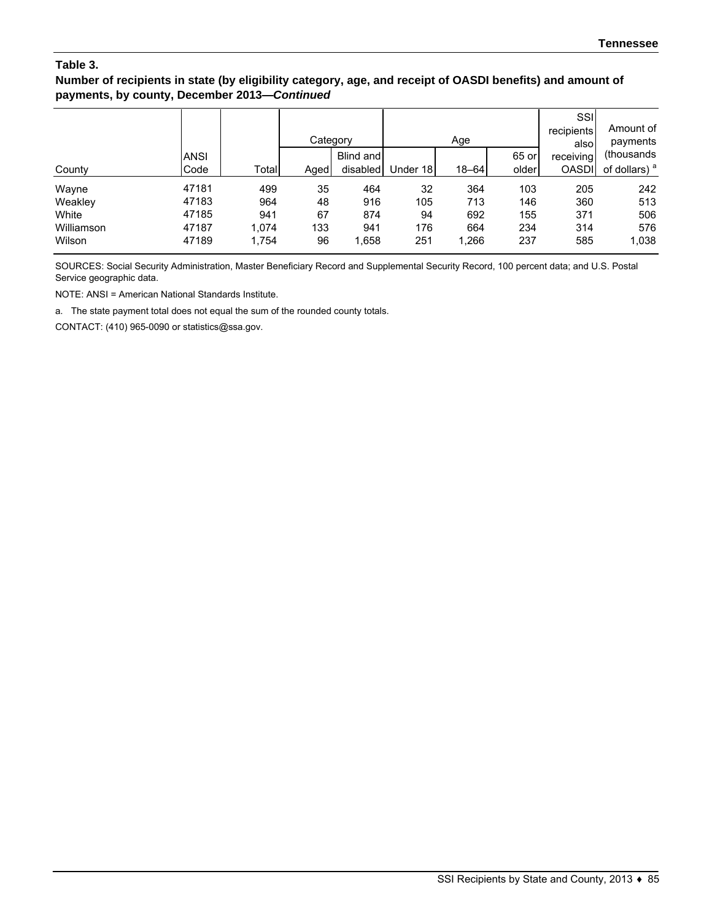### **Number of recipients in state (by eligibility category, age, and receipt of OASDI benefits) and amount of payments, by county, December 2013—***Continued*

|            |             |       | Category |           |          | Age       |       | SSI<br>recipients<br>alsol | Amount of<br>payments    |
|------------|-------------|-------|----------|-----------|----------|-----------|-------|----------------------------|--------------------------|
|            | <b>ANSI</b> |       |          | Blind and |          |           | 65 or | receiving                  | (thousands)              |
| County     | Code        | Total | Aged     | disabled  | Under 18 | $18 - 64$ | older | <b>OASDI</b>               | of dollars) <sup>a</sup> |
| Wayne      | 47181       | 499   | 35       | 464       | 32       | 364       | 103   | 205                        | 242                      |
| Weakley    | 47183       | 964   | 48       | 916       | 105      | 713       | 146   | 360                        | 513                      |
| White      | 47185       | 941   | 67       | 874       | 94       | 692       | 155   | 371                        | 506                      |
| Williamson | 47187       | 1.074 | 133      | 941       | 176      | 664       | 234   | 314                        | 576                      |
| Wilson     | 47189       | 1,754 | 96       | 1,658     | 251      | 1,266     | 237   | 585                        | 1,038                    |

SOURCES: Social Security Administration, Master Beneficiary Record and Supplemental Security Record, 100 percent data; and U.S. Postal Service geographic data.

NOTE: ANSI = American National Standards Institute.

a. The state payment total does not equal the sum of the rounded county totals.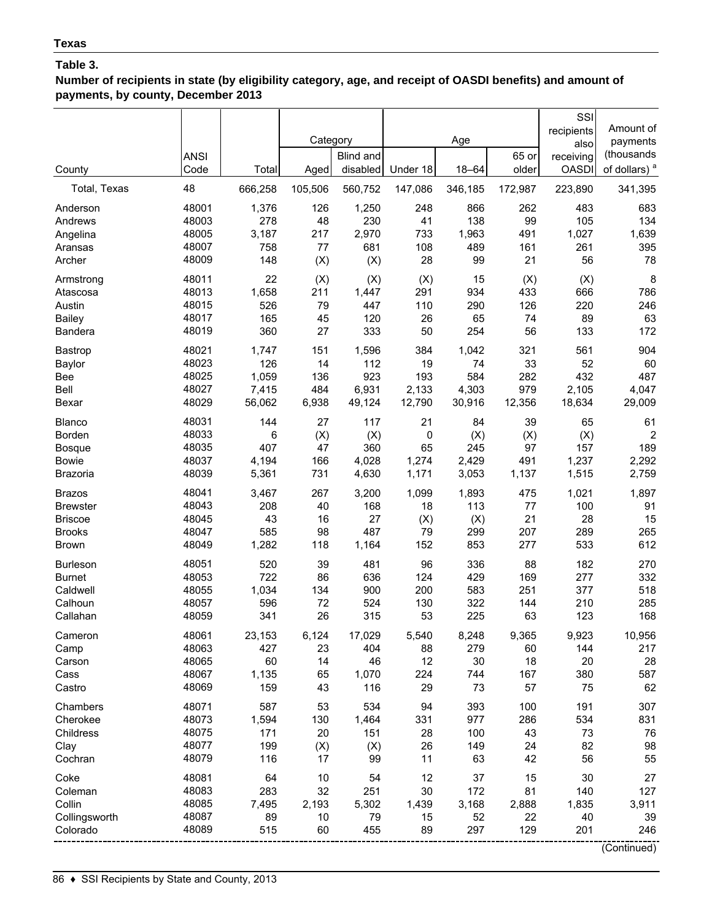**Number of recipients in state (by eligibility category, age, and receipt of OASDI benefits) and amount of payments, by county, December 2013**

|                                 | <b>ANSI</b>    |                 | Category     | Blind and       |                 | Age             | 65 or      | SSI<br>recipients<br>also<br>receiving | Amount of<br>payments<br>(thousands |
|---------------------------------|----------------|-----------------|--------------|-----------------|-----------------|-----------------|------------|----------------------------------------|-------------------------------------|
| County                          | Code           | Total           | Aged         | disabled        | Under 18        | $18 - 64$       | older      | <b>OASDI</b>                           | of dollars) <sup>a</sup>            |
| Total, Texas                    | 48             | 666,258         | 105,506      | 560,752         | 147,086         | 346,185         | 172,987    | 223,890                                | 341,395                             |
| Anderson                        | 48001          | 1,376           | 126          | 1,250           | 248             | 866             | 262        | 483                                    | 683                                 |
| Andrews                         | 48003          | 278             | 48           | 230             | 41              | 138             | 99         | 105                                    | 134                                 |
| Angelina                        | 48005          | 3,187           | 217          | 2,970           | 733             | 1,963           | 491        | 1,027                                  | 1,639                               |
| Aransas                         | 48007          | 758             | 77           | 681             | 108             | 489             | 161        | 261                                    | 395                                 |
| Archer                          | 48009          | 148             | (X)          | (X)             | 28              | 99              | 21         | 56                                     | 78                                  |
| Armstrong                       | 48011          | 22              | (X)          | (X)             | (X)             | 15              | (X)        | (X)                                    | 8                                   |
| Atascosa                        | 48013          | 1,658           | 211          | 1,447           | 291             | 934             | 433        | 666                                    | 786                                 |
| Austin                          | 48015          | 526             | 79           | 447             | 110             | 290             | 126        | 220                                    | 246                                 |
| <b>Bailey</b><br><b>Bandera</b> | 48017<br>48019 | 165<br>360      | 45<br>27     | 120<br>333      | 26<br>50        | 65<br>254       | 74<br>56   | 89<br>133                              | 63<br>172                           |
|                                 |                |                 |              |                 |                 |                 |            |                                        |                                     |
| Bastrop                         | 48021          | 1,747           | 151          | 1,596           | 384             | 1,042           | 321        | 561                                    | 904                                 |
| Baylor                          | 48023          | 126             | 14           | 112             | 19              | 74              | 33         | 52                                     | 60                                  |
| Bee                             | 48025<br>48027 | 1,059           | 136          | 923             | 193             | 584             | 282<br>979 | 432                                    | 487                                 |
| Bell<br>Bexar                   | 48029          | 7,415<br>56,062 | 484<br>6,938 | 6,931<br>49,124 | 2,133<br>12,790 | 4,303<br>30,916 | 12,356     | 2,105<br>18,634                        | 4,047<br>29,009                     |
| Blanco                          | 48031          | 144             | 27           | 117             | 21              | 84              | 39         | 65                                     | 61                                  |
| Borden                          | 48033          | 6               | (X)          | (X)             | 0               | (X)             | (X)        | (X)                                    | $\overline{2}$                      |
| <b>Bosque</b>                   | 48035          | 407             | 47           | 360             | 65              | 245             | 97         | 157                                    | 189                                 |
| <b>Bowie</b>                    | 48037          | 4,194           | 166          | 4,028           | 1,274           | 2,429           | 491        | 1,237                                  | 2,292                               |
| <b>Brazoria</b>                 | 48039          | 5,361           | 731          | 4,630           | 1,171           | 3,053           | 1,137      | 1,515                                  | 2,759                               |
| <b>Brazos</b>                   | 48041          | 3,467           | 267          | 3,200           | 1,099           | 1,893           | 475        | 1,021                                  | 1,897                               |
| <b>Brewster</b>                 | 48043          | 208             | 40           | 168             | 18              | 113             | 77         | 100                                    | 91                                  |
| <b>Briscoe</b>                  | 48045          | 43              | 16           | 27              | (X)             | (X)             | 21         | 28                                     | 15                                  |
| <b>Brooks</b>                   | 48047          | 585             | 98           | 487             | 79              | 299             | 207        | 289                                    | 265                                 |
| <b>Brown</b>                    | 48049          | 1,282           | 118          | 1,164           | 152             | 853             | 277        | 533                                    | 612                                 |
| <b>Burleson</b>                 | 48051          | 520             | 39           | 481             | 96              | 336             | 88         | 182                                    | 270                                 |
| <b>Burnet</b>                   | 48053          | 722             | 86           | 636             | 124             | 429             | 169        | 277                                    | 332                                 |
| Caldwell                        | 48055          | 1,034           | 134          | 900             | 200             | 583             | 251        | 377                                    | 518                                 |
| Calhoun                         | 48057          | 596             | 72           | 524             | 130             | 322             | 144        | 210                                    | 285                                 |
| Callahan                        | 48059          | 341             | 26           | 315             | 53              | 225             | 63         | 123                                    | 168                                 |
| Cameron                         | 48061          | 23,153          | 6,124        | 17,029          | 5,540           | 8,248           | 9,365      | 9,923                                  | 10,956                              |
| Camp                            | 48063          | 427             | 23           | 404             | 88              | 279             | 60         | 144                                    | 217                                 |
| Carson                          | 48065          | 60              | 14           | 46              | 12              | 30              | 18         | 20                                     | 28                                  |
| Cass                            | 48067          | 1,135           | 65           | 1,070           | 224             | 744             | 167        | 380                                    | 587                                 |
| Castro                          | 48069          | 159             | 43           | 116             | 29              | 73              | 57         | 75                                     | 62                                  |
| Chambers                        | 48071          | 587             | 53           | 534             | 94              | 393             | 100        | 191                                    | 307                                 |
| Cherokee                        | 48073          | 1,594           | 130          | 1,464           | 331             | 977             | 286        | 534                                    | 831                                 |
| Childress                       | 48075          | 171             | 20           | 151             | 28              | 100             | 43         | 73                                     | 76                                  |
| Clay                            | 48077          | 199             | (X)          | (X)             | 26              | 149             | 24         | 82                                     | 98                                  |
| Cochran                         | 48079          | 116             | 17           | 99              | 11              | 63              | 42         | 56                                     | 55                                  |
| Coke                            | 48081          | 64              | 10           | 54              | 12              | 37              | 15         | 30                                     | 27                                  |
| Coleman                         | 48083          | 283             | 32           | 251             | 30              | 172             | 81         | 140                                    | 127                                 |
| Collin                          | 48085          | 7,495           | 2,193        | 5,302           | 1,439           | 3,168           | 2,888      | 1,835                                  | 3,911                               |
| Collingsworth                   | 48087          | 89              | 10           | 79              | 15              | 52              | 22         | 40                                     | 39                                  |
| Colorado                        | 48089          | 515             | 60           | 455             | 89              | 297             | 129        | 201                                    | 246                                 |
|                                 |                |                 |              |                 |                 |                 |            |                                        | (Continued)                         |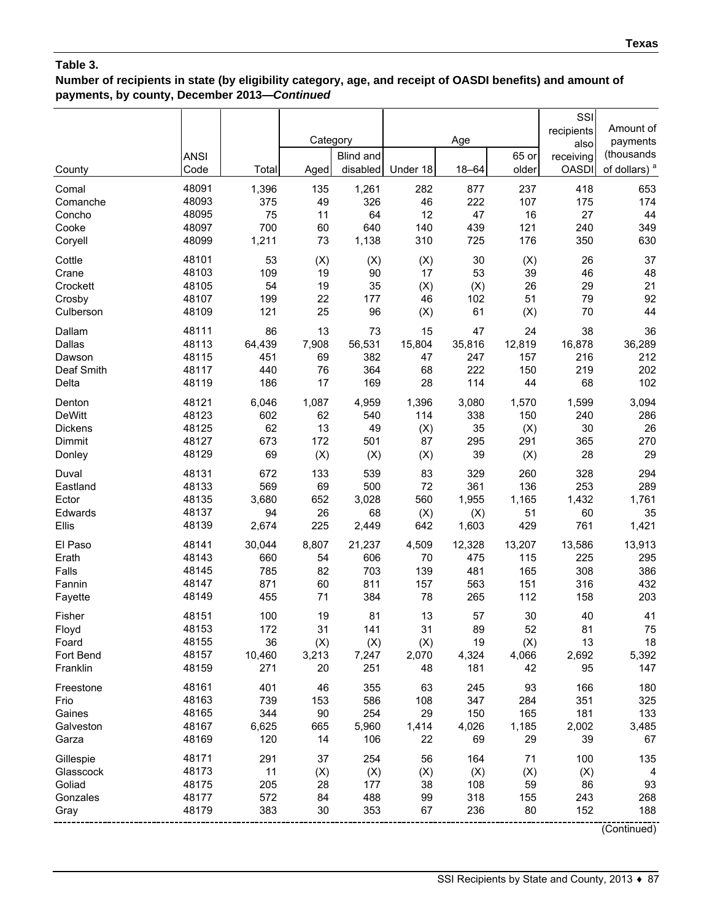## **Number of recipients in state (by eligibility category, age, and receipt of OASDI benefits) and amount of payments, by county, December 2013—***Continued*

|                | <b>ANSI</b> |        | Category | Blind and |          | Age       | 65 or  | SSI<br>recipients<br>also<br>receiving | Amount of<br>payments<br>(thousands |
|----------------|-------------|--------|----------|-----------|----------|-----------|--------|----------------------------------------|-------------------------------------|
| County         | Code        | Total  | Aged     | disabled  | Under 18 | $18 - 64$ | older  | <b>OASDI</b>                           | of dollars) <sup>a</sup>            |
| Comal          | 48091       | 1,396  | 135      | 1,261     | 282      | 877       | 237    | 418                                    | 653                                 |
| Comanche       | 48093       | 375    | 49       | 326       | 46       | 222       | 107    | 175                                    | 174                                 |
| Concho         | 48095       | 75     | 11       | 64        | 12       | 47        | 16     | 27                                     | 44                                  |
| Cooke          | 48097       | 700    | 60       | 640       | 140      | 439       | 121    | 240                                    | 349                                 |
| Coryell        | 48099       | 1,211  | 73       | 1,138     | 310      | 725       | 176    | 350                                    | 630                                 |
| Cottle         | 48101       | 53     | (X)      | (X)       | (X)      | 30        | (X)    | 26                                     | 37                                  |
| Crane          | 48103       | 109    | 19       | 90        | 17       | 53        | 39     | 46                                     | 48                                  |
| Crockett       | 48105       | 54     | 19       | 35        | (X)      | (X)       | 26     | 29                                     | 21                                  |
| Crosby         | 48107       | 199    | 22       | 177       | 46       | 102       | 51     | 79                                     | 92                                  |
| Culberson      | 48109       | 121    | 25       | 96        | (X)      | 61        | (X)    | 70                                     | 44                                  |
| Dallam         | 48111       | 86     | 13       | 73        | 15       | 47        | 24     | 38                                     | 36                                  |
| Dallas         | 48113       | 64,439 | 7,908    | 56,531    | 15,804   | 35,816    | 12,819 | 16,878                                 | 36,289                              |
| Dawson         | 48115       | 451    | 69       | 382       | 47       | 247       | 157    | 216                                    | 212                                 |
| Deaf Smith     | 48117       | 440    | 76       | 364       | 68       | 222       | 150    | 219                                    | 202                                 |
| Delta          | 48119       | 186    | 17       | 169       | 28       | 114       | 44     | 68                                     | 102                                 |
| Denton         | 48121       | 6,046  | 1,087    | 4,959     | 1,396    | 3,080     | 1,570  | 1,599                                  | 3,094                               |
| <b>DeWitt</b>  | 48123       | 602    | 62       | 540       | 114      | 338       | 150    | 240                                    | 286                                 |
| <b>Dickens</b> | 48125       | 62     | 13       | 49        | (X)      | 35        | (X)    | 30                                     | 26                                  |
| Dimmit         | 48127       | 673    | 172      | 501       | 87       | 295       | 291    | 365                                    | 270                                 |
| Donley         | 48129       | 69     | (X)      | (X)       | (X)      | 39        | (X)    | 28                                     | 29                                  |
| Duval          | 48131       | 672    | 133      | 539       | 83       | 329       | 260    | 328                                    | 294                                 |
| Eastland       | 48133       | 569    | 69       | 500       | 72       | 361       | 136    | 253                                    | 289                                 |
| Ector          | 48135       | 3,680  | 652      | 3,028     | 560      | 1,955     | 1,165  | 1,432                                  | 1,761                               |
| Edwards        | 48137       | 94     | 26       | 68        | (X)      | (X)       | 51     | 60                                     | 35                                  |
| Ellis          | 48139       | 2,674  | 225      | 2,449     | 642      | 1,603     | 429    | 761                                    | 1,421                               |
| El Paso        | 48141       | 30,044 | 8,807    | 21,237    | 4,509    | 12,328    | 13,207 | 13,586                                 | 13,913                              |
| Erath          | 48143       | 660    | 54       | 606       | 70       | 475       | 115    | 225                                    | 295                                 |
| Falls          | 48145       | 785    | 82       | 703       | 139      | 481       | 165    | 308                                    | 386                                 |
| Fannin         | 48147       | 871    | 60       | 811       | 157      | 563       | 151    | 316                                    | 432                                 |
| Fayette        | 48149       | 455    | 71       | 384       | 78       | 265       | 112    | 158                                    | 203                                 |
| Fisher         | 48151       | 100    | 19       | 81        | 13       | 57        | 30     | 40                                     | 41                                  |
| Floyd          | 48153       | 172    | 31       | 141       | 31       | 89        | 52     | 81                                     | 75                                  |
| Foard          | 48155       | 36     | (X)      | (X)       | (X)      | 19        | (X)    | 13                                     | 18                                  |
| Fort Bend      | 48157       | 10,460 | 3,213    | 7,247     | 2,070    | 4,324     | 4,066  | 2,692                                  | 5,392                               |
| Franklin       | 48159       | 271    | 20       | 251       | 48       | 181       | 42     | 95                                     | 147                                 |
| Freestone      | 48161       | 401    | 46       | 355       | 63       | 245       | 93     | 166                                    | 180                                 |
| Frio           | 48163       | 739    | 153      | 586       | 108      | 347       | 284    | 351                                    | 325                                 |
| Gaines         | 48165       | 344    | 90       | 254       | 29       | 150       | 165    | 181                                    | 133                                 |
| Galveston      | 48167       | 6,625  | 665      | 5,960     | 1,414    | 4,026     | 1,185  | 2,002                                  | 3,485                               |
| Garza          | 48169       | 120    | 14       | 106       | 22       | 69        | 29     | 39                                     | 67                                  |
| Gillespie      | 48171       | 291    | 37       | 254       | 56       | 164       | 71     | 100                                    | 135                                 |
| Glasscock      | 48173       | 11     | (X)      | (X)       | (X)      | (X)       | (X)    | (X)                                    | 4                                   |
| Goliad         | 48175       | 205    | 28       | 177       | 38       | 108       | 59     | 86                                     | 93                                  |
| Gonzales       | 48177       | 572    | 84       | 488       | 99       | 318       | 155    | 243                                    | 268                                 |
| Gray           | 48179       | 383    | 30       | 353       | 67       | 236       | 80     | 152                                    | 188                                 |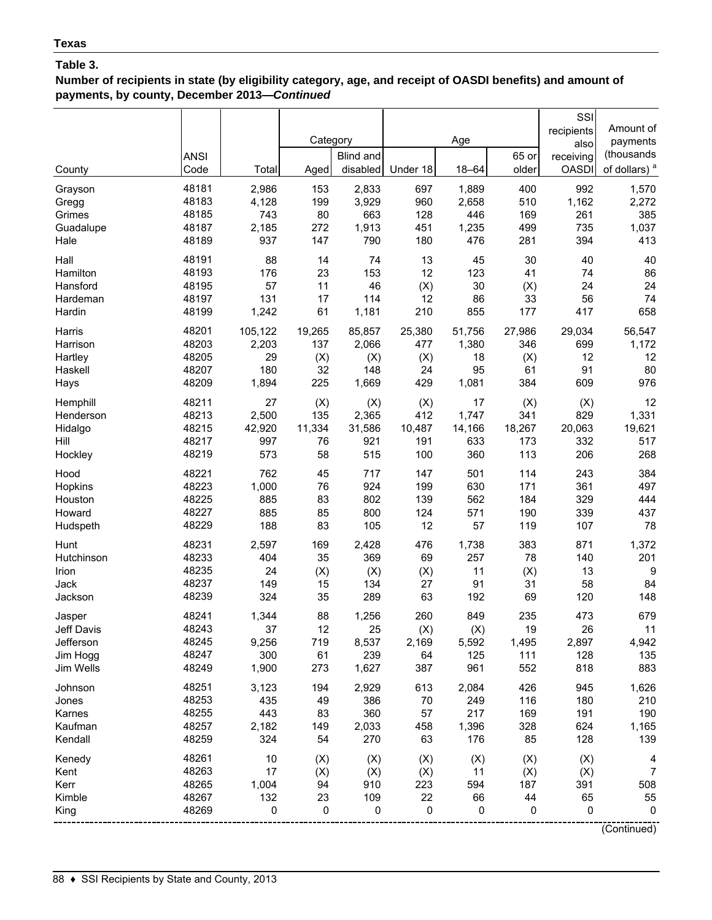**Number of recipients in state (by eligibility category, age, and receipt of OASDI benefits) and amount of payments, by county, December 2013—***Continued*

|            | <b>ANSI</b> |         | Category | Blind and |          | Age       | 65 or  | SSI<br>recipients<br>also<br>receiving | Amount of<br>payments<br>(thousands |
|------------|-------------|---------|----------|-----------|----------|-----------|--------|----------------------------------------|-------------------------------------|
| County     | Code        | Total   | Aged     | disabled  | Under 18 | $18 - 64$ | older  | <b>OASDI</b>                           | of dollars) <sup>a</sup>            |
| Grayson    | 48181       | 2,986   | 153      | 2,833     | 697      | 1,889     | 400    | 992                                    | 1,570                               |
| Gregg      | 48183       | 4,128   | 199      | 3,929     | 960      | 2,658     | 510    | 1,162                                  | 2,272                               |
| Grimes     | 48185       | 743     | 80       | 663       | 128      | 446       | 169    | 261                                    | 385                                 |
| Guadalupe  | 48187       | 2,185   | 272      | 1,913     | 451      | 1,235     | 499    | 735                                    | 1,037                               |
| Hale       | 48189       | 937     | 147      | 790       | 180      | 476       | 281    | 394                                    | 413                                 |
| Hall       | 48191       | 88      | 14       | 74        | 13       | 45        | 30     | 40                                     | 40                                  |
| Hamilton   | 48193       | 176     | 23       | 153       | 12       | 123       | 41     | 74                                     | 86                                  |
| Hansford   | 48195       | 57      | 11       | 46        | (X)      | 30        | (X)    | 24                                     | 24                                  |
| Hardeman   | 48197       | 131     | 17       | 114       | 12       | 86        | 33     | 56                                     | 74                                  |
| Hardin     | 48199       | 1,242   | 61       | 1,181     | 210      | 855       | 177    | 417                                    | 658                                 |
| Harris     | 48201       | 105,122 | 19,265   | 85,857    | 25,380   | 51,756    | 27,986 | 29,034                                 | 56,547                              |
| Harrison   | 48203       | 2,203   | 137      | 2,066     | 477      | 1,380     | 346    | 699                                    | 1,172                               |
| Hartley    | 48205       | 29      | (X)      | (X)       | (X)      | 18        | (X)    | 12                                     | 12                                  |
| Haskell    | 48207       | 180     | 32       | 148       | 24       | 95        | 61     | 91                                     | 80                                  |
| Hays       | 48209       | 1,894   | 225      | 1,669     | 429      | 1,081     | 384    | 609                                    | 976                                 |
| Hemphill   | 48211       | 27      | (X)      | (X)       | (X)      | 17        | (X)    | (X)                                    | 12                                  |
| Henderson  | 48213       | 2,500   | 135      | 2,365     | 412      | 1,747     | 341    | 829                                    | 1,331                               |
| Hidalgo    | 48215       | 42,920  | 11,334   | 31,586    | 10,487   | 14,166    | 18,267 | 20,063                                 | 19,621                              |
| Hill       | 48217       | 997     | 76       | 921       | 191      | 633       | 173    | 332                                    | 517                                 |
| Hockley    | 48219       | 573     | 58       | 515       | 100      | 360       | 113    | 206                                    | 268                                 |
| Hood       | 48221       | 762     | 45       | 717       | 147      | 501       | 114    | 243                                    | 384                                 |
| Hopkins    | 48223       | 1,000   | 76       | 924       | 199      | 630       | 171    | 361                                    | 497                                 |
| Houston    | 48225       | 885     | 83       | 802       | 139      | 562       | 184    | 329                                    | 444                                 |
| Howard     | 48227       | 885     | 85       | 800       | 124      | 571       | 190    | 339                                    | 437                                 |
| Hudspeth   | 48229       | 188     | 83       | 105       | 12       | 57        | 119    | 107                                    | 78                                  |
| Hunt       | 48231       | 2,597   | 169      | 2,428     | 476      | 1,738     | 383    | 871                                    | 1,372                               |
| Hutchinson | 48233       | 404     | 35       | 369       | 69       | 257       | 78     | 140                                    | 201                                 |
| Irion      | 48235       | 24      | (X)      | (X)       | (X)      | 11        | (X)    | 13                                     | 9                                   |
| Jack       | 48237       | 149     | 15       | 134       | 27       | 91        | 31     | 58                                     | 84                                  |
| Jackson    | 48239       | 324     | 35       | 289       | 63       | 192       | 69     | 120                                    | 148                                 |
| Jasper     | 48241       | 1,344   | 88       | 1,256     | 260      | 849       | 235    | 473                                    | 679                                 |
| Jeff Davis | 48243       | 37      | 12       | 25        | (X)      | (X)       | 19     | 26                                     | 11                                  |
| Jefferson  | 48245       | 9,256   | 719      | 8,537     | 2,169    | 5,592     | 1,495  | 2,897                                  | 4,942                               |
| Jim Hogg   | 48247       | 300     | 61       | 239       | 64       | 125       | 111    | 128                                    | 135                                 |
| Jim Wells  | 48249       | 1,900   | 273      | 1,627     | 387      | 961       | 552    | 818                                    | 883                                 |
| Johnson    | 48251       | 3,123   | 194      | 2,929     | 613      | 2,084     | 426    | 945                                    | 1,626                               |
| Jones      | 48253       | 435     | 49       | 386       | 70       | 249       | 116    | 180                                    | 210                                 |
| Karnes     | 48255       | 443     | 83       | 360       | 57       | 217       | 169    | 191                                    | 190                                 |
| Kaufman    | 48257       | 2,182   | 149      | 2,033     | 458      | 1,396     | 328    | 624                                    | 1,165                               |
| Kendall    | 48259       | 324     | 54       | 270       | 63       | 176       | 85     | 128                                    | 139                                 |
| Kenedy     | 48261       | 10      | (X)      | (X)       | (X)      | (X)       | (X)    | (X)                                    | 4                                   |
| Kent       | 48263       | 17      | (X)      | (X)       | (X)      | 11        | (X)    | (X)                                    | $\overline{7}$                      |
| Kerr       | 48265       | 1,004   | 94       | 910       | 223      | 594       | 187    | 391                                    | 508                                 |
| Kimble     | 48267       | 132     | 23       | 109       | 22       | 66        | 44     | 65                                     | 55                                  |
| King       | 48269       | 0       | 0        | 0         | 0        | 0         | 0      | 0                                      | 0                                   |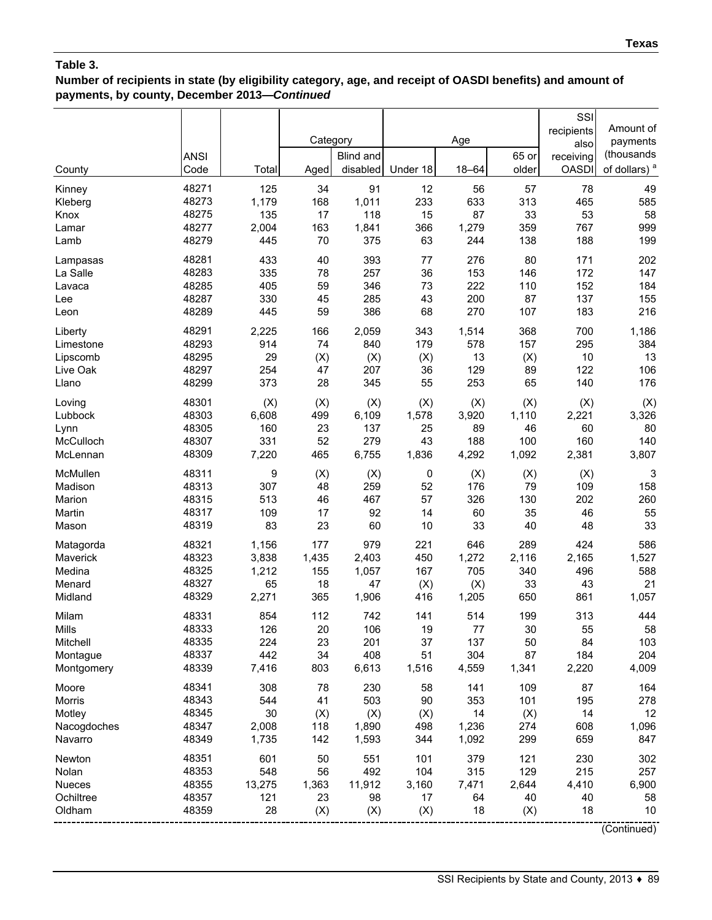## **Number of recipients in state (by eligibility category, age, and receipt of OASDI benefits) and amount of payments, by county, December 2013—***Continued*

|             | <b>ANSI</b> |        | Category | Blind and |          | Age       | 65 or | SSI<br>recipients<br>also<br>receiving | Amount of<br>payments<br>(thousands |
|-------------|-------------|--------|----------|-----------|----------|-----------|-------|----------------------------------------|-------------------------------------|
| County      | Code        | Total  | Aged     | disabled  | Under 18 | $18 - 64$ | older | <b>OASDI</b>                           | of dollars) <sup>a</sup>            |
| Kinney      | 48271       | 125    | 34       | 91        | 12       | 56        | 57    | 78                                     | 49                                  |
| Kleberg     | 48273       | 1,179  | 168      | 1,011     | 233      | 633       | 313   | 465                                    | 585                                 |
| Knox        | 48275       | 135    | 17       | 118       | 15       | 87        | 33    | 53                                     | 58                                  |
| Lamar       | 48277       | 2,004  | 163      | 1,841     | 366      | 1,279     | 359   | 767                                    | 999                                 |
| Lamb        | 48279       | 445    | 70       | 375       | 63       | 244       | 138   | 188                                    | 199                                 |
| Lampasas    | 48281       | 433    | 40       | 393       | 77       | 276       | 80    | 171                                    | 202                                 |
| La Salle    | 48283       | 335    | 78       | 257       | 36       | 153       | 146   | 172                                    | 147                                 |
| Lavaca      | 48285       | 405    | 59       | 346       | 73       | 222       | 110   | 152                                    | 184                                 |
| Lee         | 48287       | 330    | 45       | 285       | 43       | 200       | 87    | 137                                    | 155                                 |
| Leon        | 48289       | 445    | 59       | 386       | 68       | 270       | 107   | 183                                    | 216                                 |
| Liberty     | 48291       | 2,225  | 166      | 2,059     | 343      | 1,514     | 368   | 700                                    | 1,186                               |
| Limestone   | 48293       | 914    | 74       | 840       | 179      | 578       | 157   | 295                                    | 384                                 |
| Lipscomb    | 48295       | 29     | (X)      | (X)       | (X)      | 13        | (X)   | 10                                     | 13                                  |
| Live Oak    | 48297       | 254    | 47       | 207       | 36       | 129       | 89    | 122                                    | 106                                 |
| Llano       | 48299       | 373    | 28       | 345       | 55       | 253       | 65    | 140                                    | 176                                 |
| Loving      | 48301       | (X)    | (X)      | (X)       | (X)      | (X)       | (X)   | (X)                                    | (X)                                 |
| Lubbock     | 48303       | 6,608  | 499      | 6,109     | 1,578    | 3,920     | 1,110 | 2,221                                  | 3,326                               |
| Lynn        | 48305       | 160    | 23       | 137       | 25       | 89        | 46    | 60                                     | 80                                  |
| McCulloch   | 48307       | 331    | 52       | 279       | 43       | 188       | 100   | 160                                    | 140                                 |
| McLennan    | 48309       | 7,220  | 465      | 6,755     | 1,836    | 4,292     | 1,092 | 2,381                                  | 3,807                               |
| McMullen    | 48311       | 9      | (X)      | (X)       | 0        | (X)       | (X)   | (X)                                    | 3                                   |
| Madison     | 48313       | 307    | 48       | 259       | 52       | 176       | 79    | 109                                    | 158                                 |
| Marion      | 48315       | 513    | 46       | 467       | 57       | 326       | 130   | 202                                    | 260                                 |
| Martin      | 48317       | 109    | 17       | 92        | 14       | 60        | 35    | 46                                     | 55                                  |
| Mason       | 48319       | 83     | 23       | 60        | 10       | 33        | 40    | 48                                     | 33                                  |
| Matagorda   | 48321       | 1,156  | 177      | 979       | 221      | 646       | 289   | 424                                    | 586                                 |
| Maverick    | 48323       | 3,838  | 1,435    | 2,403     | 450      | 1,272     | 2,116 | 2,165                                  | 1,527                               |
| Medina      | 48325       | 1,212  | 155      | 1,057     | 167      | 705       | 340   | 496                                    | 588                                 |
| Menard      | 48327       | 65     | 18       | 47        | (X)      | (X)       | 33    | 43                                     | 21                                  |
| Midland     | 48329       | 2,271  | 365      | 1,906     | 416      | 1,205     | 650   | 861                                    | 1,057                               |
| Milam       | 48331       | 854    | 112      | 742       | 141      | 514       | 199   | 313                                    | 444                                 |
| Mills       | 48333       | 126    | 20       | 106       | 19       | 77        | 30    | 55                                     | 58                                  |
| Mitchell    | 48335       | 224    | 23       | 201       | 37       | 137       | 50    | 84                                     | 103                                 |
| Montague    | 48337       | 442    | 34       | 408       | 51       | 304       | 87    | 184                                    | 204                                 |
| Montgomery  | 48339       | 7,416  | 803      | 6,613     | 1,516    | 4,559     | 1,341 | 2,220                                  | 4,009                               |
| Moore       | 48341       | 308    | 78       | 230       | 58       | 141       | 109   | 87                                     | 164                                 |
| Morris      | 48343       | 544    | 41       | 503       | 90       | 353       | 101   | 195                                    | 278                                 |
| Motley      | 48345       | 30     | (X)      | (X)       | (X)      | 14        | (X)   | 14                                     | 12                                  |
| Nacogdoches | 48347       | 2,008  | 118      | 1,890     | 498      | 1,236     | 274   | 608                                    | 1,096                               |
| Navarro     | 48349       | 1,735  | 142      | 1,593     | 344      | 1,092     | 299   | 659                                    | 847                                 |
| Newton      | 48351       | 601    | 50       | 551       | 101      | 379       | 121   | 230                                    | 302                                 |
| Nolan       | 48353       | 548    | 56       | 492       | 104      | 315       | 129   | 215                                    | 257                                 |
| Nueces      | 48355       | 13,275 | 1,363    | 11,912    | 3,160    | 7,471     | 2,644 | 4,410                                  | 6,900                               |
| Ochiltree   | 48357       | 121    | 23       | 98        | 17       | 64        | 40    | 40                                     | 58                                  |
| Oldham      | 48359       | 28     | (X)      | (X)       | (X)      | 18        | (X)   | 18                                     | 10                                  |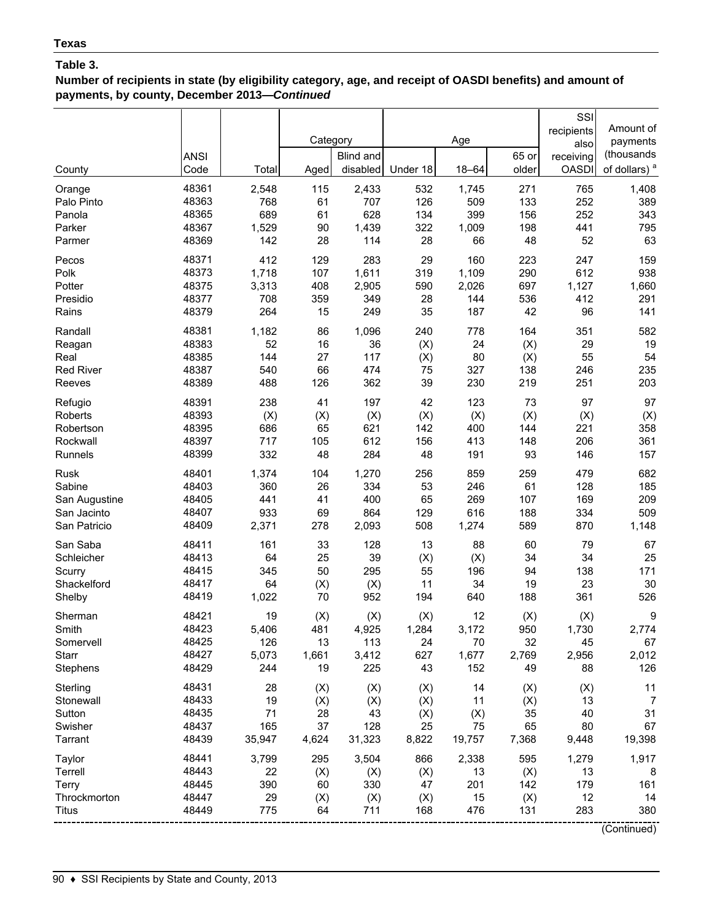**Number of recipients in state (by eligibility category, age, and receipt of OASDI benefits) and amount of payments, by county, December 2013—***Continued*

|                  | <b>ANSI</b> |        | Category | Blind and |          | Age       | 65 or | SSI<br>recipients<br>also<br>receiving | Amount of<br>payments<br>(thousands |
|------------------|-------------|--------|----------|-----------|----------|-----------|-------|----------------------------------------|-------------------------------------|
| County           | Code        | Total  | Aged     | disabled  | Under 18 | $18 - 64$ | older | <b>OASDI</b>                           | of dollars) <sup>a</sup>            |
| Orange           | 48361       | 2,548  | 115      | 2,433     | 532      | 1,745     | 271   | 765                                    | 1,408                               |
| Palo Pinto       | 48363       | 768    | 61       | 707       | 126      | 509       | 133   | 252                                    | 389                                 |
| Panola           | 48365       | 689    | 61       | 628       | 134      | 399       | 156   | 252                                    | 343                                 |
| Parker           | 48367       | 1,529  | 90       | 1,439     | 322      | 1,009     | 198   | 441                                    | 795                                 |
| Parmer           | 48369       | 142    | 28       | 114       | 28       | 66        | 48    | 52                                     | 63                                  |
| Pecos            | 48371       | 412    | 129      | 283       | 29       | 160       | 223   | 247                                    | 159                                 |
| Polk             | 48373       | 1,718  | 107      | 1,611     | 319      | 1,109     | 290   | 612                                    | 938                                 |
| Potter           | 48375       | 3,313  | 408      | 2,905     | 590      | 2,026     | 697   | 1,127                                  | 1,660                               |
| Presidio         | 48377       | 708    | 359      | 349       | 28       | 144       | 536   | 412                                    | 291                                 |
| Rains            | 48379       | 264    | 15       | 249       | 35       | 187       | 42    | 96                                     | 141                                 |
| Randall          | 48381       | 1,182  | 86       | 1,096     | 240      | 778       | 164   | 351                                    | 582                                 |
| Reagan           | 48383       | 52     | 16       | 36        | (X)      | 24        | (X)   | 29                                     | 19                                  |
| Real             | 48385       | 144    | 27       | 117       | (X)      | 80        | (X)   | 55                                     | 54                                  |
| <b>Red River</b> | 48387       | 540    | 66       | 474       | 75       | 327       | 138   | 246                                    | 235                                 |
| Reeves           | 48389       | 488    | 126      | 362       | 39       | 230       | 219   | 251                                    | 203                                 |
| Refugio          | 48391       | 238    | 41       | 197       | 42       | 123       | 73    | 97                                     | 97                                  |
| Roberts          | 48393       | (X)    | (X)      | (X)       | (X)      | (X)       | (X)   | (X)                                    | (X)                                 |
| Robertson        | 48395       | 686    | 65       | 621       | 142      | 400       | 144   | 221                                    | 358                                 |
| Rockwall         | 48397       | 717    | 105      | 612       | 156      | 413       | 148   | 206                                    | 361                                 |
| Runnels          | 48399       | 332    | 48       | 284       | 48       | 191       | 93    | 146                                    | 157                                 |
| Rusk             | 48401       | 1,374  | 104      | 1,270     | 256      | 859       | 259   | 479                                    | 682                                 |
| Sabine           | 48403       | 360    | 26       | 334       | 53       | 246       | 61    | 128                                    | 185                                 |
| San Augustine    | 48405       | 441    | 41       | 400       | 65       | 269       | 107   | 169                                    | 209                                 |
| San Jacinto      | 48407       | 933    | 69       | 864       | 129      | 616       | 188   | 334                                    | 509                                 |
| San Patricio     | 48409       | 2,371  | 278      | 2,093     | 508      | 1,274     | 589   | 870                                    | 1,148                               |
| San Saba         | 48411       | 161    | 33       | 128       | 13       | 88        | 60    | 79                                     | 67                                  |
| Schleicher       | 48413       | 64     | 25       | 39        | (X)      | (X)       | 34    | 34                                     | 25                                  |
| Scurry           | 48415       | 345    | 50       | 295       | 55       | 196       | 94    | 138                                    | 171                                 |
| Shackelford      | 48417       | 64     | (X)      | (X)       | 11       | 34        | 19    | 23                                     | 30                                  |
| Shelby           | 48419       | 1,022  | 70       | 952       | 194      | 640       | 188   | 361                                    | 526                                 |
| Sherman          | 48421       | 19     | (X)      | (X)       | (X)      | 12        | (X)   | (X)                                    | 9                                   |
| Smith            | 48423       | 5,406  | 481      | 4,925     | 1,284    | 3,172     | 950   | 1,730                                  | 2,774                               |
| Somervell        | 48425       | 126    | 13       | 113       | 24       | 70        | 32    | 45                                     | 67                                  |
| Starr            | 48427       | 5,073  | 1,661    | 3,412     | 627      | 1,677     | 2,769 | 2,956                                  | 2,012                               |
| Stephens         | 48429       | 244    | 19       | 225       | 43       | 152       | 49    | 88                                     | 126                                 |
| Sterling         | 48431       | 28     | (X)      | (X)       | (X)      | 14        | (X)   | (X)                                    | 11                                  |
| Stonewall        | 48433       | 19     | (X)      | (X)       | (X)      | 11        | (X)   | 13                                     | $\overline{7}$                      |
| Sutton           | 48435       | 71     | 28       | 43        | (X)      | (X)       | 35    | 40                                     | 31                                  |
| Swisher          | 48437       | 165    | 37       | 128       | 25       | 75        | 65    | 80                                     | 67                                  |
| Tarrant          | 48439       | 35,947 | 4,624    | 31,323    | 8,822    | 19,757    | 7,368 | 9,448                                  | 19,398                              |
| Taylor           | 48441       | 3,799  | 295      | 3,504     | 866      | 2,338     | 595   | 1,279                                  | 1,917                               |
| Terrell          | 48443       | 22     | (X)      | (X)       | (X)      | 13        | (X)   | 13                                     | 8                                   |
| Terry            | 48445       | 390    | 60       | 330       | 47       | 201       | 142   | 179                                    | 161                                 |
| Throckmorton     | 48447       | 29     | (X)      | (X)       | (X)      | 15        | (X)   | 12                                     | 14                                  |
| Titus            | 48449       | 775    | 64       | 711       | 168      | 476       | 131   | 283                                    | 380                                 |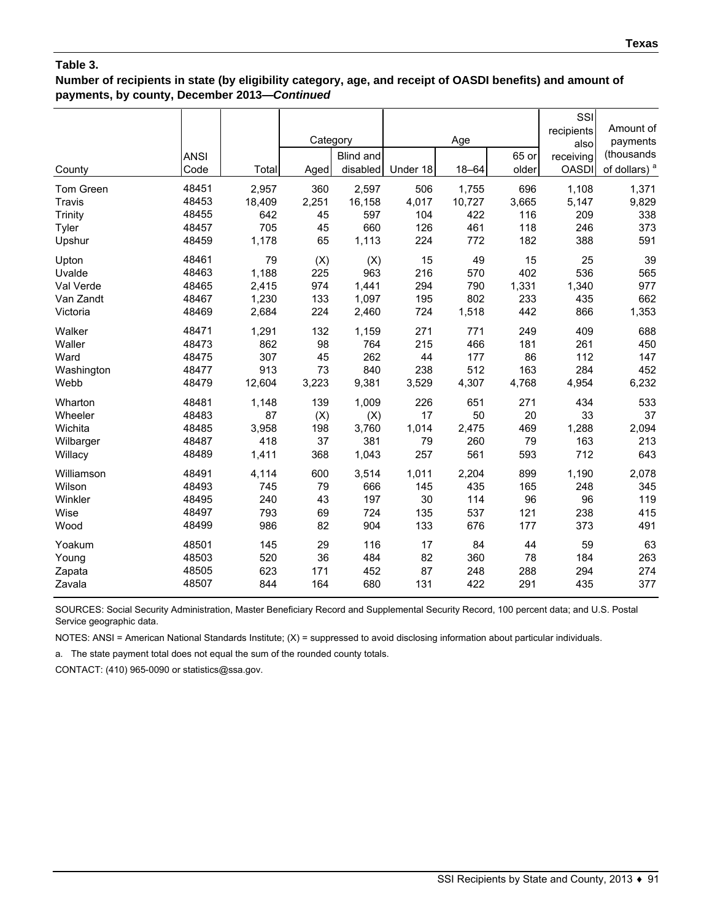### **Number of recipients in state (by eligibility category, age, and receipt of OASDI benefits) and amount of payments, by county, December 2013—***Continued*

| County<br>Tom Green<br>Travis                         | <b>ANSI</b><br>Code<br>48451<br>48453     | Total<br>2,957<br>18,409               | Category<br>Aged<br>360<br>2,251 | Blind and<br>disabled<br>2,597<br>16,158 | Under 18<br>506<br>4,017        | Age<br>18-64<br>1,755<br>10,727  | 65 or<br>older<br>696<br>3,665   | SSI<br>recipients<br>also<br>receiving<br><b>OASDI</b><br>1,108<br>5,147 | Amount of<br>payments<br>(thousands<br>of dollars) <sup>a</sup><br>1,371<br>9,829 |
|-------------------------------------------------------|-------------------------------------------|----------------------------------------|----------------------------------|------------------------------------------|---------------------------------|----------------------------------|----------------------------------|--------------------------------------------------------------------------|-----------------------------------------------------------------------------------|
| Trinity<br>Tyler                                      | 48455<br>48457                            | 642<br>705                             | 45<br>45                         | 597<br>660                               | 104<br>126                      | 422<br>461                       | 116<br>118                       | 209<br>246                                                               | 338<br>373                                                                        |
| Upshur                                                | 48459                                     | 1,178                                  | 65                               | 1,113                                    | 224                             | 772                              | 182                              | 388                                                                      | 591                                                                               |
| Upton<br>Uvalde<br>Val Verde<br>Van Zandt<br>Victoria | 48461<br>48463<br>48465<br>48467<br>48469 | 79<br>1,188<br>2,415<br>1,230<br>2,684 | (X)<br>225<br>974<br>133<br>224  | (X)<br>963<br>1,441<br>1,097<br>2,460    | 15<br>216<br>294<br>195<br>724  | 49<br>570<br>790<br>802<br>1,518 | 15<br>402<br>1,331<br>233<br>442 | 25<br>536<br>1,340<br>435<br>866                                         | 39<br>565<br>977<br>662<br>1,353                                                  |
| Walker                                                | 48471                                     | 1,291                                  | 132                              | 1,159                                    | 271                             | 771                              | 249                              | 409                                                                      | 688                                                                               |
| Waller                                                | 48473<br>48475                            | 862                                    | 98                               | 764                                      | 215                             | 466                              | 181                              | 261                                                                      | 450                                                                               |
| Ward<br>Washington                                    | 48477                                     | 307<br>913                             | 45<br>73                         | 262<br>840                               | 44<br>238                       | 177<br>512                       | 86<br>163                        | 112<br>284                                                               | 147<br>452                                                                        |
| Webb                                                  | 48479                                     | 12,604                                 | 3,223                            | 9,381                                    | 3,529                           | 4,307                            | 4,768                            | 4,954                                                                    | 6,232                                                                             |
| Wharton<br>Wheeler<br>Wichita<br>Wilbarger<br>Willacy | 48481<br>48483<br>48485<br>48487<br>48489 | 1,148<br>87<br>3,958<br>418<br>1,411   | 139<br>(X)<br>198<br>37<br>368   | 1,009<br>(X)<br>3,760<br>381<br>1,043    | 226<br>17<br>1,014<br>79<br>257 | 651<br>50<br>2,475<br>260<br>561 | 271<br>20<br>469<br>79<br>593    | 434<br>33<br>1,288<br>163<br>712                                         | 533<br>37<br>2,094<br>213<br>643                                                  |
| Williamson                                            | 48491                                     | 4,114                                  | 600                              | 3,514                                    | 1,011                           | 2,204                            | 899                              | 1,190                                                                    | 2,078                                                                             |
| Wilson                                                | 48493                                     | 745                                    | 79                               | 666                                      | 145                             | 435                              | 165                              | 248                                                                      | 345                                                                               |
| Winkler                                               | 48495                                     | 240                                    | 43                               | 197                                      | 30                              | 114                              | 96                               | 96                                                                       | 119                                                                               |
| Wise                                                  | 48497                                     | 793                                    | 69                               | 724                                      | 135                             | 537                              | 121                              | 238                                                                      | 415                                                                               |
| Wood                                                  | 48499                                     | 986                                    | 82                               | 904                                      | 133                             | 676                              | 177                              | 373                                                                      | 491                                                                               |
| Yoakum                                                | 48501                                     | 145                                    | 29                               | 116                                      | 17                              | 84                               | 44                               | 59                                                                       | 63                                                                                |
| Young                                                 | 48503                                     | 520                                    | 36                               | 484                                      | 82                              | 360                              | 78                               | 184                                                                      | 263                                                                               |
| Zapata                                                | 48505                                     | 623                                    | 171                              | 452                                      | 87                              | 248                              | 288                              | 294                                                                      | 274                                                                               |
| Zavala                                                | 48507                                     | 844                                    | 164                              | 680                                      | 131                             | 422                              | 291                              | 435                                                                      | 377                                                                               |

SOURCES: Social Security Administration, Master Beneficiary Record and Supplemental Security Record, 100 percent data; and U.S. Postal Service geographic data.

NOTES: ANSI = American National Standards Institute; (X) = suppressed to avoid disclosing information about particular individuals.

a. The state payment total does not equal the sum of the rounded county totals.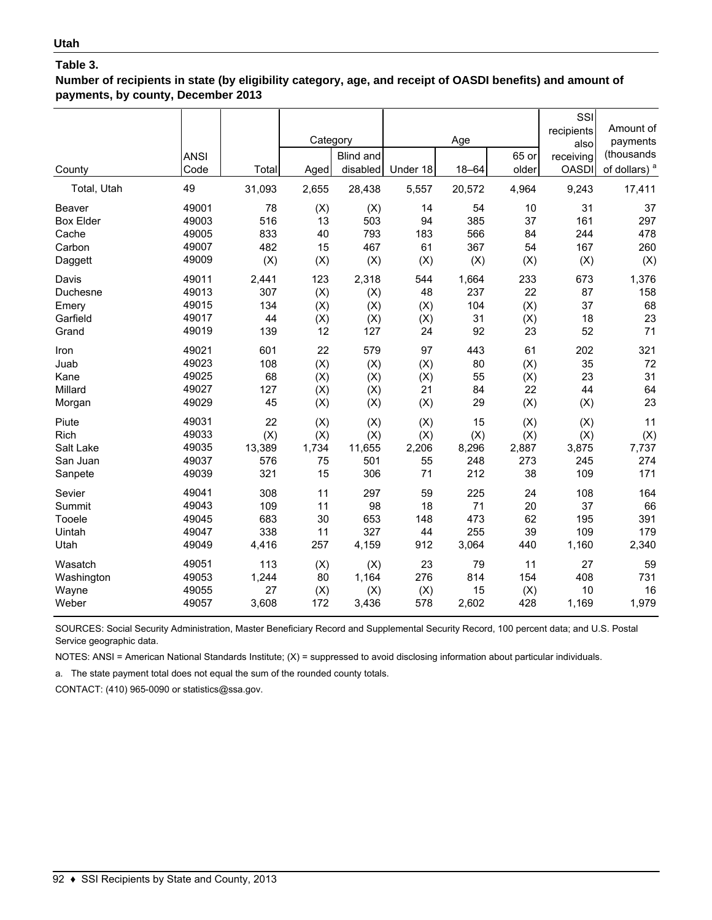**Number of recipients in state (by eligibility category, age, and receipt of OASDI benefits) and amount of payments, by county, December 2013**

| County<br>Total, Utah | <b>ANSI</b><br>Code<br>49 | Total<br>31,093 | Category<br>Aged<br>2,655 | Blind and<br>disabled<br>28,438 | Under 18<br>5,557 | Age<br>$18 - 64$<br>20,572 | 65 or<br>older<br>4,964 | SSI<br>recipients<br>also<br>receiving<br><b>OASDI</b><br>9,243 | Amount of<br>payments<br>(thousands<br>of dollars) <sup>a</sup><br>17,411 |
|-----------------------|---------------------------|-----------------|---------------------------|---------------------------------|-------------------|----------------------------|-------------------------|-----------------------------------------------------------------|---------------------------------------------------------------------------|
| Beaver                | 49001                     | 78              | (X)                       | (X)                             | 14                | 54                         | 10                      | 31                                                              | 37                                                                        |
| <b>Box Elder</b>      | 49003                     | 516             | 13                        | 503                             | 94                | 385                        | 37                      | 161                                                             | 297                                                                       |
| Cache                 | 49005                     | 833             | 40                        | 793                             | 183               | 566                        | 84                      | 244                                                             | 478                                                                       |
| Carbon                | 49007                     | 482             | 15                        | 467                             | 61                | 367                        | 54                      | 167                                                             | 260                                                                       |
| Daggett               | 49009                     | (X)             | (X)                       | (X)                             | (X)               | (X)                        | (X)                     | (X)                                                             | (X)                                                                       |
| Davis                 | 49011                     | 2,441           | 123                       | 2,318                           | 544               | 1,664                      | 233                     | 673                                                             | 1,376                                                                     |
| Duchesne              | 49013                     | 307             | (X)                       | (X)                             | 48                | 237                        | 22                      | 87                                                              | 158                                                                       |
| Emery                 | 49015                     | 134             | (X)                       | (X)                             | (X)               | 104                        | (X)                     | 37                                                              | 68                                                                        |
| Garfield              | 49017                     | 44              | (X)                       | (X)                             | (X)               | 31                         | (X)                     | 18                                                              | 23                                                                        |
| Grand                 | 49019                     | 139             | 12                        | 127                             | 24                | 92                         | 23                      | 52                                                              | 71                                                                        |
| Iron                  | 49021                     | 601             | 22                        | 579                             | 97                | 443                        | 61                      | 202                                                             | 321                                                                       |
| Juab                  | 49023                     | 108             | (X)                       | (X)                             | (X)               | 80                         | (X)                     | 35                                                              | 72                                                                        |
| Kane                  | 49025                     | 68              | (X)                       | (X)                             | (X)               | 55                         | (X)                     | 23                                                              | 31                                                                        |
| Millard               | 49027                     | 127             | (X)                       | (X)                             | 21                | 84                         | 22                      | 44                                                              | 64                                                                        |
| Morgan                | 49029                     | 45              | (X)                       | (X)                             | (X)               | 29                         | (X)                     | (X)                                                             | 23                                                                        |
| Piute                 | 49031                     | 22              | (X)                       | (X)                             | (X)               | 15                         | (X)                     | (X)                                                             | 11                                                                        |
| Rich                  | 49033                     | (X)             | (X)                       | (X)                             | (X)               | (X)                        | (X)                     | (X)                                                             | (X)                                                                       |
| Salt Lake             | 49035                     | 13,389          | 1,734                     | 11,655                          | 2,206             | 8,296                      | 2,887                   | 3,875                                                           | 7,737                                                                     |
| San Juan              | 49037                     | 576             | 75                        | 501                             | 55                | 248                        | 273                     | 245                                                             | 274                                                                       |
| Sanpete               | 49039                     | 321             | 15                        | 306                             | 71                | 212                        | 38                      | 109                                                             | 171                                                                       |
| Sevier                | 49041                     | 308             | 11                        | 297                             | 59                | 225                        | 24                      | 108                                                             | 164                                                                       |
| Summit                | 49043                     | 109             | 11                        | 98                              | 18                | 71                         | 20                      | 37                                                              | 66                                                                        |
| Tooele                | 49045                     | 683             | 30                        | 653                             | 148               | 473                        | 62                      | 195                                                             | 391                                                                       |
| Uintah                | 49047                     | 338             | 11                        | 327                             | 44                | 255                        | 39                      | 109                                                             | 179                                                                       |
| Utah                  | 49049                     | 4,416           | 257                       | 4,159                           | 912               | 3,064                      | 440                     | 1,160                                                           | 2,340                                                                     |
| Wasatch               | 49051                     | 113             | (X)                       | (X)                             | 23                | 79                         | 11                      | 27                                                              | 59                                                                        |
| Washington            | 49053                     | 1,244           | 80                        | 1,164                           | 276               | 814                        | 154                     | 408                                                             | 731                                                                       |
| Wayne                 | 49055                     | 27              | (X)                       | (X)                             | (X)               | 15                         | (X)                     | 10                                                              | 16                                                                        |
| Weber                 | 49057                     | 3,608           | 172                       | 3,436                           | 578               | 2,602                      | 428                     | 1,169                                                           | 1,979                                                                     |

SOURCES: Social Security Administration, Master Beneficiary Record and Supplemental Security Record, 100 percent data; and U.S. Postal Service geographic data.

NOTES: ANSI = American National Standards Institute; (X) = suppressed to avoid disclosing information about particular individuals.

a. The state payment total does not equal the sum of the rounded county totals.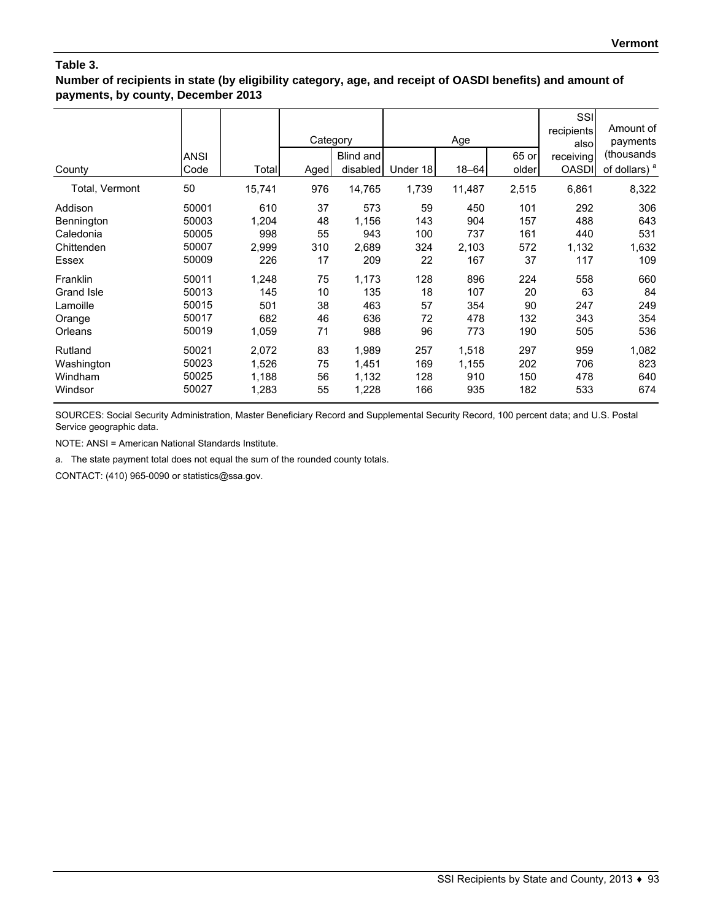**Number of recipients in state (by eligibility category, age, and receipt of OASDI benefits) and amount of payments, by county, December 2013**

| County         | <b>ANSI</b><br>Code | Total  | Category<br>Aged | Blind and<br>disabled | Under 18 | Age<br>$18 - 64$ | 65 or<br>older | SSI<br>recipients<br>alsol<br>receiving<br><b>OASDI</b> | Amount of<br>payments<br>(thousands<br>of dollars) <sup>a</sup> |
|----------------|---------------------|--------|------------------|-----------------------|----------|------------------|----------------|---------------------------------------------------------|-----------------------------------------------------------------|
| Total, Vermont | 50                  | 15,741 | 976              | 14,765                | 1,739    | 11,487           | 2,515          | 6,861                                                   | 8,322                                                           |
| Addison        | 50001               | 610    | 37               | 573                   | 59       | 450              | 101            | 292                                                     | 306                                                             |
| Bennington     | 50003               | 1,204  | 48               | 1,156                 | 143      | 904              | 157            | 488                                                     | 643                                                             |
| Caledonia      | 50005               | 998    | 55               | 943                   | 100      | 737              | 161            | 440                                                     | 531                                                             |
| Chittenden     | 50007               | 2,999  | 310              | 2,689                 | 324      | 2,103            | 572            | 1,132                                                   | 1,632                                                           |
| Essex          | 50009               | 226    | 17               | 209                   | 22       | 167              | 37             | 117                                                     | 109                                                             |
| Franklin       | 50011               | 1,248  | 75               | 1,173                 | 128      | 896              | 224            | 558                                                     | 660                                                             |
| Grand Isle     | 50013               | 145    | 10               | 135                   | 18       | 107              | 20             | 63                                                      | 84                                                              |
| Lamoille       | 50015               | 501    | 38               | 463                   | 57       | 354              | 90             | 247                                                     | 249                                                             |
| Orange         | 50017               | 682    | 46               | 636                   | 72       | 478              | 132            | 343                                                     | 354                                                             |
| Orleans        | 50019               | 1,059  | 71               | 988                   | 96       | 773              | 190            | 505                                                     | 536                                                             |
| Rutland        | 50021               | 2,072  | 83               | 1,989                 | 257      | 1,518            | 297            | 959                                                     | 1,082                                                           |
| Washington     | 50023               | 1,526  | 75               | 1,451                 | 169      | 1,155            | 202            | 706                                                     | 823                                                             |
| Windham        | 50025               | 1,188  | 56               | 1,132                 | 128      | 910              | 150            | 478                                                     | 640                                                             |
| Windsor        | 50027               | 1,283  | 55               | 1,228                 | 166      | 935              | 182            | 533                                                     | 674                                                             |

SOURCES: Social Security Administration, Master Beneficiary Record and Supplemental Security Record, 100 percent data; and U.S. Postal Service geographic data.

NOTE: ANSI = American National Standards Institute.

a. The state payment total does not equal the sum of the rounded county totals.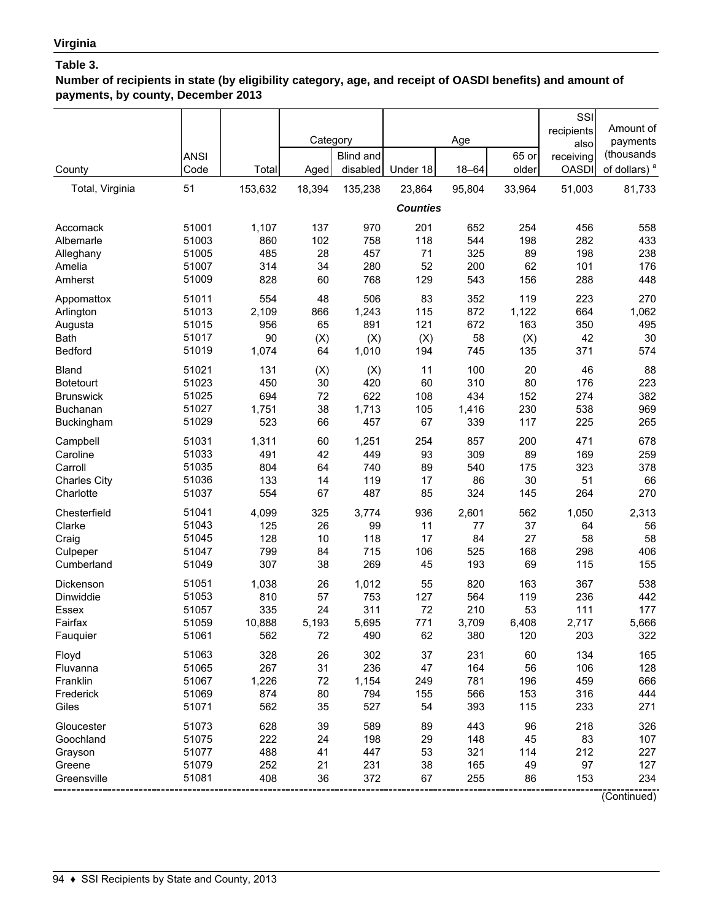**Number of recipients in state (by eligibility category, age, and receipt of OASDI benefits) and amount of payments, by county, December 2013**

|                                                             | <b>ANSI</b>                               |                                 | Category                   | <b>Blind and</b>                |                            | Age                             | 65 or                       | SSI<br>recipients<br>also<br>receiving | Amount of<br>payments<br>(thousands            |
|-------------------------------------------------------------|-------------------------------------------|---------------------------------|----------------------------|---------------------------------|----------------------------|---------------------------------|-----------------------------|----------------------------------------|------------------------------------------------|
| County                                                      | Code                                      | Total                           | Aged                       | disabled                        | Under 18                   | $18 - 64$                       | older                       | <b>OASDI</b>                           | of dollars) <sup>a</sup>                       |
| Total, Virginia                                             | 51                                        | 153,632                         | 18,394                     | 135,238                         | 23,864                     | 95,804                          | 33,964                      | 51,003                                 | 81,733                                         |
|                                                             |                                           |                                 |                            |                                 | <b>Counties</b>            |                                 |                             |                                        |                                                |
| Accomack                                                    | 51001                                     | 1,107                           | 137                        | 970                             | 201                        | 652                             | 254                         | 456                                    | 558                                            |
| Albemarle                                                   | 51003                                     | 860                             | 102                        | 758                             | 118                        | 544                             | 198                         | 282                                    | 433                                            |
| Alleghany                                                   | 51005                                     | 485                             | 28                         | 457                             | 71                         | 325                             | 89                          | 198                                    | 238                                            |
| Amelia                                                      | 51007                                     | 314                             | 34                         | 280                             | 52                         | 200                             | 62                          | 101                                    | 176                                            |
| Amherst                                                     | 51009                                     | 828                             | 60                         | 768                             | 129                        | 543                             | 156                         | 288                                    | 448                                            |
| Appomattox                                                  | 51011                                     | 554                             | 48                         | 506                             | 83                         | 352                             | 119                         | 223                                    | 270                                            |
| Arlington                                                   | 51013                                     | 2,109                           | 866                        | 1,243                           | 115                        | 872                             | 1,122                       | 664                                    | 1,062                                          |
| Augusta                                                     | 51015                                     | 956                             | 65                         | 891                             | 121                        | 672                             | 163                         | 350                                    | 495                                            |
| <b>Bath</b>                                                 | 51017                                     | 90                              | (X)                        | (X)                             | (X)                        | 58                              | (X)                         | 42                                     | 30                                             |
| Bedford                                                     | 51019                                     | 1,074                           | 64                         | 1,010                           | 194                        | 745                             | 135                         | 371                                    | 574                                            |
| Bland                                                       | 51021                                     | 131                             | (X)                        | (X)                             | 11                         | 100                             | 20                          | 46                                     | 88                                             |
| <b>Botetourt</b>                                            | 51023                                     | 450                             | 30                         | 420                             | 60                         | 310                             | 80                          | 176                                    | 223                                            |
| <b>Brunswick</b>                                            | 51025                                     | 694                             | 72                         | 622                             | 108                        | 434                             | 152                         | 274                                    | 382                                            |
| <b>Buchanan</b>                                             | 51027                                     | 1,751                           | 38                         | 1,713                           | 105                        | 1,416                           | 230                         | 538                                    | 969                                            |
| Buckingham                                                  | 51029                                     | 523                             | 66                         | 457                             | 67                         | 339                             | 117                         | 225                                    | 265                                            |
| Campbell                                                    | 51031                                     | 1,311                           | 60                         | 1,251                           | 254                        | 857                             | 200                         | 471                                    | 678                                            |
| Caroline                                                    | 51033                                     | 491                             | 42                         | 449                             | 93                         | 309                             | 89                          | 169                                    | 259                                            |
| Carroll                                                     | 51035                                     | 804                             | 64                         | 740                             | 89                         | 540                             | 175                         | 323                                    | 378                                            |
| <b>Charles City</b>                                         | 51036                                     | 133                             | 14                         | 119                             | 17                         | 86                              | 30                          | 51                                     | 66                                             |
| Charlotte                                                   | 51037                                     | 554                             | 67                         | 487                             | 85                         | 324                             | 145                         | 264                                    | 270                                            |
| Chesterfield                                                | 51041                                     | 4,099                           | 325                        | 3,774                           | 936                        | 2,601                           | 562                         | 1,050                                  | 2,313                                          |
| Clarke                                                      | 51043                                     | 125                             | 26                         | 99                              | 11                         | 77                              | 37                          | 64                                     | 56                                             |
| Craig                                                       | 51045                                     | 128                             | 10                         | 118                             | 17                         | 84                              | 27                          | 58                                     | 58                                             |
| Culpeper                                                    | 51047                                     | 799                             | 84                         | 715                             | 106                        | 525                             | 168                         | 298                                    | 406                                            |
| Cumberland                                                  | 51049                                     | 307                             | 38                         | 269                             | 45                         | 193                             | 69                          | 115                                    | 155                                            |
| Dickenson                                                   | 51051                                     | 1,038                           | 26                         | 1,012                           | 55                         | 820                             | 163                         | 367                                    | 538                                            |
| Dinwiddie                                                   | 51053                                     | 810                             | 57                         | 753                             | 127                        | 564                             | 119                         | 236                                    | 442                                            |
| Essex                                                       | 51057                                     | 335                             | 24                         | 311                             | 72                         | 210                             | 53                          | 111                                    | 177                                            |
| Fairfax                                                     | 51059                                     | 10,888                          | 5,193                      | 5,695                           | 771                        | 3,709                           | 6,408                       | 2,717                                  | 5,666                                          |
| Fauquier                                                    | 51061                                     | 562                             | 72                         | 490                             | 62                         | 380                             | 120                         | 203                                    | 322                                            |
| Floyd                                                       | 51063                                     | 328                             | 26                         | 302                             | 37                         | 231                             | 60                          | 134                                    | 165                                            |
| Fluvanna                                                    | 51065                                     | 267                             | 31                         | 236                             | 47                         | 164                             | 56                          | 106                                    | 128                                            |
| Franklin                                                    | 51067                                     | 1,226                           | 72                         | 1,154                           | 249                        | 781                             | 196                         | 459                                    | 666                                            |
| Frederick                                                   | 51069                                     | 874                             | 80                         | 794                             | 155                        | 566                             | 153                         | 316                                    | 444                                            |
| Giles                                                       | 51071                                     | 562                             | 35                         | 527                             | 54                         | 393                             | 115                         | 233                                    | 271                                            |
| Gloucester<br>Goochland<br>Grayson<br>Greene<br>Greensville | 51073<br>51075<br>51077<br>51079<br>51081 | 628<br>222<br>488<br>252<br>408 | 39<br>24<br>41<br>21<br>36 | 589<br>198<br>447<br>231<br>372 | 89<br>29<br>53<br>38<br>67 | 443<br>148<br>321<br>165<br>255 | 96<br>45<br>114<br>49<br>86 | 218<br>83<br>212<br>97<br>153          | 326<br>107<br>227<br>127<br>234<br>(Continued) |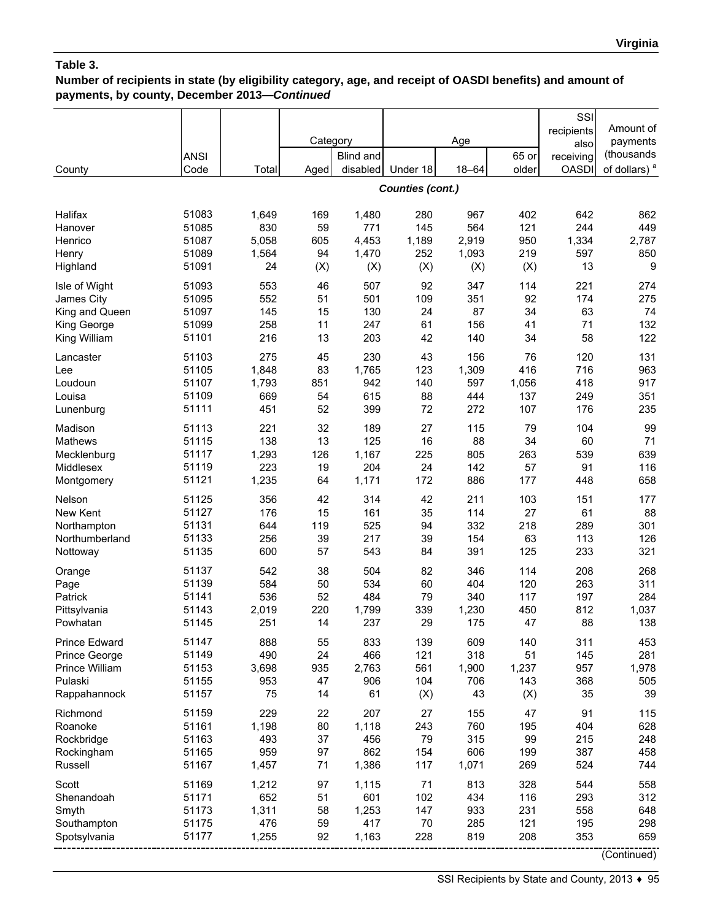# **Number of recipients in state (by eligibility category, age, and receipt of OASDI benefits) and amount of payments, by county, December 2013—***Continued*

| County               | <b>ANSI</b><br>Code | Total | Category<br>Aged | <b>Blind and</b><br>disabled | Under 18                | Age<br>$18 - 64$ | 65 or<br>older | SSI<br>recipients<br>also<br>receiving<br><b>OASDI</b> | Amount of<br>payments<br>(thousands<br>of dollars) <sup>a</sup> |
|----------------------|---------------------|-------|------------------|------------------------------|-------------------------|------------------|----------------|--------------------------------------------------------|-----------------------------------------------------------------|
|                      |                     |       |                  |                              | <b>Counties (cont.)</b> |                  |                |                                                        |                                                                 |
| Halifax              | 51083               | 1,649 | 169              | 1,480                        | 280                     | 967              | 402            | 642                                                    | 862                                                             |
| Hanover              | 51085               | 830   | 59               | 771                          | 145                     | 564              | 121            | 244                                                    | 449                                                             |
| Henrico              | 51087               | 5,058 | 605              | 4,453                        | 1,189                   | 2,919            | 950            | 1,334                                                  | 2,787                                                           |
| Henry                | 51089               | 1,564 | 94               | 1,470                        | 252                     | 1,093            | 219            | 597                                                    | 850                                                             |
| Highland             | 51091               | 24    | (X)              | (X)                          | (X)                     | (X)              | (X)            | 13                                                     | 9                                                               |
| Isle of Wight        | 51093               | 553   | 46               | 507                          | 92                      | 347              | 114            | 221                                                    | 274                                                             |
| James City           | 51095               | 552   | 51               | 501                          | 109                     | 351              | 92             | 174                                                    | 275                                                             |
| King and Queen       | 51097               | 145   | 15               | 130                          | 24                      | 87               | 34             | 63                                                     | 74                                                              |
| King George          | 51099               | 258   | 11               | 247                          | 61                      | 156              | 41             | 71                                                     | 132                                                             |
| King William         | 51101               | 216   | 13               | 203                          | 42                      | 140              | 34             | 58                                                     | 122                                                             |
| Lancaster            | 51103               | 275   | 45               | 230                          | 43                      | 156              | 76             | 120                                                    | 131                                                             |
| Lee                  | 51105               | 1,848 | 83               | 1,765                        | 123                     | 1,309            | 416            | 716                                                    | 963                                                             |
| Loudoun              | 51107               | 1,793 | 851              | 942                          | 140                     | 597              | 1,056          | 418                                                    | 917                                                             |
| Louisa               | 51109               | 669   | 54               | 615                          | 88                      | 444              | 137            | 249                                                    | 351                                                             |
| Lunenburg            | 51111               | 451   | 52               | 399                          | 72                      | 272              | 107            | 176                                                    | 235                                                             |
| Madison              | 51113               | 221   | 32               | 189                          | 27                      | 115              | 79             | 104                                                    | 99                                                              |
| Mathews              | 51115               | 138   | 13               | 125                          | 16                      | 88               | 34             | 60                                                     | 71                                                              |
| Mecklenburg          | 51117               | 1,293 | 126              | 1,167                        | 225                     | 805              | 263            | 539                                                    | 639                                                             |
| Middlesex            | 51119               | 223   | 19               | 204                          | 24                      | 142              | 57             | 91                                                     | 116                                                             |
| Montgomery           | 51121               | 1,235 | 64               | 1,171                        | 172                     | 886              | 177            | 448                                                    | 658                                                             |
| Nelson               | 51125               | 356   | 42               | 314                          | 42                      | 211              | 103            | 151                                                    | 177                                                             |
| New Kent             | 51127               | 176   | 15               | 161                          | 35                      | 114              | 27             | 61                                                     | 88                                                              |
| Northampton          | 51131               | 644   | 119              | 525                          | 94                      | 332              | 218            | 289                                                    | 301                                                             |
| Northumberland       | 51133               | 256   | 39               | 217                          | 39                      | 154              | 63             | 113                                                    | 126                                                             |
| Nottoway             | 51135               | 600   | 57               | 543                          | 84                      | 391              | 125            | 233                                                    | 321                                                             |
| Orange               | 51137               | 542   | 38               | 504                          | 82                      | 346              | 114            | 208                                                    | 268                                                             |
| Page                 | 51139               | 584   | 50               | 534                          | 60                      | 404              | 120            | 263                                                    | 311                                                             |
| Patrick              | 51141               | 536   | 52               | 484                          | 79                      | 340              | 117            | 197                                                    | 284                                                             |
| Pittsylvania         | 51143               | 2,019 | 220              | 1,799                        | 339                     | 1,230            | 450            | 812                                                    | 1,037                                                           |
| Powhatan             | 51145               | 251   | 14               | 237                          | 29                      | 175              | 47             | 88                                                     | 138                                                             |
| <b>Prince Edward</b> | 51147               | 888   | 55               | 833                          | 139                     | 609              | 140            | 311                                                    | 453                                                             |
| Prince George        | 51149               | 490   | 24               | 466                          | 121                     | 318              | 51             | 145                                                    | 281                                                             |
| Prince William       | 51153               | 3,698 | 935              | 2,763                        | 561                     | 1,900            | 1,237          | 957                                                    | 1,978                                                           |
| Pulaski              | 51155               | 953   | 47               | 906                          | 104                     | 706              | 143            | 368                                                    | 505                                                             |
| Rappahannock         | 51157               | 75    | 14               | 61                           | (X)                     | 43               | (X)            | 35                                                     | 39                                                              |
| Richmond             | 51159               | 229   | 22               | 207                          | 27                      | 155              | 47             | 91                                                     | 115                                                             |
| Roanoke              | 51161               | 1,198 | 80               | 1,118                        | 243                     | 760              | 195            | 404                                                    | 628                                                             |
| Rockbridge           | 51163               | 493   | 37               | 456                          | 79                      | 315              | 99             | 215                                                    | 248                                                             |
| Rockingham           | 51165               | 959   | 97               | 862                          | 154                     | 606              | 199            | 387                                                    | 458                                                             |
| Russell              | 51167               | 1,457 | 71               | 1,386                        | 117                     | 1,071            | 269            | 524                                                    | 744                                                             |
| Scott                | 51169               | 1,212 | 97               | 1,115                        | 71                      | 813              | 328            | 544                                                    | 558                                                             |
| Shenandoah           | 51171               | 652   | 51               | 601                          | 102                     | 434              | 116            | 293                                                    | 312                                                             |
| Smyth                | 51173               | 1,311 | 58               | 1,253                        | 147                     | 933              | 231            | 558                                                    | 648                                                             |
| Southampton          | 51175               | 476   | 59               | 417                          | 70                      | 285              | 121            | 195                                                    | 298                                                             |
| Spotsylvania         | 51177               | 1,255 | 92               | 1,163                        | 228                     | 819              | 208            | 353                                                    | 659                                                             |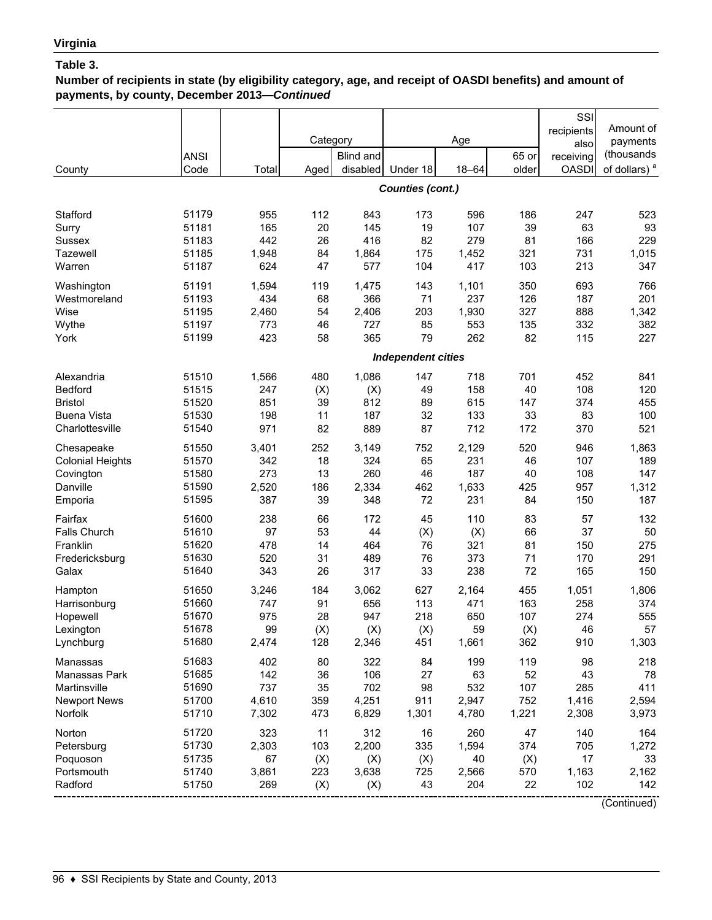## **Number of recipients in state (by eligibility category, age, and receipt of OASDI benefits) and amount of payments, by county, December 2013—***Continued*

|                         |             |       |          |           |                           |           |       | SSI          |                          |
|-------------------------|-------------|-------|----------|-----------|---------------------------|-----------|-------|--------------|--------------------------|
|                         |             |       |          |           |                           |           |       | recipients   | Amount of                |
|                         |             |       | Category |           |                           | Age       |       | also         | payments                 |
|                         | <b>ANSI</b> |       |          | Blind and |                           |           | 65 or | receiving    | (thousands               |
| County                  | Code        | Total | Aged     | disabled  | Under 18                  | $18 - 64$ | older | <b>OASDI</b> | of dollars) <sup>a</sup> |
|                         |             |       |          |           | Counties (cont.)          |           |       |              |                          |
|                         |             |       |          |           |                           |           |       |              |                          |
| Stafford                | 51179       | 955   | 112      | 843       | 173                       | 596       | 186   | 247          | 523                      |
| Surry                   | 51181       | 165   | 20       | 145       | 19                        | 107       | 39    | 63           | 93                       |
| Sussex                  | 51183       | 442   | 26       | 416       | 82                        | 279       | 81    | 166          | 229                      |
| Tazewell                | 51185       | 1,948 | 84       | 1,864     | 175                       | 1,452     | 321   | 731          | 1,015                    |
| Warren                  | 51187       | 624   | 47       | 577       | 104                       | 417       | 103   | 213          | 347                      |
| Washington              | 51191       | 1,594 | 119      | 1,475     | 143                       | 1,101     | 350   | 693          | 766                      |
| Westmoreland            | 51193       | 434   | 68       | 366       | 71                        | 237       | 126   | 187          | 201                      |
| Wise                    | 51195       | 2,460 | 54       | 2,406     | 203                       | 1,930     | 327   | 888          | 1,342                    |
| Wythe                   | 51197       | 773   | 46       | 727       | 85                        | 553       | 135   | 332          | 382                      |
| York                    | 51199       | 423   | 58       | 365       | 79                        | 262       | 82    | 115          | 227                      |
|                         |             |       |          |           | <b>Independent cities</b> |           |       |              |                          |
| Alexandria              | 51510       | 1,566 | 480      | 1,086     | 147                       | 718       | 701   | 452          | 841                      |
| <b>Bedford</b>          | 51515       | 247   | (X)      | (X)       | 49                        | 158       | 40    | 108          | 120                      |
| <b>Bristol</b>          | 51520       | 851   | 39       | 812       | 89                        | 615       | 147   | 374          | 455                      |
| <b>Buena Vista</b>      | 51530       | 198   | 11       | 187       | 32                        | 133       | 33    | 83           | 100                      |
| Charlottesville         | 51540       | 971   | 82       | 889       | 87                        | 712       | 172   | 370          | 521                      |
| Chesapeake              | 51550       | 3,401 | 252      | 3,149     | 752                       | 2,129     | 520   | 946          | 1,863                    |
| <b>Colonial Heights</b> | 51570       | 342   | 18       | 324       | 65                        | 231       | 46    | 107          | 189                      |
| Covington               | 51580       | 273   | 13       | 260       | 46                        | 187       | 40    | 108          | 147                      |
| Danville                | 51590       | 2,520 | 186      | 2,334     | 462                       | 1,633     | 425   | 957          | 1,312                    |
| Emporia                 | 51595       | 387   | 39       | 348       | 72                        | 231       | 84    | 150          | 187                      |
| Fairfax                 | 51600       | 238   | 66       | 172       | 45                        | 110       | 83    | 57           | 132                      |
| <b>Falls Church</b>     | 51610       | 97    | 53       | 44        | (X)                       | (X)       | 66    | 37           | 50                       |
| Franklin                | 51620       | 478   | 14       | 464       | 76                        | 321       | 81    | 150          | 275                      |
| Fredericksburg          | 51630       | 520   | 31       | 489       | 76                        | 373       | 71    | 170          | 291                      |
| Galax                   | 51640       | 343   | 26       | 317       | 33                        | 238       | 72    | 165          | 150                      |
| Hampton                 | 51650       | 3,246 | 184      | 3,062     | 627                       | 2,164     | 455   | 1,051        | 1,806                    |
| Harrisonburg            | 51660       | 747   | 91       | 656       | 113                       | 471       | 163   | 258          | 374                      |
| Hopewell                | 51670       | 975   | 28       | 947       | 218                       | 650       | 107   | 274          | 555                      |
| Lexington               | 51678       | 99    | (X)      | (X)       | (X)                       | 59        | (X)   | 46           | 57                       |
| Lynchburg               | 51680       | 2,474 | 128      | 2,346     | 451                       | 1,661     | 362   | 910          | 1,303                    |
| Manassas                | 51683       | 402   | 80       | 322       | 84                        | 199       | 119   | 98           | 218                      |
| Manassas Park           | 51685       | 142   | 36       | 106       | 27                        | 63        | 52    | 43           | 78                       |
| Martinsville            | 51690       | 737   | 35       | 702       | 98                        | 532       | 107   | 285          | 411                      |
| <b>Newport News</b>     | 51700       | 4,610 | 359      | 4,251     | 911                       | 2,947     | 752   | 1,416        | 2,594                    |
| Norfolk                 | 51710       | 7,302 | 473      | 6,829     | 1,301                     | 4,780     | 1,221 | 2,308        | 3,973                    |
| Norton                  | 51720       | 323   | 11       | 312       | 16                        | 260       | 47    | 140          | 164                      |
| Petersburg              | 51730       | 2,303 | 103      | 2,200     | 335                       | 1,594     | 374   | 705          | 1,272                    |
| Poquoson                | 51735       | 67    | (X)      | (X)       | (X)                       | 40        | (X)   | 17           | 33                       |
| Portsmouth              | 51740       | 3,861 | 223      | 3,638     | 725                       | 2,566     | 570   | 1,163        | 2,162                    |
| Radford                 | 51750       | 269   | (X)      | (X)       | 43                        | 204       | 22    | 102          | 142                      |
|                         |             |       |          |           |                           |           |       |              | (Continued)              |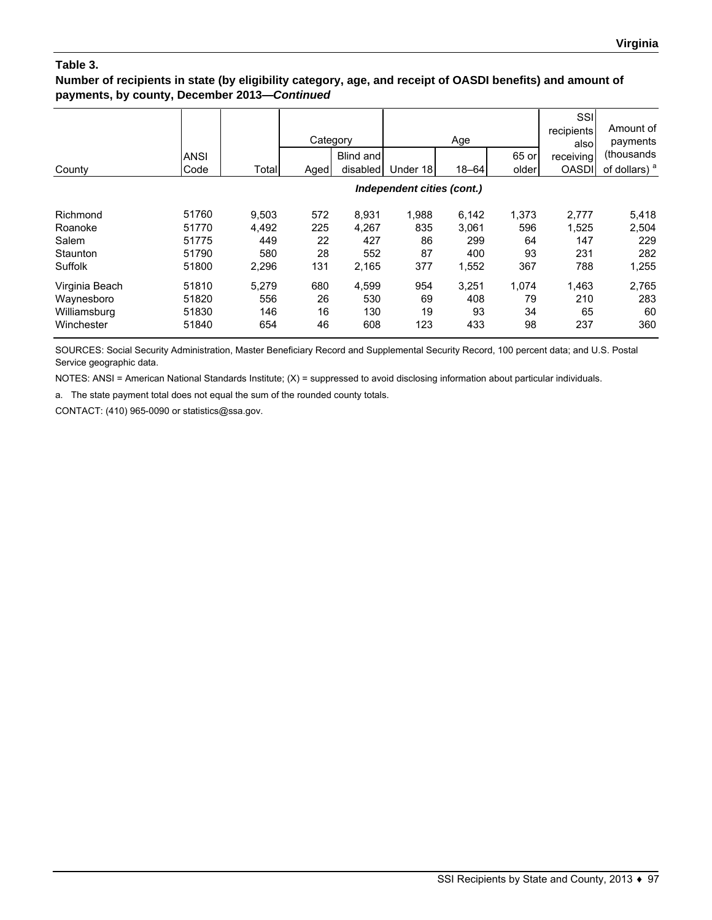### **Number of recipients in state (by eligibility category, age, and receipt of OASDI benefits) and amount of payments, by county, December 2013—***Continued*

|                | <b>ANSI</b> |       | Category | Blind and<br>disabled | Under 18                   | Age<br>$18 - 64$ | 65 or<br>older | SSI<br>recipients<br>alsol<br>receiving<br><b>OASDI</b> | Amount of<br>payments<br>(thousands)<br>of dollars) <sup>a</sup> |
|----------------|-------------|-------|----------|-----------------------|----------------------------|------------------|----------------|---------------------------------------------------------|------------------------------------------------------------------|
| County         | Code        | Total | Aged     |                       |                            |                  |                |                                                         |                                                                  |
|                |             |       |          |                       | Independent cities (cont.) |                  |                |                                                         |                                                                  |
| Richmond       | 51760       | 9,503 | 572      | 8,931                 | 1,988                      | 6,142            | 1,373          | 2,777                                                   | 5,418                                                            |
| Roanoke        | 51770       | 4,492 | 225      | 4,267                 | 835                        | 3,061            | 596            | 1,525                                                   | 2,504                                                            |
| Salem          | 51775       | 449   | 22       | 427                   | 86                         | 299              | 64             | 147                                                     | 229                                                              |
| Staunton       | 51790       | 580   | 28       | 552                   | 87                         | 400              | 93             | 231                                                     | 282                                                              |
| Suffolk        | 51800       | 2,296 | 131      | 2,165                 | 377                        | 1,552            | 367            | 788                                                     | 1,255                                                            |
| Virginia Beach | 51810       | 5.279 | 680      | 4,599                 | 954                        | 3,251            | 1.074          | 1,463                                                   | 2,765                                                            |
| Waynesboro     | 51820       | 556   | 26       | 530                   | 69                         | 408              | 79             | 210                                                     | 283                                                              |
| Williamsburg   | 51830       | 146   | 16       | 130                   | 19                         | 93               | 34             | 65                                                      | 60                                                               |
| Winchester     | 51840       | 654   | 46       | 608                   | 123                        | 433              | 98             | 237                                                     | 360                                                              |

SOURCES: Social Security Administration, Master Beneficiary Record and Supplemental Security Record, 100 percent data; and U.S. Postal Service geographic data.

NOTES: ANSI = American National Standards Institute; (X) = suppressed to avoid disclosing information about particular individuals.

a. The state payment total does not equal the sum of the rounded county totals.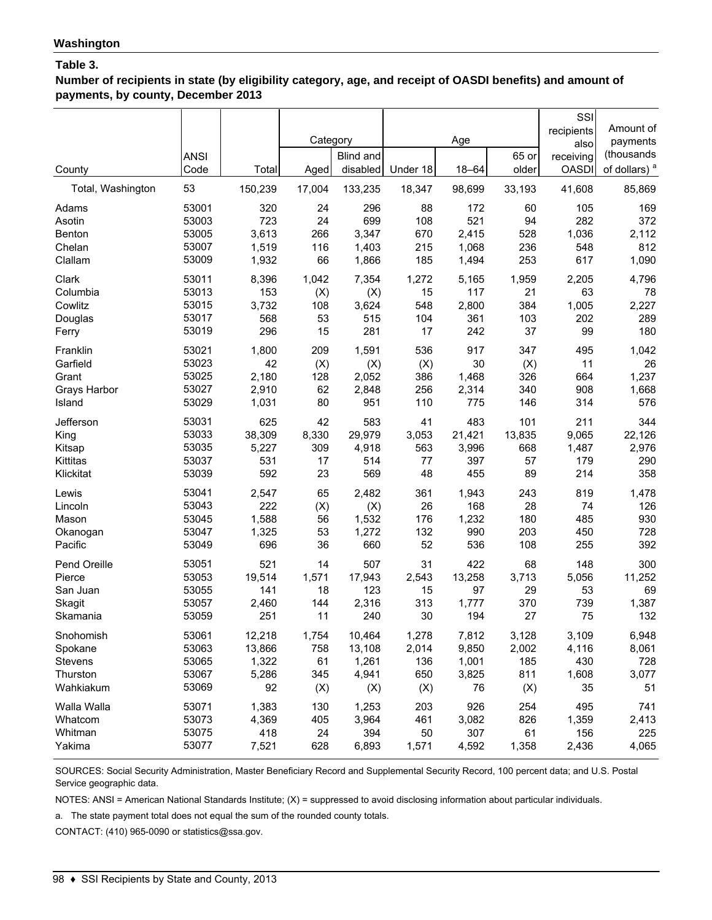**Number of recipients in state (by eligibility category, age, and receipt of OASDI benefits) and amount of payments, by county, December 2013**

|                             |             |                  | Category       |                     |                    | Age                 |                | SSI<br>recipients<br>also | Amount of<br>payments              |
|-----------------------------|-------------|------------------|----------------|---------------------|--------------------|---------------------|----------------|---------------------------|------------------------------------|
|                             | <b>ANSI</b> |                  |                | Blind and           |                    |                     | 65 or<br>older | receiving                 | (thousands                         |
| County<br>Total, Washington | Code<br>53  | Total<br>150,239 | Aged<br>17,004 | disabled<br>133,235 | Under 18<br>18,347 | $18 - 64$<br>98,699 | 33,193         | <b>OASDI</b><br>41,608    | of dollars) <sup>a</sup><br>85,869 |
| Adams                       | 53001       | 320              | 24             | 296                 | 88                 | 172                 | 60             | 105                       | 169                                |
| Asotin                      | 53003       | 723              | 24             | 699                 | 108                | 521                 | 94             | 282                       | 372                                |
| Benton                      | 53005       | 3,613            | 266            | 3,347               | 670                | 2,415               | 528            | 1,036                     | 2,112                              |
| Chelan                      | 53007       | 1,519            | 116            | 1,403               | 215                | 1,068               | 236            | 548                       | 812                                |
| Clallam                     | 53009       | 1,932            | 66             | 1,866               | 185                | 1,494               | 253            | 617                       | 1,090                              |
| Clark                       | 53011       | 8,396            | 1,042          | 7,354               | 1,272              | 5,165               | 1,959          | 2,205                     | 4,796                              |
| Columbia                    | 53013       | 153              | (X)            | (X)                 | 15                 | 117                 | 21             | 63                        | 78                                 |
| Cowlitz                     | 53015       | 3,732            | 108            | 3,624               | 548                | 2,800               | 384            | 1,005                     | 2,227                              |
| Douglas                     | 53017       | 568              | 53             | 515                 | 104                | 361                 | 103            | 202                       | 289                                |
| Ferry                       | 53019       | 296              | 15             | 281                 | 17                 | 242                 | 37             | 99                        | 180                                |
| Franklin                    | 53021       | 1,800            | 209            | 1,591               | 536                | 917                 | 347            | 495                       | 1,042                              |
| Garfield                    | 53023       | 42               | (X)            | (X)                 | (X)                | 30                  | (X)            | 11                        | 26                                 |
| Grant                       | 53025       | 2,180            | 128            | 2,052               | 386                | 1,468               | 326            | 664                       | 1,237                              |
| Grays Harbor                | 53027       | 2,910            | 62             | 2,848               | 256                | 2,314               | 340            | 908                       | 1,668                              |
| Island                      | 53029       | 1,031            | 80             | 951                 | 110                | 775                 | 146            | 314                       | 576                                |
| Jefferson                   | 53031       | 625              | 42             | 583                 | 41                 | 483                 | 101            | 211                       | 344                                |
| King                        | 53033       | 38,309           | 8,330          | 29,979              | 3,053              | 21,421              | 13,835         | 9,065                     | 22,126                             |
| Kitsap                      | 53035       | 5,227            | 309            | 4,918               | 563                | 3,996               | 668            | 1,487                     | 2,976                              |
| Kittitas                    | 53037       | 531              | 17             | 514                 | 77                 | 397                 | 57             | 179                       | 290                                |
| Klickitat                   | 53039       | 592              | 23             | 569                 | 48                 | 455                 | 89             | 214                       | 358                                |
| Lewis                       | 53041       | 2,547            | 65             | 2,482               | 361                | 1,943               | 243            | 819                       | 1,478                              |
| Lincoln                     | 53043       | 222              | (X)            | (X)                 | 26                 | 168                 | 28             | 74                        | 126                                |
| Mason                       | 53045       | 1,588            | 56             | 1,532               | 176                | 1,232               | 180            | 485                       | 930                                |
| Okanogan                    | 53047       | 1,325            | 53             | 1,272               | 132                | 990                 | 203            | 450                       | 728                                |
| Pacific                     | 53049       | 696              | 36             | 660                 | 52                 | 536                 | 108            | 255                       | 392                                |
| Pend Oreille                | 53051       | 521              | 14             | 507                 | 31                 | 422                 | 68             | 148                       | 300                                |
| Pierce                      | 53053       | 19,514           | 1,571          | 17,943              | 2,543              | 13,258              | 3,713          | 5,056                     | 11,252                             |
| San Juan                    | 53055       | 141              | 18             | 123                 | 15                 | 97                  | 29             | 53                        | 69                                 |
| Skagit                      | 53057       | 2,460            | 144            | 2,316               | 313                | 1,777               | 370            | 739                       | 1,387                              |
| Skamania                    | 53059       | 251              | 11             | 240                 | 30                 | 194                 | 27             | 75                        | 132                                |
| Snohomish                   | 53061       | 12,218           | 1,754          | 10,464              | 1,278              | 7,812               | 3,128          | 3,109                     | 6,948                              |
| Spokane                     | 53063       | 13,866           | 758            | 13,108              | 2,014              | 9,850               | 2,002          | 4,116                     | 8,061                              |
| Stevens                     | 53065       | 1,322            | 61             | 1,261               | 136                | 1,001               | 185            | 430                       | 728                                |
| Thurston                    | 53067       | 5,286            | 345            | 4,941               | 650                | 3,825               | 811            | 1,608                     | 3,077                              |
| Wahkiakum                   | 53069       | 92               | (X)            | (X)                 | (X)                | 76                  | (X)            | 35                        | 51                                 |
| Walla Walla                 | 53071       | 1,383            | 130            | 1,253               | 203                | 926                 | 254            | 495                       | 741                                |
| Whatcom                     | 53073       | 4,369            | 405            | 3,964               | 461                | 3,082               | 826            | 1,359                     | 2,413                              |
| Whitman                     | 53075       | 418              | 24             | 394                 | 50                 | 307                 | 61             | 156                       | 225                                |
| Yakima                      | 53077       | 7,521            | 628            | 6,893               | 1,571              | 4,592               | 1,358          | 2,436                     | 4,065                              |

SOURCES: Social Security Administration, Master Beneficiary Record and Supplemental Security Record, 100 percent data; and U.S. Postal Service geographic data.

NOTES: ANSI = American National Standards Institute; (X) = suppressed to avoid disclosing information about particular individuals.

a. The state payment total does not equal the sum of the rounded county totals.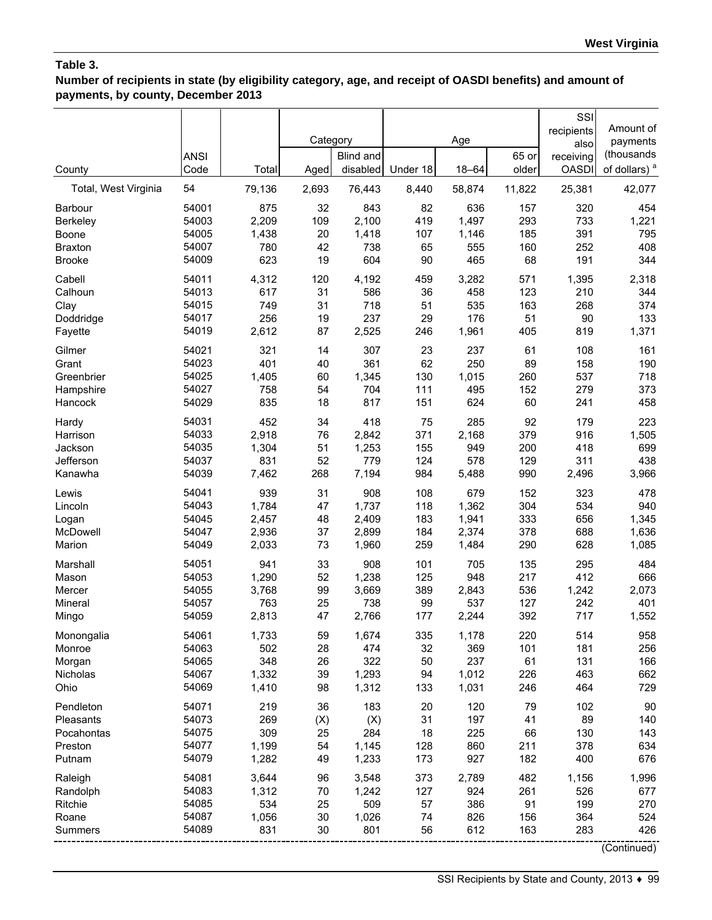**Number of recipients in state (by eligibility category, age, and receipt of OASDI benefits) and amount of payments, by county, December 2013**

| County               | <b>ANSI</b><br>Code | Total  | Category<br>Aged | <b>Blind and</b><br>disabled | Under 18 | Age<br>$18 - 64$ | 65 or<br>older | SSI<br>recipients<br>also<br>receiving<br><b>OASDI</b> | Amount of<br>payments<br>(thousands<br>of dollars) <sup>a</sup> |
|----------------------|---------------------|--------|------------------|------------------------------|----------|------------------|----------------|--------------------------------------------------------|-----------------------------------------------------------------|
| Total, West Virginia | 54                  | 79,136 | 2,693            | 76,443                       | 8,440    | 58,874           | 11,822         | 25,381                                                 | 42,077                                                          |
| <b>Barbour</b>       | 54001               | 875    | 32               | 843                          | 82       | 636              | 157            | 320                                                    | 454                                                             |
| <b>Berkeley</b>      | 54003               | 2,209  | 109              | 2,100                        | 419      | 1,497            | 293            | 733                                                    | 1,221                                                           |
| Boone                | 54005               | 1,438  | 20               | 1,418                        | 107      | 1,146            | 185            | 391                                                    | 795                                                             |
| <b>Braxton</b>       | 54007               | 780    | 42               | 738                          | 65       | 555              | 160            | 252                                                    | 408                                                             |
| <b>Brooke</b>        | 54009               | 623    | 19               | 604                          | 90       | 465              | 68             | 191                                                    | 344                                                             |
| Cabell               | 54011               | 4,312  | 120              | 4,192                        | 459      | 3,282            | 571            | 1,395                                                  | 2,318                                                           |
| Calhoun              | 54013               | 617    | 31               | 586                          | 36       | 458              | 123            | 210                                                    | 344                                                             |
| Clay                 | 54015               | 749    | 31               | 718                          | 51       | 535              | 163            | 268                                                    | 374                                                             |
| Doddridge            | 54017               | 256    | 19               | 237                          | 29       | 176              | 51             | 90                                                     | 133                                                             |
| Fayette              | 54019               | 2,612  | 87               | 2,525                        | 246      | 1,961            | 405            | 819                                                    | 1,371                                                           |
| Gilmer               | 54021               | 321    | 14               | 307                          | 23       | 237              | 61             | 108                                                    | 161                                                             |
| Grant                | 54023               | 401    | 40               | 361                          | 62       | 250              | 89             | 158                                                    | 190                                                             |
| Greenbrier           | 54025               | 1,405  | 60               | 1,345                        | 130      | 1,015            | 260            | 537                                                    | 718                                                             |
| Hampshire            | 54027               | 758    | 54               | 704                          | 111      | 495              | 152            | 279                                                    | 373                                                             |
| Hancock              | 54029               | 835    | 18               | 817                          | 151      | 624              | 60             | 241                                                    | 458                                                             |
| Hardy                | 54031               | 452    | 34               | 418                          | 75       | 285              | 92             | 179                                                    | 223                                                             |
| Harrison             | 54033               | 2,918  | 76               | 2,842                        | 371      | 2,168            | 379            | 916                                                    | 1,505                                                           |
| Jackson              | 54035               | 1,304  | 51               | 1,253                        | 155      | 949              | 200            | 418                                                    | 699                                                             |
| Jefferson            | 54037               | 831    | 52               | 779                          | 124      | 578              | 129            | 311                                                    | 438                                                             |
| Kanawha              | 54039               | 7,462  | 268              | 7,194                        | 984      | 5,488            | 990            | 2,496                                                  | 3,966                                                           |
| Lewis                | 54041               | 939    | 31               | 908                          | 108      | 679              | 152            | 323                                                    | 478                                                             |
| Lincoln              | 54043               | 1,784  | 47               | 1,737                        | 118      | 1,362            | 304            | 534                                                    | 940                                                             |
| Logan                | 54045               | 2,457  | 48               | 2,409                        | 183      | 1,941            | 333            | 656                                                    | 1,345                                                           |
| McDowell             | 54047               | 2,936  | 37               | 2,899                        | 184      | 2,374            | 378            | 688                                                    | 1,636                                                           |
| Marion               | 54049               | 2,033  | 73               | 1,960                        | 259      | 1,484            | 290            | 628                                                    | 1,085                                                           |
| Marshall             | 54051               | 941    | 33               | 908                          | 101      | 705              | 135            | 295                                                    | 484                                                             |
| Mason                | 54053               | 1,290  | 52               | 1,238                        | 125      | 948              | 217            | 412                                                    | 666                                                             |
| Mercer               | 54055               | 3,768  | 99               | 3,669                        | 389      | 2,843            | 536            | 1,242                                                  | 2,073                                                           |
| Mineral              | 54057               | 763    | 25               | 738                          | 99       | 537              | 127            | 242                                                    | 401                                                             |
| Mingo                | 54059               | 2,813  | 47               | 2,766                        | 177      | 2,244            | 392            | 717                                                    | 1,552                                                           |
| Monongalia           | 54061               | 1,733  | 59               | 1,674                        | 335      | 1,178            | 220            | 514                                                    | 958                                                             |
| Monroe               | 54063               | 502    | 28               | 474                          | 32       | 369              | 101            | 181                                                    | 256                                                             |
| Morgan               | 54065               | 348    | 26               | 322                          | 50       | 237              | 61             | 131                                                    | 166                                                             |
| Nicholas             | 54067               | 1,332  | 39               | 1,293                        | 94       | 1,012            | 226            | 463                                                    | 662                                                             |
| Ohio                 | 54069               | 1,410  | 98               | 1,312                        | 133      | 1,031            | 246            | 464                                                    | 729                                                             |
| Pendleton            | 54071               | 219    | 36               | 183                          | 20       | 120              | 79             | 102                                                    | 90                                                              |
| Pleasants            | 54073               | 269    | (X)              | (X)                          | 31       | 197              | 41             | 89                                                     | 140                                                             |
| Pocahontas           | 54075               | 309    | 25               | 284                          | 18       | 225              | 66             | 130                                                    | 143                                                             |
| Preston              | 54077               | 1,199  | 54               | 1,145                        | 128      | 860              | 211            | 378                                                    | 634                                                             |
| Putnam               | 54079               | 1,282  | 49               | 1,233                        | 173      | 927              | 182            | 400                                                    | 676                                                             |
| Raleigh              | 54081               | 3,644  | 96               | 3,548                        | 373      | 2,789            | 482            | 1,156                                                  | 1,996                                                           |
| Randolph             | 54083               | 1,312  | 70               | 1,242                        | 127      | 924              | 261            | 526                                                    | 677                                                             |
| Ritchie              | 54085               | 534    | 25               | 509                          | 57       | 386              | 91             | 199                                                    | 270                                                             |
| Roane                | 54087               | 1,056  | 30               | 1,026                        | 74       | 826              | 156            | 364                                                    | 524                                                             |
| Summers              | 54089               | 831    | 30               | 801                          | 56       | 612              | 163            | 283                                                    | 426                                                             |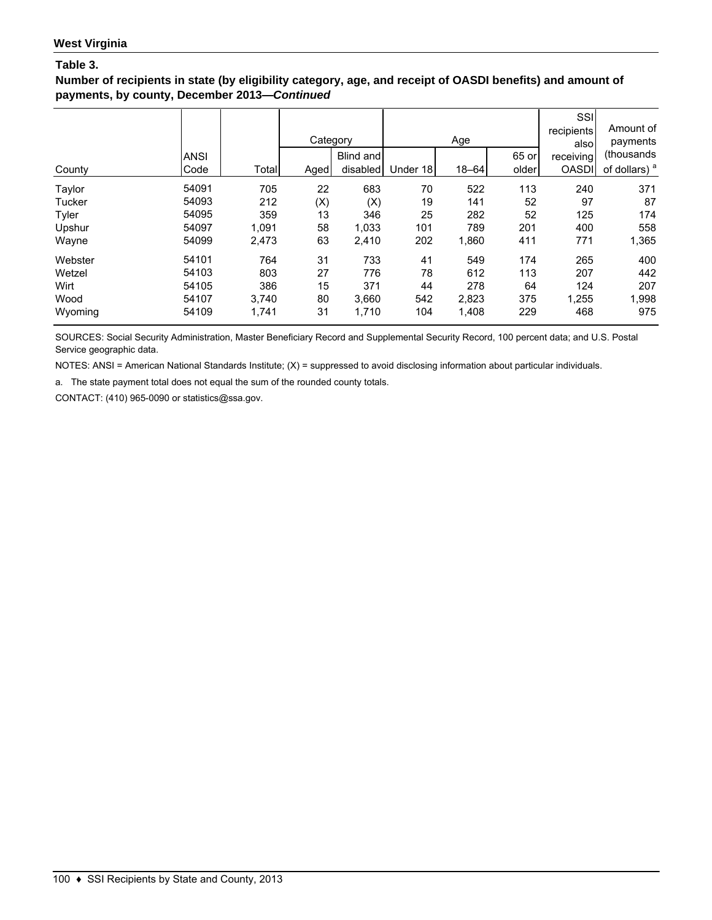**Number of recipients in state (by eligibility category, age, and receipt of OASDI benefits) and amount of payments, by county, December 2013—***Continued*

|         |             |       | Category |           |          | Age       |       | SSI<br>recipients<br>also | Amount of<br>payments    |
|---------|-------------|-------|----------|-----------|----------|-----------|-------|---------------------------|--------------------------|
|         | <b>ANSI</b> |       |          | Blind and |          |           | 65 or | receiving                 | (thousands               |
| County  | Code        | Total | Aged     | disabled  | Under 18 | $18 - 64$ | older | <b>OASDI</b>              | of dollars) <sup>a</sup> |
| Taylor  | 54091       | 705   | 22       | 683       | 70       | 522       | 113   | 240                       | 371                      |
| Tucker  | 54093       | 212   | (X)      | (X)       | 19       | 141       | 52    | 97                        | 87                       |
| Tyler   | 54095       | 359   | 13       | 346       | 25       | 282       | 52    | 125                       | 174                      |
| Upshur  | 54097       | 1,091 | 58       | 1,033     | 101      | 789       | 201   | 400                       | 558                      |
| Wayne   | 54099       | 2,473 | 63       | 2,410     | 202      | 1,860     | 411   | 771                       | 1,365                    |
| Webster | 54101       | 764   | 31       | 733       | 41       | 549       | 174   | 265                       | 400                      |
| Wetzel  | 54103       | 803   | 27       | 776       | 78       | 612       | 113   | 207                       | 442                      |
| Wirt    | 54105       | 386   | 15       | 371       | 44       | 278       | 64    | 124                       | 207                      |
| Wood    | 54107       | 3,740 | 80       | 3,660     | 542      | 2,823     | 375   | 1,255                     | 1,998                    |
| Wyoming | 54109       | 1,741 | 31       | 1,710     | 104      | 1,408     | 229   | 468                       | 975                      |

SOURCES: Social Security Administration, Master Beneficiary Record and Supplemental Security Record, 100 percent data; and U.S. Postal Service geographic data.

NOTES: ANSI = American National Standards Institute; (X) = suppressed to avoid disclosing information about particular individuals.

a. The state payment total does not equal the sum of the rounded county totals.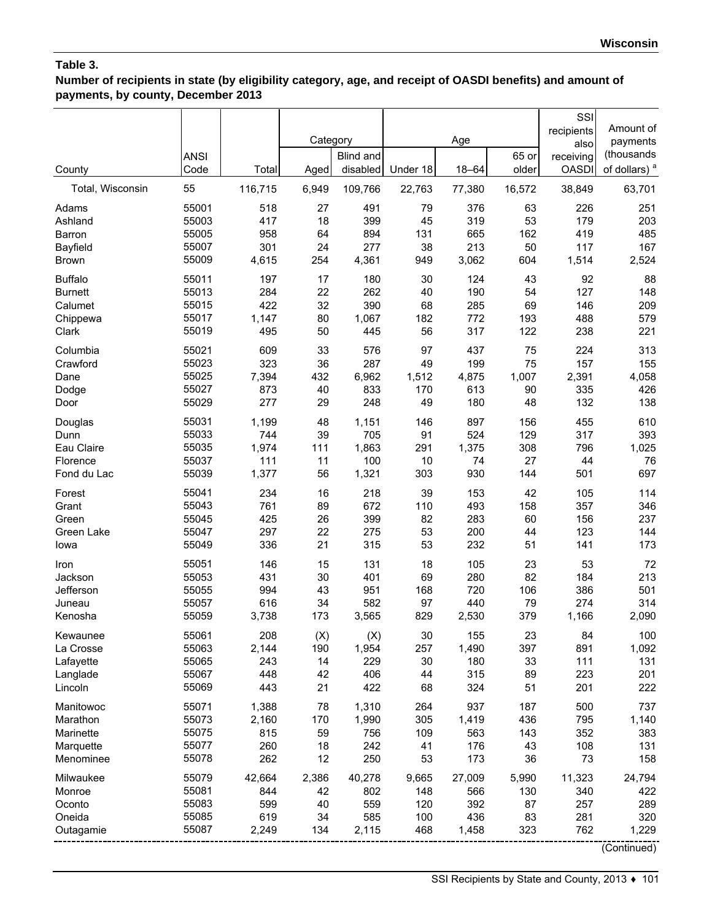**Number of recipients in state (by eligibility category, age, and receipt of OASDI benefits) and amount of payments, by county, December 2013**

|                          | <b>ANSI</b>    |              | Category  | <b>Blind and</b> |            | Age          | 65 or     | SSI<br>recipients<br>also<br>receiving | Amount of<br>payments<br>(thousands |
|--------------------------|----------------|--------------|-----------|------------------|------------|--------------|-----------|----------------------------------------|-------------------------------------|
| County                   | Code           | Total        | Aged      | disabled         | Under 18   | $18 - 64$    | older     | <b>OASDI</b>                           | of dollars) <sup>a</sup>            |
| Total, Wisconsin         | 55             | 116,715      | 6,949     | 109,766          | 22,763     | 77,380       | 16,572    | 38,849                                 | 63,701                              |
| Adams                    | 55001          | 518          | 27        | 491              | 79         | 376          | 63        | 226                                    | 251                                 |
| Ashland                  | 55003          | 417          | 18        | 399              | 45         | 319          | 53        | 179                                    | 203                                 |
| Barron                   | 55005          | 958          | 64        | 894              | 131        | 665          | 162       | 419                                    | 485                                 |
| Bayfield<br><b>Brown</b> | 55007<br>55009 | 301<br>4,615 | 24<br>254 | 277<br>4,361     | 38<br>949  | 213<br>3,062 | 50<br>604 | 117<br>1,514                           | 167<br>2,524                        |
| <b>Buffalo</b>           | 55011          | 197          | 17        | 180              | 30         | 124          | 43        | 92                                     | 88                                  |
| <b>Burnett</b>           | 55013          | 284          | 22        | 262              | 40         | 190          | 54        | 127                                    | 148                                 |
| Calumet                  | 55015          | 422          | 32        | 390              | 68         | 285          | 69        | 146                                    | 209                                 |
| Chippewa                 | 55017          | 1,147        | 80        | 1,067            | 182        | 772          | 193       | 488                                    | 579                                 |
| Clark                    | 55019          | 495          | 50        | 445              | 56         | 317          | 122       | 238                                    | 221                                 |
| Columbia                 | 55021          | 609          | 33        | 576              | 97         | 437          | 75        | 224                                    | 313                                 |
| Crawford                 | 55023          | 323          | 36        | 287              | 49         | 199          | 75        | 157                                    | 155                                 |
| Dane                     | 55025          | 7,394        | 432       | 6,962            | 1,512      | 4,875        | 1,007     | 2,391                                  | 4,058                               |
| Dodge<br>Door            | 55027<br>55029 | 873<br>277   | 40<br>29  | 833<br>248       | 170<br>49  | 613<br>180   | 90<br>48  | 335<br>132                             | 426<br>138                          |
| Douglas                  | 55031          | 1,199        | 48        | 1,151            | 146        | 897          | 156       | 455                                    | 610                                 |
| Dunn                     | 55033          | 744          | 39        | 705              | 91         | 524          | 129       | 317                                    | 393                                 |
| Eau Claire               | 55035          | 1,974        | 111       | 1,863            | 291        | 1,375        | 308       | 796                                    | 1,025                               |
| Florence                 | 55037          | 111          | 11        | 100              | 10         | 74           | 27        | 44                                     | 76                                  |
| Fond du Lac              | 55039          | 1,377        | 56        | 1,321            | 303        | 930          | 144       | 501                                    | 697                                 |
| Forest                   | 55041          | 234          | 16        | 218              | 39         | 153          | 42        | 105                                    | 114                                 |
| Grant                    | 55043          | 761          | 89        | 672              | 110        | 493          | 158       | 357                                    | 346                                 |
| Green                    | 55045          | 425          | 26        | 399              | 82         | 283          | 60        | 156                                    | 237                                 |
| Green Lake               | 55047          | 297          | 22        | 275              | 53         | 200          | 44        | 123                                    | 144                                 |
| lowa                     | 55049          | 336          | 21        | 315              | 53         | 232          | 51        | 141                                    | 173                                 |
| Iron                     | 55051          | 146          | 15        | 131              | 18         | 105          | 23        | 53                                     | 72                                  |
| Jackson                  | 55053<br>55055 | 431          | 30        | 401              | 69         | 280          | 82        | 184                                    | 213                                 |
| Jefferson<br>Juneau      | 55057          | 994<br>616   | 43<br>34  | 951<br>582       | 168<br>97  | 720<br>440   | 106<br>79 | 386<br>274                             | 501<br>314                          |
| Kenosha                  | 55059          | 3,738        | 173       | 3,565            | 829        | 2,530        | 379       | 1,166                                  | 2,090                               |
| Kewaunee                 | 55061          | 208          | (X)       | (X)              | 30         | 155          | 23        | 84                                     | 100                                 |
| La Crosse                | 55063          | 2,144        | 190       | 1,954            | 257        | 1,490        | 397       | 891                                    | 1,092                               |
| Lafayette                | 55065          | 243          | 14        | 229              | 30         | 180          | 33        | 111                                    | 131                                 |
| Langlade                 | 55067          | 448          | 42        | 406              | 44         | 315          | 89        | 223                                    | 201                                 |
| Lincoln                  | 55069          | 443          | 21        | 422              | 68         | 324          | 51        | 201                                    | 222                                 |
| Manitowoc                | 55071          | 1,388        | 78        | 1,310            | 264        | 937          | 187       | 500                                    | 737                                 |
| Marathon                 | 55073          | 2,160        | 170       | 1,990            | 305        | 1,419        | 436       | 795                                    | 1,140                               |
| Marinette                | 55075          | 815          | 59        | 756              | 109        | 563          | 143       | 352                                    | 383                                 |
| Marquette                | 55077          | 260          | 18        | 242              | 41         | 176          | 43        | 108                                    | 131                                 |
| Menominee                | 55078          | 262          | 12        | 250              | 53         | 173          | 36        | 73                                     | 158                                 |
| Milwaukee                | 55079          | 42,664       | 2,386     | 40,278           | 9,665      | 27,009       | 5,990     | 11,323                                 | 24,794                              |
| Monroe                   | 55081          | 844          | 42        | 802              | 148        | 566          | 130       | 340                                    | 422                                 |
| Oconto                   | 55083          | 599          | 40        | 559              | 120        | 392          | 87        | 257                                    | 289                                 |
| Oneida<br>Outagamie      | 55085<br>55087 | 619<br>2,249 | 34<br>134 | 585<br>2,115     | 100<br>468 | 436<br>1,458 | 83<br>323 | 281<br>762                             | 320<br>1,229                        |
|                          |                |              |           |                  |            |              |           |                                        | (0.1)                               |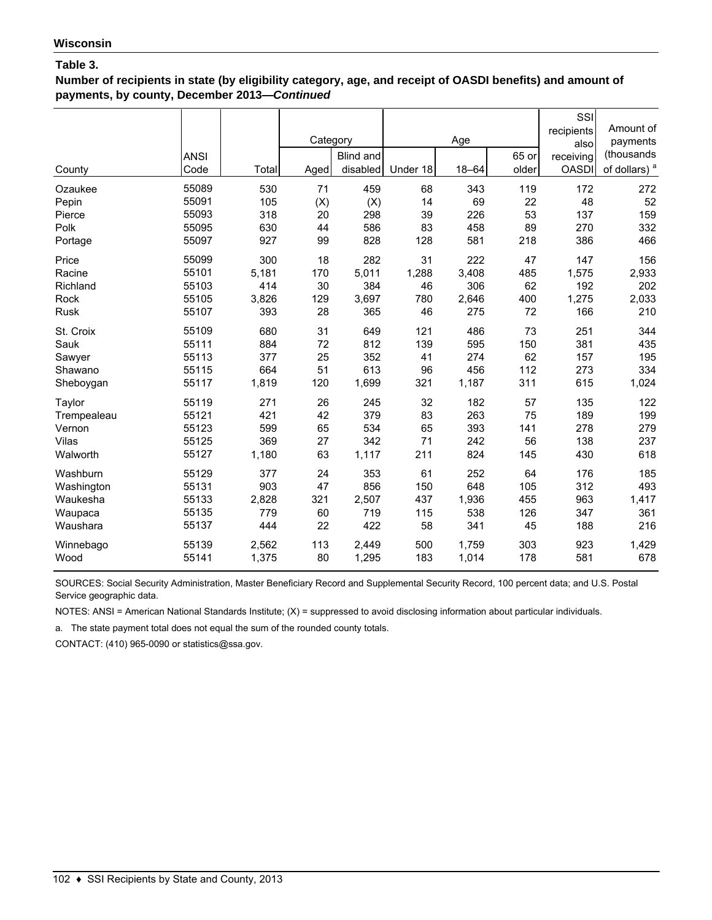**Number of recipients in state (by eligibility category, age, and receipt of OASDI benefits) and amount of payments, by county, December 2013—***Continued*

| County<br>Ozaukee<br>Pepin | <b>ANSI</b><br>Code<br>55089<br>55091 | Total<br>530<br>105 | Category<br>Aged<br>71<br>(X) | Blind and<br>disabled<br>459<br>(X) | Under 18<br>68<br>14 | Age<br>$18 - 64$<br>343<br>69 | 65 or<br>older<br>119<br>22 | SSI<br>recipients<br>also<br>receiving<br><b>OASDI</b><br>172<br>48 | Amount of<br>payments<br>(thousands<br>of dollars) <sup>a</sup><br>272<br>52 |
|----------------------------|---------------------------------------|---------------------|-------------------------------|-------------------------------------|----------------------|-------------------------------|-----------------------------|---------------------------------------------------------------------|------------------------------------------------------------------------------|
| Pierce                     | 55093                                 | 318                 | 20                            | 298                                 | 39                   | 226                           | 53                          | 137                                                                 | 159                                                                          |
| Polk                       | 55095                                 | 630                 | 44                            | 586                                 | 83                   | 458                           | 89                          | 270                                                                 | 332                                                                          |
| Portage                    | 55097                                 | 927                 | 99                            | 828                                 | 128                  | 581                           | 218                         | 386                                                                 | 466                                                                          |
| Price                      | 55099                                 | 300                 | 18                            | 282                                 | 31                   | 222                           | 47                          | 147                                                                 | 156                                                                          |
| Racine                     | 55101                                 | 5,181               | 170                           | 5,011                               | 1,288                | 3,408                         | 485                         | 1,575                                                               | 2,933                                                                        |
| Richland                   | 55103                                 | 414                 | 30                            | 384                                 | 46                   | 306                           | 62                          | 192                                                                 | 202                                                                          |
| Rock                       | 55105                                 | 3,826               | 129                           | 3,697                               | 780                  | 2,646                         | 400                         | 1,275                                                               | 2,033                                                                        |
| <b>Rusk</b>                | 55107                                 | 393                 | 28                            | 365                                 | 46                   | 275                           | 72                          | 166                                                                 | 210                                                                          |
| St. Croix                  | 55109                                 | 680                 | 31                            | 649                                 | 121                  | 486                           | 73                          | 251                                                                 | 344                                                                          |
| Sauk                       | 55111                                 | 884                 | 72                            | 812                                 | 139                  | 595                           | 150                         | 381                                                                 | 435                                                                          |
| Sawyer                     | 55113                                 | 377                 | 25                            | 352                                 | 41                   | 274                           | 62                          | 157                                                                 | 195                                                                          |
| Shawano                    | 55115                                 | 664                 | 51                            | 613                                 | 96                   | 456                           | 112                         | 273                                                                 | 334                                                                          |
| Sheboygan                  | 55117                                 | 1,819               | 120                           | 1,699                               | 321                  | 1,187                         | 311                         | 615                                                                 | 1,024                                                                        |
| Taylor                     | 55119                                 | 271                 | 26                            | 245                                 | 32                   | 182                           | 57                          | 135                                                                 | 122                                                                          |
| Trempealeau                | 55121                                 | 421                 | 42                            | 379                                 | 83                   | 263                           | 75                          | 189                                                                 | 199                                                                          |
| Vernon                     | 55123                                 | 599                 | 65                            | 534                                 | 65                   | 393                           | 141                         | 278                                                                 | 279                                                                          |
| Vilas                      | 55125                                 | 369                 | 27                            | 342                                 | 71                   | 242                           | 56                          | 138                                                                 | 237                                                                          |
| Walworth                   | 55127                                 | 1,180               | 63                            | 1,117                               | 211                  | 824                           | 145                         | 430                                                                 | 618                                                                          |
| Washburn                   | 55129                                 | 377                 | 24                            | 353                                 | 61                   | 252                           | 64                          | 176                                                                 | 185                                                                          |
| Washington                 | 55131                                 | 903                 | 47                            | 856                                 | 150                  | 648                           | 105                         | 312                                                                 | 493                                                                          |
| Waukesha                   | 55133                                 | 2,828               | 321                           | 2,507                               | 437                  | 1,936                         | 455                         | 963                                                                 | 1,417                                                                        |
| Waupaca                    | 55135                                 | 779                 | 60                            | 719                                 | 115                  | 538                           | 126                         | 347                                                                 | 361                                                                          |
| Waushara                   | 55137                                 | 444                 | 22                            | 422                                 | 58                   | 341                           | 45                          | 188                                                                 | 216                                                                          |
| Winnebago                  | 55139                                 | 2,562               | 113                           | 2,449                               | 500                  | 1,759                         | 303                         | 923                                                                 | 1,429                                                                        |
| Wood                       | 55141                                 | 1,375               | 80                            | 1,295                               | 183                  | 1,014                         | 178                         | 581                                                                 | 678                                                                          |

SOURCES: Social Security Administration, Master Beneficiary Record and Supplemental Security Record, 100 percent data; and U.S. Postal Service geographic data.

NOTES: ANSI = American National Standards Institute; (X) = suppressed to avoid disclosing information about particular individuals.

a. The state payment total does not equal the sum of the rounded county totals.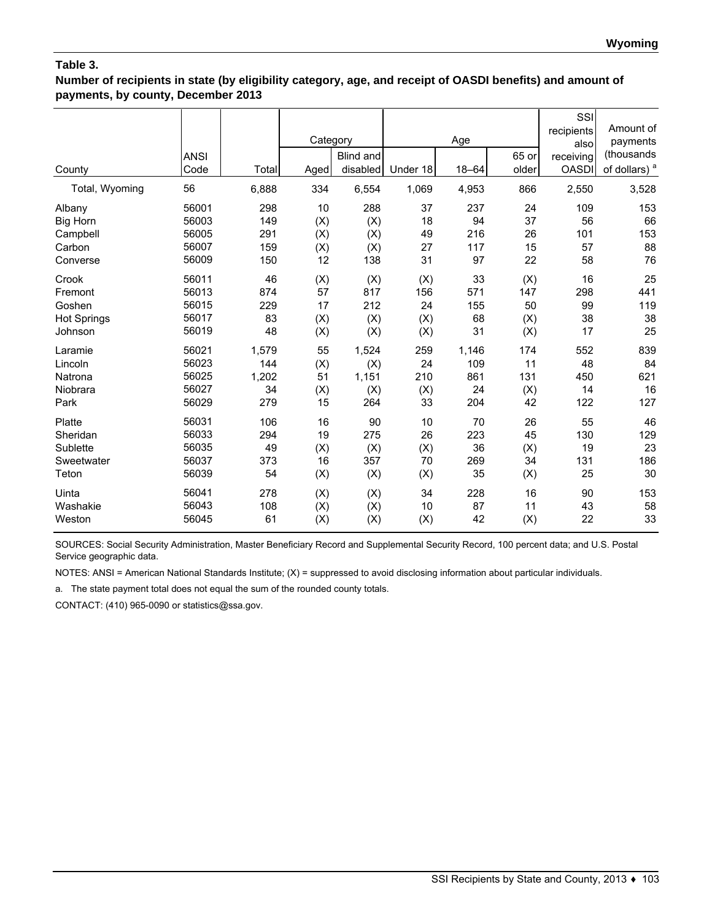# **Table 3.**

**Number of recipients in state (by eligibility category, age, and receipt of OASDI benefits) and amount of payments, by county, December 2013**

| County             | <b>ANSI</b><br>Code | Total | Category<br>Aged | Blind and<br>disabled | Under 18 | Age<br>$18 - 64$ | 65 or<br>older | SSI<br>recipients<br>also<br>receiving<br><b>OASDI</b> | Amount of<br>payments<br>(thousands<br>of dollars) <sup>a</sup> |
|--------------------|---------------------|-------|------------------|-----------------------|----------|------------------|----------------|--------------------------------------------------------|-----------------------------------------------------------------|
| Total, Wyoming     | 56                  | 6,888 | 334              | 6,554                 | 1,069    | 4,953            | 866            | 2,550                                                  | 3,528                                                           |
| Albany             | 56001               | 298   | 10               | 288                   | 37       | 237              | 24             | 109                                                    | 153                                                             |
| <b>Big Horn</b>    | 56003               | 149   | (X)              | (X)                   | 18       | 94               | 37             | 56                                                     | 66                                                              |
| Campbell           | 56005               | 291   | (X)              | (X)                   | 49       | 216              | 26             | 101                                                    | 153                                                             |
| Carbon             | 56007               | 159   | (X)              | (X)                   | 27       | 117              | 15             | 57                                                     | 88                                                              |
| Converse           | 56009               | 150   | 12               | 138                   | 31       | 97               | 22             | 58                                                     | 76                                                              |
| Crook              | 56011               | 46    | (X)              | (X)                   | (X)      | 33               | (X)            | 16                                                     | 25                                                              |
| Fremont            | 56013               | 874   | 57               | 817                   | 156      | 571              | 147            | 298                                                    | 441                                                             |
| Goshen             | 56015               | 229   | 17               | 212                   | 24       | 155              | 50             | 99                                                     | 119                                                             |
| <b>Hot Springs</b> | 56017               | 83    | (X)              | (X)                   | (X)      | 68               | (X)            | 38                                                     | 38                                                              |
| Johnson            | 56019               | 48    | (X)              | (X)                   | (X)      | 31               | (X)            | 17                                                     | 25                                                              |
| Laramie            | 56021               | 1,579 | 55               | 1,524                 | 259      | 1,146            | 174            | 552                                                    | 839                                                             |
| Lincoln            | 56023               | 144   | (X)              | (X)                   | 24       | 109              | 11             | 48                                                     | 84                                                              |
| Natrona            | 56025               | 1,202 | 51               | 1,151                 | 210      | 861              | 131            | 450                                                    | 621                                                             |
| Niobrara           | 56027               | 34    | (X)              | (X)                   | (X)      | 24               | (X)            | 14                                                     | 16                                                              |
| Park               | 56029               | 279   | 15               | 264                   | 33       | 204              | 42             | 122                                                    | 127                                                             |
| Platte             | 56031               | 106   | 16               | 90                    | 10       | 70               | 26             | 55                                                     | 46                                                              |
| Sheridan           | 56033               | 294   | 19               | 275                   | 26       | 223              | 45             | 130                                                    | 129                                                             |
| Sublette           | 56035               | 49    | (X)              | (X)                   | (X)      | 36               | (X)            | 19                                                     | 23                                                              |
| Sweetwater         | 56037               | 373   | 16               | 357                   | 70       | 269              | 34             | 131                                                    | 186                                                             |
| Teton              | 56039               | 54    | (X)              | (X)                   | (X)      | 35               | (X)            | 25                                                     | 30                                                              |
| Uinta              | 56041               | 278   | (X)              | (X)                   | 34       | 228              | 16             | 90                                                     | 153                                                             |
| Washakie           | 56043               | 108   | (X)              | (X)                   | 10       | 87               | 11             | 43                                                     | 58                                                              |
| Weston             | 56045               | 61    | (X)              | (X)                   | (X)      | 42               | (X)            | 22                                                     | 33                                                              |

SOURCES: Social Security Administration, Master Beneficiary Record and Supplemental Security Record, 100 percent data; and U.S. Postal Service geographic data.

NOTES: ANSI = American National Standards Institute; (X) = suppressed to avoid disclosing information about particular individuals.

a. The state payment total does not equal the sum of the rounded county totals.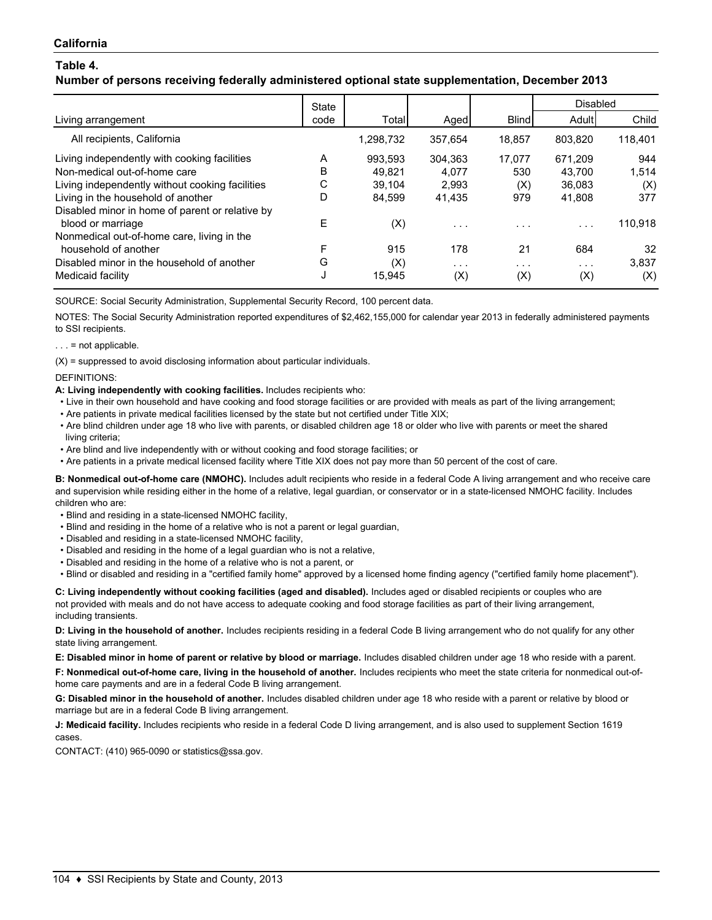## **Number of persons receiving federally administered optional state supplementation, December 2013**

|                                                 | <b>State</b> |           |                         |              | Disabled                |         |
|-------------------------------------------------|--------------|-----------|-------------------------|--------------|-------------------------|---------|
| Living arrangement                              | code         | Total     | Aged                    | <b>Blind</b> | Adult                   | Child   |
| All recipients, California                      |              | 1,298,732 | 357.654                 | 18.857       | 803,820                 | 118,401 |
| Living independently with cooking facilities    | A            | 993.593   | 304.363                 | 17.077       | 671,209                 | 944     |
| Non-medical out-of-home care                    | B            | 49.821    | 4.077                   | 530          | 43.700                  | 1.514   |
| Living independently without cooking facilities | С            | 39.104    | 2.993                   | (X)          | 36,083                  | (X)     |
| Living in the household of another              | D            | 84.599    | 41.435                  | 979          | 41,808                  | 377     |
| Disabled minor in home of parent or relative by |              |           |                         |              |                         |         |
| blood or marriage                               | Е            | (X)       | $\cdot$ $\cdot$ $\cdot$ | .            | $\cdot$ $\cdot$ $\cdot$ | 110,918 |
| Nonmedical out-of-home care, living in the      |              |           |                         |              |                         |         |
| household of another                            | F            | 915       | 178                     | 21           | 684                     | 32      |
| Disabled minor in the household of another      | G            | (X)       | $\cdot$ $\cdot$ $\cdot$ | .            | $\cdot$ $\cdot$ $\cdot$ | 3,837   |
| Medicaid facility                               | J            | 15,945    | (X)                     | (X)          | (X)                     | (X)     |

SOURCE: Social Security Administration, Supplemental Security Record, 100 percent data.

NOTES: The Social Security Administration reported expenditures of \$2,462,155,000 for calendar year 2013 in federally administered payments to SSI recipients.

#### $\ldots$  = not applicable.

 $(X)$  = suppressed to avoid disclosing information about particular individuals.

DEFINITIONS:

#### **A: Living independently with cooking facilities.** Includes recipients who:

- Live in their own household and have cooking and food storage facilities or are provided with meals as part of the living arrangement;
- Are patients in private medical facilities licensed by the state but not certified under Title XIX;
- Are blind children under age 18 who live with parents, or disabled children age 18 or older who live with parents or meet the shared living criteria;
- Are blind and live independently with or without cooking and food storage facilities; or
- Are patients in a private medical licensed facility where Title XIX does not pay more than 50 percent of the cost of care.

**B: Nonmedical out-of-home care (NMOHC).** Includes adult recipients who reside in a federal Code A living arrangement and who receive care and supervision while residing either in the home of a relative, legal guardian, or conservator or in a state-licensed NMOHC facility. Includes children who are:

- Blind and residing in a state-licensed NMOHC facility,
- Blind and residing in the home of a relative who is not a parent or legal guardian,
- Disabled and residing in a state-licensed NMOHC facility,
- Disabled and residing in the home of a legal guardian who is not a relative,
- Disabled and residing in the home of a relative who is not a parent, or
- Blind or disabled and residing in a "certified family home" approved by a licensed home finding agency ("certified family home placement").

**C: Living independently without cooking facilities (aged and disabled).** Includes aged or disabled recipients or couples who are not provided with meals and do not have access to adequate cooking and food storage facilities as part of their living arrangement, including transients.

**D: Living in the household of another.** Includes recipients residing in a federal Code B living arrangement who do not qualify for any other state living arrangement.

**E: Disabled minor in home of parent or relative by blood or marriage.** Includes disabled children under age 18 who reside with a parent.

**F: Nonmedical out-of-home care, living in the household of another.** Includes recipients who meet the state criteria for nonmedical out-ofhome care payments and are in a federal Code B living arrangement.

**G: Disabled minor in the household of another.** Includes disabled children under age 18 who reside with a parent or relative by blood or marriage but are in a federal Code B living arrangement.

**J: Medicaid facility.** Includes recipients who reside in a federal Code D living arrangement, and is also used to supplement Section 1619 cases.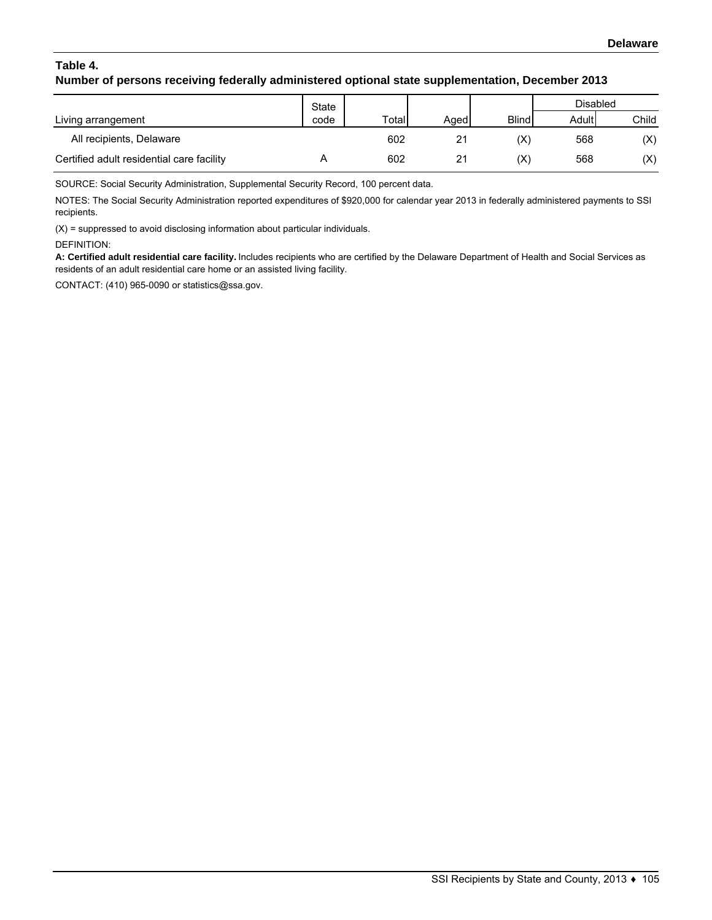# **Table 4. Number of persons receiving federally administered optional state supplementation, December 2013**

|                                           | State |       |       |                | Disabled |       |
|-------------------------------------------|-------|-------|-------|----------------|----------|-------|
| Living arrangement                        | code  | Total | Aqedl | <b>Blind</b>   | Adult    | Child |
| All recipients, Delaware                  |       | 602   | 21    | (X)            | 568      | (X)   |
| Certified adult residential care facility |       | 602   | 21    | $(\mathsf{X})$ | 568      | (X)   |

SOURCE: Social Security Administration, Supplemental Security Record, 100 percent data.

NOTES: The Social Security Administration reported expenditures of \$920,000 for calendar year 2013 in federally administered payments to SSI recipients.

(X) = suppressed to avoid disclosing information about particular individuals.

#### DEFINITION:

**A: Certified adult residential care facility.** Includes recipients who are certified by the Delaware Department of Health and Social Services as residents of an adult residential care home or an assisted living facility.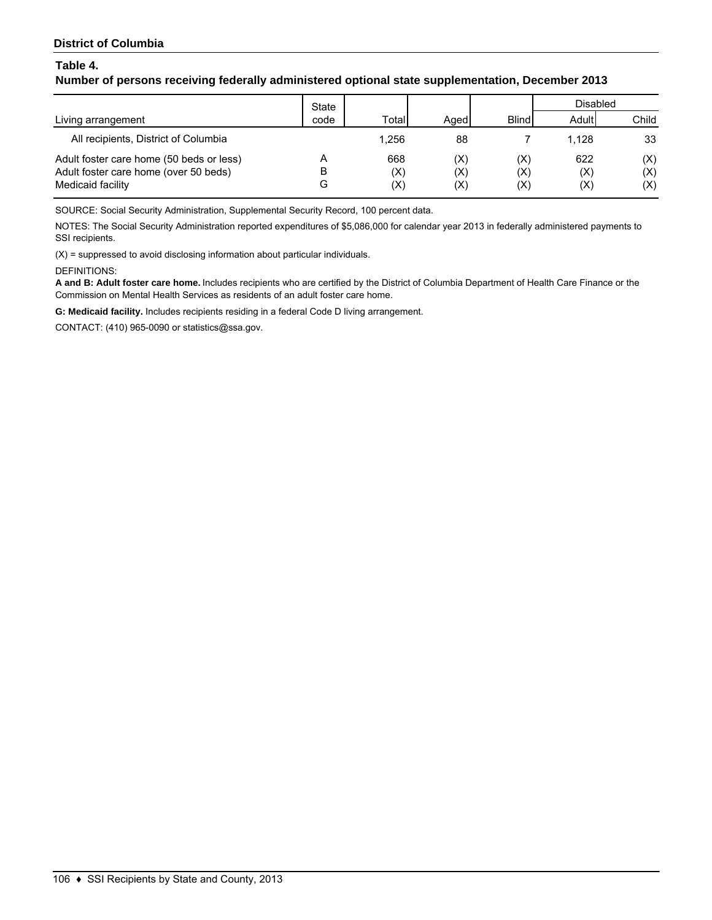## **Number of persons receiving federally administered optional state supplementation, December 2013**

|                                          | State |             |                |                | Disabled       |       |
|------------------------------------------|-------|-------------|----------------|----------------|----------------|-------|
| Living arrangement                       | code  | Total       | Aged           | <b>Blind</b>   | Adult          | Child |
| All recipients, District of Columbia     |       | 1.256       | 88             |                | 1.128          | 33    |
| Adult foster care home (50 beds or less) |       | 668         | $(\mathsf{X})$ | (X)            | 622            | (X)   |
| Adult foster care home (over 50 beds)    | в     | (X)         | $(\mathsf{X})$ | (X)            | (X)            | (X)   |
| Medicaid facility                        | G     | $({\sf X})$ | (X)            | $(\mathsf{X})$ | $(\mathsf{X})$ | (X)   |

SOURCE: Social Security Administration, Supplemental Security Record, 100 percent data.

NOTES: The Social Security Administration reported expenditures of \$5,086,000 for calendar year 2013 in federally administered payments to SSI recipients.

(X) = suppressed to avoid disclosing information about particular individuals.

DEFINITIONS:

**A and B: Adult foster care home.** Includes recipients who are certified by the District of Columbia Department of Health Care Finance or the Commission on Mental Health Services as residents of an adult foster care home.

**G: Medicaid facility.** Includes recipients residing in a federal Code D living arrangement.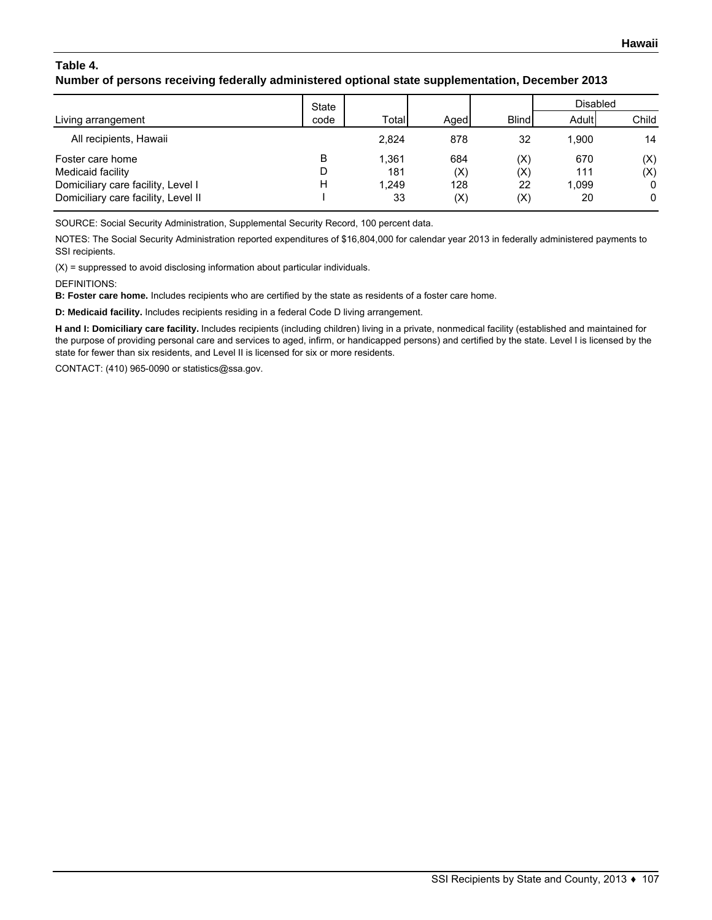# **Table 4. Number of persons receiving federally administered optional state supplementation, December 2013**

|                                     | State |       |      |              | <b>Disabled</b> |       |
|-------------------------------------|-------|-------|------|--------------|-----------------|-------|
| Living arrangement                  | code  | Total | Aged | <b>Blind</b> | Adult           | Child |
| All recipients, Hawaii              |       | 2.824 | 878  | 32           | 1.900           | 14    |
| Foster care home                    | B     | 1.361 | 684  | (X)          | 670             | (X)   |
| Medicaid facility                   |       | 181   | (X)  | (X)          | 111             | (X)   |
| Domiciliary care facility, Level I  | н     | 1.249 | 128  | 22           | 1,099           | 0     |
| Domiciliary care facility, Level II |       | 33    | (X)  | (X)          | 20              | 0     |

SOURCE: Social Security Administration, Supplemental Security Record, 100 percent data.

NOTES: The Social Security Administration reported expenditures of \$16,804,000 for calendar year 2013 in federally administered payments to SSI recipients.

 $(X)$  = suppressed to avoid disclosing information about particular individuals.

DEFINITIONS:

**B: Foster care home.** Includes recipients who are certified by the state as residents of a foster care home.

**D: Medicaid facility.** Includes recipients residing in a federal Code D living arrangement.

**H and I: Domiciliary care facility.** Includes recipients (including children) living in a private, nonmedical facility (established and maintained for the purpose of providing personal care and services to aged, infirm, or handicapped persons) and certified by the state. Level I is licensed by the state for fewer than six residents, and Level II is licensed for six or more residents.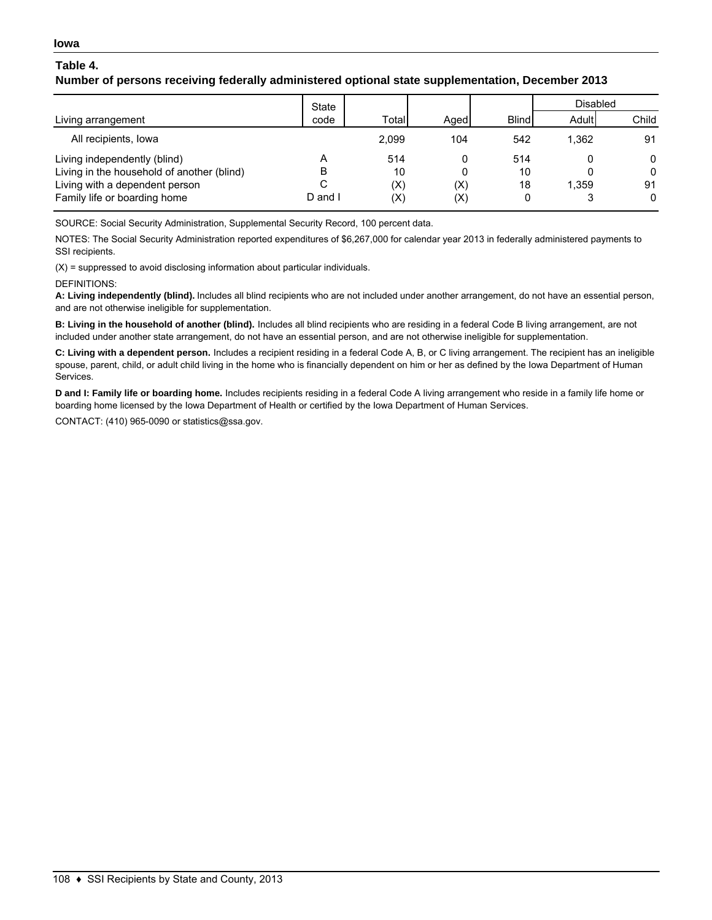## **Number of persons receiving federally administered optional state supplementation, December 2013**

|                                            | <b>State</b> |       |             |              | Disabled |              |
|--------------------------------------------|--------------|-------|-------------|--------------|----------|--------------|
| Living arrangement                         | code         | Total | Aaed        | <b>Blind</b> | Adult    | Child        |
| All recipients, lowa                       |              | 2,099 | 104         | 542          | 1.362    | 91           |
| Living independently (blind)               |              | 514   |             | 514          |          | 0            |
| Living in the household of another (blind) | В            | 10    |             | 10           |          | $\mathbf{0}$ |
| Living with a dependent person             | C            | (X)   | $({\sf X})$ | 18           | 1.359    | 91           |
| Family life or boarding home               | D and I      | (X)   | (X)         | 0            |          | $\mathbf{0}$ |

SOURCE: Social Security Administration, Supplemental Security Record, 100 percent data.

NOTES: The Social Security Administration reported expenditures of \$6,267,000 for calendar year 2013 in federally administered payments to SSI recipients.

 $(X)$  = suppressed to avoid disclosing information about particular individuals.

#### DEFINITIONS:

**A: Living independently (blind).** Includes all blind recipients who are not included under another arrangement, do not have an essential person, and are not otherwise ineligible for supplementation.

**B: Living in the household of another (blind).** Includes all blind recipients who are residing in a federal Code B living arrangement, are not included under another state arrangement, do not have an essential person, and are not otherwise ineligible for supplementation.

**C: Living with a dependent person.** Includes a recipient residing in a federal Code A, B, or C living arrangement. The recipient has an ineligible spouse, parent, child, or adult child living in the home who is financially dependent on him or her as defined by the Iowa Department of Human Services.

**D and I: Family life or boarding home.** Includes recipients residing in a federal Code A living arrangement who reside in a family life home or boarding home licensed by the Iowa Department of Health or certified by the Iowa Department of Human Services.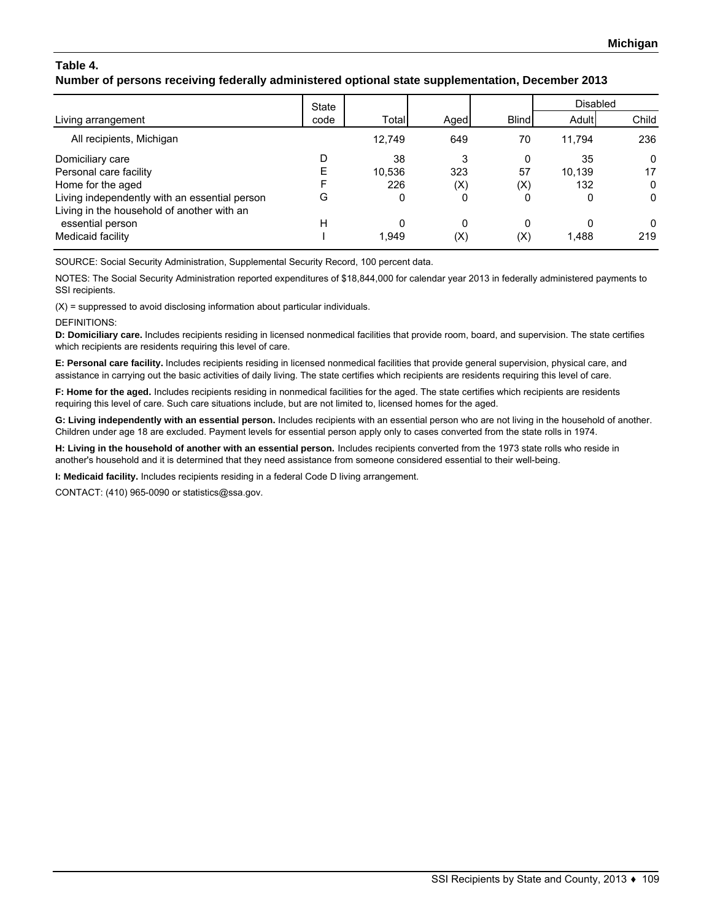# **Number of persons receiving federally administered optional state supplementation, December 2013**

|                                               | State |        |      |              | <b>Disabled</b> |              |
|-----------------------------------------------|-------|--------|------|--------------|-----------------|--------------|
| Living arrangement                            | code  | Total  | Aged | <b>Blind</b> | Adult           | Child        |
| All recipients, Michigan                      |       | 12,749 | 649  | 70           | 11.794          | 236          |
| Domiciliary care                              |       | 38     | 3    | 0            | 35              | $\mathbf{0}$ |
| Personal care facility                        |       | 10.536 | 323  | 57           | 10.139          | 17           |
| Home for the aged                             |       | 226    | (X)  | (X)          | 132             | 0            |
| Living independently with an essential person | G     | 0      | 0    | 0            | 0               | $\Omega$     |
| Living in the household of another with an    |       |        |      |              |                 |              |
| essential person                              | Н     |        | 0    | 0            | 0               | $\Omega$     |
| Medicaid facility                             |       | 1.949  | (X)  | (X)          | 1,488           | 219          |

SOURCE: Social Security Administration, Supplemental Security Record, 100 percent data.

NOTES: The Social Security Administration reported expenditures of \$18,844,000 for calendar year 2013 in federally administered payments to SSI recipients.

(X) = suppressed to avoid disclosing information about particular individuals.

DEFINITIONS:

**D: Domiciliary care.** Includes recipients residing in licensed nonmedical facilities that provide room, board, and supervision. The state certifies which recipients are residents requiring this level of care.

**E: Personal care facility.** Includes recipients residing in licensed nonmedical facilities that provide general supervision, physical care, and assistance in carrying out the basic activities of daily living. The state certifies which recipients are residents requiring this level of care.

**F: Home for the aged.** Includes recipients residing in nonmedical facilities for the aged. The state certifies which recipients are residents requiring this level of care. Such care situations include, but are not limited to, licensed homes for the aged.

**G: Living independently with an essential person.** Includes recipients with an essential person who are not living in the household of another. Children under age 18 are excluded. Payment levels for essential person apply only to cases converted from the state rolls in 1974.

**H: Living in the household of another with an essential person.** Includes recipients converted from the 1973 state rolls who reside in another's household and it is determined that they need assistance from someone considered essential to their well-being.

**I: Medicaid facility.** Includes recipients residing in a federal Code D living arrangement.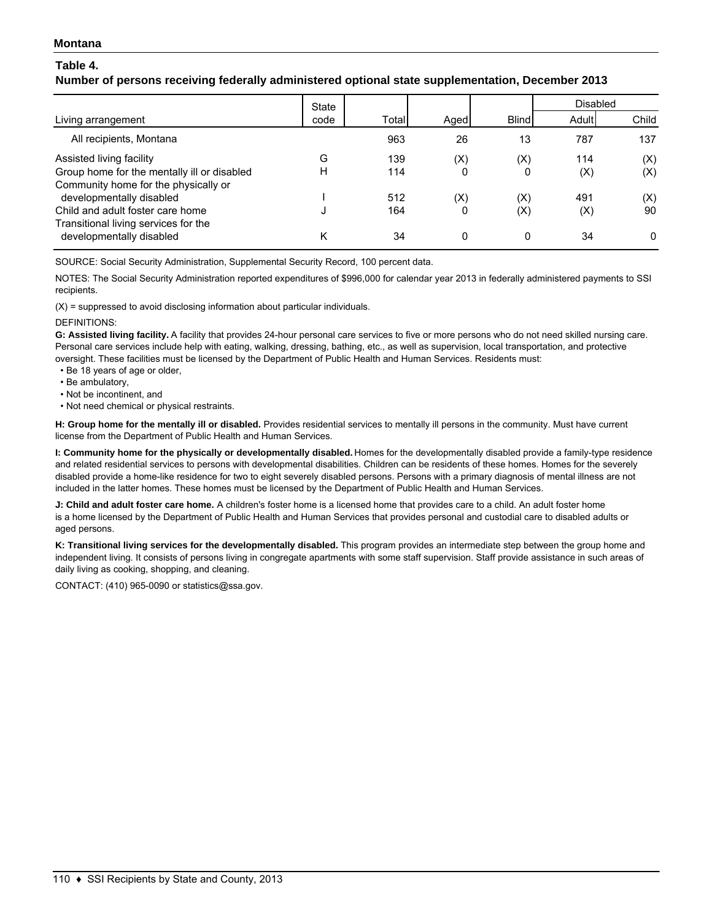#### **Montana**

### **Table 4.**

### **Number of persons receiving federally administered optional state supplementation, December 2013**

|                                             | State |       |                |              | <b>Disabled</b> |              |
|---------------------------------------------|-------|-------|----------------|--------------|-----------------|--------------|
| Living arrangement                          | code  | Total | Aged           | <b>Blind</b> | Adult           | Child        |
| All recipients, Montana                     |       | 963   | 26             | 13           | 787             | 137          |
| Assisted living facility                    | G     | 139   | (X)            | (X)          | 114             | (X)          |
| Group home for the mentally ill or disabled | н     | 114   | 0              | 0            | (X)             | (X)          |
| Community home for the physically or        |       |       |                |              |                 |              |
| developmentally disabled                    |       | 512   | $(\mathsf{X})$ | (X)          | 491             | (X)          |
| Child and adult foster care home            |       | 164   | 0              | $({\sf X})$  | (X)             | 90           |
| Transitional living services for the        |       |       |                |              |                 |              |
| developmentally disabled                    | κ     | 34    | 0              | 0            | 34              | $\mathbf{0}$ |

SOURCE: Social Security Administration, Supplemental Security Record, 100 percent data.

NOTES: The Social Security Administration reported expenditures of \$996,000 for calendar year 2013 in federally administered payments to SSI recipients.

(X) = suppressed to avoid disclosing information about particular individuals.

#### DEFINITIONS:

**G: Assisted living facility.** A facility that provides 24-hour personal care services to five or more persons who do not need skilled nursing care. Personal care services include help with eating, walking, dressing, bathing, etc., as well as supervision, local transportation, and protective oversight. These facilities must be licensed by the Department of Public Health and Human Services. Residents must:

- Be 18 years of age or older,
- Be ambulatory,
- Not be incontinent, and
- Not need chemical or physical restraints.

**H: Group home for the mentally ill or disabled.** Provides residential services to mentally ill persons in the community. Must have current license from the Department of Public Health and Human Services.

**I: Community home for the physically or developmentally disabled.** Homes for the developmentally disabled provide a family-type residence and related residential services to persons with developmental disabilities. Children can be residents of these homes. Homes for the severely disabled provide a home-like residence for two to eight severely disabled persons. Persons with a primary diagnosis of mental illness are not included in the latter homes. These homes must be licensed by the Department of Public Health and Human Services.

**J: Child and adult foster care home.** A children's foster home is a licensed home that provides care to a child. An adult foster home is a home licensed by the Department of Public Health and Human Services that provides personal and custodial care to disabled adults or aged persons.

**K: Transitional living services for the developmentally disabled.** This program provides an intermediate step between the group home and independent living. It consists of persons living in congregate apartments with some staff supervision. Staff provide assistance in such areas of daily living as cooking, shopping, and cleaning.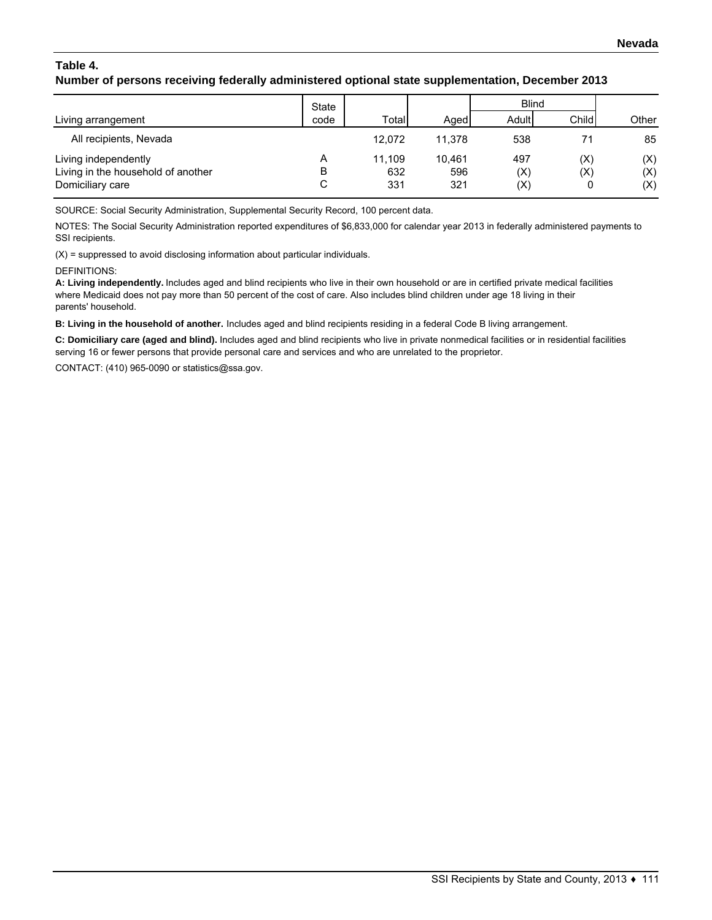## **Number of persons receiving federally administered optional state supplementation, December 2013**

|                                                                                | State       |                      |                      | <b>Blind</b>      |                 |                   |
|--------------------------------------------------------------------------------|-------------|----------------------|----------------------|-------------------|-----------------|-------------------|
| Living arrangement                                                             | code        | Totall               | Aged                 | Adult             | Child           | Other             |
| All recipients, Nevada                                                         |             | 12.072               | 11.378               | 538               | 71              | 85                |
| Living independently<br>Living in the household of another<br>Domiciliary care | Α<br>в<br>С | 11.109<br>632<br>331 | 10.461<br>596<br>321 | 497<br>(X)<br>(X) | (X)<br>(X)<br>0 | (X)<br>(X)<br>(X) |

SOURCE: Social Security Administration, Supplemental Security Record, 100 percent data.

NOTES: The Social Security Administration reported expenditures of \$6,833,000 for calendar year 2013 in federally administered payments to SSI recipients.

(X) = suppressed to avoid disclosing information about particular individuals.

#### DEFINITIONS:

**A: Living independently.** Includes aged and blind recipients who live in their own household or are in certified private medical facilities where Medicaid does not pay more than 50 percent of the cost of care. Also includes blind children under age 18 living in their parents' household.

**B: Living in the household of another.** Includes aged and blind recipients residing in a federal Code B living arrangement.

**C: Domiciliary care (aged and blind).** Includes aged and blind recipients who live in private nonmedical facilities or in residential facilities serving 16 or fewer persons that provide personal care and services and who are unrelated to the proprietor.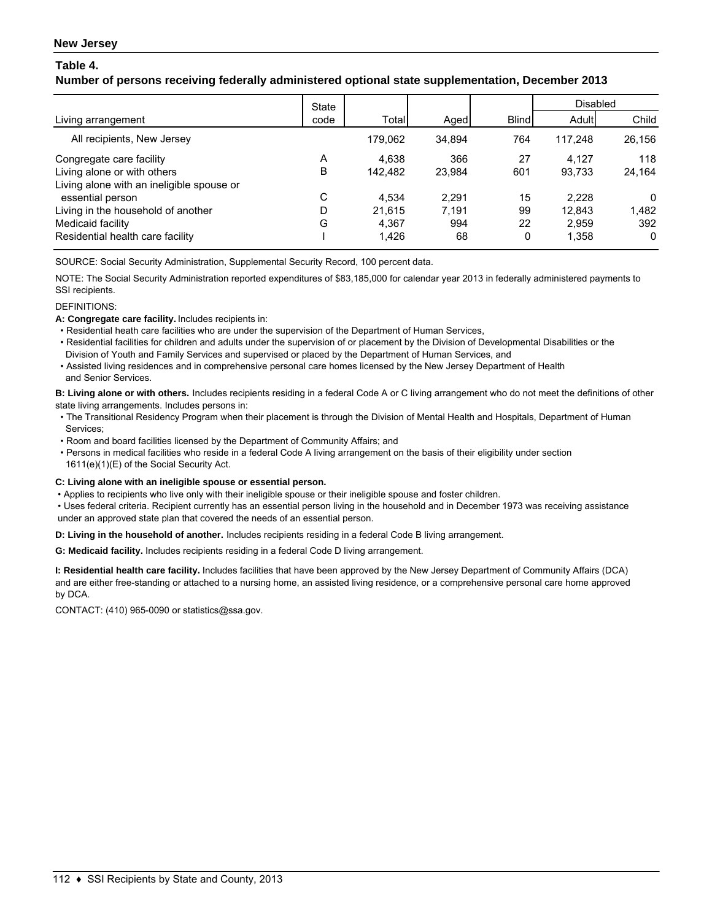## **Number of persons receiving federally administered optional state supplementation, December 2013**

|                                           | State |         |        |              | <b>Disabled</b> |          |
|-------------------------------------------|-------|---------|--------|--------------|-----------------|----------|
| Living arrangement                        | code  | Total   | Aged   | <b>Blind</b> | Adult           | Child    |
| All recipients, New Jersey                |       | 179.062 | 34.894 | 764          | 117.248         | 26,156   |
| Congregate care facility                  | A     | 4.638   | 366    | 27           | 4.127           | 118      |
| Living alone or with others               | B     | 142.482 | 23.984 | 601          | 93,733          | 24,164   |
| Living alone with an ineligible spouse or |       |         |        |              |                 |          |
| essential person                          | С     | 4.534   | 2.291  | 15           | 2.228           | 0        |
| Living in the household of another        | D     | 21.615  | 7.191  | 99           | 12,843          | 1,482    |
| Medicaid facility                         | G     | 4.367   | 994    | 22           | 2,959           | 392      |
| Residential health care facility          |       | 1,426   | 68     | 0            | 1,358           | $\Omega$ |

SOURCE: Social Security Administration, Supplemental Security Record, 100 percent data.

NOTE: The Social Security Administration reported expenditures of \$83,185,000 for calendar year 2013 in federally administered payments to SSI recipients.

#### DEFINITIONS:

**A: Congregate care facility.** Includes recipients in:

- Residential heath care facilities who are under the supervision of the Department of Human Services,
- Residential facilities for children and adults under the supervision of or placement by the Division of Developmental Disabilities or the Division of Youth and Family Services and supervised or placed by the Department of Human Services, and
- Assisted living residences and in comprehensive personal care homes licensed by the New Jersey Department of Health and Senior Services.

**B: Living alone or with others.** Includes recipients residing in a federal Code A or C living arrangement who do not meet the definitions of other state living arrangements. Includes persons in:

- The Transitional Residency Program when their placement is through the Division of Mental Health and Hospitals, Department of Human Services;
- Room and board facilities licensed by the Department of Community Affairs; and
- Persons in medical facilities who reside in a federal Code A living arrangement on the basis of their eligibility under section 1611(e)(1)(E) of the Social Security Act.

#### **C: Living alone with an ineligible spouse or essential person.**

• Applies to recipients who live only with their ineligible spouse or their ineligible spouse and foster children.

 • Uses federal criteria. Recipient currently has an essential person living in the household and in December 1973 was receiving assistance under an approved state plan that covered the needs of an essential person.

**D: Living in the household of another.** Includes recipients residing in a federal Code B living arrangement.

**G: Medicaid facility.** Includes recipients residing in a federal Code D living arrangement.

**I: Residential health care facility.** Includes facilities that have been approved by the New Jersey Department of Community Affairs (DCA) and are either free-standing or attached to a nursing home, an assisted living residence, or a comprehensive personal care home approved by DCA.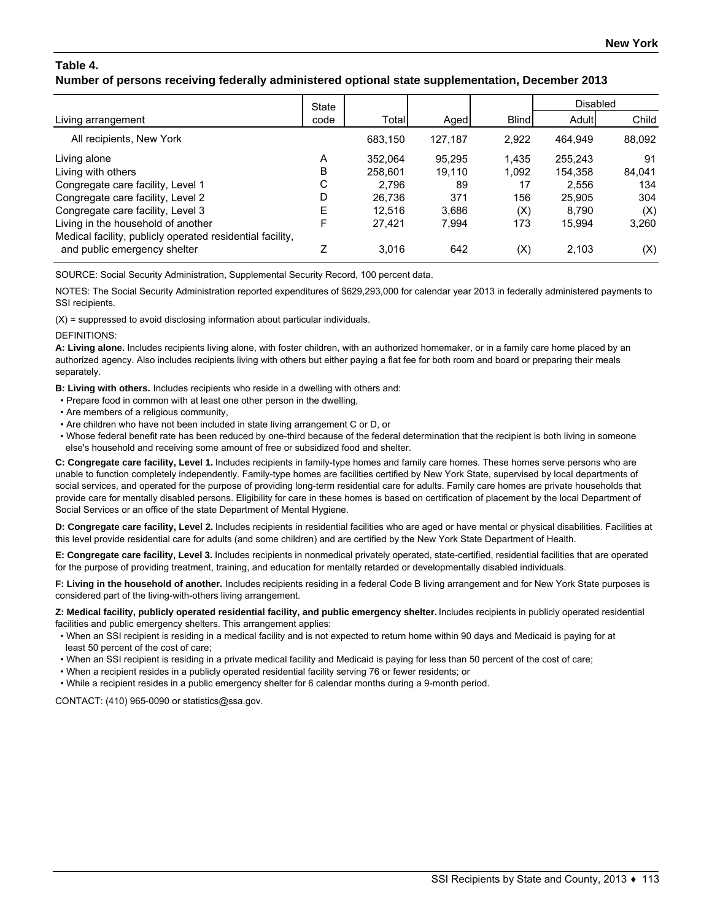## **Number of persons receiving federally administered optional state supplementation, December 2013**

|                                                                                           | State |         |         |              | <b>Disabled</b> |        |
|-------------------------------------------------------------------------------------------|-------|---------|---------|--------------|-----------------|--------|
| Living arrangement                                                                        | code  | Total   | Aged    | <b>Blind</b> | Adult           | Child  |
| All recipients, New York                                                                  |       | 683,150 | 127,187 | 2,922        | 464.949         | 88,092 |
| Living alone                                                                              | A     | 352.064 | 95.295  | 1,435        | 255,243         | 91     |
| Living with others                                                                        | в     | 258,601 | 19.110  | 1,092        | 154,358         | 84,041 |
| Congregate care facility, Level 1                                                         | С     | 2.796   | 89      | 17           | 2.556           | 134    |
| Congregate care facility, Level 2                                                         |       | 26.736  | 371     | 156          | 25,905          | 304    |
| Congregate care facility, Level 3                                                         | F     | 12.516  | 3,686   | (X)          | 8.790           | (X)    |
| Living in the household of another                                                        | F     | 27.421  | 7.994   | 173          | 15.994          | 3,260  |
| Medical facility, publicly operated residential facility,<br>and public emergency shelter |       | 3.016   | 642     | (X)          | 2,103           | (X)    |

SOURCE: Social Security Administration, Supplemental Security Record, 100 percent data.

NOTES: The Social Security Administration reported expenditures of \$629,293,000 for calendar year 2013 in federally administered payments to SSI recipients.

(X) = suppressed to avoid disclosing information about particular individuals.

**DEFINITIONS:** 

**A: Living alone.** Includes recipients living alone, with foster children, with an authorized homemaker, or in a family care home placed by an authorized agency. Also includes recipients living with others but either paying a flat fee for both room and board or preparing their meals separately.

**B: Living with others.** Includes recipients who reside in a dwelling with others and:

- Prepare food in common with at least one other person in the dwelling,
- Are members of a religious community,
- Are children who have not been included in state living arrangement C or D, or

 • Whose federal benefit rate has been reduced by one-third because of the federal determination that the recipient is both living in someone else's household and receiving some amount of free or subsidized food and shelter.

**C: Congregate care facility, Level 1.** Includes recipients in family-type homes and family care homes. These homes serve persons who are unable to function completely independently. Family-type homes are facilities certified by New York State, supervised by local departments of social services, and operated for the purpose of providing long-term residential care for adults. Family care homes are private households that provide care for mentally disabled persons. Eligibility for care in these homes is based on certification of placement by the local Department of Social Services or an office of the state Department of Mental Hygiene.

**D: Congregate care facility, Level 2.** Includes recipients in residential facilities who are aged or have mental or physical disabilities. Facilities at this level provide residential care for adults (and some children) and are certified by the New York State Department of Health.

**E: Congregate care facility, Level 3.** Includes recipients in nonmedical privately operated, state-certified, residential facilities that are operated for the purpose of providing treatment, training, and education for mentally retarded or developmentally disabled individuals.

**F: Living in the household of another.** Includes recipients residing in a federal Code B living arrangement and for New York State purposes is considered part of the living-with-others living arrangement.

**Z: Medical facility, publicly operated residential facility, and public emergency shelter.** Includes recipients in publicly operated residential facilities and public emergency shelters. This arrangement applies:

- When an SSI recipient is residing in a medical facility and is not expected to return home within 90 days and Medicaid is paying for at least 50 percent of the cost of care;
- When an SSI recipient is residing in a private medical facility and Medicaid is paying for less than 50 percent of the cost of care;
- When a recipient resides in a publicly operated residential facility serving 76 or fewer residents; or
- While a recipient resides in a public emergency shelter for 6 calendar months during a 9-month period.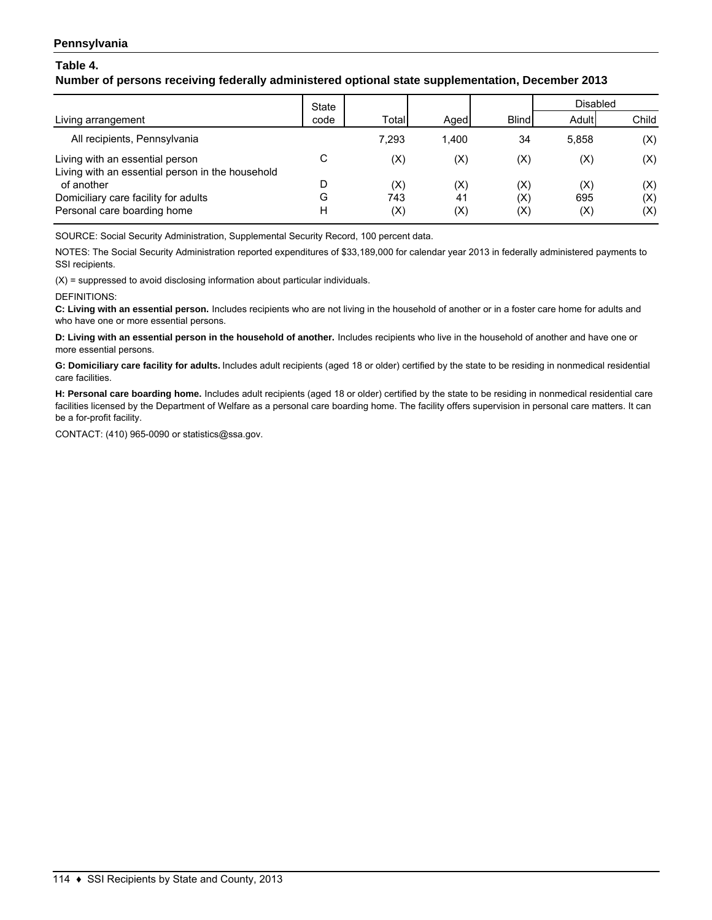### **Pennsylvania**

### **Table 4.**

## **Number of persons receiving federally administered optional state supplementation, December 2013**

|                                                                                     | <b>State</b> |       |                |              | Disabled       |       |
|-------------------------------------------------------------------------------------|--------------|-------|----------------|--------------|----------------|-------|
| Living arrangement                                                                  | code         | Total | Aged           | <b>Blind</b> | Adult          | Child |
| All recipients, Pennsylvania                                                        |              | 7.293 | 1.400          | 34           | 5.858          | (X)   |
| Living with an essential person<br>Living with an essential person in the household | С            | (X)   | $(\mathsf{X})$ | (X)          | (X)            | (X)   |
| of another                                                                          |              | (X)   | $(\mathsf{X})$ | (X)          | $(\mathsf{X})$ | (X)   |
| Domiciliary care facility for adults                                                | G            | 743   | 41             | (X)          | 695            | (X)   |
| Personal care boarding home                                                         | н            | (X)   | (X)            | (X)          | (X)            | (X)   |

SOURCE: Social Security Administration, Supplemental Security Record, 100 percent data.

NOTES: The Social Security Administration reported expenditures of \$33,189,000 for calendar year 2013 in federally administered payments to SSI recipients.

 $(X)$  = suppressed to avoid disclosing information about particular individuals.

DEFINITIONS:

**C: Living with an essential person.** Includes recipients who are not living in the household of another or in a foster care home for adults and who have one or more essential persons.

**D: Living with an essential person in the household of another.** Includes recipients who live in the household of another and have one or more essential persons.

**G: Domiciliary care facility for adults.** Includes adult recipients (aged 18 or older) certified by the state to be residing in nonmedical residential care facilities.

**H: Personal care boarding home.** Includes adult recipients (aged 18 or older) certified by the state to be residing in nonmedical residential care facilities licensed by the Department of Welfare as a personal care boarding home. The facility offers supervision in personal care matters. It can be a for-profit facility.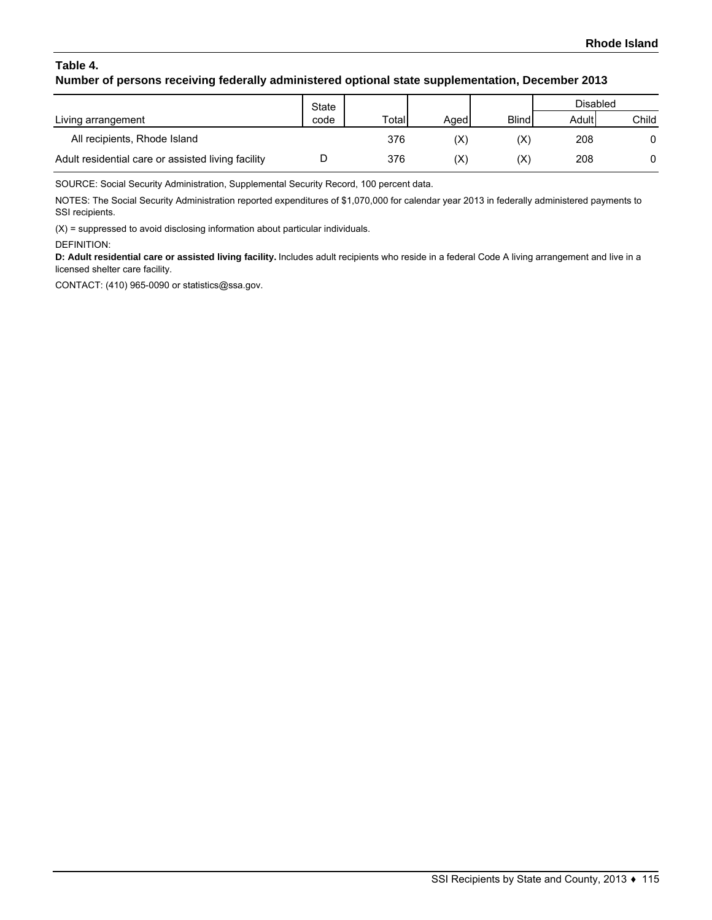# **Table 4. Number of persons receiving federally administered optional state supplementation, December 2013**

|                                                    | State<br>code | Total | Agedl          |                | Disabled |       |
|----------------------------------------------------|---------------|-------|----------------|----------------|----------|-------|
| Living arrangement                                 |               |       |                | <b>Blind</b>   | Adult    | Child |
| All recipients, Rhode Island                       |               | 376   | $(\mathsf{X})$ | $(\mathsf{X})$ | 208      | 0     |
| Adult residential care or assisted living facility |               | 376   | $(\mathsf{X})$ | $(\mathsf{X})$ | 208      |       |

SOURCE: Social Security Administration, Supplemental Security Record, 100 percent data.

NOTES: The Social Security Administration reported expenditures of \$1,070,000 for calendar year 2013 in federally administered payments to SSI recipients.

(X) = suppressed to avoid disclosing information about particular individuals.

DEFINITION:

**D: Adult residential care or assisted living facility.** Includes adult recipients who reside in a federal Code A living arrangement and live in a licensed shelter care facility.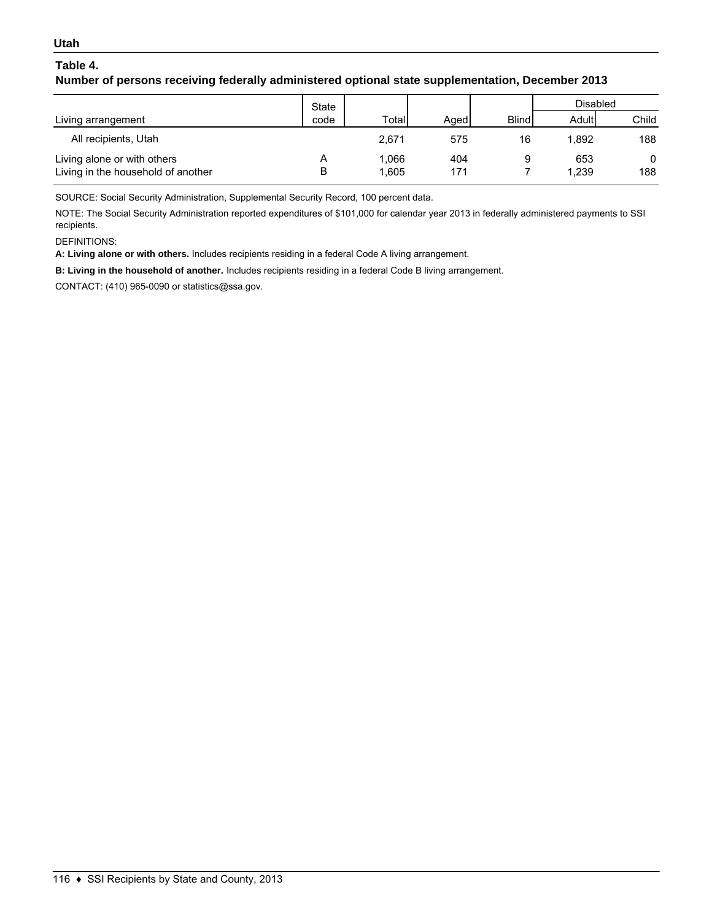### **Utah**

# **Table 4.**

## **Number of persons receiving federally administered optional state supplementation, December 2013**

|                                                                   | State |              |            |              | <b>Disabled</b> |                     |
|-------------------------------------------------------------------|-------|--------------|------------|--------------|-----------------|---------------------|
| Living arrangement                                                | code  | Total        | Aged       | <b>Blind</b> | Adult           | Child               |
| All recipients, Utah                                              |       | 2.671        | 575        | 16           | 1.892           | 188                 |
| Living alone or with others<br>Living in the household of another | В     | .066<br>.605 | 404<br>171 | 9            | 653<br>1,239    | $\mathbf{0}$<br>188 |

SOURCE: Social Security Administration, Supplemental Security Record, 100 percent data.

NOTE: The Social Security Administration reported expenditures of \$101,000 for calendar year 2013 in federally administered payments to SSI recipients.

DEFINITIONS:

**A: Living alone or with others.** Includes recipients residing in a federal Code A living arrangement.

**B: Living in the household of another.** Includes recipients residing in a federal Code B living arrangement.